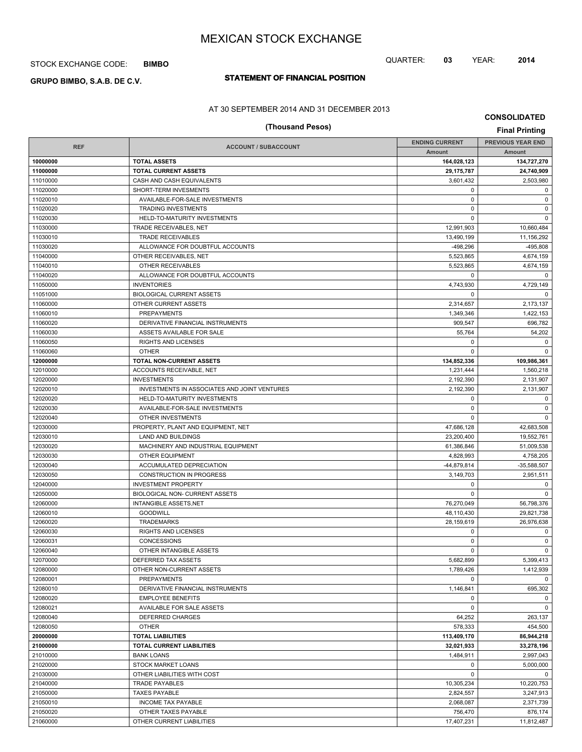## STOCK EXCHANGE CODE: **BIMBO**

# **STATEMENT OF FINANCIAL POSITION GRUPO BIMBO, S.A.B. DE C.V.**

### AT 30 SEPTEMBER 2014 AND 31 DECEMBER 2013

# **CONSOLIDATED**

QUARTER: **03** YEAR: **2014**

# **(Thousand Pesos) Final Printing**

| <b>REF</b> | <b>ACCOUNT / SUBACCOUNT</b>                  | <b>ENDING CURRENT</b> | <b>PREVIOUS YEAR END</b> |
|------------|----------------------------------------------|-----------------------|--------------------------|
|            |                                              | Amount                | Amount                   |
| 10000000   | <b>TOTAL ASSETS</b>                          | 164,028,123           | 134,727,270              |
| 11000000   | <b>TOTAL CURRENT ASSETS</b>                  | 29, 175, 787          | 24,740,909               |
| 11010000   | CASH AND CASH EQUIVALENTS                    | 3,601,432             | 2,503,980                |
| 11020000   | SHORT-TERM INVESMENTS                        | 0                     | 0                        |
| 11020010   | AVAILABLE-FOR-SALE INVESTMENTS               | $\pmb{0}$             | 0                        |
| 11020020   | <b>TRADING INVESTMENTS</b>                   | $\mathbf 0$           | $\pmb{0}$                |
| 11020030   | HELD-TO-MATURITY INVESTMENTS                 | $\Omega$              | 0                        |
| 11030000   | TRADE RECEIVABLES, NET                       | 12,991,903            | 10,660,484               |
| 11030010   | <b>TRADE RECEIVABLES</b>                     | 13.490.199            | 11,156,292               |
| 11030020   | ALLOWANCE FOR DOUBTFUL ACCOUNTS              | $-498,296$            | $-495,808$               |
| 11040000   | OTHER RECEIVABLES, NET                       | 5,523,865             | 4,674,159                |
| 11040010   | OTHER RECEIVABLES                            | 5,523,865             | 4,674,159                |
| 11040020   | ALLOWANCE FOR DOUBTFUL ACCOUNTS              | 0                     | 0                        |
| 11050000   | <b>INVENTORIES</b>                           | 4,743,930             | 4,729,149                |
| 11051000   | <b>BIOLOGICAL CURRENT ASSETS</b>             | 0                     | $\mathbf 0$              |
| 11060000   | OTHER CURRENT ASSETS                         | 2,314,657             | 2,173,137                |
| 11060010   | <b>PREPAYMENTS</b>                           | 1,349,346             | 1,422,153                |
| 11060020   | DERIVATIVE FINANCIAL INSTRUMENTS             | 909,547               | 696,782                  |
| 11060030   | ASSETS AVAILABLE FOR SALE                    | 55,764                | 54,202                   |
| 11060050   | <b>RIGHTS AND LICENSES</b>                   | 0                     | 0                        |
| 11060060   | <b>OTHER</b>                                 | 0                     | $\mathbf 0$              |
| 12000000   | TOTAL NON-CURRENT ASSETS                     | 134,852,336           | 109,986,361              |
| 12010000   | ACCOUNTS RECEIVABLE, NET                     | 1,231,444             | 1,560,218                |
| 12020000   | <b>INVESTMENTS</b>                           | 2,192,390             | 2,131,907                |
| 12020010   | INVESTMENTS IN ASSOCIATES AND JOINT VENTURES | 2,192,390             | 2,131,907                |
| 12020020   | HELD-TO-MATURITY INVESTMENTS                 | 0                     | 0                        |
| 12020030   | AVAILABLE-FOR-SALE INVESTMENTS               | 0                     | $\mathbf 0$              |
| 12020040   | OTHER INVESTMENTS                            | 0                     | $\mathbf 0$              |
| 12030000   | PROPERTY, PLANT AND EQUIPMENT, NET           | 47,686,128            | 42,683,508               |
| 12030010   | LAND AND BUILDINGS                           | 23,200,400            | 19,552,761               |
| 12030020   | MACHINERY AND INDUSTRIAL EQUIPMENT           | 61,386,846            | 51,009,538               |
| 12030030   | <b>OTHER EQUIPMENT</b>                       | 4,828,993             | 4,758,205                |
| 12030040   | ACCUMULATED DEPRECIATION                     | -44,879,814           | $-35,588,507$            |
| 12030050   | CONSTRUCTION IN PROGRESS                     | 3,149,703             | 2,951,511                |
| 12040000   | <b>INVESTMENT PROPERTY</b>                   | 0                     | 0                        |
| 12050000   | BIOLOGICAL NON- CURRENT ASSETS               | $\mathbf 0$           | $\mathbf 0$              |
| 12060000   | <b>INTANGIBLE ASSETS, NET</b>                | 76,270,049            | 56,798,376               |
| 12060010   | <b>GOODWILL</b>                              | 48,110,430            | 29,821,738               |
| 12060020   | <b>TRADEMARKS</b>                            | 28,159,619            | 26,976,638               |
| 12060030   | RIGHTS AND LICENSES                          | 0                     | 0                        |
| 12060031   | <b>CONCESSIONS</b>                           | 0                     | $\pmb{0}$                |
| 12060040   | OTHER INTANGIBLE ASSETS                      | 0                     | $\mathbf 0$              |
| 12070000   | DEFERRED TAX ASSETS                          | 5,682,899             | 5,399,413                |
| 12080000   | OTHER NON-CURRENT ASSETS                     | 1,789,426             | 1,412,939                |
| 12080001   | <b>PREPAYMENTS</b>                           | $\mathbf 0$           | $\mathbf 0$              |
| 12080010   | DERIVATIVE FINANCIAL INSTRUMENTS             | 1,146,841             | 695,302                  |
| 12080020   | <b>EMPLOYEE BENEFITS</b>                     | 0                     | 0                        |
| 12080021   | AVAILABLE FOR SALE ASSETS                    | 0                     | $\mathbf 0$              |
| 12080040   | DEFERRED CHARGES                             | 64,252                | 263,137                  |
| 12080050   | <b>OTHER</b>                                 | 578,333               | 454,500                  |
| 20000000   | <b>TOTAL LIABILITIES</b>                     | 113,409,170           | 86,944,218               |
| 21000000   | <b>TOTAL CURRENT LIABILITIES</b>             | 32,021,933            | 33,278,196               |
| 21010000   | <b>BANK LOANS</b>                            | 1,484,911             | 2,997,043                |
| 21020000   | <b>STOCK MARKET LOANS</b>                    | 0                     | 5,000,000                |
| 21030000   | OTHER LIABILITIES WITH COST                  | $\mathbf 0$           | $\mathbf 0$              |
| 21040000   | TRADE PAYABLES                               | 10,305,234            | 10,220,753               |
| 21050000   | <b>TAXES PAYABLE</b>                         | 2,824,557             | 3,247,913                |
| 21050010   | INCOME TAX PAYABLE                           | 2,068,087             | 2,371,739                |
| 21050020   | OTHER TAXES PAYABLE                          | 756,470               | 876,174                  |

21060000 OTHER CURRENT LIABILITIES 17,407,231 17,407,231 17,407,231 17,407,231 17,407,231 17,407,231 17,407,231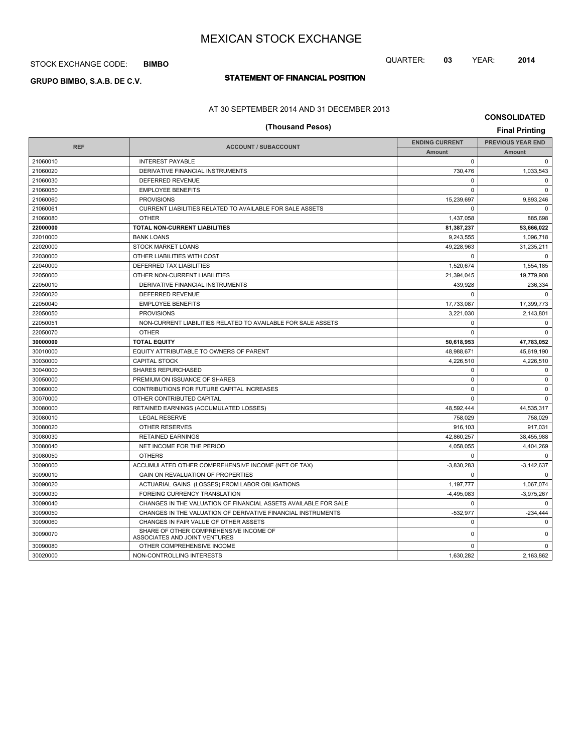## STOCK EXCHANGE CODE: **BIMBO**

# **STATEMENT OF FINANCIAL POSITION GRUPO BIMBO, S.A.B. DE C.V.**

# QUARTER: **03** YEAR: **2014**

#### AT 30 SEPTEMBER 2014 AND 31 DECEMBER 2013

|                  | AT 30 SET TEMBER 2014 AND 31 DECEMBER 2013                              |                       | <b>CONSOLIDATED</b>      |  |  |
|------------------|-------------------------------------------------------------------------|-----------------------|--------------------------|--|--|
| (Thousand Pesos) |                                                                         |                       |                          |  |  |
| <b>REF</b>       | <b>ACCOUNT / SUBACCOUNT</b>                                             | <b>ENDING CURRENT</b> | <b>PREVIOUS YEAR END</b> |  |  |
|                  |                                                                         | <b>Amount</b>         | <b>Amount</b>            |  |  |
| 21060010         | <b>INTEREST PAYABLE</b>                                                 | $\mathbf 0$           | 0                        |  |  |
| 21060020         | DERIVATIVE FINANCIAL INSTRUMENTS                                        | 730,476               | 1,033,543                |  |  |
| 21060030         | DEFERRED REVENUE                                                        | $\mathbf 0$           | 0                        |  |  |
| 21060050         | <b>EMPLOYEE BENEFITS</b>                                                | $\mathbf 0$           | $\mathbf 0$              |  |  |
| 21060060         | <b>PROVISIONS</b>                                                       | 15,239,697            | 9,893,246                |  |  |
| 21060061         | CURRENT LIABILITIES RELATED TO AVAILABLE FOR SALE ASSETS                | $\mathbf 0$           | $\mathbf 0$              |  |  |
| 21060080         | <b>OTHER</b>                                                            | 1,437,058             | 885,698                  |  |  |
| 22000000         | TOTAL NON-CURRENT LIABILITIES                                           | 81,387,237            | 53,666,022               |  |  |
| 22010000         | <b>BANK LOANS</b>                                                       | 9,243,555             | 1,096,718                |  |  |
| 22020000         | <b>STOCK MARKET LOANS</b>                                               | 49,228,963            | 31,235,211               |  |  |
| 22030000         | OTHER LIABILITIES WITH COST                                             | $\mathbf 0$           | 0                        |  |  |
| 22040000         | DEFERRED TAX LIABILITIES                                                | 1,520,674             | 1,554,185                |  |  |
| 22050000         | OTHER NON-CURRENT LIABILITIES                                           | 21,394,045            | 19,779,908               |  |  |
| 22050010         | DERIVATIVE FINANCIAL INSTRUMENTS                                        | 439,928               | 236,334                  |  |  |
| 22050020         | DEFERRED REVENUE                                                        | $\mathbf 0$           | $\mathbf 0$              |  |  |
| 22050040         | <b>EMPLOYEE BENEFITS</b>                                                | 17,733,087            | 17,399,773               |  |  |
| 22050050         | <b>PROVISIONS</b>                                                       | 3,221,030             | 2,143,801                |  |  |
| 22050051         | NON-CURRENT LIABILITIES RELATED TO AVAILABLE FOR SALE ASSETS            | $\mathbf 0$           | $\mathbf 0$              |  |  |
| 22050070         | <b>OTHER</b>                                                            | $\mathbf 0$           | $\mathbf 0$              |  |  |
| 30000000         | <b>TOTAL EQUITY</b>                                                     | 50,618,953            | 47,783,052               |  |  |
| 30010000         | EQUITY ATTRIBUTABLE TO OWNERS OF PARENT                                 | 48,988,671            | 45,619,190               |  |  |
| 30030000         | <b>CAPITAL STOCK</b>                                                    | 4,226,510             | 4,226,510                |  |  |
| 30040000         | SHARES REPURCHASED                                                      | 0                     | 0                        |  |  |
| 30050000         | PREMIUM ON ISSUANCE OF SHARES                                           | $\mathbf 0$           | $\mathbf 0$              |  |  |
| 30060000         | CONTRIBUTIONS FOR FUTURE CAPITAL INCREASES                              | $\Omega$              | $\mathbf 0$              |  |  |
| 30070000         | OTHER CONTRIBUTED CAPITAL                                               | $\Omega$              | $\mathbf 0$              |  |  |
| 30080000         | RETAINED EARNINGS (ACCUMULATED LOSSES)                                  | 48,592,444            | 44,535,317               |  |  |
| 30080010         | <b>LEGAL RESERVE</b>                                                    | 758,029               | 758,029                  |  |  |
| 30080020         | OTHER RESERVES                                                          | 916,103               | 917,031                  |  |  |
| 30080030         | <b>RETAINED EARNINGS</b>                                                | 42,860,257            | 38,455,988               |  |  |
| 30080040         | NET INCOME FOR THE PERIOD                                               | 4,058,055             | 4,404,269                |  |  |
| 30080050         | <b>OTHERS</b>                                                           | 0                     | 0                        |  |  |
| 30090000         | ACCUMULATED OTHER COMPREHENSIVE INCOME (NET OF TAX)                     | $-3,830,283$          | $-3,142,637$             |  |  |
| 30090010         | GAIN ON REVALUATION OF PROPERTIES                                       | $\mathbf 0$           | $\mathbf 0$              |  |  |
| 30090020         | ACTUARIAL GAINS (LOSSES) FROM LABOR OBLIGATIONS                         | 1,197,777             | 1,067,074                |  |  |
| 30090030         | FOREING CURRENCY TRANSLATION                                            | $-4,495,083$          | $-3,975,267$             |  |  |
| 30090040         | CHANGES IN THE VALUATION OF FINANCIAL ASSETS AVAILABLE FOR SALE         | $\mathbf 0$           | 0                        |  |  |
| 30090050         | CHANGES IN THE VALUATION OF DERIVATIVE FINANCIAL INSTRUMENTS            | $-532,977$            | $-234,444$               |  |  |
| 30090060         | CHANGES IN FAIR VALUE OF OTHER ASSETS                                   | $\mathbf 0$           | 0                        |  |  |
| 30090070         | SHARE OF OTHER COMPREHENSIVE INCOME OF<br>ASSOCIATES AND JOINT VENTURES | $\mathbf 0$           | $\mathbf 0$              |  |  |
| 30090080         | OTHER COMPREHENSIVE INCOME                                              | $\mathbf 0$           | $\mathbf 0$              |  |  |
| 30020000         | NON-CONTROLLING INTERESTS                                               | 1.630.282             | 2.163.862                |  |  |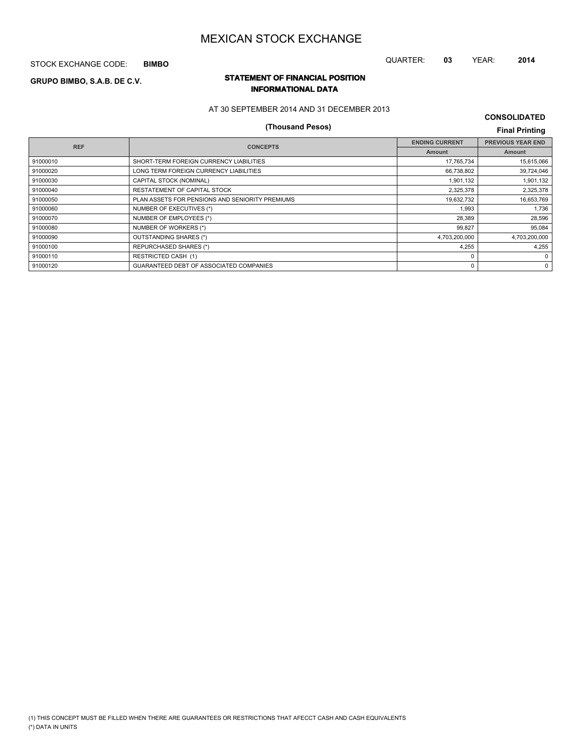STOCK EXCHANGE CODE: **BIMBO**

# QUARTER: **03** YEAR: **2014**

## **STATEMENT OF FINANCIAL POSITION GRUPO BIMBO, S.A.B. DE C.V. INFORMATIONAL DATA**

AT 30 SEPTEMBER 2014 AND 31 DECEMBER 2013

# **(Thousand Pesos) Final Printing**

**CONSOLIDATED**

| <b>REF</b> | <b>CONCEPTS</b>                                 | <b>ENDING CURRENT</b> | <b>PREVIOUS YEAR END</b> |
|------------|-------------------------------------------------|-----------------------|--------------------------|
|            |                                                 | <b>Amount</b>         | Amount                   |
| 91000010   | SHORT-TERM FOREIGN CURRENCY LIABILITIES         | 17,765,734            | 15,615,066               |
| 91000020   | LONG TERM FOREIGN CURRENCY LIABILITIES          | 66,738,802            | 39,724,046               |
| 91000030   | CAPITAL STOCK (NOMINAL)                         | 1,901,132             | 1,901,132                |
| 91000040   | RESTATEMENT OF CAPITAL STOCK                    | 2,325,378             | 2,325,378                |
| 91000050   | PLAN ASSETS FOR PENSIONS AND SENIORITY PREMIUMS | 19,632,732            | 16,653,769               |
| 91000060   | NUMBER OF EXECUTIVES (*)                        | 1,993                 | 1,736                    |
| 91000070   | NUMBER OF EMPLOYEES (*)                         | 28,389                | 28,596                   |
| 91000080   | NUMBER OF WORKERS (*)                           | 99,827                | 95,084                   |
| 91000090   | OUTSTANDING SHARES (*)                          | 4,703,200,000         | 4,703,200,000            |
| 91000100   | <b>REPURCHASED SHARES (*)</b>                   | 4,255                 | 4,255                    |
| 91000110   | <b>RESTRICTED CASH (1)</b>                      | $\Omega$              | 0                        |
| 91000120   | GUARANTEED DEBT OF ASSOCIATED COMPANIES         | 0                     | 0                        |
|            |                                                 |                       |                          |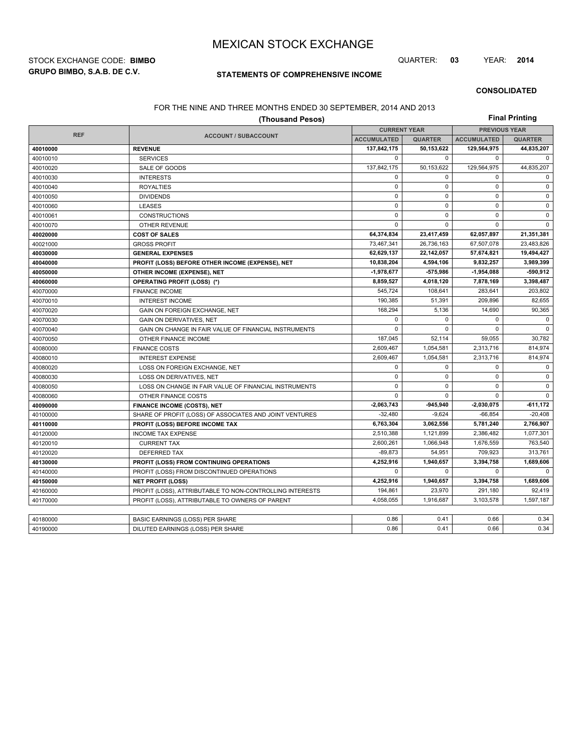**GRUPO BIMBO, S.A.B. DE C.V.** STOCK EXCHANGE CODE: **BIMBO** QUARTER: **03** YEAR: **2014**

## **STATEMENTS OF COMPREHENSIVE INCOME**

#### **CONSOLIDATED**

### FOR THE NINE AND THREE MONTHS ENDED 30 SEPTEMBER, 2014 AND 2013

| (Thousand Pesos) |                                                          |                    |                                             |                    | <b>Final Printing</b> |  |  |  |
|------------------|----------------------------------------------------------|--------------------|---------------------------------------------|--------------------|-----------------------|--|--|--|
| <b>REF</b>       |                                                          |                    | <b>PREVIOUS YEAR</b><br><b>CURRENT YEAR</b> |                    |                       |  |  |  |
|                  | <b>ACCOUNT / SUBACCOUNT</b>                              | <b>ACCUMULATED</b> | <b>QUARTER</b>                              | <b>ACCUMULATED</b> | <b>QUARTER</b>        |  |  |  |
| 40010000         | <b>REVENUE</b>                                           | 137,842,175        | 50,153,622                                  | 129,564,975        | 44,835,207            |  |  |  |
| 40010010         | <b>SERVICES</b>                                          | $\mathbf 0$        | $\mathbf 0$                                 | 0                  | $\mathbf 0$           |  |  |  |
| 40010020         | SALE OF GOODS                                            | 137,842,175        | 50,153,622                                  | 129,564,975        | 44,835,207            |  |  |  |
| 40010030         | <b>INTERESTS</b>                                         | $\mathbf 0$        | $\mathbf 0$                                 | 0                  | 0                     |  |  |  |
| 40010040         | <b>ROYALTIES</b>                                         | $\mathsf 0$        | 0                                           | 0                  | $\mathsf 0$           |  |  |  |
| 40010050         | <b>DIVIDENDS</b>                                         | $\mathbf 0$        | $\mathbf 0$                                 | $\mathbf 0$        | $\pmb{0}$             |  |  |  |
| 40010060         | <b>LEASES</b>                                            | $\mathsf 0$        | $\mathbf 0$                                 | 0                  | 0                     |  |  |  |
| 40010061         | <b>CONSTRUCTIONS</b>                                     | $\mathbf 0$        | $\mathbf 0$                                 | 0                  | 0                     |  |  |  |
| 40010070         | <b>OTHER REVENUE</b>                                     | $\mathbf 0$        | $\mathbf 0$                                 | 0                  | $\mathbf 0$           |  |  |  |
| 40020000         | <b>COST OF SALES</b>                                     | 64,374,834         | 23,417,459                                  | 62,057,897         | 21,351,381            |  |  |  |
| 40021000         | <b>GROSS PROFIT</b>                                      | 73,467,341         | 26,736,163                                  | 67,507,078         | 23,483,826            |  |  |  |
| 40030000         | <b>GENERAL EXPENSES</b>                                  | 62,629,137         | 22,142,057                                  | 57,674,821         | 19,494,427            |  |  |  |
| 40040000         | PROFIT (LOSS) BEFORE OTHER INCOME (EXPENSE), NET         | 10,838,204         | 4,594,106                                   | 9,832,257          | 3,989,399             |  |  |  |
| 40050000         | OTHER INCOME (EXPENSE), NET                              | -1,978,677         | 575,986                                     | $-1,954,088$       | -590,912              |  |  |  |
| 40060000         | <b>OPERATING PROFIT (LOSS) (*)</b>                       | 8,859,527          | 4,018,120                                   | 7,878,169          | 3,398,487             |  |  |  |
| 40070000         | <b>FINANCE INCOME</b>                                    | 545,724            | 108,641                                     | 283,641            | 203,802               |  |  |  |
| 40070010         | <b>INTEREST INCOME</b>                                   | 190,385            | 51,391                                      | 209,896            | 82,655                |  |  |  |
| 40070020         | GAIN ON FOREIGN EXCHANGE, NET                            | 168,294            | 5,136                                       | 14,690             | 90,365                |  |  |  |
| 40070030         | <b>GAIN ON DERIVATIVES, NET</b>                          | $\mathbf 0$        | $\mathbf 0$                                 | $\mathbf 0$        | $\mathsf 0$           |  |  |  |
| 40070040         | GAIN ON CHANGE IN FAIR VALUE OF FINANCIAL INSTRUMENTS    | $\Omega$           | $\Omega$                                    | $\Omega$           | $\mathbf 0$           |  |  |  |
| 40070050         | OTHER FINANCE INCOME                                     | 187,045            | 52,114                                      | 59,055             | 30,782                |  |  |  |
| 40080000         | <b>FINANCE COSTS</b>                                     | 2,609,467          | 1,054,581                                   | 2,313,716          | 814,974               |  |  |  |
| 40080010         | <b>INTEREST EXPENSE</b>                                  | 2,609,467          | 1,054,581                                   | 2,313,716          | 814,974               |  |  |  |
| 40080020         | LOSS ON FOREIGN EXCHANGE, NET                            | $\mathbf 0$        | $\mathbf 0$                                 | $\mathbf 0$        | $\mathsf 0$           |  |  |  |
| 40080030         | LOSS ON DERIVATIVES, NET                                 | $\mathbf 0$        | $\mathbf 0$                                 | $\mathbf 0$        | 0                     |  |  |  |
| 40080050         | LOSS ON CHANGE IN FAIR VALUE OF FINANCIAL INSTRUMENTS    | $\mathbf 0$        | $\Omega$                                    | $\Omega$           | $\mathsf 0$           |  |  |  |
| 40080060         | OTHER FINANCE COSTS                                      | $\mathbf 0$        | $\mathbf 0$                                 | 0                  | 0                     |  |  |  |
| 40090000         | FINANCE INCOME (COSTS), NET                              | 2,063,743          | $-945,940$                                  | $-2,030,075$       | $-611,172$            |  |  |  |
| 40100000         | SHARE OF PROFIT (LOSS) OF ASSOCIATES AND JOINT VENTURES  | $-32,480$          | $-9,624$                                    | $-66,854$          | $-20,408$             |  |  |  |
| 40110000         | PROFIT (LOSS) BEFORE INCOME TAX                          | 6,763,304          | 3,062,556                                   | 5,781,240          | 2,766,907             |  |  |  |
| 40120000         | <b>INCOME TAX EXPENSE</b>                                | 2,510,388          | 1,121,899                                   | 2,386,482          | 1,077,301             |  |  |  |
| 40120010         | <b>CURRENT TAX</b>                                       | 2,600,261          | 1,066,948                                   | 1,676,559          | 763,540               |  |  |  |
| 40120020         | <b>DEFERRED TAX</b>                                      | $-89,873$          | 54,951                                      | 709,923            | 313,761               |  |  |  |
| 40130000         | PROFIT (LOSS) FROM CONTINUING OPERATIONS                 | 4,252,916          | 1,940,657                                   | 3,394,758          | 1,689,606             |  |  |  |
| 40140000         | PROFIT (LOSS) FROM DISCONTINUED OPERATIONS               | $\mathbf 0$        | $\mathbf 0$                                 | 0                  | 0                     |  |  |  |
| 40150000         | <b>NET PROFIT (LOSS)</b>                                 | 4,252,916          | 1,940,657                                   | 3,394,758          | 1,689,606             |  |  |  |
| 40160000         | PROFIT (LOSS), ATTRIBUTABLE TO NON-CONTROLLING INTERESTS | 194,861            | 23,970                                      | 291,180            | 92,419                |  |  |  |
| 40170000         | PROFIT (LOSS), ATTRIBUTABLE TO OWNERS OF PARENT          | 4.058.055          | 1,916,687                                   | 3,103,578          | 1,597,187             |  |  |  |
|                  |                                                          |                    |                                             |                    |                       |  |  |  |
| 40180000         | <b>BASIC EARNINGS (LOSS) PER SHARE</b>                   | 0.86               | 0.41                                        | 0.66               | 0.34                  |  |  |  |
| 40190000         | DILUTED EARNINGS (LOSS) PER SHARE                        | 0.86               | 0.41                                        | 0.66               | 0.34                  |  |  |  |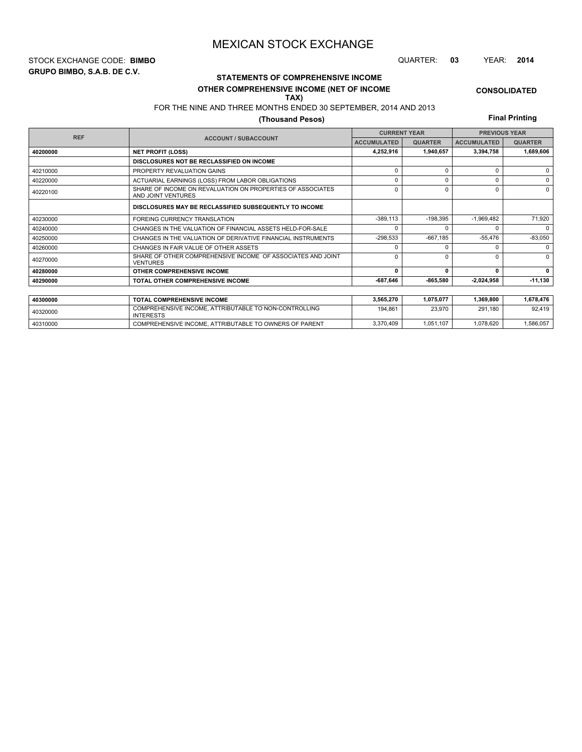**GRUPO BIMBO, S.A.B. DE C.V.** STOCK EXCHANGE CODE: **BIMBO** QUARTER: **03** YEAR: **2014**

# **STATEMENTS OF COMPREHENSIVE INCOME**

#### **OTHER COMPREHENSIVE INCOME (NET OF INCOME TAX)**

## FOR THE NINE AND THREE MONTHS ENDED 30 SEPTEMBER, 2014 AND 2013

## **(Thousand Pesos)**

**Final Printing**

**CONSOLIDATED**

|          |                                                                                  | <b>CURRENT YEAR</b> |                | <b>PREVIOUS YEAR</b> |                |  |
|----------|----------------------------------------------------------------------------------|---------------------|----------------|----------------------|----------------|--|
|          | <b>REF</b><br><b>ACCOUNT / SUBACCOUNT</b>                                        |                     | <b>QUARTER</b> | <b>ACCUMULATED</b>   | <b>QUARTER</b> |  |
| 40200000 | <b>NET PROFIT (LOSS)</b>                                                         | 4,252,916           | 1,940,657      | 3,394,758            | 1,689,606      |  |
|          | DISCLOSURES NOT BE RECLASSIFIED ON INCOME                                        |                     |                |                      |                |  |
| 40210000 | PROPERTY REVALUATION GAINS                                                       | $\Omega$            | $\Omega$       | $\Omega$             | $\Omega$       |  |
| 40220000 | ACTUARIAL EARNINGS (LOSS) FROM LABOR OBLIGATIONS                                 | $\mathbf 0$         | $\Omega$       | U                    | $\Omega$       |  |
| 40220100 | SHARE OF INCOME ON REVALUATION ON PROPERTIES OF ASSOCIATES<br>AND JOINT VENTURES | $\Omega$            | $\Omega$       | $\Omega$             | $\Omega$       |  |
|          | DISCLOSURES MAY BE RECLASSIFIED SUBSEQUENTLY TO INCOME                           |                     |                |                      |                |  |
| 40230000 | <b>FOREING CURRENCY TRANSLATION</b>                                              | $-389,113$          | $-198,395$     | $-1,969,482$         | 71,920         |  |
| 40240000 | CHANGES IN THE VALUATION OF FINANCIAL ASSETS HELD-FOR-SALE                       | $\Omega$            | <sup>n</sup>   | U                    | $\Omega$       |  |
| 40250000 | CHANGES IN THE VALUATION OF DERIVATIVE FINANCIAL INSTRUMENTS                     | $-298,533$          | $-667,185$     | $-55,476$            | $-83,050$      |  |
| 40260000 | CHANGES IN FAIR VALUE OF OTHER ASSETS                                            | $\Omega$            |                | U                    | $\Omega$       |  |
| 40270000 | SHARE OF OTHER COMPREHENSIVE INCOME OF ASSOCIATES AND JOINT<br><b>VENTURES</b>   | $\Omega$            | $\Omega$       | U                    | $\Omega$       |  |
| 40280000 | OTHER COMPREHENSIVE INCOME                                                       | 0                   |                | 0                    | 0              |  |
| 40290000 | <b>TOTAL OTHER COMPREHENSIVE INCOME</b>                                          | -687,646            | -865,580       | 2,024,958            | $-11,130$      |  |
|          |                                                                                  |                     |                |                      |                |  |
| 40300000 | <b>TOTAL COMPREHENSIVE INCOME</b>                                                | 3,565,270           | 1,075,077      | 1,369,800            | 1,678,476      |  |
| 40320000 | COMPREHENSIVE INCOME, ATTRIBUTABLE TO NON-CONTROLLING<br><b>INTERESTS</b>        | 194,861             | 23,970         | 291,180              | 92,419         |  |

40310000 COMPREHENSIVE INCOME, ATTRIBUTABLE TO OWNERS OF PARENT 3,370,409 1,051,107 1,078,620 1,586,057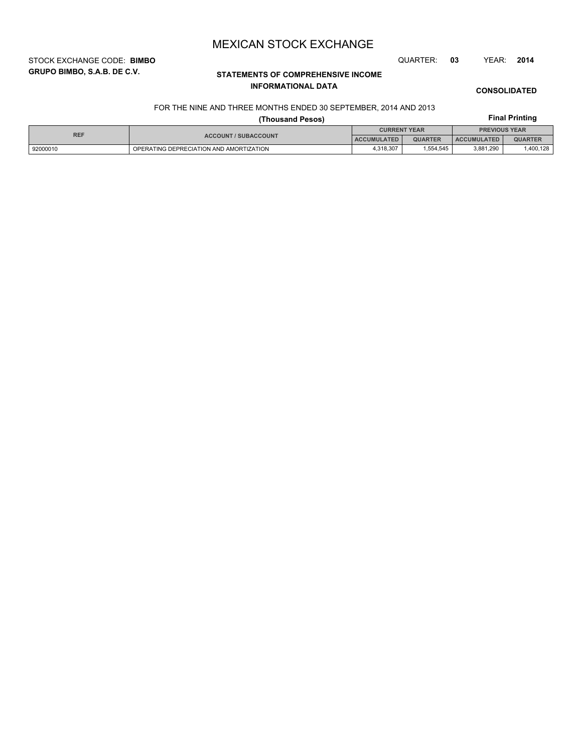STOCK EXCHANGE CODE: **BIMBO** QUARTER: **03** YEAR: **2014**

**GRUPO BIMBO, S.A.B. DE C.V.**

# **STATEMENTS OF COMPREHENSIVE INCOME INFORMATIONAL DATA**

**CONSOLIDATED**

#### FOR THE NINE AND THREE MONTHS ENDED 30 SEPTEMBER, 2014 AND 2013

|            |                                         | <b>Final Printing</b> |                |                      |                |  |
|------------|-----------------------------------------|-----------------------|----------------|----------------------|----------------|--|
| <b>REF</b> | <b>ACCOUNT / SUBACCOUNT</b>             | <b>CURRENT YEAR</b>   |                | <b>PREVIOUS YEAR</b> |                |  |
|            |                                         | ACCUMULATED           | <b>QUARTER</b> | <b>ACCUMULATED</b>   | <b>QUARTER</b> |  |
| 92000010   | OPERATING DEPRECIATION AND AMORTIZATION | 4,318,307             | 1.554.545      | 3,881,290            | 1,400,128      |  |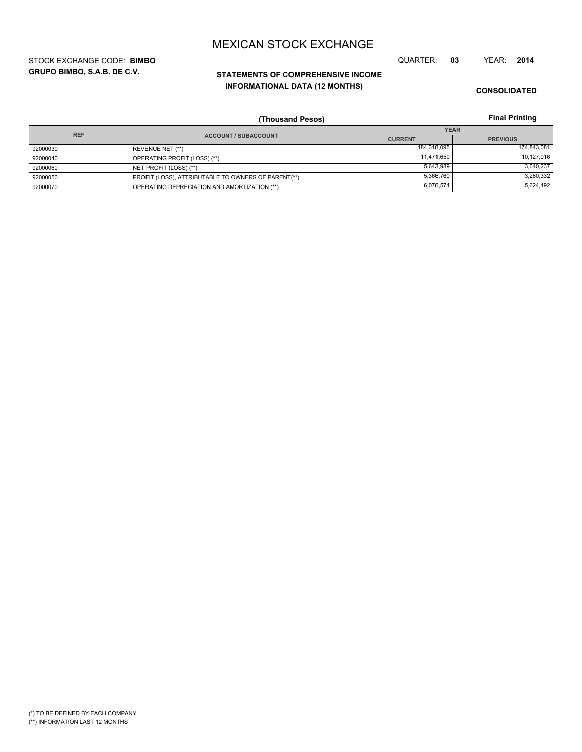**GRUPO BIMBO, S.A.B. DE C.V.** STOCK EXCHANGE CODE: **BIMBO** QUARTER: **03** YEAR: **2014**

# **STATEMENTS OF COMPREHENSIVE INCOME INFORMATIONAL DATA (12 MONTHS)**

**CONSOLIDATED**

**Final Printing**

|            | (Thousand Pesos)                                    |                | <b>Final Printing</b> |
|------------|-----------------------------------------------------|----------------|-----------------------|
| <b>REF</b> |                                                     |                | <b>YEAR</b>           |
|            | <b>ACCOUNT / SUBACCOUNT</b>                         | <b>CURRENT</b> | <b>PREVIOUS</b>       |
| 92000030   | REVENUE NET (**)                                    | 184,318,095    | 174,843,081           |
| 92000040   | OPERATING PROFIT (LOSS) (**)                        | 11.471.650     | 10,127,016            |
| 92000060   | NET PROFIT (LOSS) (**)                              | 5,643,989      | 3,640,237             |
| 92000050   | PROFIT (LOSS), ATTRIBUTABLE TO OWNERS OF PARENT(**) | 5,366,760      | 3,280,332             |
| 92000070   | OPERATING DEPRECIATION AND AMORTIZATION (**)        | 6,076,574      | 5,624,492             |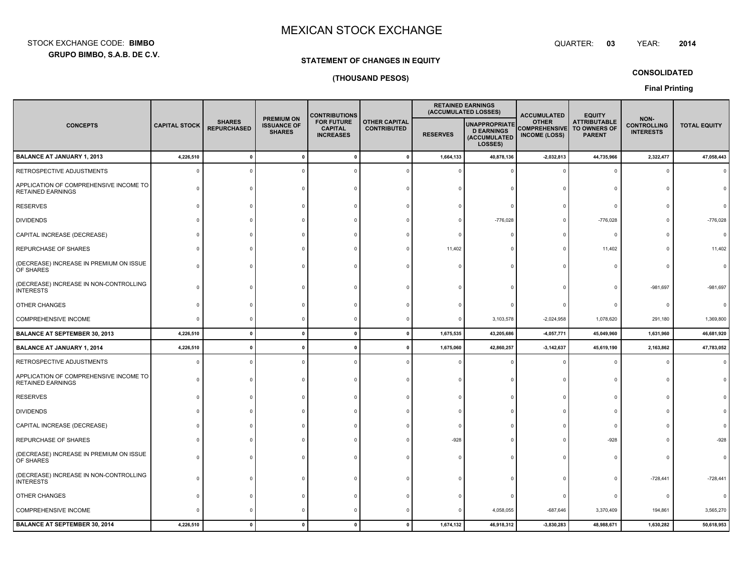**GRUPO BIMBO, S.A.B. DE C.V.** STOCK EXCHANGE CODE:**BIMBO**: BIMBO QUARTER:

#### **03**YEAR: **<sup>2014</sup>**

#### **STATEMENT OF CHANGES IN EQUITY**

### **(THOUSAND PESOS)**

**CONSOLIDATED**

**Final Printing**

|                                                                    | <b>SHARES</b><br><b>CAPITAL STOCK</b> |                    |                                                          |                                                         | <b>CONTRIBUTIONS</b>                       |                 |                                                                      | <b>RETAINED EARNINGS</b><br>(ACCUMULATED LOSSES)             | <b>ACCUMULATED</b>                                   | <b>EQUITY</b>                                  |                     |  |
|--------------------------------------------------------------------|---------------------------------------|--------------------|----------------------------------------------------------|---------------------------------------------------------|--------------------------------------------|-----------------|----------------------------------------------------------------------|--------------------------------------------------------------|------------------------------------------------------|------------------------------------------------|---------------------|--|
| <b>CONCEPTS</b>                                                    |                                       | <b>REPURCHASED</b> | <b>PREMIUM ON</b><br><b>ISSUANCE OF</b><br><b>SHARES</b> | <b>FOR FUTURE</b><br><b>CAPITAL</b><br><b>INCREASES</b> | <b>OTHER CAPITAL</b><br><b>CONTRIBUTED</b> | <b>RESERVES</b> | <b>UNAPPROPRIATE</b><br><b>D EARNINGS</b><br>(ACCUMULATED<br>LOSSES) | <b>OTHER</b><br><b>COMPREHENSIVE</b><br><b>INCOME (LOSS)</b> | <b>ATTRIBUTABLE</b><br>TO OWNERS OF<br><b>PARENT</b> | NON-<br><b>CONTROLLING</b><br><b>INTERESTS</b> | <b>TOTAL EQUITY</b> |  |
| <b>BALANCE AT JANUARY 1, 2013</b>                                  | 4,226,510                             | $\mathbf{0}$       | $\mathbf 0$                                              |                                                         | $\mathbf{0}$                               | 1,664,133       | 40,878,136                                                           | $-2,032,813$                                                 | 44,735,966                                           | 2,322,477                                      | 47,058,443          |  |
| RETROSPECTIVE ADJUSTMENTS                                          |                                       | $\Omega$           |                                                          |                                                         |                                            |                 |                                                                      |                                                              | 0                                                    |                                                |                     |  |
| APPLICATION OF COMPREHENSIVE INCOME TO<br><b>RETAINED EARNINGS</b> |                                       |                    |                                                          |                                                         |                                            |                 |                                                                      |                                                              |                                                      |                                                |                     |  |
| <b>RESERVES</b>                                                    | n                                     |                    |                                                          |                                                         |                                            |                 |                                                                      |                                                              | C                                                    |                                                |                     |  |
| <b>DIVIDENDS</b>                                                   |                                       |                    |                                                          |                                                         |                                            |                 | $-776,028$                                                           |                                                              | $-776,028$                                           |                                                | $-776,028$          |  |
| CAPITAL INCREASE (DECREASE)                                        |                                       |                    |                                                          |                                                         |                                            |                 |                                                                      |                                                              | $\Omega$                                             |                                                |                     |  |
| REPURCHASE OF SHARES                                               |                                       |                    |                                                          |                                                         |                                            | 11,402          |                                                                      |                                                              | 11,402                                               |                                                | 11,402              |  |
| (DECREASE) INCREASE IN PREMIUM ON ISSUE<br>OF SHARES               |                                       |                    |                                                          |                                                         |                                            |                 |                                                                      |                                                              |                                                      |                                                |                     |  |
| (DECREASE) INCREASE IN NON-CONTROLLING<br><b>INTERESTS</b>         |                                       |                    |                                                          |                                                         |                                            |                 |                                                                      |                                                              |                                                      | $-981,697$                                     | $-981,697$          |  |
| OTHER CHANGES                                                      |                                       |                    |                                                          |                                                         |                                            |                 |                                                                      |                                                              | C                                                    |                                                |                     |  |
| <b>COMPREHENSIVE INCOME</b>                                        |                                       |                    |                                                          |                                                         |                                            |                 | 3,103,578                                                            | $-2,024,958$                                                 | 1,078,620                                            | 291,180                                        | 1,369,800           |  |
| <b>BALANCE AT SEPTEMBER 30, 2013</b>                               | 4,226,510                             | $\mathbf{0}$       | $\mathbf{0}$                                             | $\mathbf{0}$                                            | $\mathbf{0}$                               | 1,675,535       | 43,205,686                                                           | $-4,057,771$                                                 | 45,049,960                                           | 1,631,960                                      | 46,681,920          |  |
| <b>BALANCE AT JANUARY 1, 2014</b>                                  | 4,226,510                             | $\mathbf{0}$       | 0                                                        | 0                                                       | 0                                          | 1,675,060       | 42,860,257                                                           | $-3, 142, 637$                                               | 45,619,190                                           | 2,163,862                                      | 47,783,052          |  |
| RETROSPECTIVE ADJUSTMENTS                                          | n                                     |                    | $\Omega$                                                 |                                                         |                                            |                 |                                                                      |                                                              | $\Omega$                                             |                                                |                     |  |
| APPLICATION OF COMPREHENSIVE INCOME TO<br><b>RETAINED EARNINGS</b> |                                       |                    |                                                          |                                                         |                                            |                 |                                                                      |                                                              |                                                      |                                                |                     |  |
| <b>RESERVES</b>                                                    |                                       |                    |                                                          |                                                         |                                            |                 |                                                                      |                                                              | c                                                    |                                                |                     |  |
| <b>DIVIDENDS</b>                                                   |                                       |                    |                                                          |                                                         |                                            |                 |                                                                      |                                                              |                                                      |                                                |                     |  |
| CAPITAL INCREASE (DECREASE)                                        |                                       |                    |                                                          |                                                         |                                            |                 |                                                                      |                                                              | C                                                    |                                                |                     |  |
| REPURCHASE OF SHARES                                               |                                       |                    |                                                          |                                                         |                                            | $-928$          |                                                                      |                                                              | $-928$                                               |                                                |                     |  |
| (DECREASE) INCREASE IN PREMIUM ON ISSUE<br>OF SHARES               |                                       |                    |                                                          |                                                         |                                            |                 |                                                                      |                                                              |                                                      |                                                |                     |  |
| (DECREASE) INCREASE IN NON-CONTROLLING<br><b>INTERESTS</b>         |                                       |                    |                                                          |                                                         |                                            |                 |                                                                      |                                                              | $\mathsf{C}$                                         | $-728,441$                                     | $-728,441$          |  |
| OTHER CHANGES                                                      |                                       |                    |                                                          |                                                         |                                            |                 |                                                                      |                                                              | $\Omega$                                             |                                                |                     |  |
| <b>COMPREHENSIVE INCOME</b>                                        |                                       |                    |                                                          |                                                         |                                            |                 | 4,058,055                                                            | $-687,646$                                                   | 3,370,409                                            | 194,861                                        | 3,565,270           |  |
| <b>BALANCE AT SEPTEMBER 30, 2014</b>                               | 4,226,510                             |                    | $\mathbf{0}$                                             | O                                                       | $\mathbf{0}$                               | 1,674,132       | 46,918,312                                                           | $-3,830,283$                                                 | 48,988,671                                           | 1,630,282                                      | 50,618,953          |  |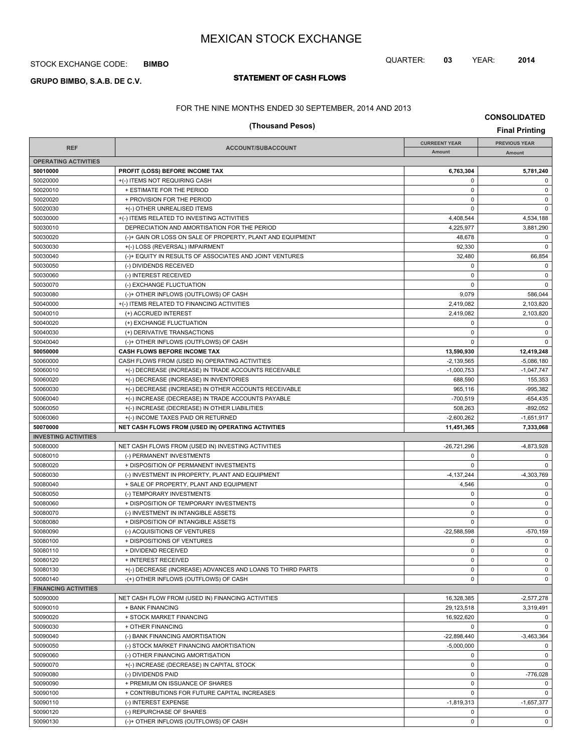#### STOCK EXCHANGE CODE: **BIMBO**

# **STATEMENT OF CASH FLOWS GRUPO BIMBO, S.A.B. DE C.V.**

## QUARTER: **03** YEAR: **2014**

FOR THE NINE MONTHS ENDED 30 SEPTEMBER, 2014 AND 2013

| (Thousand Pesos)            |                                                            |                            |                           |  |
|-----------------------------|------------------------------------------------------------|----------------------------|---------------------------|--|
|                             |                                                            | <b>CURREENT YEAR</b>       | <b>PREVIOUS YEAR</b>      |  |
| <b>REF</b>                  | ACCOUNT/SUBACCOUNT                                         | Amount                     | Amount                    |  |
| <b>OPERATING ACTIVITIES</b> |                                                            |                            |                           |  |
| 50010000                    | <b>PROFIT (LOSS) BEFORE INCOME TAX</b>                     | 6,763,304                  | 5,781,240                 |  |
| 50020000                    | +(-) ITEMS NOT REQUIRING CASH                              | $\mathbf 0$                | 0                         |  |
| 50020010                    | + ESTIMATE FOR THE PERIOD                                  | $\mathbf 0$                | $\pmb{0}$                 |  |
| 50020020                    | + PROVISION FOR THE PERIOD                                 | $\pmb{0}$                  | 0                         |  |
| 50020030                    | +(-) OTHER UNREALISED ITEMS                                | $\mathbf 0$                | 0                         |  |
| 50030000                    | +(-) ITEMS RELATED TO INVESTING ACTIVITIES                 | 4,408,544                  | 4,534,188                 |  |
| 50030010                    | DEPRECIATION AND AMORTISATION FOR THE PERIOD               | 4,225,977                  | 3,881,290                 |  |
| 50030020                    | (-)+ GAIN OR LOSS ON SALE OF PROPERTY, PLANT AND EQUIPMENT | 48,678                     | 0                         |  |
| 50030030                    | +(-) LOSS (REVERSAL) IMPAIRMENT                            | 92,330                     | $\mathbf 0$               |  |
| 50030040                    | (-)+ EQUITY IN RESULTS OF ASSOCIATES AND JOINT VENTURES    | 32,480                     | 66,854                    |  |
| 50030050                    | (-) DIVIDENDS RECEIVED                                     | 0                          | 0                         |  |
| 50030060                    | (-) INTEREST RECEIVED                                      | 0                          | $\pmb{0}$                 |  |
| 50030070                    | (-) EXCHANGE FLUCTUATION                                   | $\pmb{0}$                  | 0                         |  |
| 50030080                    | (-)+ OTHER INFLOWS (OUTFLOWS) OF CASH                      | 9,079                      | 586,044                   |  |
| 50040000                    | +(-) ITEMS RELATED TO FINANCING ACTIVITIES                 | 2,419,082                  | 2,103,820                 |  |
| 50040010                    | (+) ACCRUED INTEREST                                       | 2,419,082                  | 2,103,820                 |  |
| 50040020                    | (+) EXCHANGE FLUCTUATION                                   | $\pmb{0}$                  | 0                         |  |
| 50040030                    | (+) DERIVATIVE TRANSACTIONS                                | $\mathbf 0$                | $\pmb{0}$                 |  |
| 50040040                    | (-)+ OTHER INFLOWS (OUTFLOWS) OF CASH                      | $\mathbf 0$                | $\mathbf 0$               |  |
| 50050000                    | CASH FLOWS BEFORE INCOME TAX                               | 13,590,930                 | 12,419,248                |  |
| 50060000                    | CASH FLOWS FROM (USED IN) OPERATING ACTIVITIES             | $-2.139.565$               | $-5,086,180$              |  |
| 50060010                    | +(-) DECREASE (INCREASE) IN TRADE ACCOUNTS RECEIVABLE      | $-1,000,753$               | $-1,047,747$              |  |
| 50060020                    | +(-) DECREASE (INCREASE) IN INVENTORIES                    | 688,590                    | 155,353                   |  |
| 50060030                    | +(-) DECREASE (INCREASE) IN OTHER ACCOUNTS RECEIVABLE      | 965,116                    | $-995,382$                |  |
| 50060040                    | +(-) INCREASE (DECREASE) IN TRADE ACCOUNTS PAYABLE         | $-700,519$                 | $-654, 435$               |  |
| 50060050                    | +(-) INCREASE (DECREASE) IN OTHER LIABILITIES              | 508,263                    | $-892,052$                |  |
| 50060060<br>50070000        | +(-) INCOME TAXES PAID OR RETURNED                         | $-2,600,262$<br>11,451,365 | $-1,651,917$<br>7,333,068 |  |
| <b>INVESTING ACTIVITIES</b> | NET CASH FLOWS FROM (USED IN) OPERATING ACTIVITIES         |                            |                           |  |
| 50080000                    | NET CASH FLOWS FROM (USED IN) INVESTING ACTIVITIES         | -26,721,296                | -4,873,928                |  |
| 50080010                    | (-) PERMANENT INVESTMENTS                                  | $\pmb{0}$                  | 0                         |  |
| 50080020                    | + DISPOSITION OF PERMANENT INVESTMENTS                     | $\mathbf 0$                | $\mathbf 0$               |  |
| 50080030                    | (-) INVESTMENT IN PROPERTY, PLANT AND EQUIPMENT            | $-4, 137, 244$             | $-4,303,769$              |  |
| 50080040                    | + SALE OF PROPERTY, PLANT AND EQUIPMENT                    | 4,546                      | 0                         |  |
| 50080050                    | (-) TEMPORARY INVESTMENTS                                  | $\mathbf 0$                | 0                         |  |
| 50080060                    | + DISPOSITION OF TEMPORARY INVESTMENTS                     | 0                          | $\pmb{0}$                 |  |
| 50080070                    | (-) INVESTMENT IN INTANGIBLE ASSETS                        | $\pmb{0}$                  | 0                         |  |
| 50080080                    | + DISPOSITION OF INTANGIBLE ASSETS                         | $\mathbf 0$                | $\mathbf 0$               |  |
| 50080090                    | (-) ACQUISITIONS OF VENTURES                               | $-22,588,598$              | $-570.159$                |  |
| 50080100                    | + DISPOSITIONS OF VENTURES                                 | $\pmb{0}$                  | 0                         |  |
| 50080110                    | + DIVIDEND RECEIVED                                        | 0                          | 0                         |  |
| 50080120                    | + INTEREST RECEIVED                                        | $\mathbf 0$                | $\mathbf 0$               |  |
| 50080130                    | +(-) DECREASE (INCREASE) ADVANCES AND LOANS TO THIRD PARTS | 0                          | 0                         |  |
| 50080140                    | -(+) OTHER INFLOWS (OUTFLOWS) OF CASH                      | 0                          | $\mathbf 0$               |  |
| <b>FINANCING ACTIVITIES</b> |                                                            |                            |                           |  |
| 50090000                    | NET CASH FLOW FROM (USED IN) FINANCING ACTIVITIES          | 16,328,385                 | $-2,577,278$              |  |
| 50090010                    | + BANK FINANCING                                           | 29,123,518                 | 3,319,491                 |  |
| 50090020                    | + STOCK MARKET FINANCING                                   | 16,922,620                 | $\mathbf 0$               |  |
| 50090030                    | + OTHER FINANCING                                          | 0                          | 0                         |  |
| 50090040                    | (-) BANK FINANCING AMORTISATION                            | $-22,898,440$              | $-3,463,364$              |  |
| 50090050                    | (-) STOCK MARKET FINANCING AMORTISATION                    | $-5,000,000$               | $\mathbf 0$               |  |
| 50090060                    | (-) OTHER FINANCING AMORTISATION                           | 0                          | 0                         |  |
| 50090070                    | +(-) INCREASE (DECREASE) IN CAPITAL STOCK                  | 0                          | 0                         |  |
| 50090080                    | (-) DIVIDENDS PAID                                         | 0                          | $-776,028$                |  |
| 50090090                    | + PREMIUM ON ISSUANCE OF SHARES                            | 0                          | 0                         |  |
| 50090100                    | + CONTRIBUTIONS FOR FUTURE CAPITAL INCREASES               | 0                          | $\mathbf 0$               |  |
| 50090110                    | (-) INTEREST EXPENSE                                       | $-1,819,313$               | $-1,657,377$              |  |
| 50090120                    | (-) REPURCHASE OF SHARES                                   | 0                          | $\mathbf 0$               |  |

50090130 (-)+ OTHER INFLOWS (OUTFLOWS) OF CASH 0 0

**CONSOLIDATED**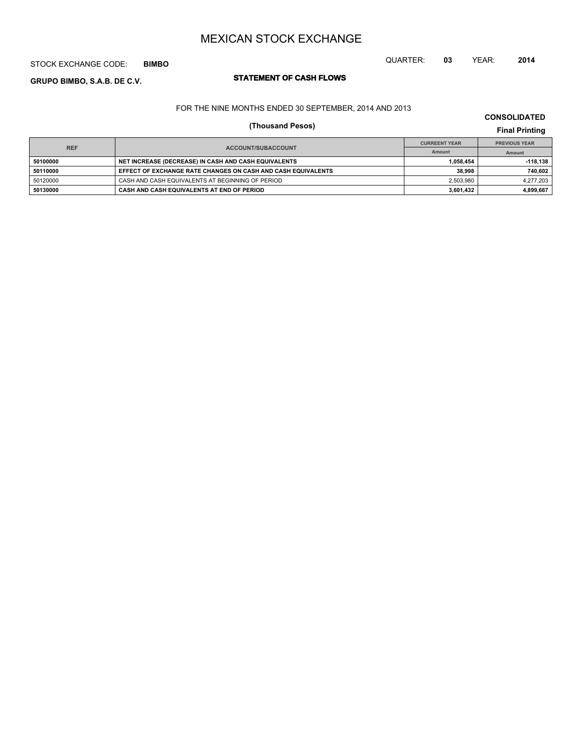## STOCK EXCHANGE CODE: **BIMBO**

# **STATEMENT OF CASH FLOWS GRUPO BIMBO, S.A.B. DE C.V.**

# FOR THE NINE MONTHS ENDED 30 SEPTEMBER, 2014 AND 2013

# **(Thousand Pesos) Final Printing**

| <b>REF</b> |                                                              | <b>CURREENT YEAR</b> | <b>PREVIOUS YEAR</b> |  |
|------------|--------------------------------------------------------------|----------------------|----------------------|--|
|            | ACCOUNT/SUBACCOUNT                                           | Amount               | Amount               |  |
| 50100000   | NET INCREASE (DECREASE) IN CASH AND CASH EQUIVALENTS         | 1.058.454            | $-118.138$           |  |
| 50110000   | EFFECT OF EXCHANGE RATE CHANGES ON CASH AND CASH EQUIVALENTS | 38.998               | 740,602              |  |
| 50120000   | CASH AND CASH EQUIVALENTS AT BEGINNING OF PERIOD             | 2.503.980            | 4.277.203            |  |
| 50130000   | CASH AND CASH EQUIVALENTS AT END OF PERIOD                   | 3.601.432            | 4,899,667            |  |

**CONSOLIDATED**

QUARTER: **03** YEAR: **2014**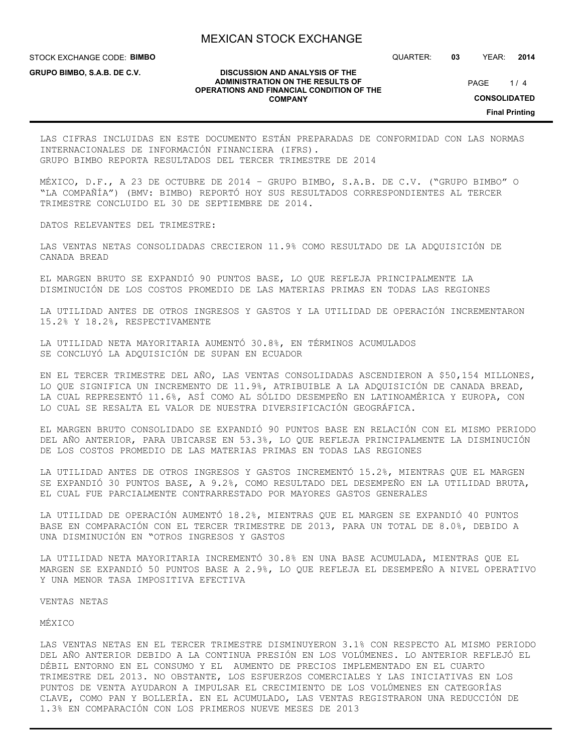STOCK EXCHANGE CODE: **BIMBO**

**GRUPO BIMBO, S.A.B. DE C.V.**

#### **DISCUSSION AND ANALYSIS OF THE ADMINISTRATION ON THE RESULTS OF OPERATIONS AND FINANCIAL CONDITION OF THE COMPANY**

QUARTER: **03** YEAR: **2014**

 $1/4$ PAGE

**CONSOLIDATED**

**Final Printing**

LAS CIFRAS INCLUIDAS EN ESTE DOCUMENTO ESTÁN PREPARADAS DE CONFORMIDAD CON LAS NORMAS INTERNACIONALES DE INFORMACIÓN FINANCIERA (IFRS). GRUPO BIMBO REPORTA RESULTADOS DEL TERCER TRIMESTRE DE 2014

MÉXICO, D.F., A 23 DE OCTUBRE DE 2014 – GRUPO BIMBO, S.A.B. DE C.V. ("GRUPO BIMBO" O "LA COMPAÑÍA") (BMV: BIMBO) REPORTÓ HOY SUS RESULTADOS CORRESPONDIENTES AL TERCER TRIMESTRE CONCLUIDO EL 30 DE SEPTIEMBRE DE 2014.

DATOS RELEVANTES DEL TRIMESTRE:

LAS VENTAS NETAS CONSOLIDADAS CRECIERON 11.9% COMO RESULTADO DE LA ADQUISICIÓN DE CANADA BREAD

EL MARGEN BRUTO SE EXPANDIÓ 90 PUNTOS BASE, LO QUE REFLEJA PRINCIPALMENTE LA DISMINUCIÓN DE LOS COSTOS PROMEDIO DE LAS MATERIAS PRIMAS EN TODAS LAS REGIONES

LA UTILIDAD ANTES DE OTROS INGRESOS Y GASTOS Y LA UTILIDAD DE OPERACIÓN INCREMENTARON 15.2% Y 18.2%, RESPECTIVAMENTE

LA UTILIDAD NETA MAYORITARIA AUMENTÓ 30.8%, EN TÉRMINOS ACUMULADOS SE CONCLUYÓ LA ADQUISICIÓN DE SUPAN EN ECUADOR

EN EL TERCER TRIMESTRE DEL AÑO, LAS VENTAS CONSOLIDADAS ASCENDIERON A \$50,154 MILLONES, LO QUE SIGNIFICA UN INCREMENTO DE 11.9%, ATRIBUIBLE A LA ADQUISICIÓN DE CANADA BREAD, LA CUAL REPRESENTÓ 11.6%, ASÍ COMO AL SÓLIDO DESEMPEÑO EN LATINOAMÉRICA Y EUROPA, CON LO CUAL SE RESALTA EL VALOR DE NUESTRA DIVERSIFICACIÓN GEOGRÁFICA.

EL MARGEN BRUTO CONSOLIDADO SE EXPANDIÓ 90 PUNTOS BASE EN RELACIÓN CON EL MISMO PERIODO DEL AÑO ANTERIOR, PARA UBICARSE EN 53.3%, LO QUE REFLEJA PRINCIPALMENTE LA DISMINUCIÓN DE LOS COSTOS PROMEDIO DE LAS MATERIAS PRIMAS EN TODAS LAS REGIONES

LA UTILIDAD ANTES DE OTROS INGRESOS Y GASTOS INCREMENTÓ 15.2%, MIENTRAS QUE EL MARGEN SE EXPANDIÓ 30 PUNTOS BASE, A 9.2%, COMO RESULTADO DEL DESEMPEÑO EN LA UTILIDAD BRUTA, EL CUAL FUE PARCIALMENTE CONTRARRESTADO POR MAYORES GASTOS GENERALES

LA UTILIDAD DE OPERACIÓN AUMENTÓ 18.2%, MIENTRAS QUE EL MARGEN SE EXPANDIÓ 40 PUNTOS BASE EN COMPARACIÓN CON EL TERCER TRIMESTRE DE 2013, PARA UN TOTAL DE 8.0%, DEBIDO A UNA DISMINUCIÓN EN "OTROS INGRESOS Y GASTOS

LA UTILIDAD NETA MAYORITARIA INCREMENTÓ 30.8% EN UNA BASE ACUMULADA, MIENTRAS QUE EL MARGEN SE EXPANDIÓ 50 PUNTOS BASE A 2.9%, LO QUE REFLEJA EL DESEMPEÑO A NIVEL OPERATIVO Y UNA MENOR TASA IMPOSITIVA EFECTIVA

VENTAS NETAS

#### MÉXICO

LAS VENTAS NETAS EN EL TERCER TRIMESTRE DISMINUYERON 3.1% CON RESPECTO AL MISMO PERIODO DEL AÑO ANTERIOR DEBIDO A LA CONTINUA PRESIÓN EN LOS VOLÚMENES. LO ANTERIOR REFLEJÓ EL DÉBIL ENTORNO EN EL CONSUMO Y EL AUMENTO DE PRECIOS IMPLEMENTADO EN EL CUARTO TRIMESTRE DEL 2013. NO OBSTANTE, LOS ESFUERZOS COMERCIALES Y LAS INICIATIVAS EN LOS PUNTOS DE VENTA AYUDARON A IMPULSAR EL CRECIMIENTO DE LOS VOLÚMENES EN CATEGORÍAS CLAVE, COMO PAN Y BOLLERÍA. EN EL ACUMULADO, LAS VENTAS REGISTRARON UNA REDUCCIÓN DE 1.3% EN COMPARACIÓN CON LOS PRIMEROS NUEVE MESES DE 2013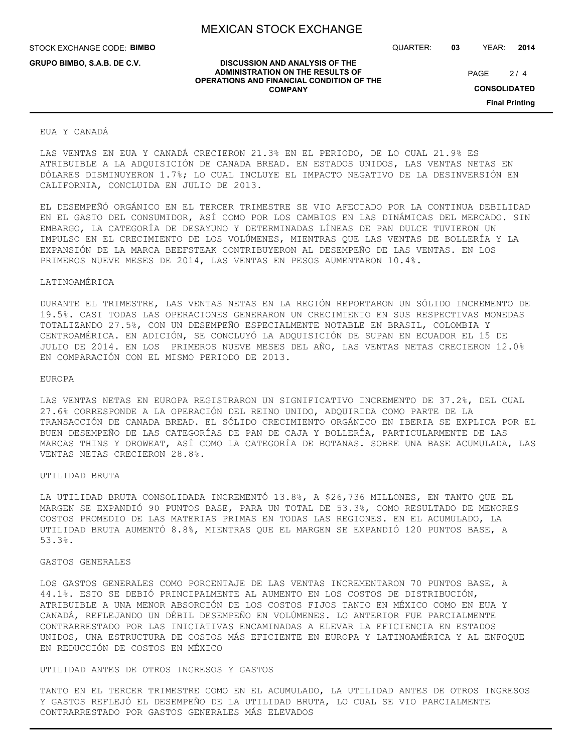**DISCUSSION AND ANALYSIS OF THE ADMINISTRATION ON THE RESULTS OF OPERATIONS AND FINANCIAL CONDITION OF THE COMPANY**

STOCK EXCHANGE CODE: **BIMBO**

**GRUPO BIMBO, S.A.B. DE C.V.**

QUARTER: **03** YEAR: **2014**

 $2/4$ PAGE

**CONSOLIDATED**

**Final Printing**

#### EUA Y CANADÁ

LAS VENTAS EN EUA Y CANADÁ CRECIERON 21.3% EN EL PERIODO, DE LO CUAL 21.9% ES ATRIBUIBLE A LA ADQUISICIÓN DE CANADA BREAD. EN ESTADOS UNIDOS, LAS VENTAS NETAS EN DÓLARES DISMINUYERON 1.7%; LO CUAL INCLUYE EL IMPACTO NEGATIVO DE LA DESINVERSIÓN EN CALIFORNIA, CONCLUIDA EN JULIO DE 2013.

EL DESEMPEÑÓ ORGÁNICO EN EL TERCER TRIMESTRE SE VIO AFECTADO POR LA CONTINUA DEBILIDAD EN EL GASTO DEL CONSUMIDOR, ASÍ COMO POR LOS CAMBIOS EN LAS DINÁMICAS DEL MERCADO. SIN EMBARGO, LA CATEGORÍA DE DESAYUNO Y DETERMINADAS LÍNEAS DE PAN DULCE TUVIERON UN IMPULSO EN EL CRECIMIENTO DE LOS VOLÚMENES, MIENTRAS QUE LAS VENTAS DE BOLLERÍA Y LA EXPANSIÓN DE LA MARCA BEEFSTEAK CONTRIBUYERON AL DESEMPEÑO DE LAS VENTAS. EN LOS PRIMEROS NUEVE MESES DE 2014, LAS VENTAS EN PESOS AUMENTARON 10.4%.

#### LATINOAMÉRICA

DURANTE EL TRIMESTRE, LAS VENTAS NETAS EN LA REGIÓN REPORTARON UN SÓLIDO INCREMENTO DE 19.5%. CASI TODAS LAS OPERACIONES GENERARON UN CRECIMIENTO EN SUS RESPECTIVAS MONEDAS TOTALIZANDO 27.5%, CON UN DESEMPEÑO ESPECIALMENTE NOTABLE EN BRASIL, COLOMBIA Y CENTROAMÉRICA. EN ADICIÓN, SE CONCLUYÓ LA ADQUISICIÓN DE SUPAN EN ECUADOR EL 15 DE JULIO DE 2014. EN LOS PRIMEROS NUEVE MESES DEL AÑO, LAS VENTAS NETAS CRECIERON 12.0% EN COMPARACIÓN CON EL MISMO PERIODO DE 2013.

#### EUROPA

LAS VENTAS NETAS EN EUROPA REGISTRARON UN SIGNIFICATIVO INCREMENTO DE 37.2%, DEL CUAL 27.6% CORRESPONDE A LA OPERACIÓN DEL REINO UNIDO, ADQUIRIDA COMO PARTE DE LA TRANSACCIÓN DE CANADA BREAD. EL SÓLIDO CRECIMIENTO ORGÁNICO EN IBERIA SE EXPLICA POR EL BUEN DESEMPEÑO DE LAS CATEGORÍAS DE PAN DE CAJA Y BOLLERÍA, PARTICULARMENTE DE LAS MARCAS THINS Y OROWEAT, ASÍ COMO LA CATEGORÍA DE BOTANAS. SOBRE UNA BASE ACUMULADA, LAS VENTAS NETAS CRECIERON 28.8%.

#### UTILIDAD BRUTA

LA UTILIDAD BRUTA CONSOLIDADA INCREMENTÓ 13.8%, A \$26,736 MILLONES, EN TANTO QUE EL MARGEN SE EXPANDIÓ 90 PUNTOS BASE, PARA UN TOTAL DE 53.3%, COMO RESULTADO DE MENORES COSTOS PROMEDIO DE LAS MATERIAS PRIMAS EN TODAS LAS REGIONES. EN EL ACUMULADO, LA UTILIDAD BRUTA AUMENTÓ 8.8%, MIENTRAS QUE EL MARGEN SE EXPANDIÓ 120 PUNTOS BASE, A 53.3%.

#### GASTOS GENERALES

LOS GASTOS GENERALES COMO PORCENTAJE DE LAS VENTAS INCREMENTARON 70 PUNTOS BASE, A 44.1%. ESTO SE DEBIÓ PRINCIPALMENTE AL AUMENTO EN LOS COSTOS DE DISTRIBUCIÓN, ATRIBUIBLE A UNA MENOR ABSORCIÓN DE LOS COSTOS FIJOS TANTO EN MÉXICO COMO EN EUA Y CANADÁ, REFLEJANDO UN DÉBIL DESEMPEÑO EN VOLÚMENES. LO ANTERIOR FUE PARCIALMENTE CONTRARRESTADO POR LAS INICIATIVAS ENCAMINADAS A ELEVAR LA EFICIENCIA EN ESTADOS UNIDOS, UNA ESTRUCTURA DE COSTOS MÁS EFICIENTE EN EUROPA Y LATINOAMÉRICA Y AL ENFOQUE EN REDUCCIÓN DE COSTOS EN MÉXICO

### UTILIDAD ANTES DE OTROS INGRESOS Y GASTOS

TANTO EN EL TERCER TRIMESTRE COMO EN EL ACUMULADO, LA UTILIDAD ANTES DE OTROS INGRESOS Y GASTOS REFLEJÓ EL DESEMPEÑO DE LA UTILIDAD BRUTA, LO CUAL SE VIO PARCIALMENTE CONTRARRESTADO POR GASTOS GENERALES MÁS ELEVADOS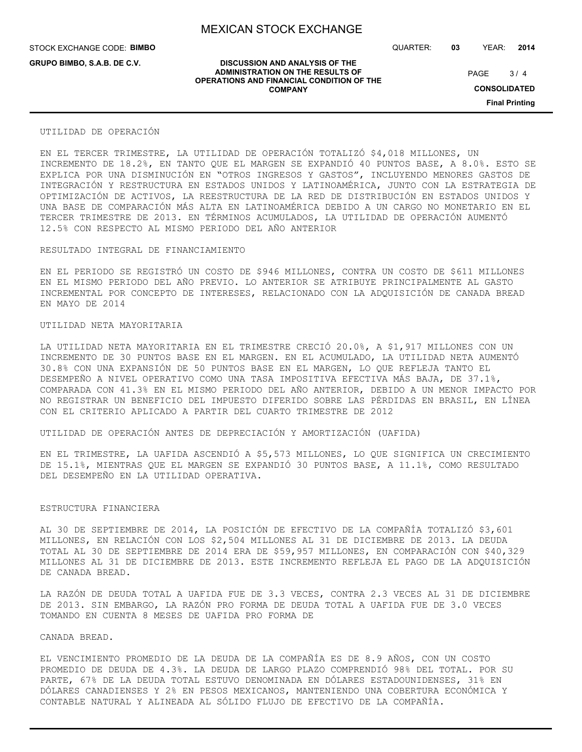**DISCUSSION AND ANALYSIS OF THE ADMINISTRATION ON THE RESULTS OF OPERATIONS AND FINANCIAL CONDITION OF THE COMPANY**

STOCK EXCHANGE CODE: **BIMBO**

**GRUPO BIMBO, S.A.B. DE C.V.**

QUARTER: **03** YEAR: **2014**

 $3/4$ PAGE

**CONSOLIDATED**

**Final Printing**

#### UTILIDAD DE OPERACIÓN

EN EL TERCER TRIMESTRE, LA UTILIDAD DE OPERACIÓN TOTALIZÓ \$4,018 MILLONES, UN INCREMENTO DE 18.2%, EN TANTO QUE EL MARGEN SE EXPANDIÓ 40 PUNTOS BASE, A 8.0%. ESTO SE EXPLICA POR UNA DISMINUCIÓN EN "OTROS INGRESOS Y GASTOS", INCLUYENDO MENORES GASTOS DE INTEGRACIÓN Y RESTRUCTURA EN ESTADOS UNIDOS Y LATINOAMÉRICA, JUNTO CON LA ESTRATEGIA DE OPTIMIZACIÓN DE ACTIVOS, LA REESTRUCTURA DE LA RED DE DISTRIBUCIÓN EN ESTADOS UNIDOS Y UNA BASE DE COMPARACIÓN MÁS ALTA EN LATINOAMÉRICA DEBIDO A UN CARGO NO MONETARIO EN EL TERCER TRIMESTRE DE 2013. EN TÉRMINOS ACUMULADOS, LA UTILIDAD DE OPERACIÓN AUMENTÓ 12.5% CON RESPECTO AL MISMO PERIODO DEL AÑO ANTERIOR

### RESULTADO INTEGRAL DE FINANCIAMIENTO

EN EL PERIODO SE REGISTRÓ UN COSTO DE \$946 MILLONES, CONTRA UN COSTO DE \$611 MILLONES EN EL MISMO PERIODO DEL AÑO PREVIO. LO ANTERIOR SE ATRIBUYE PRINCIPALMENTE AL GASTO INCREMENTAL POR CONCEPTO DE INTERESES, RELACIONADO CON LA ADQUISICIÓN DE CANADA BREAD EN MAYO DE 2014

#### UTILIDAD NETA MAYORITARIA

LA UTILIDAD NETA MAYORITARIA EN EL TRIMESTRE CRECIÓ 20.0%, A \$1,917 MILLONES CON UN INCREMENTO DE 30 PUNTOS BASE EN EL MARGEN. EN EL ACUMULADO, LA UTILIDAD NETA AUMENTÓ 30.8% CON UNA EXPANSIÓN DE 50 PUNTOS BASE EN EL MARGEN, LO QUE REFLEJA TANTO EL DESEMPEÑO A NIVEL OPERATIVO COMO UNA TASA IMPOSITIVA EFECTIVA MÁS BAJA, DE 37.1%, COMPARADA CON 41.3% EN EL MISMO PERIODO DEL AÑO ANTERIOR, DEBIDO A UN MENOR IMPACTO POR NO REGISTRAR UN BENEFICIO DEL IMPUESTO DIFERIDO SOBRE LAS PÉRDIDAS EN BRASIL, EN LÍNEA CON EL CRITERIO APLICADO A PARTIR DEL CUARTO TRIMESTRE DE 2012

UTILIDAD DE OPERACIÓN ANTES DE DEPRECIACIÓN Y AMORTIZACIÓN (UAFIDA)

EN EL TRIMESTRE, LA UAFIDA ASCENDIÓ A \$5,573 MILLONES, LO QUE SIGNIFICA UN CRECIMIENTO DE 15.1%, MIENTRAS QUE EL MARGEN SE EXPANDIÓ 30 PUNTOS BASE, A 11.1%, COMO RESULTADO DEL DESEMPEÑO EN LA UTILIDAD OPERATIVA.

#### ESTRUCTURA FINANCIERA

AL 30 DE SEPTIEMBRE DE 2014, LA POSICIÓN DE EFECTIVO DE LA COMPAÑÍA TOTALIZÓ \$3,601 MILLONES, EN RELACIÓN CON LOS \$2,504 MILLONES AL 31 DE DICIEMBRE DE 2013. LA DEUDA TOTAL AL 30 DE SEPTIEMBRE DE 2014 ERA DE \$59,957 MILLONES, EN COMPARACIÓN CON \$40,329 MILLONES AL 31 DE DICIEMBRE DE 2013. ESTE INCREMENTO REFLEJA EL PAGO DE LA ADQUISICIÓN DE CANADA BREAD.

LA RAZÓN DE DEUDA TOTAL A UAFIDA FUE DE 3.3 VECES, CONTRA 2.3 VECES AL 31 DE DICIEMBRE DE 2013. SIN EMBARGO, LA RAZÓN PRO FORMA DE DEUDA TOTAL A UAFIDA FUE DE 3.0 VECES TOMANDO EN CUENTA 8 MESES DE UAFIDA PRO FORMA DE

#### CANADA BREAD.

EL VENCIMIENTO PROMEDIO DE LA DEUDA DE LA COMPAÑÍA ES DE 8.9 AÑOS, CON UN COSTO PROMEDIO DE DEUDA DE 4.3%. LA DEUDA DE LARGO PLAZO COMPRENDIÓ 98% DEL TOTAL. POR SU PARTE, 67% DE LA DEUDA TOTAL ESTUVO DENOMINADA EN DÓLARES ESTADOUNIDENSES, 31% EN DÓLARES CANADIENSES Y 2% EN PESOS MEXICANOS, MANTENIENDO UNA COBERTURA ECONÓMICA Y CONTABLE NATURAL Y ALINEADA AL SÓLIDO FLUJO DE EFECTIVO DE LA COMPAÑÍA.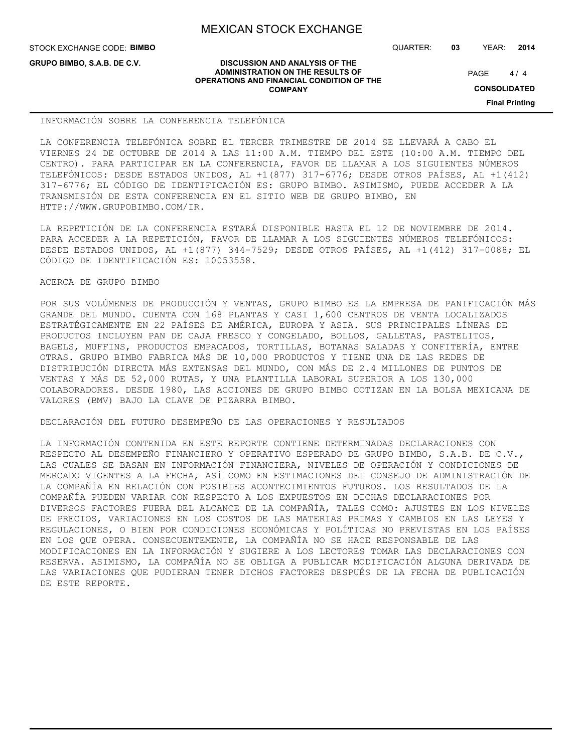STOCK EXCHANGE CODE: **BIMBO**

**GRUPO BIMBO, S.A.B. DE C.V.**

QUARTER: **03** YEAR: **2014**

 $4/4$ PAGE

**CONSOLIDATED**

**Final Printing**

#### **DISCUSSION AND ANALYSIS OF THE ADMINISTRATION ON THE RESULTS OF OPERATIONS AND FINANCIAL CONDITION OF THE COMPANY**

INFORMACIÓN SOBRE LA CONFERENCIA TELEFÓNICA

LA CONFERENCIA TELEFÓNICA SOBRE EL TERCER TRIMESTRE DE 2014 SE LLEVARÁ A CABO EL VIERNES 24 DE OCTUBRE DE 2014 A LAS 11:00 A.M. TIEMPO DEL ESTE (10:00 A.M. TIEMPO DEL CENTRO). PARA PARTICIPAR EN LA CONFERENCIA, FAVOR DE LLAMAR A LOS SIGUIENTES NÚMEROS TELEFÓNICOS: DESDE ESTADOS UNIDOS, AL +1(877) 317-6776; DESDE OTROS PAÍSES, AL +1(412) 317-6776; EL CÓDIGO DE IDENTIFICACIÓN ES: GRUPO BIMBO. ASIMISMO, PUEDE ACCEDER A LA TRANSMISIÓN DE ESTA CONFERENCIA EN EL SITIO WEB DE GRUPO BIMBO, EN HTTP://WWW.GRUPOBIMBO.COM/IR.

LA REPETICIÓN DE LA CONFERENCIA ESTARÁ DISPONIBLE HASTA EL 12 DE NOVIEMBRE DE 2014. PARA ACCEDER A LA REPETICIÓN, FAVOR DE LLAMAR A LOS SIGUIENTES NÚMEROS TELEFÓNICOS: DESDE ESTADOS UNIDOS, AL +1(877) 344-7529; DESDE OTROS PAÍSES, AL +1(412) 317-0088; EL CÓDIGO DE IDENTIFICACIÓN ES: 10053558.

### ACERCA DE GRUPO BIMBO

POR SUS VOLÚMENES DE PRODUCCIÓN Y VENTAS, GRUPO BIMBO ES LA EMPRESA DE PANIFICACIÓN MÁS GRANDE DEL MUNDO. CUENTA CON 168 PLANTAS Y CASI 1,600 CENTROS DE VENTA LOCALIZADOS ESTRATÉGICAMENTE EN 22 PAÍSES DE AMÉRICA, EUROPA Y ASIA. SUS PRINCIPALES LÍNEAS DE PRODUCTOS INCLUYEN PAN DE CAJA FRESCO Y CONGELADO, BOLLOS, GALLETAS, PASTELITOS, BAGELS, MUFFINS, PRODUCTOS EMPACADOS, TORTILLAS, BOTANAS SALADAS Y CONFITERÍA, ENTRE OTRAS. GRUPO BIMBO FABRICA MÁS DE 10,000 PRODUCTOS Y TIENE UNA DE LAS REDES DE DISTRIBUCIÓN DIRECTA MÁS EXTENSAS DEL MUNDO, CON MÁS DE 2.4 MILLONES DE PUNTOS DE VENTAS Y MÁS DE 52,000 RUTAS, Y UNA PLANTILLA LABORAL SUPERIOR A LOS 130,000 COLABORADORES. DESDE 1980, LAS ACCIONES DE GRUPO BIMBO COTIZAN EN LA BOLSA MEXICANA DE VALORES (BMV) BAJO LA CLAVE DE PIZARRA BIMBO.

DECLARACIÓN DEL FUTURO DESEMPEÑO DE LAS OPERACIONES Y RESULTADOS

LA INFORMACIÓN CONTENIDA EN ESTE REPORTE CONTIENE DETERMINADAS DECLARACIONES CON RESPECTO AL DESEMPEÑO FINANCIERO Y OPERATIVO ESPERADO DE GRUPO BIMBO, S.A.B. DE C.V., LAS CUALES SE BASAN EN INFORMACIÓN FINANCIERA, NIVELES DE OPERACIÓN Y CONDICIONES DE MERCADO VIGENTES A LA FECHA, ASÍ COMO EN ESTIMACIONES DEL CONSEJO DE ADMINISTRACIÓN DE LA COMPAÑÍA EN RELACIÓN CON POSIBLES ACONTECIMIENTOS FUTUROS. LOS RESULTADOS DE LA COMPAÑÍA PUEDEN VARIAR CON RESPECTO A LOS EXPUESTOS EN DICHAS DECLARACIONES POR DIVERSOS FACTORES FUERA DEL ALCANCE DE LA COMPAÑÍA, TALES COMO: AJUSTES EN LOS NIVELES DE PRECIOS, VARIACIONES EN LOS COSTOS DE LAS MATERIAS PRIMAS Y CAMBIOS EN LAS LEYES Y REGULACIONES, O BIEN POR CONDICIONES ECONÓMICAS Y POLÍTICAS NO PREVISTAS EN LOS PAÍSES EN LOS QUE OPERA. CONSECUENTEMENTE, LA COMPAÑÍA NO SE HACE RESPONSABLE DE LAS MODIFICACIONES EN LA INFORMACIÓN Y SUGIERE A LOS LECTORES TOMAR LAS DECLARACIONES CON RESERVA. ASIMISMO, LA COMPAÑÍA NO SE OBLIGA A PUBLICAR MODIFICACIÓN ALGUNA DERIVADA DE LAS VARIACIONES QUE PUDIERAN TENER DICHOS FACTORES DESPUÉS DE LA FECHA DE PUBLICACIÓN DE ESTE REPORTE.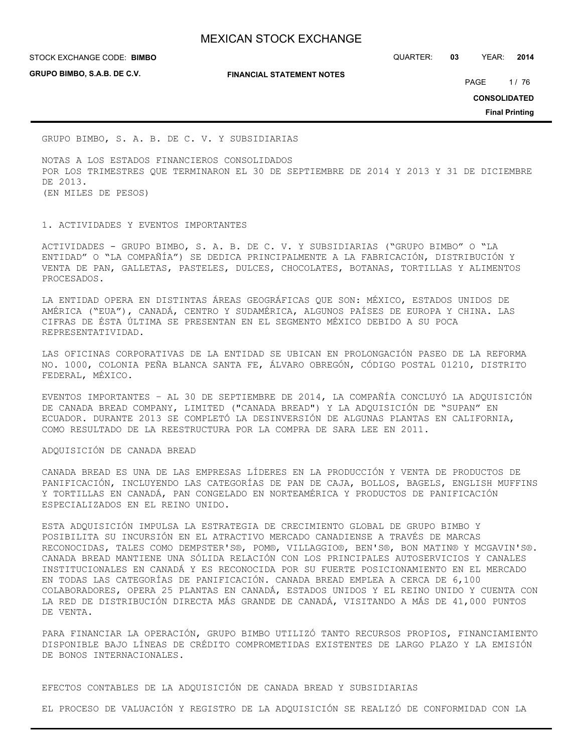**GRUPO BIMBO, S.A.B. DE C.V.**

**FINANCIAL STATEMENT NOTES**

STOCK EXCHANGE CODE: QUARTER: **03** YEAR: **2014 BIMBO**

PAGE 1/76

**CONSOLIDATED**

**Final Printing**

GRUPO BIMBO, S. A. B. DE C. V. Y SUBSIDIARIAS

NOTAS A LOS ESTADOS FINANCIEROS CONSOLIDADOS POR LOS TRIMESTRES QUE TERMINARON EL 30 DE SEPTIEMBRE DE 2014 Y 2013 Y 31 DE DICIEMBRE DE 2013. (EN MILES DE PESOS)

1. ACTIVIDADES Y EVENTOS IMPORTANTES

ACTIVIDADES - GRUPO BIMBO, S. A. B. DE C. V. Y SUBSIDIARIAS ("GRUPO BIMBO" O "LA ENTIDAD" O "LA COMPAÑÍA") SE DEDICA PRINCIPALMENTE A LA FABRICACIÓN, DISTRIBUCIÓN Y VENTA DE PAN, GALLETAS, PASTELES, DULCES, CHOCOLATES, BOTANAS, TORTILLAS Y ALIMENTOS PROCESADOS.

LA ENTIDAD OPERA EN DISTINTAS ÁREAS GEOGRÁFICAS QUE SON: MÉXICO, ESTADOS UNIDOS DE AMÉRICA ("EUA"), CANADÁ, CENTRO Y SUDAMÉRICA, ALGUNOS PAÍSES DE EUROPA Y CHINA. LAS CIFRAS DE ÉSTA ÚLTIMA SE PRESENTAN EN EL SEGMENTO MÉXICO DEBIDO A SU POCA REPRESENTATIVIDAD.

LAS OFICINAS CORPORATIVAS DE LA ENTIDAD SE UBICAN EN PROLONGACIÓN PASEO DE LA REFORMA NO. 1000, COLONIA PEÑA BLANCA SANTA FE, ÁLVARO OBREGÓN, CÓDIGO POSTAL 01210, DISTRITO FEDERAL, MÉXICO.

EVENTOS IMPORTANTES – AL 30 DE SEPTIEMBRE DE 2014, LA COMPAÑÍA CONCLUYÓ LA ADQUISICIÓN DE CANADA BREAD COMPANY, LIMITED ("CANADA BREAD") Y LA ADQUISICIÓN DE "SUPAN" EN ECUADOR. DURANTE 2013 SE COMPLETÓ LA DESINVERSIÓN DE ALGUNAS PLANTAS EN CALIFORNIA, COMO RESULTADO DE LA REESTRUCTURA POR LA COMPRA DE SARA LEE EN 2011.

#### ADQUISICIÓN DE CANADA BREAD

CANADA BREAD ES UNA DE LAS EMPRESAS LÍDERES EN LA PRODUCCIÓN Y VENTA DE PRODUCTOS DE PANIFICACIÓN, INCLUYENDO LAS CATEGORÍAS DE PAN DE CAJA, BOLLOS, BAGELS, ENGLISH MUFFINS Y TORTILLAS EN CANADÁ, PAN CONGELADO EN NORTEAMÉRICA Y PRODUCTOS DE PANIFICACIÓN ESPECIALIZADOS EN EL REINO UNIDO.

ESTA ADQUISICIÓN IMPULSA LA ESTRATEGIA DE CRECIMIENTO GLOBAL DE GRUPO BIMBO Y POSIBILITA SU INCURSIÓN EN EL ATRACTIVO MERCADO CANADIENSE A TRAVÉS DE MARCAS RECONOCIDAS, TALES COMO DEMPSTER'S®, POM®, VILLAGGIO®, BEN'S®, BON MATIN® Y MCGAVIN'S®. CANADA BREAD MANTIENE UNA SÓLIDA RELACIÓN CON LOS PRINCIPALES AUTOSERVICIOS Y CANALES INSTITUCIONALES EN CANADÁ Y ES RECONOCIDA POR SU FUERTE POSICIONAMIENTO EN EL MERCADO EN TODAS LAS CATEGORÍAS DE PANIFICACIÓN. CANADA BREAD EMPLEA A CERCA DE 6,100 COLABORADORES, OPERA 25 PLANTAS EN CANADÁ, ESTADOS UNIDOS Y EL REINO UNIDO Y CUENTA CON LA RED DE DISTRIBUCIÓN DIRECTA MÁS GRANDE DE CANADÁ, VISITANDO A MÁS DE 41,000 PUNTOS DE VENTA.

PARA FINANCIAR LA OPERACIÓN, GRUPO BIMBO UTILIZÓ TANTO RECURSOS PROPIOS, FINANCIAMIENTO DISPONIBLE BAJO LÍNEAS DE CRÉDITO COMPROMETIDAS EXISTENTES DE LARGO PLAZO Y LA EMISIÓN DE BONOS INTERNACIONALES.

## EFECTOS CONTABLES DE LA ADQUISICIÓN DE CANADA BREAD Y SUBSIDIARIAS

EL PROCESO DE VALUACIÓN Y REGISTRO DE LA ADQUISICIÓN SE REALIZÓ DE CONFORMIDAD CON LA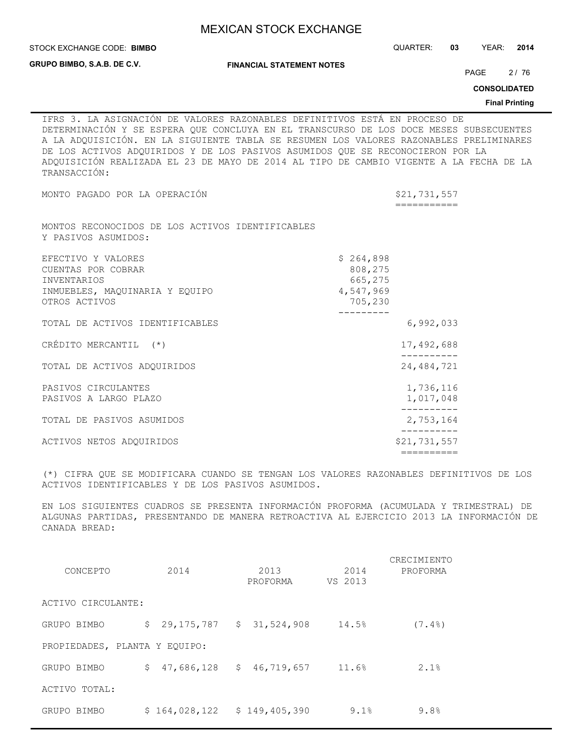|                                                                                                                   | <b>MEXICAN STOCK EXCHANGE</b>                                                                                                                                                                                                                                                                                                                                                                                                              |                               |    |                     |                       |
|-------------------------------------------------------------------------------------------------------------------|--------------------------------------------------------------------------------------------------------------------------------------------------------------------------------------------------------------------------------------------------------------------------------------------------------------------------------------------------------------------------------------------------------------------------------------------|-------------------------------|----|---------------------|-----------------------|
| STOCK EXCHANGE CODE: BIMBO                                                                                        |                                                                                                                                                                                                                                                                                                                                                                                                                                            | QUARTER:                      | 03 | YEAR:               | 2014                  |
| GRUPO BIMBO, S.A.B. DE C.V.                                                                                       | <b>FINANCIAL STATEMENT NOTES</b>                                                                                                                                                                                                                                                                                                                                                                                                           |                               |    | PAGE                | 2/76                  |
|                                                                                                                   |                                                                                                                                                                                                                                                                                                                                                                                                                                            |                               |    | <b>CONSOLIDATED</b> |                       |
|                                                                                                                   |                                                                                                                                                                                                                                                                                                                                                                                                                                            |                               |    |                     | <b>Final Printing</b> |
| TRANSACCIÓN:                                                                                                      | IFRS 3. LA ASIGNACIÓN DE VALORES RAZONABLES DEFINITIVOS ESTÁ EN PROCESO DE<br>DETERMINACIÓN Y SE ESPERA QUE CONCLUYA EN EL TRANSCURSO DE LOS DOCE MESES SUBSECUENTES<br>A LA ADQUISICIÓN. EN LA SIGUIENTE TABLA SE RESUMEN LOS VALORES RAZONABLES PRELIMINARES<br>DE LOS ACTIVOS ADQUIRIDOS Y DE LOS PASIVOS ASUMIDOS QUE SE RECONOCIERON POR LA<br>ADQUISICIÓN REALIZADA EL 23 DE MAYO DE 2014 AL TIPO DE CAMBIO VIGENTE A LA FECHA DE LA |                               |    |                     |                       |
| MONTO PAGADO POR LA OPERACIÓN                                                                                     |                                                                                                                                                                                                                                                                                                                                                                                                                                            | \$21,731,557<br>===========   |    |                     |                       |
| MONTOS RECONOCIDOS DE LOS ACTIVOS IDENTIFICABLES<br>Y PASIVOS ASUMIDOS:                                           |                                                                                                                                                                                                                                                                                                                                                                                                                                            |                               |    |                     |                       |
| EFECTIVO Y VALORES<br>CUENTAS POR COBRAR<br><b>INVENTARIOS</b><br>INMUEBLES, MAOUINARIA Y EOUIPO<br>OTROS ACTIVOS | \$264,898<br>4,547,969                                                                                                                                                                                                                                                                                                                                                                                                                     | 808,275<br>665,275<br>705,230 |    |                     |                       |
| TOTAL DE ACTIVOS IDENTIFICABLES                                                                                   | .                                                                                                                                                                                                                                                                                                                                                                                                                                          | 6,992,033                     |    |                     |                       |
| CRÉDITO MERCANTIL (*)                                                                                             |                                                                                                                                                                                                                                                                                                                                                                                                                                            | 17,492,688                    |    |                     |                       |
| TOTAL DE ACTIVOS ADQUIRIDOS                                                                                       |                                                                                                                                                                                                                                                                                                                                                                                                                                            | 24, 484, 721                  |    |                     |                       |
| PASIVOS CIRCULANTES<br>PASIVOS A LARGO PLAZO                                                                      |                                                                                                                                                                                                                                                                                                                                                                                                                                            | 1,736,116<br>1,017,048        |    |                     |                       |
| TOTAL DE PASIVOS ASUMIDOS                                                                                         |                                                                                                                                                                                                                                                                                                                                                                                                                                            | 2,753,164                     |    |                     |                       |
|                                                                                                                   |                                                                                                                                                                                                                                                                                                                                                                                                                                            |                               |    |                     |                       |

(\*) CIFRA QUE SE MODIFICARA CUANDO SE TENGAN LOS VALORES RAZONABLES DEFINITIVOS DE LOS ACTIVOS IDENTIFICABLES Y DE LOS PASIVOS ASUMIDOS.

EN LOS SIGUIENTES CUADROS SE PRESENTA INFORMACIÓN PROFORMA (ACUMULADA Y TRIMESTRAL) DE ALGUNAS PARTIDAS, PRESENTANDO DE MANERA RETROACTIVA AL EJERCICIO 2013 LA INFORMACIÓN DE CANADA BREAD:

|                               |               |                              |         | CRECIMIENTO |
|-------------------------------|---------------|------------------------------|---------|-------------|
| CONCEPTO                      | 2014          | 2013                         | 2014    | PROFORMA    |
|                               |               | PROFORMA                     | VS 2013 |             |
| ACTIVO CIRCULANTE:            |               |                              |         |             |
| GRUPO BIMBO                   | \$.           | 29, 175, 787 \$ 31, 524, 908 | 14.5%   | $(7.4\%)$   |
| PROPIEDADES, PLANTA Y EQUIPO: |               |                              |         |             |
| GRUPO BIMBO                   | \$.           | $47,686,128$ \$ $46,719,657$ | 11.6%   | 2.1%        |
| ACTIVO TOTAL:                 |               |                              |         |             |
| GRUPO BIMBO                   | \$164,028,122 | \$149,405,390                | 9.1%    | 9.8%        |

ACTIVOS NETOS ADQUIRIDOS \$21,731,557 ==========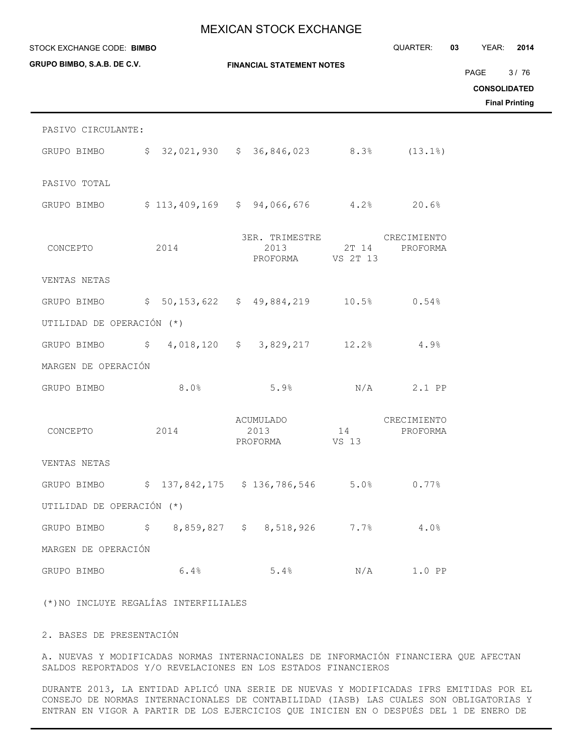| STOCK EXCHANGE CODE: BIMBO  |      |                                                                  |             | QUARTER:                | 03 — 10<br><b>YEAR: 2014</b>                                 |
|-----------------------------|------|------------------------------------------------------------------|-------------|-------------------------|--------------------------------------------------------------|
| GRUPO BIMBO, S.A.B. DE C.V. |      | <b>FINANCIAL STATEMENT NOTES</b>                                 |             |                         | PAGE<br>3/76<br><b>CONSOLIDATED</b><br><b>Final Printing</b> |
| PASIVO CIRCULANTE:          |      |                                                                  |             |                         |                                                              |
| GRUPO BIMBO                 |      | $$32,021,930$ $$36,846,023$ $8.3\$ $(13.1\%)$                    |             |                         |                                                              |
| PASIVO TOTAL                |      |                                                                  |             |                         |                                                              |
|                             |      | GRUPO BIMBO \$113,409,169 \$94,066,676 4.2% 20.6%                |             |                         |                                                              |
| CONCEPTO                    | 2014 | 3ER. TRIMESTRE CRECIMIENTO<br>2013<br>PROFORMA VS 2T 13          | $2T$ 14     | PROFORMA                |                                                              |
| VENTAS NETAS                |      |                                                                  |             |                         |                                                              |
| GRUPO BIMBO                 |      | $$50,153,622$ $$49,884,219$ $10.5%$ 0.54%                        |             |                         |                                                              |
| UTILIDAD DE OPERACIÓN (*)   |      |                                                                  |             |                         |                                                              |
|                             |      | GRUPO BIMBO $$ 4,018,120 $ 3,829,217 12.2$                       |             | 4.9%                    |                                                              |
| MARGEN DE OPERACIÓN         |      |                                                                  |             |                         |                                                              |
| GRUPO BIMBO                 | 8.0% | 5.9%                                                             |             | $N/A$ 2.1 PP            |                                                              |
| CONCEPTO                    | 2014 | ACUMULADO<br>2013<br>PROFORMA                                    | 14<br>VS 13 | CRECIMIENTO<br>PROFORMA |                                                              |
| VENTAS NETAS                |      |                                                                  |             |                         |                                                              |
|                             |      | GRUPO BIMBO    \$ 137,842,175    \$ 136,786,546    5.0%    0.77% |             |                         |                                                              |
| UTILIDAD DE OPERACIÓN (*)   |      |                                                                  |             |                         |                                                              |
|                             |      | GRUPO BIMBO \$8,859,827 \$8,518,926 7.7% 4.0%                    |             |                         |                                                              |
| MARGEN DE OPERACIÓN         |      |                                                                  |             |                         |                                                              |
| GRUPO BIMBO                 | 6.4% | 5.4%                                                             |             | $N/A$ 1.0 PP            |                                                              |
|                             |      |                                                                  |             |                         |                                                              |

(\*)NO INCLUYE REGALÍAS INTERFILIALES

# 2. BASES DE PRESENTACIÓN

A. NUEVAS Y MODIFICADAS NORMAS INTERNACIONALES DE INFORMACIÓN FINANCIERA QUE AFECTAN SALDOS REPORTADOS Y/O REVELACIONES EN LOS ESTADOS FINANCIEROS

DURANTE 2013, LA ENTIDAD APLICÓ UNA SERIE DE NUEVAS Y MODIFICADAS IFRS EMITIDAS POR EL CONSEJO DE NORMAS INTERNACIONALES DE CONTABILIDAD (IASB) LAS CUALES SON OBLIGATORIAS Y ENTRAN EN VIGOR A PARTIR DE LOS EJERCICIOS QUE INICIEN EN O DESPUÉS DEL 1 DE ENERO DE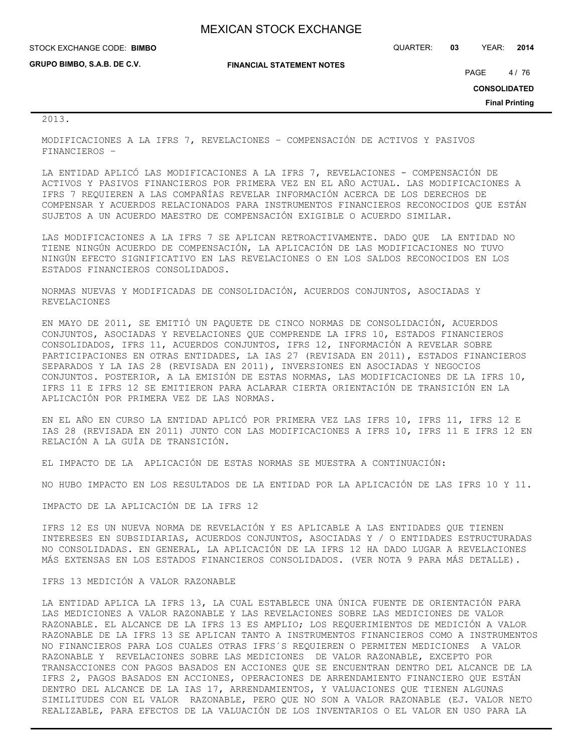| STOCK EXCHANGE CODE: BIMBO  |                                  | QUARTER: | 03 | YEAR:               | 2014   |
|-----------------------------|----------------------------------|----------|----|---------------------|--------|
| GRUPO BIMBO, S.A.B. DE C.V. | <b>FINANCIAL STATEMENT NOTES</b> |          |    | PAGE                | 4 / 76 |
|                             |                                  |          |    | <b>CONSOLIDATED</b> |        |

**Final Printing**

### 2013.

MODIFICACIONES A LA IFRS 7, REVELACIONES – COMPENSACIÓN DE ACTIVOS Y PASIVOS FINANCIEROS –

LA ENTIDAD APLICÓ LAS MODIFICACIONES A LA IFRS 7, REVELACIONES - COMPENSACIÓN DE ACTIVOS Y PASIVOS FINANCIEROS POR PRIMERA VEZ EN EL AÑO ACTUAL. LAS MODIFICACIONES A IFRS 7 REQUIEREN A LAS COMPAÑÍAS REVELAR INFORMACIÓN ACERCA DE LOS DERECHOS DE COMPENSAR Y ACUERDOS RELACIONADOS PARA INSTRUMENTOS FINANCIEROS RECONOCIDOS QUE ESTÁN SUJETOS A UN ACUERDO MAESTRO DE COMPENSACIÓN EXIGIBLE O ACUERDO SIMILAR.

LAS MODIFICACIONES A LA IFRS 7 SE APLICAN RETROACTIVAMENTE. DADO QUE LA ENTIDAD NO TIENE NINGÚN ACUERDO DE COMPENSACIÓN, LA APLICACIÓN DE LAS MODIFICACIONES NO TUVO NINGÚN EFECTO SIGNIFICATIVO EN LAS REVELACIONES O EN LOS SALDOS RECONOCIDOS EN LOS ESTADOS FINANCIEROS CONSOLIDADOS.

NORMAS NUEVAS Y MODIFICADAS DE CONSOLIDACIÓN, ACUERDOS CONJUNTOS, ASOCIADAS Y REVELACIONES

EN MAYO DE 2011, SE EMITIÓ UN PAQUETE DE CINCO NORMAS DE CONSOLIDACIÓN, ACUERDOS CONJUNTOS, ASOCIADAS Y REVELACIONES QUE COMPRENDE LA IFRS 10, ESTADOS FINANCIEROS CONSOLIDADOS, IFRS 11, ACUERDOS CONJUNTOS, IFRS 12, INFORMACIÓN A REVELAR SOBRE PARTICIPACIONES EN OTRAS ENTIDADES, LA IAS 27 (REVISADA EN 2011), ESTADOS FINANCIEROS SEPARADOS Y LA IAS 28 (REVISADA EN 2011), INVERSIONES EN ASOCIADAS Y NEGOCIOS CONJUNTOS. POSTERIOR, A LA EMISIÓN DE ESTAS NORMAS, LAS MODIFICACIONES DE LA IFRS 10, IFRS 11 E IFRS 12 SE EMITIERON PARA ACLARAR CIERTA ORIENTACIÓN DE TRANSICIÓN EN LA APLICACIÓN POR PRIMERA VEZ DE LAS NORMAS.

EN EL AÑO EN CURSO LA ENTIDAD APLICÓ POR PRIMERA VEZ LAS IFRS 10, IFRS 11, IFRS 12 E IAS 28 (REVISADA EN 2011) JUNTO CON LAS MODIFICACIONES A IFRS 10, IFRS 11 E IFRS 12 EN RELACIÓN A LA GUÍA DE TRANSICIÓN.

EL IMPACTO DE LA APLICACIÓN DE ESTAS NORMAS SE MUESTRA A CONTINUACIÓN:

NO HUBO IMPACTO EN LOS RESULTADOS DE LA ENTIDAD POR LA APLICACIÓN DE LAS IFRS 10 Y 11.

#### IMPACTO DE LA APLICACIÓN DE LA IFRS 12

IFRS 12 ES UN NUEVA NORMA DE REVELACIÓN Y ES APLICABLE A LAS ENTIDADES QUE TIENEN INTERESES EN SUBSIDIARIAS, ACUERDOS CONJUNTOS, ASOCIADAS Y / O ENTIDADES ESTRUCTURADAS NO CONSOLIDADAS. EN GENERAL, LA APLICACIÓN DE LA IFRS 12 HA DADO LUGAR A REVELACIONES MÁS EXTENSAS EN LOS ESTADOS FINANCIEROS CONSOLIDADOS. (VER NOTA 9 PARA MÁS DETALLE).

#### IFRS 13 MEDICIÓN A VALOR RAZONABLE

LA ENTIDAD APLICA LA IFRS 13, LA CUAL ESTABLECE UNA ÚNICA FUENTE DE ORIENTACIÓN PARA LAS MEDICIONES A VALOR RAZONABLE Y LAS REVELACIONES SOBRE LAS MEDICIONES DE VALOR RAZONABLE. EL ALCANCE DE LA IFRS 13 ES AMPLIO; LOS REQUERIMIENTOS DE MEDICIÓN A VALOR RAZONABLE DE LA IFRS 13 SE APLICAN TANTO A INSTRUMENTOS FINANCIEROS COMO A INSTRUMENTOS NO FINANCIEROS PARA LOS CUALES OTRAS IFRS´S REQUIEREN O PERMITEN MEDICIONES A VALOR RAZONABLE Y REVELACIONES SOBRE LAS MEDICIONES DE VALOR RAZONABLE, EXCEPTO POR TRANSACCIONES CON PAGOS BASADOS EN ACCIONES QUE SE ENCUENTRAN DENTRO DEL ALCANCE DE LA IFRS 2, PAGOS BASADOS EN ACCIONES, OPERACIONES DE ARRENDAMIENTO FINANCIERO QUE ESTÁN DENTRO DEL ALCANCE DE LA IAS 17, ARRENDAMIENTOS, Y VALUACIONES QUE TIENEN ALGUNAS SIMILITUDES CON EL VALOR RAZONABLE, PERO QUE NO SON A VALOR RAZONABLE (EJ. VALOR NETO REALIZABLE, PARA EFECTOS DE LA VALUACIÓN DE LOS INVENTARIOS O EL VALOR EN USO PARA LA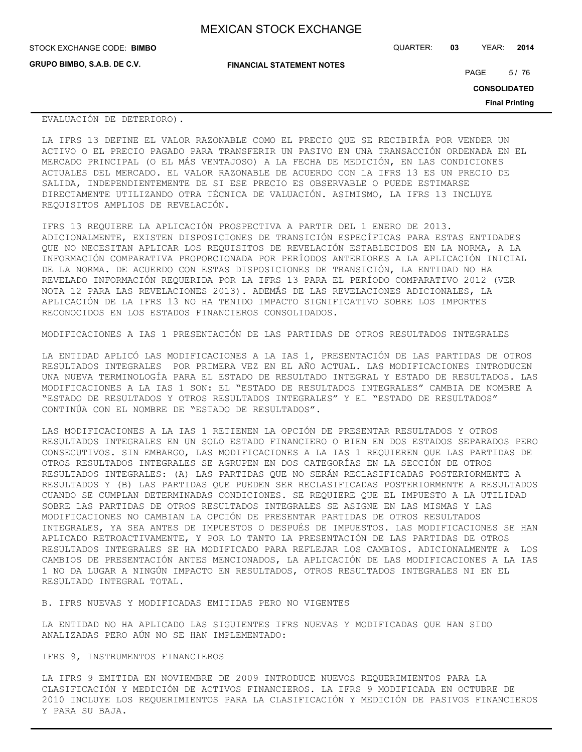| <b>MEXICAN STOCK EXCHANGE</b> |  |  |  |
|-------------------------------|--|--|--|
|-------------------------------|--|--|--|

**GRUPO BIMBO, S.A.B. DE C.V.**

STOCK EXCHANGE CODE: QUARTER: **03** YEAR: **2014 BIMBO**

**FINANCIAL STATEMENT NOTES**

PAGE 5/76

**CONSOLIDATED**

**Final Printing**

#### EVALUACIÓN DE DETERIORO).

LA IFRS 13 DEFINE EL VALOR RAZONABLE COMO EL PRECIO QUE SE RECIBIRÍA POR VENDER UN ACTIVO O EL PRECIO PAGADO PARA TRANSFERIR UN PASIVO EN UNA TRANSACCIÓN ORDENADA EN EL MERCADO PRINCIPAL (O EL MÁS VENTAJOSO) A LA FECHA DE MEDICIÓN, EN LAS CONDICIONES ACTUALES DEL MERCADO. EL VALOR RAZONABLE DE ACUERDO CON LA IFRS 13 ES UN PRECIO DE SALIDA, INDEPENDIENTEMENTE DE SI ESE PRECIO ES OBSERVABLE O PUEDE ESTIMARSE DIRECTAMENTE UTILIZANDO OTRA TÉCNICA DE VALUACIÓN. ASIMISMO, LA IFRS 13 INCLUYE REQUISITOS AMPLIOS DE REVELACIÓN.

IFRS 13 REQUIERE LA APLICACIÓN PROSPECTIVA A PARTIR DEL 1 ENERO DE 2013. ADICIONALMENTE, EXISTEN DISPOSICIONES DE TRANSICIÓN ESPECÍFICAS PARA ESTAS ENTIDADES QUE NO NECESITAN APLICAR LOS REQUISITOS DE REVELACIÓN ESTABLECIDOS EN LA NORMA, A LA INFORMACIÓN COMPARATIVA PROPORCIONADA POR PERÍODOS ANTERIORES A LA APLICACIÓN INICIAL DE LA NORMA. DE ACUERDO CON ESTAS DISPOSICIONES DE TRANSICIÓN, LA ENTIDAD NO HA REVELADO INFORMACIÓN REQUERIDA POR LA IFRS 13 PARA EL PERÍODO COMPARATIVO 2012 (VER NOTA 12 PARA LAS REVELACIONES 2013). ADEMÁS DE LAS REVELACIONES ADICIONALES, LA APLICACIÓN DE LA IFRS 13 NO HA TENIDO IMPACTO SIGNIFICATIVO SOBRE LOS IMPORTES RECONOCIDOS EN LOS ESTADOS FINANCIEROS CONSOLIDADOS.

MODIFICACIONES A IAS 1 PRESENTACIÓN DE LAS PARTIDAS DE OTROS RESULTADOS INTEGRALES

LA ENTIDAD APLICÓ LAS MODIFICACIONES A LA IAS 1, PRESENTACIÓN DE LAS PARTIDAS DE OTROS RESULTADOS INTEGRALES POR PRIMERA VEZ EN EL AÑO ACTUAL. LAS MODIFICACIONES INTRODUCEN UNA NUEVA TERMINOLOGÍA PARA EL ESTADO DE RESULTADO INTEGRAL Y ESTADO DE RESULTADOS. LAS MODIFICACIONES A LA IAS 1 SON: EL "ESTADO DE RESULTADOS INTEGRALES" CAMBIA DE NOMBRE A "ESTADO DE RESULTADOS Y OTROS RESULTADOS INTEGRALES" Y EL "ESTADO DE RESULTADOS" CONTINÚA CON EL NOMBRE DE "ESTADO DE RESULTADOS".

LAS MODIFICACIONES A LA IAS 1 RETIENEN LA OPCIÓN DE PRESENTAR RESULTADOS Y OTROS RESULTADOS INTEGRALES EN UN SOLO ESTADO FINANCIERO O BIEN EN DOS ESTADOS SEPARADOS PERO CONSECUTIVOS. SIN EMBARGO, LAS MODIFICACIONES A LA IAS 1 REQUIEREN QUE LAS PARTIDAS DE OTROS RESULTADOS INTEGRALES SE AGRUPEN EN DOS CATEGORÍAS EN LA SECCIÓN DE OTROS RESULTADOS INTEGRALES: (A) LAS PARTIDAS QUE NO SERÁN RECLASIFICADAS POSTERIORMENTE A RESULTADOS Y (B) LAS PARTIDAS QUE PUEDEN SER RECLASIFICADAS POSTERIORMENTE A RESULTADOS CUANDO SE CUMPLAN DETERMINADAS CONDICIONES. SE REQUIERE QUE EL IMPUESTO A LA UTILIDAD SOBRE LAS PARTIDAS DE OTROS RESULTADOS INTEGRALES SE ASIGNE EN LAS MISMAS Y LAS MODIFICACIONES NO CAMBIAN LA OPCIÓN DE PRESENTAR PARTIDAS DE OTROS RESULTADOS INTEGRALES, YA SEA ANTES DE IMPUESTOS O DESPUÉS DE IMPUESTOS. LAS MODIFICACIONES SE HAN APLICADO RETROACTIVAMENTE, Y POR LO TANTO LA PRESENTACIÓN DE LAS PARTIDAS DE OTROS RESULTADOS INTEGRALES SE HA MODIFICADO PARA REFLEJAR LOS CAMBIOS. ADICIONALMENTE A LOS CAMBIOS DE PRESENTACIÓN ANTES MENCIONADOS, LA APLICACIÓN DE LAS MODIFICACIONES A LA IAS 1 NO DA LUGAR A NINGÚN IMPACTO EN RESULTADOS, OTROS RESULTADOS INTEGRALES NI EN EL RESULTADO INTEGRAL TOTAL.

B. IFRS NUEVAS Y MODIFICADAS EMITIDAS PERO NO VIGENTES

LA ENTIDAD NO HA APLICADO LAS SIGUIENTES IFRS NUEVAS Y MODIFICADAS QUE HAN SIDO ANALIZADAS PERO AÚN NO SE HAN IMPLEMENTADO:

IFRS 9, INSTRUMENTOS FINANCIEROS

LA IFRS 9 EMITIDA EN NOVIEMBRE DE 2009 INTRODUCE NUEVOS REQUERIMIENTOS PARA LA CLASIFICACIÓN Y MEDICIÓN DE ACTIVOS FINANCIEROS. LA IFRS 9 MODIFICADA EN OCTUBRE DE 2010 INCLUYE LOS REQUERIMIENTOS PARA LA CLASIFICACIÓN Y MEDICIÓN DE PASIVOS FINANCIEROS Y PARA SU BAJA.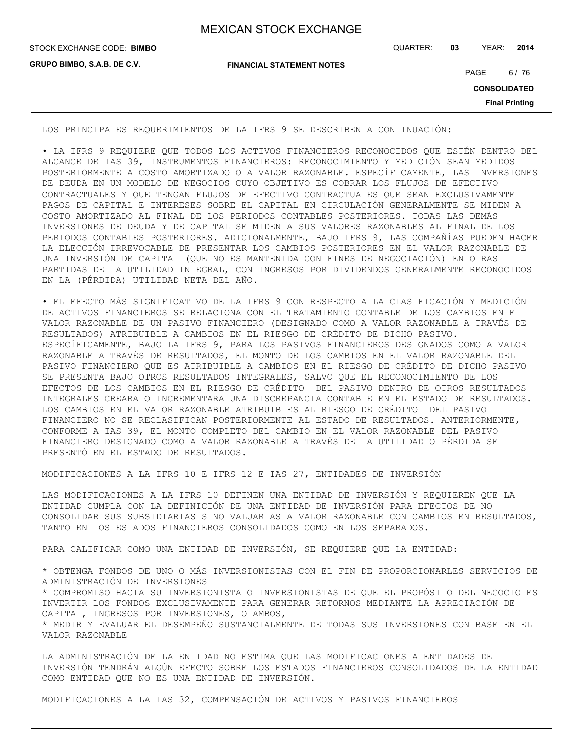| <b>MEXICAN STOCK EXCHANGE</b> |  |  |  |
|-------------------------------|--|--|--|
|-------------------------------|--|--|--|

**GRUPO BIMBO, S.A.B. DE C.V.**

STOCK EXCHANGE CODE: QUARTER: **03** YEAR: **2014 BIMBO**

**FINANCIAL STATEMENT NOTES**

PAGE 6/76

**CONSOLIDATED**

**Final Printing**

LOS PRINCIPALES REQUERIMIENTOS DE LA IFRS 9 SE DESCRIBEN A CONTINUACIÓN:

• LA IFRS 9 REQUIERE QUE TODOS LOS ACTIVOS FINANCIEROS RECONOCIDOS QUE ESTÉN DENTRO DEL ALCANCE DE IAS 39, INSTRUMENTOS FINANCIEROS: RECONOCIMIENTO Y MEDICIÓN SEAN MEDIDOS POSTERIORMENTE A COSTO AMORTIZADO O A VALOR RAZONABLE. ESPECÍFICAMENTE, LAS INVERSIONES DE DEUDA EN UN MODELO DE NEGOCIOS CUYO OBJETIVO ES COBRAR LOS FLUJOS DE EFECTIVO CONTRACTUALES Y QUE TENGAN FLUJOS DE EFECTIVO CONTRACTUALES QUE SEAN EXCLUSIVAMENTE PAGOS DE CAPITAL E INTERESES SOBRE EL CAPITAL EN CIRCULACIÓN GENERALMENTE SE MIDEN A COSTO AMORTIZADO AL FINAL DE LOS PERIODOS CONTABLES POSTERIORES. TODAS LAS DEMÁS INVERSIONES DE DEUDA Y DE CAPITAL SE MIDEN A SUS VALORES RAZONABLES AL FINAL DE LOS PERIODOS CONTABLES POSTERIORES. ADICIONALMENTE, BAJO IFRS 9, LAS COMPAÑÍAS PUEDEN HACER LA ELECCIÓN IRREVOCABLE DE PRESENTAR LOS CAMBIOS POSTERIORES EN EL VALOR RAZONABLE DE UNA INVERSIÓN DE CAPITAL (QUE NO ES MANTENIDA CON FINES DE NEGOCIACIÓN) EN OTRAS PARTIDAS DE LA UTILIDAD INTEGRAL, CON INGRESOS POR DIVIDENDOS GENERALMENTE RECONOCIDOS EN LA (PÉRDIDA) UTILIDAD NETA DEL AÑO.

• EL EFECTO MÁS SIGNIFICATIVO DE LA IFRS 9 CON RESPECTO A LA CLASIFICACIÓN Y MEDICIÓN DE ACTIVOS FINANCIEROS SE RELACIONA CON EL TRATAMIENTO CONTABLE DE LOS CAMBIOS EN EL VALOR RAZONABLE DE UN PASIVO FINANCIERO (DESIGNADO COMO A VALOR RAZONABLE A TRAVÉS DE RESULTADOS) ATRIBUIBLE A CAMBIOS EN EL RIESGO DE CRÉDITO DE DICHO PASIVO. ESPECÍFICAMENTE, BAJO LA IFRS 9, PARA LOS PASIVOS FINANCIEROS DESIGNADOS COMO A VALOR RAZONABLE A TRAVÉS DE RESULTADOS, EL MONTO DE LOS CAMBIOS EN EL VALOR RAZONABLE DEL PASIVO FINANCIERO QUE ES ATRIBUIBLE A CAMBIOS EN EL RIESGO DE CRÉDITO DE DICHO PASIVO SE PRESENTA BAJO OTROS RESULTADOS INTEGRALES, SALVO QUE EL RECONOCIMIENTO DE LOS EFECTOS DE LOS CAMBIOS EN EL RIESGO DE CRÉDITO DEL PASIVO DENTRO DE OTROS RESULTADOS INTEGRALES CREARA O INCREMENTARA UNA DISCREPANCIA CONTABLE EN EL ESTADO DE RESULTADOS. LOS CAMBIOS EN EL VALOR RAZONABLE ATRIBUIBLES AL RIESGO DE CRÉDITO DEL PASIVO FINANCIERO NO SE RECLASIFICAN POSTERIORMENTE AL ESTADO DE RESULTADOS. ANTERIORMENTE, CONFORME A IAS 39, EL MONTO COMPLETO DEL CAMBIO EN EL VALOR RAZONABLE DEL PASIVO FINANCIERO DESIGNADO COMO A VALOR RAZONABLE A TRAVÉS DE LA UTILIDAD O PÉRDIDA SE PRESENTÓ EN EL ESTADO DE RESULTADOS.

MODIFICACIONES A LA IFRS 10 E IFRS 12 E IAS 27, ENTIDADES DE INVERSIÓN

LAS MODIFICACIONES A LA IFRS 10 DEFINEN UNA ENTIDAD DE INVERSIÓN Y REQUIEREN QUE LA ENTIDAD CUMPLA CON LA DEFINICIÓN DE UNA ENTIDAD DE INVERSIÓN PARA EFECTOS DE NO CONSOLIDAR SUS SUBSIDIARIAS SINO VALUARLAS A VALOR RAZONABLE CON CAMBIOS EN RESULTADOS, TANTO EN LOS ESTADOS FINANCIEROS CONSOLIDADOS COMO EN LOS SEPARADOS.

PARA CALIFICAR COMO UNA ENTIDAD DE INVERSIÓN, SE REQUIERE QUE LA ENTIDAD:

\* OBTENGA FONDOS DE UNO O MÁS INVERSIONISTAS CON EL FIN DE PROPORCIONARLES SERVICIOS DE ADMINISTRACIÓN DE INVERSIONES \* COMPROMISO HACIA SU INVERSIONISTA O INVERSIONISTAS DE QUE EL PROPÓSITO DEL NEGOCIO ES INVERTIR LOS FONDOS EXCLUSIVAMENTE PARA GENERAR RETORNOS MEDIANTE LA APRECIACIÓN DE CAPITAL, INGRESOS POR INVERSIONES, O AMBOS, \* MEDIR Y EVALUAR EL DESEMPEÑO SUSTANCIALMENTE DE TODAS SUS INVERSIONES CON BASE EN EL VALOR RAZONABLE

LA ADMINISTRACIÓN DE LA ENTIDAD NO ESTIMA QUE LAS MODIFICACIONES A ENTIDADES DE INVERSIÓN TENDRÁN ALGÚN EFECTO SOBRE LOS ESTADOS FINANCIEROS CONSOLIDADOS DE LA ENTIDAD COMO ENTIDAD QUE NO ES UNA ENTIDAD DE INVERSIÓN.

MODIFICACIONES A LA IAS 32, COMPENSACIÓN DE ACTIVOS Y PASIVOS FINANCIEROS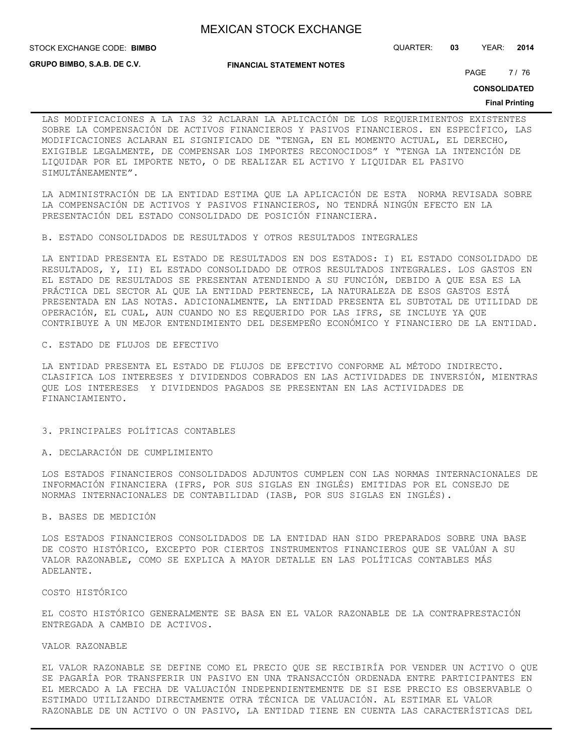STOCK EXCHANGE CODE: QUARTER: **03** YEAR: **2014 BIMBO**

**GRUPO BIMBO, S.A.B. DE C.V.**

**FINANCIAL STATEMENT NOTES**

PAGE 7/76

**CONSOLIDATED**

#### **Final Printing**

LAS MODIFICACIONES A LA IAS 32 ACLARAN LA APLICACIÓN DE LOS REQUERIMIENTOS EXISTENTES SOBRE LA COMPENSACIÓN DE ACTIVOS FINANCIEROS Y PASIVOS FINANCIEROS. EN ESPECÍFICO, LAS MODIFICACIONES ACLARAN EL SIGNIFICADO DE "TENGA, EN EL MOMENTO ACTUAL, EL DERECHO, EXIGIBLE LEGALMENTE, DE COMPENSAR LOS IMPORTES RECONOCIDOS" Y "TENGA LA INTENCIÓN DE LIQUIDAR POR EL IMPORTE NETO, O DE REALIZAR EL ACTIVO Y LIQUIDAR EL PASIVO SIMULTÁNEAMENTE".

LA ADMINISTRACIÓN DE LA ENTIDAD ESTIMA QUE LA APLICACIÓN DE ESTA NORMA REVISADA SOBRE LA COMPENSACIÓN DE ACTIVOS Y PASIVOS FINANCIEROS, NO TENDRÁ NINGÚN EFECTO EN LA PRESENTACIÓN DEL ESTADO CONSOLIDADO DE POSICIÓN FINANCIERA.

B. ESTADO CONSOLIDADOS DE RESULTADOS Y OTROS RESULTADOS INTEGRALES

LA ENTIDAD PRESENTA EL ESTADO DE RESULTADOS EN DOS ESTADOS: I) EL ESTADO CONSOLIDADO DE RESULTADOS, Y, II) EL ESTADO CONSOLIDADO DE OTROS RESULTADOS INTEGRALES. LOS GASTOS EN EL ESTADO DE RESULTADOS SE PRESENTAN ATENDIENDO A SU FUNCIÓN, DEBIDO A QUE ESA ES LA PRÁCTICA DEL SECTOR AL QUE LA ENTIDAD PERTENECE, LA NATURALEZA DE ESOS GASTOS ESTÁ PRESENTADA EN LAS NOTAS. ADICIONALMENTE, LA ENTIDAD PRESENTA EL SUBTOTAL DE UTILIDAD DE OPERACIÓN, EL CUAL, AUN CUANDO NO ES REQUERIDO POR LAS IFRS, SE INCLUYE YA QUE CONTRIBUYE A UN MEJOR ENTENDIMIENTO DEL DESEMPEÑO ECONÓMICO Y FINANCIERO DE LA ENTIDAD.

#### C. ESTADO DE FLUJOS DE EFECTIVO

LA ENTIDAD PRESENTA EL ESTADO DE FLUJOS DE EFECTIVO CONFORME AL MÉTODO INDIRECTO. CLASIFICA LOS INTERESES Y DIVIDENDOS COBRADOS EN LAS ACTIVIDADES DE INVERSIÓN, MIENTRAS QUE LOS INTERESES Y DIVIDENDOS PAGADOS SE PRESENTAN EN LAS ACTIVIDADES DE FINANCIAMIENTO.

#### 3. PRINCIPALES POLÍTICAS CONTABLES

A. DECLARACIÓN DE CUMPLIMIENTO

LOS ESTADOS FINANCIEROS CONSOLIDADOS ADJUNTOS CUMPLEN CON LAS NORMAS INTERNACIONALES DE INFORMACIÓN FINANCIERA (IFRS, POR SUS SIGLAS EN INGLÉS) EMITIDAS POR EL CONSEJO DE NORMAS INTERNACIONALES DE CONTABILIDAD (IASB, POR SUS SIGLAS EN INGLÉS).

### B. BASES DE MEDICIÓN

LOS ESTADOS FINANCIEROS CONSOLIDADOS DE LA ENTIDAD HAN SIDO PREPARADOS SOBRE UNA BASE DE COSTO HISTÓRICO, EXCEPTO POR CIERTOS INSTRUMENTOS FINANCIEROS QUE SE VALÚAN A SU VALOR RAZONABLE, COMO SE EXPLICA A MAYOR DETALLE EN LAS POLÍTICAS CONTABLES MÁS ADELANTE.

#### COSTO HISTÓRICO

EL COSTO HISTÓRICO GENERALMENTE SE BASA EN EL VALOR RAZONABLE DE LA CONTRAPRESTACIÓN ENTREGADA A CAMBIO DE ACTIVOS.

# VALOR RAZONABLE

EL VALOR RAZONABLE SE DEFINE COMO EL PRECIO QUE SE RECIBIRÍA POR VENDER UN ACTIVO O QUE SE PAGARÍA POR TRANSFERIR UN PASIVO EN UNA TRANSACCIÓN ORDENADA ENTRE PARTICIPANTES EN EL MERCADO A LA FECHA DE VALUACIÓN INDEPENDIENTEMENTE DE SI ESE PRECIO ES OBSERVABLE O ESTIMADO UTILIZANDO DIRECTAMENTE OTRA TÉCNICA DE VALUACIÓN. AL ESTIMAR EL VALOR RAZONABLE DE UN ACTIVO O UN PASIVO, LA ENTIDAD TIENE EN CUENTA LAS CARACTERÍSTICAS DEL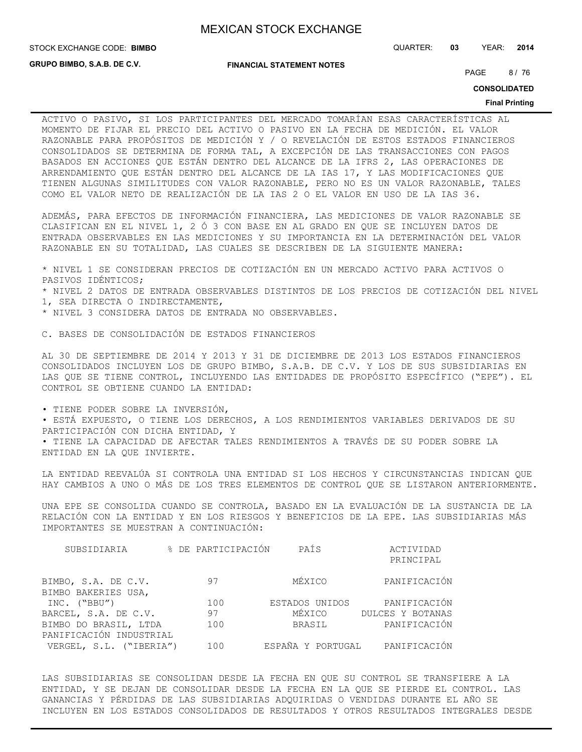**GRUPO BIMBO, S.A.B. DE C.V.**

**FINANCIAL STATEMENT NOTES**

PAGE 8/76

**CONSOLIDATED**

#### **Final Printing**

ACTIVO O PASIVO, SI LOS PARTICIPANTES DEL MERCADO TOMARÍAN ESAS CARACTERÍSTICAS AL MOMENTO DE FIJAR EL PRECIO DEL ACTIVO O PASIVO EN LA FECHA DE MEDICIÓN. EL VALOR RAZONABLE PARA PROPÓSITOS DE MEDICIÓN Y / O REVELACIÓN DE ESTOS ESTADOS FINANCIEROS CONSOLIDADOS SE DETERMINA DE FORMA TAL, A EXCEPCIÓN DE LAS TRANSACCIONES CON PAGOS BASADOS EN ACCIONES QUE ESTÁN DENTRO DEL ALCANCE DE LA IFRS 2, LAS OPERACIONES DE ARRENDAMIENTO QUE ESTÁN DENTRO DEL ALCANCE DE LA IAS 17, Y LAS MODIFICACIONES QUE TIENEN ALGUNAS SIMILITUDES CON VALOR RAZONABLE, PERO NO ES UN VALOR RAZONABLE, TALES COMO EL VALOR NETO DE REALIZACIÓN DE LA IAS 2 O EL VALOR EN USO DE LA IAS 36.

ADEMÁS, PARA EFECTOS DE INFORMACIÓN FINANCIERA, LAS MEDICIONES DE VALOR RAZONABLE SE CLASIFICAN EN EL NIVEL 1, 2 Ó 3 CON BASE EN AL GRADO EN QUE SE INCLUYEN DATOS DE ENTRADA OBSERVABLES EN LAS MEDICIONES Y SU IMPORTANCIA EN LA DETERMINACIÓN DEL VALOR RAZONABLE EN SU TOTALIDAD, LAS CUALES SE DESCRIBEN DE LA SIGUIENTE MANERA:

\* NIVEL 1 SE CONSIDERAN PRECIOS DE COTIZACIÓN EN UN MERCADO ACTIVO PARA ACTIVOS O PASIVOS IDÉNTICOS; \* NIVEL 2 DATOS DE ENTRADA OBSERVABLES DISTINTOS DE LOS PRECIOS DE COTIZACIÓN DEL NIVEL 1, SEA DIRECTA O INDIRECTAMENTE, \* NIVEL 3 CONSIDERA DATOS DE ENTRADA NO OBSERVABLES.

C. BASES DE CONSOLIDACIÓN DE ESTADOS FINANCIEROS

AL 30 DE SEPTIEMBRE DE 2014 Y 2013 Y 31 DE DICIEMBRE DE 2013 LOS ESTADOS FINANCIEROS CONSOLIDADOS INCLUYEN LOS DE GRUPO BIMBO, S.A.B. DE C.V. Y LOS DE SUS SUBSIDIARIAS EN LAS QUE SE TIENE CONTROL, INCLUYENDO LAS ENTIDADES DE PROPÓSITO ESPECÍFICO ("EPE"). EL CONTROL SE OBTIENE CUANDO LA ENTIDAD:

• TIENE PODER SOBRE LA INVERSIÓN,

• ESTÁ EXPUESTO, O TIENE LOS DERECHOS, A LOS RENDIMIENTOS VARIABLES DERIVADOS DE SU PARTICIPACIÓN CON DICHA ENTIDAD, Y

• TIENE LA CAPACIDAD DE AFECTAR TALES RENDIMIENTOS A TRAVÉS DE SU PODER SOBRE LA ENTIDAD EN LA QUE INVIERTE.

LA ENTIDAD REEVALÚA SI CONTROLA UNA ENTIDAD SI LOS HECHOS Y CIRCUNSTANCIAS INDICAN QUE HAY CAMBIOS A UNO O MÁS DE LOS TRES ELEMENTOS DE CONTROL QUE SE LISTARON ANTERIORMENTE.

UNA EPE SE CONSOLIDA CUANDO SE CONTROLA, BASADO EN LA EVALUACIÓN DE LA SUSTANCIA DE LA RELACIÓN CON LA ENTIDAD Y EN LOS RIESGOS Y BENEFICIOS DE LA EPE. LAS SUBSIDIARIAS MÁS IMPORTANTES SE MUESTRAN A CONTINUACIÓN:

| SUBSIDIARIA                                | % DE PARTICIPACIÓN | PAÍS           | ACTIVIDAD<br>PRINCIPAL         |
|--------------------------------------------|--------------------|----------------|--------------------------------|
| BIMBO, S.A. DE C.V.<br>BIMBO BAKERIES USA, | 97                 | MÉXICO         | PANIFICACIÓN                   |
| INC. ("BBU")                               | 100                | ESTADOS UNIDOS | PANIFICACIÓN                   |
| BARCEL, S.A. DE C.V.                       | 97                 | MÉXICO         | DULCES Y BOTANAS               |
| BIMBO DO BRASIL, LTDA                      | 100                | BRASIL         | PANIFICACIÓN                   |
| PANIFICACIÓN INDUSTRIAL                    |                    |                |                                |
| VERGEL, S.L. ("IBERIA")                    | 100                |                | ESPAÑA Y PORTUGAL PANIFICACIÓN |

LAS SUBSIDIARIAS SE CONSOLIDAN DESDE LA FECHA EN QUE SU CONTROL SE TRANSFIERE A LA ENTIDAD, Y SE DEJAN DE CONSOLIDAR DESDE LA FECHA EN LA QUE SE PIERDE EL CONTROL. LAS GANANCIAS Y PÉRDIDAS DE LAS SUBSIDIARIAS ADQUIRIDAS O VENDIDAS DURANTE EL AÑO SE INCLUYEN EN LOS ESTADOS CONSOLIDADOS DE RESULTADOS Y OTROS RESULTADOS INTEGRALES DESDE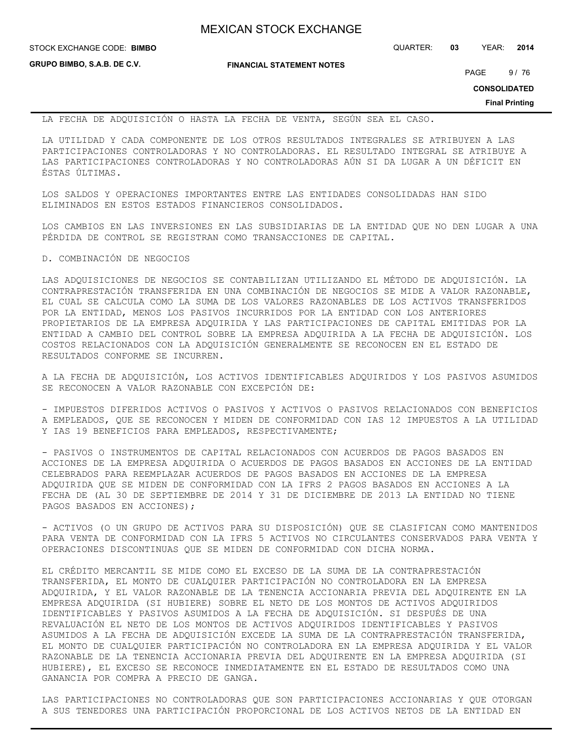STOCK EXCHANGE CODE: QUARTER: **03** YEAR: **2014 BIMBO**

**GRUPO BIMBO, S.A.B. DE C.V.**

**FINANCIAL STATEMENT NOTES**

PAGE 9/76

**CONSOLIDATED**

**Final Printing**

LA FECHA DE ADQUISICIÓN O HASTA LA FECHA DE VENTA, SEGÚN SEA EL CASO.

LA UTILIDAD Y CADA COMPONENTE DE LOS OTROS RESULTADOS INTEGRALES SE ATRIBUYEN A LAS PARTICIPACIONES CONTROLADORAS Y NO CONTROLADORAS. EL RESULTADO INTEGRAL SE ATRIBUYE A LAS PARTICIPACIONES CONTROLADORAS Y NO CONTROLADORAS AÚN SI DA LUGAR A UN DÉFICIT EN ÉSTAS ÚLTIMAS.

LOS SALDOS Y OPERACIONES IMPORTANTES ENTRE LAS ENTIDADES CONSOLIDADAS HAN SIDO ELIMINADOS EN ESTOS ESTADOS FINANCIEROS CONSOLIDADOS.

LOS CAMBIOS EN LAS INVERSIONES EN LAS SUBSIDIARIAS DE LA ENTIDAD QUE NO DEN LUGAR A UNA PÉRDIDA DE CONTROL SE REGISTRAN COMO TRANSACCIONES DE CAPITAL.

#### D. COMBINACIÓN DE NEGOCIOS

LAS ADQUISICIONES DE NEGOCIOS SE CONTABILIZAN UTILIZANDO EL MÉTODO DE ADQUISICIÓN. LA CONTRAPRESTACIÓN TRANSFERIDA EN UNA COMBINACIÓN DE NEGOCIOS SE MIDE A VALOR RAZONABLE, EL CUAL SE CALCULA COMO LA SUMA DE LOS VALORES RAZONABLES DE LOS ACTIVOS TRANSFERIDOS POR LA ENTIDAD, MENOS LOS PASIVOS INCURRIDOS POR LA ENTIDAD CON LOS ANTERIORES PROPIETARIOS DE LA EMPRESA ADQUIRIDA Y LAS PARTICIPACIONES DE CAPITAL EMITIDAS POR LA ENTIDAD A CAMBIO DEL CONTROL SOBRE LA EMPRESA ADQUIRIDA A LA FECHA DE ADQUISICIÓN. LOS COSTOS RELACIONADOS CON LA ADQUISICIÓN GENERALMENTE SE RECONOCEN EN EL ESTADO DE RESULTADOS CONFORME SE INCURREN.

A LA FECHA DE ADQUISICIÓN, LOS ACTIVOS IDENTIFICABLES ADQUIRIDOS Y LOS PASIVOS ASUMIDOS SE RECONOCEN A VALOR RAZONABLE CON EXCEPCIÓN DE:

- IMPUESTOS DIFERIDOS ACTIVOS O PASIVOS Y ACTIVOS O PASIVOS RELACIONADOS CON BENEFICIOS A EMPLEADOS, QUE SE RECONOCEN Y MIDEN DE CONFORMIDAD CON IAS 12 IMPUESTOS A LA UTILIDAD Y IAS 19 BENEFICIOS PARA EMPLEADOS, RESPECTIVAMENTE;

- PASIVOS O INSTRUMENTOS DE CAPITAL RELACIONADOS CON ACUERDOS DE PAGOS BASADOS EN ACCIONES DE LA EMPRESA ADQUIRIDA O ACUERDOS DE PAGOS BASADOS EN ACCIONES DE LA ENTIDAD CELEBRADOS PARA REEMPLAZAR ACUERDOS DE PAGOS BASADOS EN ACCIONES DE LA EMPRESA ADQUIRIDA QUE SE MIDEN DE CONFORMIDAD CON LA IFRS 2 PAGOS BASADOS EN ACCIONES A LA FECHA DE (AL 30 DE SEPTIEMBRE DE 2014 Y 31 DE DICIEMBRE DE 2013 LA ENTIDAD NO TIENE PAGOS BASADOS EN ACCIONES);

- ACTIVOS (O UN GRUPO DE ACTIVOS PARA SU DISPOSICIÓN) QUE SE CLASIFICAN COMO MANTENIDOS PARA VENTA DE CONFORMIDAD CON LA IFRS 5 ACTIVOS NO CIRCULANTES CONSERVADOS PARA VENTA Y OPERACIONES DISCONTINUAS QUE SE MIDEN DE CONFORMIDAD CON DICHA NORMA.

EL CRÉDITO MERCANTIL SE MIDE COMO EL EXCESO DE LA SUMA DE LA CONTRAPRESTACIÓN TRANSFERIDA, EL MONTO DE CUALQUIER PARTICIPACIÓN NO CONTROLADORA EN LA EMPRESA ADQUIRIDA, Y EL VALOR RAZONABLE DE LA TENENCIA ACCIONARIA PREVIA DEL ADQUIRENTE EN LA EMPRESA ADQUIRIDA (SI HUBIERE) SOBRE EL NETO DE LOS MONTOS DE ACTIVOS ADQUIRIDOS IDENTIFICABLES Y PASIVOS ASUMIDOS A LA FECHA DE ADQUISICIÓN. SI DESPUÉS DE UNA REVALUACIÓN EL NETO DE LOS MONTOS DE ACTIVOS ADQUIRIDOS IDENTIFICABLES Y PASIVOS ASUMIDOS A LA FECHA DE ADQUISICIÓN EXCEDE LA SUMA DE LA CONTRAPRESTACIÓN TRANSFERIDA, EL MONTO DE CUALQUIER PARTICIPACIÓN NO CONTROLADORA EN LA EMPRESA ADQUIRIDA Y EL VALOR RAZONABLE DE LA TENENCIA ACCIONARIA PREVIA DEL ADQUIRENTE EN LA EMPRESA ADQUIRIDA (SI HUBIERE), EL EXCESO SE RECONOCE INMEDIATAMENTE EN EL ESTADO DE RESULTADOS COMO UNA GANANCIA POR COMPRA A PRECIO DE GANGA.

LAS PARTICIPACIONES NO CONTROLADORAS QUE SON PARTICIPACIONES ACCIONARIAS Y QUE OTORGAN A SUS TENEDORES UNA PARTICIPACIÓN PROPORCIONAL DE LOS ACTIVOS NETOS DE LA ENTIDAD EN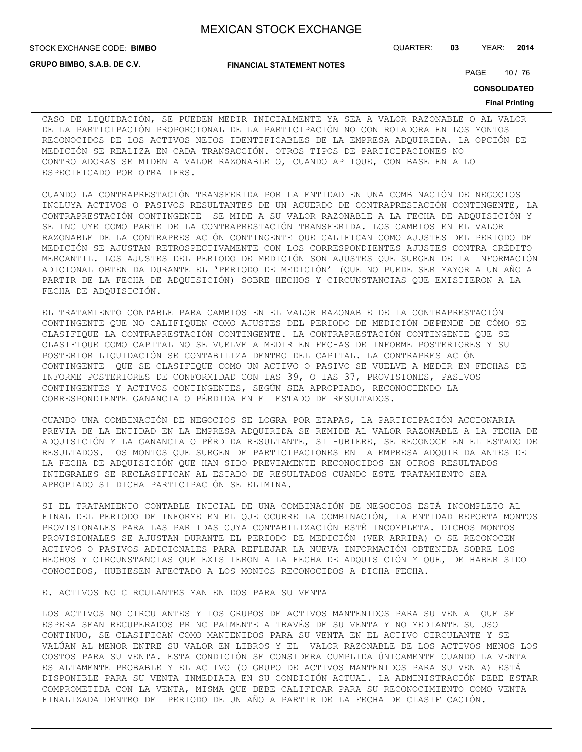STOCK EXCHANGE CODE: QUARTER: **03** YEAR: **2014 BIMBO**

**GRUPO BIMBO, S.A.B. DE C.V.**

**FINANCIAL STATEMENT NOTES**

PAGE 10 / 76

**CONSOLIDATED**

#### **Final Printing**

CASO DE LIQUIDACIÓN, SE PUEDEN MEDIR INICIALMENTE YA SEA A VALOR RAZONABLE O AL VALOR DE LA PARTICIPACIÓN PROPORCIONAL DE LA PARTICIPACIÓN NO CONTROLADORA EN LOS MONTOS RECONOCIDOS DE LOS ACTIVOS NETOS IDENTIFICABLES DE LA EMPRESA ADQUIRIDA. LA OPCIÓN DE MEDICIÓN SE REALIZA EN CADA TRANSACCIÓN. OTROS TIPOS DE PARTICIPACIONES NO CONTROLADORAS SE MIDEN A VALOR RAZONABLE O, CUANDO APLIQUE, CON BASE EN A LO ESPECIFICADO POR OTRA IFRS.

CUANDO LA CONTRAPRESTACIÓN TRANSFERIDA POR LA ENTIDAD EN UNA COMBINACIÓN DE NEGOCIOS INCLUYA ACTIVOS O PASIVOS RESULTANTES DE UN ACUERDO DE CONTRAPRESTACIÓN CONTINGENTE, LA CONTRAPRESTACIÓN CONTINGENTE SE MIDE A SU VALOR RAZONABLE A LA FECHA DE ADQUISICIÓN Y SE INCLUYE COMO PARTE DE LA CONTRAPRESTACIÓN TRANSFERIDA. LOS CAMBIOS EN EL VALOR RAZONABLE DE LA CONTRAPRESTACIÓN CONTINGENTE QUE CALIFICAN COMO AJUSTES DEL PERIODO DE MEDICIÓN SE AJUSTAN RETROSPECTIVAMENTE CON LOS CORRESPONDIENTES AJUSTES CONTRA CRÉDITO MERCANTIL. LOS AJUSTES DEL PERIODO DE MEDICIÓN SON AJUSTES QUE SURGEN DE LA INFORMACIÓN ADICIONAL OBTENIDA DURANTE EL 'PERIODO DE MEDICIÓN' (QUE NO PUEDE SER MAYOR A UN AÑO A PARTIR DE LA FECHA DE ADQUISICIÓN) SOBRE HECHOS Y CIRCUNSTANCIAS QUE EXISTIERON A LA FECHA DE ADQUISICIÓN.

EL TRATAMIENTO CONTABLE PARA CAMBIOS EN EL VALOR RAZONABLE DE LA CONTRAPRESTACIÓN CONTINGENTE QUE NO CALIFIQUEN COMO AJUSTES DEL PERIODO DE MEDICIÓN DEPENDE DE CÓMO SE CLASIFIQUE LA CONTRAPRESTACIÓN CONTINGENTE. LA CONTRAPRESTACIÓN CONTINGENTE QUE SE CLASIFIQUE COMO CAPITAL NO SE VUELVE A MEDIR EN FECHAS DE INFORME POSTERIORES Y SU POSTERIOR LIQUIDACIÓN SE CONTABILIZA DENTRO DEL CAPITAL. LA CONTRAPRESTACIÓN CONTINGENTE QUE SE CLASIFIQUE COMO UN ACTIVO O PASIVO SE VUELVE A MEDIR EN FECHAS DE INFORME POSTERIORES DE CONFORMIDAD CON IAS 39, O IAS 37, PROVISIONES, PASIVOS CONTINGENTES Y ACTIVOS CONTINGENTES, SEGÚN SEA APROPIADO, RECONOCIENDO LA CORRESPONDIENTE GANANCIA O PÉRDIDA EN EL ESTADO DE RESULTADOS.

CUANDO UNA COMBINACIÓN DE NEGOCIOS SE LOGRA POR ETAPAS, LA PARTICIPACIÓN ACCIONARIA PREVIA DE LA ENTIDAD EN LA EMPRESA ADQUIRIDA SE REMIDE AL VALOR RAZONABLE A LA FECHA DE ADQUISICIÓN Y LA GANANCIA O PÉRDIDA RESULTANTE, SI HUBIERE, SE RECONOCE EN EL ESTADO DE RESULTADOS. LOS MONTOS QUE SURGEN DE PARTICIPACIONES EN LA EMPRESA ADQUIRIDA ANTES DE LA FECHA DE ADQUISICIÓN QUE HAN SIDO PREVIAMENTE RECONOCIDOS EN OTROS RESULTADOS INTEGRALES SE RECLASIFICAN AL ESTADO DE RESULTADOS CUANDO ESTE TRATAMIENTO SEA APROPIADO SI DICHA PARTICIPACIÓN SE ELIMINA.

SI EL TRATAMIENTO CONTABLE INICIAL DE UNA COMBINACIÓN DE NEGOCIOS ESTÁ INCOMPLETO AL FINAL DEL PERIODO DE INFORME EN EL QUE OCURRE LA COMBINACIÓN, LA ENTIDAD REPORTA MONTOS PROVISIONALES PARA LAS PARTIDAS CUYA CONTABILIZACIÓN ESTÉ INCOMPLETA. DICHOS MONTOS PROVISIONALES SE AJUSTAN DURANTE EL PERIODO DE MEDICIÓN (VER ARRIBA) O SE RECONOCEN ACTIVOS O PASIVOS ADICIONALES PARA REFLEJAR LA NUEVA INFORMACIÓN OBTENIDA SOBRE LOS HECHOS Y CIRCUNSTANCIAS QUE EXISTIERON A LA FECHA DE ADQUISICIÓN Y QUE, DE HABER SIDO CONOCIDOS, HUBIESEN AFECTADO A LOS MONTOS RECONOCIDOS A DICHA FECHA.

#### E. ACTIVOS NO CIRCULANTES MANTENIDOS PARA SU VENTA

LOS ACTIVOS NO CIRCULANTES Y LOS GRUPOS DE ACTIVOS MANTENIDOS PARA SU VENTA QUE SE ESPERA SEAN RECUPERADOS PRINCIPALMENTE A TRAVÉS DE SU VENTA Y NO MEDIANTE SU USO CONTINUO, SE CLASIFICAN COMO MANTENIDOS PARA SU VENTA EN EL ACTIVO CIRCULANTE Y SE VALÚAN AL MENOR ENTRE SU VALOR EN LIBROS Y EL VALOR RAZONABLE DE LOS ACTIVOS MENOS LOS COSTOS PARA SU VENTA. ESTA CONDICIÓN SE CONSIDERA CUMPLIDA ÚNICAMENTE CUANDO LA VENTA ES ALTAMENTE PROBABLE Y EL ACTIVO (O GRUPO DE ACTIVOS MANTENIDOS PARA SU VENTA) ESTÁ DISPONIBLE PARA SU VENTA INMEDIATA EN SU CONDICIÓN ACTUAL. LA ADMINISTRACIÓN DEBE ESTAR COMPROMETIDA CON LA VENTA, MISMA QUE DEBE CALIFICAR PARA SU RECONOCIMIENTO COMO VENTA FINALIZADA DENTRO DEL PERIODO DE UN AÑO A PARTIR DE LA FECHA DE CLASIFICACIÓN.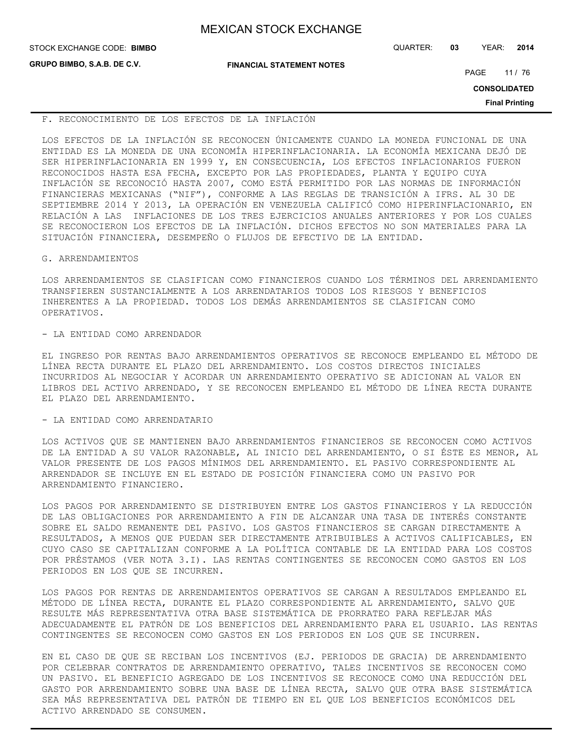| <b>MEXICAN STOCK EXCHANGE</b> |  |  |  |
|-------------------------------|--|--|--|
|-------------------------------|--|--|--|

| STOCK EXCHANGE CODE: BIMBO         |                                  | QUARTER: | 03 | YEAR:               | 2014                  |
|------------------------------------|----------------------------------|----------|----|---------------------|-----------------------|
| <b>GRUPO BIMBO, S.A.B. DE C.V.</b> | <b>FINANCIAL STATEMENT NOTES</b> |          |    | PAGE                | 11/76                 |
|                                    |                                  |          |    | <b>CONSOLIDATED</b> |                       |
|                                    |                                  |          |    |                     | <b>Final Printing</b> |

## F. RECONOCIMIENTO DE LOS EFECTOS DE LA INFLACIÓN

LOS EFECTOS DE LA INFLACIÓN SE RECONOCEN ÚNICAMENTE CUANDO LA MONEDA FUNCIONAL DE UNA ENTIDAD ES LA MONEDA DE UNA ECONOMÍA HIPERINFLACIONARIA. LA ECONOMÍA MEXICANA DEJÓ DE SER HIPERINFLACIONARIA EN 1999 Y, EN CONSECUENCIA, LOS EFECTOS INFLACIONARIOS FUERON RECONOCIDOS HASTA ESA FECHA, EXCEPTO POR LAS PROPIEDADES, PLANTA Y EQUIPO CUYA INFLACIÓN SE RECONOCIÓ HASTA 2007, COMO ESTÁ PERMITIDO POR LAS NORMAS DE INFORMACIÓN FINANCIERAS MEXICANAS ("NIF"), CONFORME A LAS REGLAS DE TRANSICIÓN A IFRS. AL 30 DE SEPTIEMBRE 2014 Y 2013, LA OPERACIÓN EN VENEZUELA CALIFICÓ COMO HIPERINFLACIONARIO, EN RELACIÓN A LAS INFLACIONES DE LOS TRES EJERCICIOS ANUALES ANTERIORES Y POR LOS CUALES SE RECONOCIERON LOS EFECTOS DE LA INFLACIÓN. DICHOS EFECTOS NO SON MATERIALES PARA LA SITUACIÓN FINANCIERA, DESEMPEÑO O FLUJOS DE EFECTIVO DE LA ENTIDAD.

## G. ARRENDAMIENTOS

LOS ARRENDAMIENTOS SE CLASIFICAN COMO FINANCIEROS CUANDO LOS TÉRMINOS DEL ARRENDAMIENTO TRANSFIEREN SUSTANCIALMENTE A LOS ARRENDATARIOS TODOS LOS RIESGOS Y BENEFICIOS INHERENTES A LA PROPIEDAD. TODOS LOS DEMÁS ARRENDAMIENTOS SE CLASIFICAN COMO OPERATIVOS.

# - LA ENTIDAD COMO ARRENDADOR

EL INGRESO POR RENTAS BAJO ARRENDAMIENTOS OPERATIVOS SE RECONOCE EMPLEANDO EL MÉTODO DE LÍNEA RECTA DURANTE EL PLAZO DEL ARRENDAMIENTO. LOS COSTOS DIRECTOS INICIALES INCURRIDOS AL NEGOCIAR Y ACORDAR UN ARRENDAMIENTO OPERATIVO SE ADICIONAN AL VALOR EN LIBROS DEL ACTIVO ARRENDADO, Y SE RECONOCEN EMPLEANDO EL MÉTODO DE LÍNEA RECTA DURANTE EL PLAZO DEL ARRENDAMIENTO.

## - LA ENTIDAD COMO ARRENDATARIO

LOS ACTIVOS QUE SE MANTIENEN BAJO ARRENDAMIENTOS FINANCIEROS SE RECONOCEN COMO ACTIVOS DE LA ENTIDAD A SU VALOR RAZONABLE, AL INICIO DEL ARRENDAMIENTO, O SI ÉSTE ES MENOR, AL VALOR PRESENTE DE LOS PAGOS MÍNIMOS DEL ARRENDAMIENTO. EL PASIVO CORRESPONDIENTE AL ARRENDADOR SE INCLUYE EN EL ESTADO DE POSICIÓN FINANCIERA COMO UN PASIVO POR ARRENDAMIENTO FINANCIERO.

LOS PAGOS POR ARRENDAMIENTO SE DISTRIBUYEN ENTRE LOS GASTOS FINANCIEROS Y LA REDUCCIÓN DE LAS OBLIGACIONES POR ARRENDAMIENTO A FIN DE ALCANZAR UNA TASA DE INTERÉS CONSTANTE SOBRE EL SALDO REMANENTE DEL PASIVO. LOS GASTOS FINANCIEROS SE CARGAN DIRECTAMENTE A RESULTADOS, A MENOS QUE PUEDAN SER DIRECTAMENTE ATRIBUIBLES A ACTIVOS CALIFICABLES, EN CUYO CASO SE CAPITALIZAN CONFORME A LA POLÍTICA CONTABLE DE LA ENTIDAD PARA LOS COSTOS POR PRÉSTAMOS (VER NOTA 3.I). LAS RENTAS CONTINGENTES SE RECONOCEN COMO GASTOS EN LOS PERIODOS EN LOS QUE SE INCURREN.

LOS PAGOS POR RENTAS DE ARRENDAMIENTOS OPERATIVOS SE CARGAN A RESULTADOS EMPLEANDO EL MÉTODO DE LÍNEA RECTA, DURANTE EL PLAZO CORRESPONDIENTE AL ARRENDAMIENTO, SALVO QUE RESULTE MÁS REPRESENTATIVA OTRA BASE SISTEMÁTICA DE PRORRATEO PARA REFLEJAR MÁS ADECUADAMENTE EL PATRÓN DE LOS BENEFICIOS DEL ARRENDAMIENTO PARA EL USUARIO. LAS RENTAS CONTINGENTES SE RECONOCEN COMO GASTOS EN LOS PERIODOS EN LOS QUE SE INCURREN.

EN EL CASO DE QUE SE RECIBAN LOS INCENTIVOS (EJ. PERIODOS DE GRACIA) DE ARRENDAMIENTO POR CELEBRAR CONTRATOS DE ARRENDAMIENTO OPERATIVO, TALES INCENTIVOS SE RECONOCEN COMO UN PASIVO. EL BENEFICIO AGREGADO DE LOS INCENTIVOS SE RECONOCE COMO UNA REDUCCIÓN DEL GASTO POR ARRENDAMIENTO SOBRE UNA BASE DE LÍNEA RECTA, SALVO QUE OTRA BASE SISTEMÁTICA SEA MÁS REPRESENTATIVA DEL PATRÓN DE TIEMPO EN EL QUE LOS BENEFICIOS ECONÓMICOS DEL ACTIVO ARRENDADO SE CONSUMEN.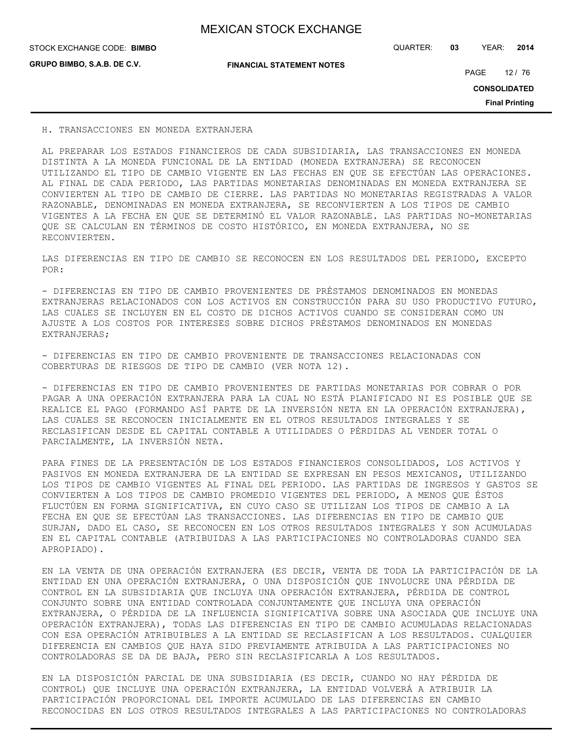**GRUPO BIMBO, S.A.B. DE C.V.**

**FINANCIAL STATEMENT NOTES**

STOCK EXCHANGE CODE: QUARTER: **03** YEAR: **2014 BIMBO**

PAGE 12 / 76

**CONSOLIDATED**

**Final Printing**

#### H. TRANSACCIONES EN MONEDA EXTRANJERA

AL PREPARAR LOS ESTADOS FINANCIEROS DE CADA SUBSIDIARIA, LAS TRANSACCIONES EN MONEDA DISTINTA A LA MONEDA FUNCIONAL DE LA ENTIDAD (MONEDA EXTRANJERA) SE RECONOCEN UTILIZANDO EL TIPO DE CAMBIO VIGENTE EN LAS FECHAS EN QUE SE EFECTÚAN LAS OPERACIONES. AL FINAL DE CADA PERIODO, LAS PARTIDAS MONETARIAS DENOMINADAS EN MONEDA EXTRANJERA SE CONVIERTEN AL TIPO DE CAMBIO DE CIERRE. LAS PARTIDAS NO MONETARIAS REGISTRADAS A VALOR RAZONABLE, DENOMINADAS EN MONEDA EXTRANJERA, SE RECONVIERTEN A LOS TIPOS DE CAMBIO VIGENTES A LA FECHA EN QUE SE DETERMINÓ EL VALOR RAZONABLE. LAS PARTIDAS NO-MONETARIAS QUE SE CALCULAN EN TÉRMINOS DE COSTO HISTÓRICO, EN MONEDA EXTRANJERA, NO SE RECONVIERTEN.

LAS DIFERENCIAS EN TIPO DE CAMBIO SE RECONOCEN EN LOS RESULTADOS DEL PERIODO, EXCEPTO POR:

- DIFERENCIAS EN TIPO DE CAMBIO PROVENIENTES DE PRÉSTAMOS DENOMINADOS EN MONEDAS EXTRANJERAS RELACIONADOS CON LOS ACTIVOS EN CONSTRUCCIÓN PARA SU USO PRODUCTIVO FUTURO, LAS CUALES SE INCLUYEN EN EL COSTO DE DICHOS ACTIVOS CUANDO SE CONSIDERAN COMO UN AJUSTE A LOS COSTOS POR INTERESES SOBRE DICHOS PRÉSTAMOS DENOMINADOS EN MONEDAS EXTRANJERAS;

- DIFERENCIAS EN TIPO DE CAMBIO PROVENIENTE DE TRANSACCIONES RELACIONADAS CON COBERTURAS DE RIESGOS DE TIPO DE CAMBIO (VER NOTA 12).

- DIFERENCIAS EN TIPO DE CAMBIO PROVENIENTES DE PARTIDAS MONETARIAS POR COBRAR O POR PAGAR A UNA OPERACIÓN EXTRANJERA PARA LA CUAL NO ESTÁ PLANIFICADO NI ES POSIBLE QUE SE REALICE EL PAGO (FORMANDO ASÍ PARTE DE LA INVERSIÓN NETA EN LA OPERACIÓN EXTRANJERA), LAS CUALES SE RECONOCEN INICIALMENTE EN EL OTROS RESULTADOS INTEGRALES Y SE RECLASIFICAN DESDE EL CAPITAL CONTABLE A UTILIDADES O PÉRDIDAS AL VENDER TOTAL O PARCIALMENTE, LA INVERSIÓN NETA.

PARA FINES DE LA PRESENTACIÓN DE LOS ESTADOS FINANCIEROS CONSOLIDADOS, LOS ACTIVOS Y PASIVOS EN MONEDA EXTRANJERA DE LA ENTIDAD SE EXPRESAN EN PESOS MEXICANOS, UTILIZANDO LOS TIPOS DE CAMBIO VIGENTES AL FINAL DEL PERIODO. LAS PARTIDAS DE INGRESOS Y GASTOS SE CONVIERTEN A LOS TIPOS DE CAMBIO PROMEDIO VIGENTES DEL PERIODO, A MENOS QUE ÉSTOS FLUCTÚEN EN FORMA SIGNIFICATIVA, EN CUYO CASO SE UTILIZAN LOS TIPOS DE CAMBIO A LA FECHA EN QUE SE EFECTÚAN LAS TRANSACCIONES. LAS DIFERENCIAS EN TIPO DE CAMBIO QUE SURJAN, DADO EL CASO, SE RECONOCEN EN LOS OTROS RESULTADOS INTEGRALES Y SON ACUMULADAS EN EL CAPITAL CONTABLE (ATRIBUIDAS A LAS PARTICIPACIONES NO CONTROLADORAS CUANDO SEA APROPIADO).

EN LA VENTA DE UNA OPERACIÓN EXTRANJERA (ES DECIR, VENTA DE TODA LA PARTICIPACIÓN DE LA ENTIDAD EN UNA OPERACIÓN EXTRANJERA, O UNA DISPOSICIÓN QUE INVOLUCRE UNA PÉRDIDA DE CONTROL EN LA SUBSIDIARIA QUE INCLUYA UNA OPERACIÓN EXTRANJERA, PÉRDIDA DE CONTROL CONJUNTO SOBRE UNA ENTIDAD CONTROLADA CONJUNTAMENTE QUE INCLUYA UNA OPERACIÓN EXTRANJERA, O PÉRDIDA DE LA INFLUENCIA SIGNIFICATIVA SOBRE UNA ASOCIADA QUE INCLUYE UNA OPERACIÓN EXTRANJERA), TODAS LAS DIFERENCIAS EN TIPO DE CAMBIO ACUMULADAS RELACIONADAS CON ESA OPERACIÓN ATRIBUIBLES A LA ENTIDAD SE RECLASIFICAN A LOS RESULTADOS. CUALQUIER DIFERENCIA EN CAMBIOS QUE HAYA SIDO PREVIAMENTE ATRIBUIDA A LAS PARTICIPACIONES NO CONTROLADORAS SE DA DE BAJA, PERO SIN RECLASIFICARLA A LOS RESULTADOS.

EN LA DISPOSICIÓN PARCIAL DE UNA SUBSIDIARIA (ES DECIR, CUANDO NO HAY PÉRDIDA DE CONTROL) QUE INCLUYE UNA OPERACIÓN EXTRANJERA, LA ENTIDAD VOLVERÁ A ATRIBUIR LA PARTICIPACIÓN PROPORCIONAL DEL IMPORTE ACUMULADO DE LAS DIFERENCIAS EN CAMBIO RECONOCIDAS EN LOS OTROS RESULTADOS INTEGRALES A LAS PARTICIPACIONES NO CONTROLADORAS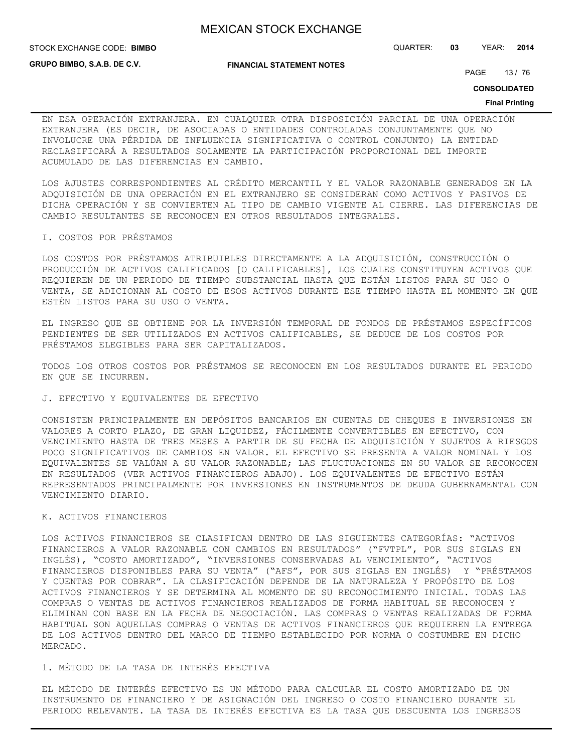STOCK EXCHANGE CODE: QUARTER: **03** YEAR: **2014 BIMBO**

**GRUPO BIMBO, S.A.B. DE C.V.**

#### **FINANCIAL STATEMENT NOTES**

PAGE 13/76

**CONSOLIDATED**

#### **Final Printing**

EN ESA OPERACIÓN EXTRANJERA. EN CUALQUIER OTRA DISPOSICIÓN PARCIAL DE UNA OPERACIÓN EXTRANJERA (ES DECIR, DE ASOCIADAS O ENTIDADES CONTROLADAS CONJUNTAMENTE QUE NO INVOLUCRE UNA PÉRDIDA DE INFLUENCIA SIGNIFICATIVA O CONTROL CONJUNTO) LA ENTIDAD RECLASIFICARÁ A RESULTADOS SOLAMENTE LA PARTICIPACIÓN PROPORCIONAL DEL IMPORTE ACUMULADO DE LAS DIFERENCIAS EN CAMBIO.

LOS AJUSTES CORRESPONDIENTES AL CRÉDITO MERCANTIL Y EL VALOR RAZONABLE GENERADOS EN LA ADQUISICIÓN DE UNA OPERACIÓN EN EL EXTRANJERO SE CONSIDERAN COMO ACTIVOS Y PASIVOS DE DICHA OPERACIÓN Y SE CONVIERTEN AL TIPO DE CAMBIO VIGENTE AL CIERRE. LAS DIFERENCIAS DE CAMBIO RESULTANTES SE RECONOCEN EN OTROS RESULTADOS INTEGRALES.

#### I. COSTOS POR PRÉSTAMOS

LOS COSTOS POR PRÉSTAMOS ATRIBUIBLES DIRECTAMENTE A LA ADQUISICIÓN, CONSTRUCCIÓN O PRODUCCIÓN DE ACTIVOS CALIFICADOS [O CALIFICABLES], LOS CUALES CONSTITUYEN ACTIVOS QUE REQUIEREN DE UN PERIODO DE TIEMPO SUBSTANCIAL HASTA QUE ESTÁN LISTOS PARA SU USO O VENTA, SE ADICIONAN AL COSTO DE ESOS ACTIVOS DURANTE ESE TIEMPO HASTA EL MOMENTO EN QUE ESTÉN LISTOS PARA SU USO O VENTA.

EL INGRESO QUE SE OBTIENE POR LA INVERSIÓN TEMPORAL DE FONDOS DE PRÉSTAMOS ESPECÍFICOS PENDIENTES DE SER UTILIZADOS EN ACTIVOS CALIFICABLES, SE DEDUCE DE LOS COSTOS POR PRÉSTAMOS ELEGIBLES PARA SER CAPITALIZADOS.

TODOS LOS OTROS COSTOS POR PRÉSTAMOS SE RECONOCEN EN LOS RESULTADOS DURANTE EL PERIODO EN QUE SE INCURREN.

#### J. EFECTIVO Y EQUIVALENTES DE EFECTIVO

CONSISTEN PRINCIPALMENTE EN DEPÓSITOS BANCARIOS EN CUENTAS DE CHEQUES E INVERSIONES EN VALORES A CORTO PLAZO, DE GRAN LIQUIDEZ, FÁCILMENTE CONVERTIBLES EN EFECTIVO, CON VENCIMIENTO HASTA DE TRES MESES A PARTIR DE SU FECHA DE ADQUISICIÓN Y SUJETOS A RIESGOS POCO SIGNIFICATIVOS DE CAMBIOS EN VALOR. EL EFECTIVO SE PRESENTA A VALOR NOMINAL Y LOS EQUIVALENTES SE VALÚAN A SU VALOR RAZONABLE; LAS FLUCTUACIONES EN SU VALOR SE RECONOCEN EN RESULTADOS (VER ACTIVOS FINANCIEROS ABAJO). LOS EQUIVALENTES DE EFECTIVO ESTÁN REPRESENTADOS PRINCIPALMENTE POR INVERSIONES EN INSTRUMENTOS DE DEUDA GUBERNAMENTAL CON VENCIMIENTO DIARIO.

#### K. ACTIVOS FINANCIEROS

LOS ACTIVOS FINANCIEROS SE CLASIFICAN DENTRO DE LAS SIGUIENTES CATEGORÍAS: "ACTIVOS FINANCIEROS A VALOR RAZONABLE CON CAMBIOS EN RESULTADOS" ("FVTPL", POR SUS SIGLAS EN INGLÉS), "COSTO AMORTIZADO", "INVERSIONES CONSERVADAS AL VENCIMIENTO", "ACTIVOS FINANCIEROS DISPONIBLES PARA SU VENTA" ("AFS", POR SUS SIGLAS EN INGLÉS) Y "PRÉSTAMOS Y CUENTAS POR COBRAR". LA CLASIFICACIÓN DEPENDE DE LA NATURALEZA Y PROPÓSITO DE LOS ACTIVOS FINANCIEROS Y SE DETERMINA AL MOMENTO DE SU RECONOCIMIENTO INICIAL. TODAS LAS COMPRAS O VENTAS DE ACTIVOS FINANCIEROS REALIZADOS DE FORMA HABITUAL SE RECONOCEN Y ELIMINAN CON BASE EN LA FECHA DE NEGOCIACIÓN. LAS COMPRAS O VENTAS REALIZADAS DE FORMA HABITUAL SON AQUELLAS COMPRAS O VENTAS DE ACTIVOS FINANCIEROS QUE REQUIEREN LA ENTREGA DE LOS ACTIVOS DENTRO DEL MARCO DE TIEMPO ESTABLECIDO POR NORMA O COSTUMBRE EN DICHO MERCADO.

#### 1. MÉTODO DE LA TASA DE INTERÉS EFECTIVA

EL MÉTODO DE INTERÉS EFECTIVO ES UN MÉTODO PARA CALCULAR EL COSTO AMORTIZADO DE UN INSTRUMENTO DE FINANCIERO Y DE ASIGNACIÓN DEL INGRESO O COSTO FINANCIERO DURANTE EL PERIODO RELEVANTE. LA TASA DE INTERÉS EFECTIVA ES LA TASA QUE DESCUENTA LOS INGRESOS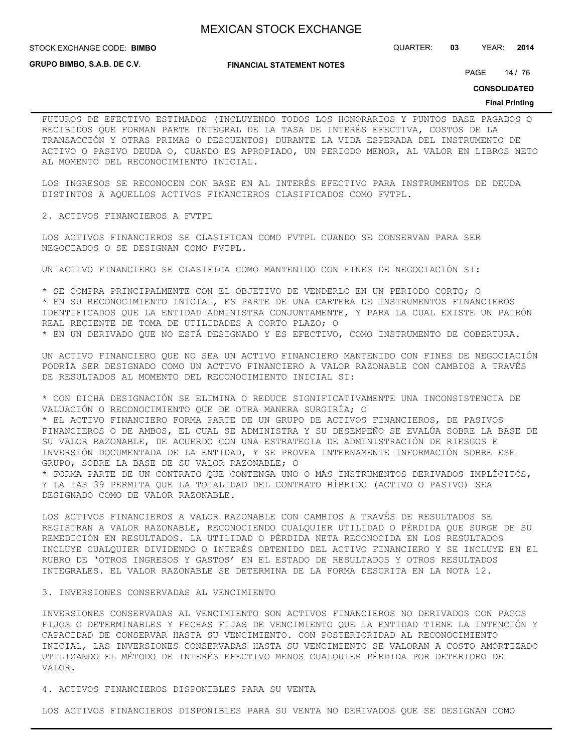**STOCK EXCHANGE CODE: BIMBO** 

STOCK EXCHANGE CODE: QUARTER: **03** YEAR: **2014**

**GRUPO BIMBO, S.A.B. DE C.V.**

#### **FINANCIAL STATEMENT NOTES**

PAGE 14 / 76

**CONSOLIDATED**

#### **Final Printing**

FUTUROS DE EFECTIVO ESTIMADOS (INCLUYENDO TODOS LOS HONORARIOS Y PUNTOS BASE PAGADOS O RECIBIDOS QUE FORMAN PARTE INTEGRAL DE LA TASA DE INTERÉS EFECTIVA, COSTOS DE LA TRANSACCIÓN Y OTRAS PRIMAS O DESCUENTOS) DURANTE LA VIDA ESPERADA DEL INSTRUMENTO DE ACTIVO O PASIVO DEUDA O, CUANDO ES APROPIADO, UN PERIODO MENOR, AL VALOR EN LIBROS NETO AL MOMENTO DEL RECONOCIMIENTO INICIAL.

LOS INGRESOS SE RECONOCEN CON BASE EN AL INTERÉS EFECTIVO PARA INSTRUMENTOS DE DEUDA DISTINTOS A AQUELLOS ACTIVOS FINANCIEROS CLASIFICADOS COMO FVTPL.

2. ACTIVOS FINANCIEROS A FVTPL

LOS ACTIVOS FINANCIEROS SE CLASIFICAN COMO FVTPL CUANDO SE CONSERVAN PARA SER NEGOCIADOS O SE DESIGNAN COMO FVTPL.

UN ACTIVO FINANCIERO SE CLASIFICA COMO MANTENIDO CON FINES DE NEGOCIACIÓN SI:

\* SE COMPRA PRINCIPALMENTE CON EL OBJETIVO DE VENDERLO EN UN PERIODO CORTO; O \* EN SU RECONOCIMIENTO INICIAL, ES PARTE DE UNA CARTERA DE INSTRUMENTOS FINANCIEROS IDENTIFICADOS QUE LA ENTIDAD ADMINISTRA CONJUNTAMENTE, Y PARA LA CUAL EXISTE UN PATRÓN REAL RECIENTE DE TOMA DE UTILIDADES A CORTO PLAZO; O \* EN UN DERIVADO QUE NO ESTÁ DESIGNADO Y ES EFECTIVO, COMO INSTRUMENTO DE COBERTURA.

UN ACTIVO FINANCIERO QUE NO SEA UN ACTIVO FINANCIERO MANTENIDO CON FINES DE NEGOCIACIÓN PODRÍA SER DESIGNADO COMO UN ACTIVO FINANCIERO A VALOR RAZONABLE CON CAMBIOS A TRAVÉS DE RESULTADOS AL MOMENTO DEL RECONOCIMIENTO INICIAL SI:

\* CON DICHA DESIGNACIÓN SE ELIMINA O REDUCE SIGNIFICATIVAMENTE UNA INCONSISTENCIA DE VALUACIÓN O RECONOCIMIENTO QUE DE OTRA MANERA SURGIRÍA; O \* EL ACTIVO FINANCIERO FORMA PARTE DE UN GRUPO DE ACTIVOS FINANCIEROS, DE PASIVOS FINANCIEROS O DE AMBOS, EL CUAL SE ADMINISTRA Y SU DESEMPEÑO SE EVALÚA SOBRE LA BASE DE SU VALOR RAZONABLE, DE ACUERDO CON UNA ESTRATEGIA DE ADMINISTRACIÓN DE RIESGOS E INVERSIÓN DOCUMENTADA DE LA ENTIDAD, Y SE PROVEA INTERNAMENTE INFORMACIÓN SOBRE ESE GRUPO, SOBRE LA BASE DE SU VALOR RAZONABLE; O \* FORMA PARTE DE UN CONTRATO QUE CONTENGA UNO O MÁS INSTRUMENTOS DERIVADOS IMPLÍCITOS,

Y LA IAS 39 PERMITA QUE LA TOTALIDAD DEL CONTRATO HÍBRIDO (ACTIVO O PASIVO) SEA DESIGNADO COMO DE VALOR RAZONABLE.

LOS ACTIVOS FINANCIEROS A VALOR RAZONABLE CON CAMBIOS A TRAVÉS DE RESULTADOS SE REGISTRAN A VALOR RAZONABLE, RECONOCIENDO CUALQUIER UTILIDAD O PÉRDIDA QUE SURGE DE SU REMEDICIÓN EN RESULTADOS. LA UTILIDAD O PÉRDIDA NETA RECONOCIDA EN LOS RESULTADOS INCLUYE CUALQUIER DIVIDENDO O INTERÉS OBTENIDO DEL ACTIVO FINANCIERO Y SE INCLUYE EN EL RUBRO DE 'OTROS INGRESOS Y GASTOS' EN EL ESTADO DE RESULTADOS Y OTROS RESULTADOS INTEGRALES. EL VALOR RAZONABLE SE DETERMINA DE LA FORMA DESCRITA EN LA NOTA 12.

#### 3. INVERSIONES CONSERVADAS AL VENCIMIENTO

INVERSIONES CONSERVADAS AL VENCIMIENTO SON ACTIVOS FINANCIEROS NO DERIVADOS CON PAGOS FIJOS O DETERMINABLES Y FECHAS FIJAS DE VENCIMIENTO QUE LA ENTIDAD TIENE LA INTENCIÓN Y CAPACIDAD DE CONSERVAR HASTA SU VENCIMIENTO. CON POSTERIORIDAD AL RECONOCIMIENTO INICIAL, LAS INVERSIONES CONSERVADAS HASTA SU VENCIMIENTO SE VALORAN A COSTO AMORTIZADO UTILIZANDO EL MÉTODO DE INTERÉS EFECTIVO MENOS CUALQUIER PÉRDIDA POR DETERIORO DE VALOR.

4. ACTIVOS FINANCIEROS DISPONIBLES PARA SU VENTA

LOS ACTIVOS FINANCIEROS DISPONIBLES PARA SU VENTA NO DERIVADOS QUE SE DESIGNAN COMO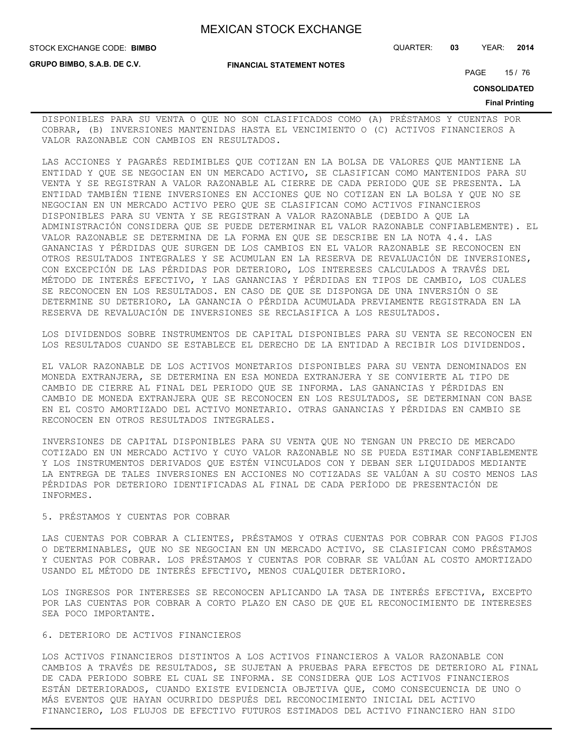**STOCK EXCHANGE CODE: BIMBO** 

**GRUPO BIMBO, S.A.B. DE C.V.**

STOCK EXCHANGE CODE: QUARTER: **03** YEAR: **2014**

**FINANCIAL STATEMENT NOTES**

PAGE 15 / 76

**CONSOLIDATED**

#### **Final Printing**

DISPONIBLES PARA SU VENTA O QUE NO SON CLASIFICADOS COMO (A) PRÉSTAMOS Y CUENTAS POR COBRAR, (B) INVERSIONES MANTENIDAS HASTA EL VENCIMIENTO O (C) ACTIVOS FINANCIEROS A VALOR RAZONABLE CON CAMBIOS EN RESULTADOS.

LAS ACCIONES Y PAGARÉS REDIMIBLES QUE COTIZAN EN LA BOLSA DE VALORES QUE MANTIENE LA ENTIDAD Y QUE SE NEGOCIAN EN UN MERCADO ACTIVO, SE CLASIFICAN COMO MANTENIDOS PARA SU VENTA Y SE REGISTRAN A VALOR RAZONABLE AL CIERRE DE CADA PERIODO QUE SE PRESENTA. LA ENTIDAD TAMBIÉN TIENE INVERSIONES EN ACCIONES QUE NO COTIZAN EN LA BOLSA Y QUE NO SE NEGOCIAN EN UN MERCADO ACTIVO PERO QUE SE CLASIFICAN COMO ACTIVOS FINANCIEROS DISPONIBLES PARA SU VENTA Y SE REGISTRAN A VALOR RAZONABLE (DEBIDO A QUE LA ADMINISTRACIÓN CONSIDERA QUE SE PUEDE DETERMINAR EL VALOR RAZONABLE CONFIABLEMENTE). EL VALOR RAZONABLE SE DETERMINA DE LA FORMA EN QUE SE DESCRIBE EN LA NOTA 4.4. LAS GANANCIAS Y PÉRDIDAS QUE SURGEN DE LOS CAMBIOS EN EL VALOR RAZONABLE SE RECONOCEN EN OTROS RESULTADOS INTEGRALES Y SE ACUMULAN EN LA RESERVA DE REVALUACIÓN DE INVERSIONES, CON EXCEPCIÓN DE LAS PÉRDIDAS POR DETERIORO, LOS INTERESES CALCULADOS A TRAVÉS DEL MÉTODO DE INTERÉS EFECTIVO, Y LAS GANANCIAS Y PÉRDIDAS EN TIPOS DE CAMBIO, LOS CUALES SE RECONOCEN EN LOS RESULTADOS. EN CASO DE QUE SE DISPONGA DE UNA INVERSIÓN O SE DETERMINE SU DETERIORO, LA GANANCIA O PÉRDIDA ACUMULADA PREVIAMENTE REGISTRADA EN LA RESERVA DE REVALUACIÓN DE INVERSIONES SE RECLASIFICA A LOS RESULTADOS.

LOS DIVIDENDOS SOBRE INSTRUMENTOS DE CAPITAL DISPONIBLES PARA SU VENTA SE RECONOCEN EN LOS RESULTADOS CUANDO SE ESTABLECE EL DERECHO DE LA ENTIDAD A RECIBIR LOS DIVIDENDOS.

EL VALOR RAZONABLE DE LOS ACTIVOS MONETARIOS DISPONIBLES PARA SU VENTA DENOMINADOS EN MONEDA EXTRANJERA, SE DETERMINA EN ESA MONEDA EXTRANJERA Y SE CONVIERTE AL TIPO DE CAMBIO DE CIERRE AL FINAL DEL PERIODO QUE SE INFORMA. LAS GANANCIAS Y PÉRDIDAS EN CAMBIO DE MONEDA EXTRANJERA QUE SE RECONOCEN EN LOS RESULTADOS, SE DETERMINAN CON BASE EN EL COSTO AMORTIZADO DEL ACTIVO MONETARIO. OTRAS GANANCIAS Y PÉRDIDAS EN CAMBIO SE RECONOCEN EN OTROS RESULTADOS INTEGRALES.

INVERSIONES DE CAPITAL DISPONIBLES PARA SU VENTA QUE NO TENGAN UN PRECIO DE MERCADO COTIZADO EN UN MERCADO ACTIVO Y CUYO VALOR RAZONABLE NO SE PUEDA ESTIMAR CONFIABLEMENTE Y LOS INSTRUMENTOS DERIVADOS QUE ESTÉN VINCULADOS CON Y DEBAN SER LIQUIDADOS MEDIANTE LA ENTREGA DE TALES INVERSIONES EN ACCIONES NO COTIZADAS SE VALÚAN A SU COSTO MENOS LAS PÉRDIDAS POR DETERIORO IDENTIFICADAS AL FINAL DE CADA PERÍODO DE PRESENTACIÓN DE INFORMES.

# 5. PRÉSTAMOS Y CUENTAS POR COBRAR

LAS CUENTAS POR COBRAR A CLIENTES, PRÉSTAMOS Y OTRAS CUENTAS POR COBRAR CON PAGOS FIJOS O DETERMINABLES, QUE NO SE NEGOCIAN EN UN MERCADO ACTIVO, SE CLASIFICAN COMO PRÉSTAMOS Y CUENTAS POR COBRAR. LOS PRÉSTAMOS Y CUENTAS POR COBRAR SE VALÚAN AL COSTO AMORTIZADO USANDO EL MÉTODO DE INTERÉS EFECTIVO, MENOS CUALQUIER DETERIORO.

LOS INGRESOS POR INTERESES SE RECONOCEN APLICANDO LA TASA DE INTERÉS EFECTIVA, EXCEPTO POR LAS CUENTAS POR COBRAR A CORTO PLAZO EN CASO DE QUE EL RECONOCIMIENTO DE INTERESES SEA POCO IMPORTANTE.

### 6. DETERIORO DE ACTIVOS FINANCIEROS

LOS ACTIVOS FINANCIEROS DISTINTOS A LOS ACTIVOS FINANCIEROS A VALOR RAZONABLE CON CAMBIOS A TRAVÉS DE RESULTADOS, SE SUJETAN A PRUEBAS PARA EFECTOS DE DETERIORO AL FINAL DE CADA PERIODO SOBRE EL CUAL SE INFORMA. SE CONSIDERA QUE LOS ACTIVOS FINANCIEROS ESTÁN DETERIORADOS, CUANDO EXISTE EVIDENCIA OBJETIVA QUE, COMO CONSECUENCIA DE UNO O MÁS EVENTOS QUE HAYAN OCURRIDO DESPUÉS DEL RECONOCIMIENTO INICIAL DEL ACTIVO FINANCIERO, LOS FLUJOS DE EFECTIVO FUTUROS ESTIMADOS DEL ACTIVO FINANCIERO HAN SIDO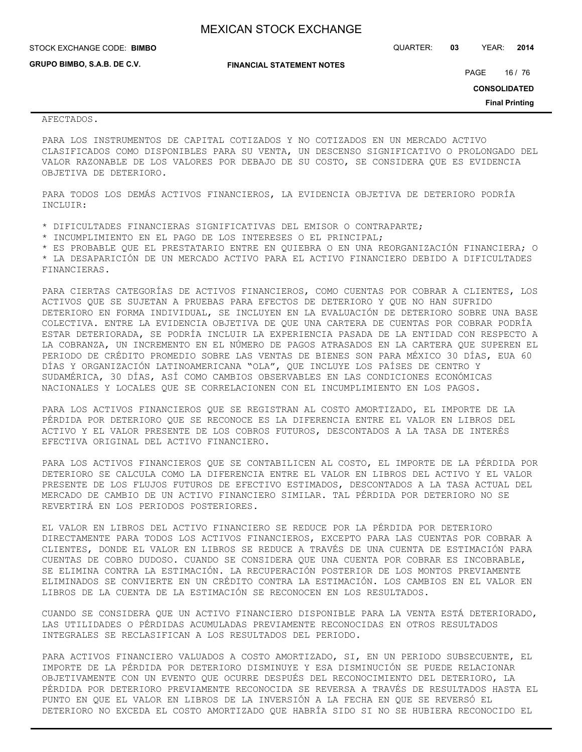**GRUPO BIMBO, S.A.B. DE C.V.**

**FINANCIAL STATEMENT NOTES**

STOCK EXCHANGE CODE: QUARTER: **03** YEAR: **2014 BIMBO**

PAGE 16 / 76

**CONSOLIDATED**

**Final Printing**

### AFECTADOS.

PARA LOS INSTRUMENTOS DE CAPITAL COTIZADOS Y NO COTIZADOS EN UN MERCADO ACTIVO CLASIFICADOS COMO DISPONIBLES PARA SU VENTA, UN DESCENSO SIGNIFICATIVO O PROLONGADO DEL VALOR RAZONABLE DE LOS VALORES POR DEBAJO DE SU COSTO, SE CONSIDERA QUE ES EVIDENCIA OBJETIVA DE DETERIORO.

PARA TODOS LOS DEMÁS ACTIVOS FINANCIEROS, LA EVIDENCIA OBJETIVA DE DETERIORO PODRÍA INCLUIR:

\* DIFICULTADES FINANCIERAS SIGNIFICATIVAS DEL EMISOR O CONTRAPARTE;

\* INCUMPLIMIENTO EN EL PAGO DE LOS INTERESES O EL PRINCIPAL;

\* ES PROBABLE QUE EL PRESTATARIO ENTRE EN QUIEBRA O EN UNA REORGANIZACIÓN FINANCIERA; O

\* LA DESAPARICIÓN DE UN MERCADO ACTIVO PARA EL ACTIVO FINANCIERO DEBIDO A DIFICULTADES FINANCIERAS.

PARA CIERTAS CATEGORÍAS DE ACTIVOS FINANCIEROS, COMO CUENTAS POR COBRAR A CLIENTES, LOS ACTIVOS QUE SE SUJETAN A PRUEBAS PARA EFECTOS DE DETERIORO Y QUE NO HAN SUFRIDO DETERIORO EN FORMA INDIVIDUAL, SE INCLUYEN EN LA EVALUACIÓN DE DETERIORO SOBRE UNA BASE COLECTIVA. ENTRE LA EVIDENCIA OBJETIVA DE QUE UNA CARTERA DE CUENTAS POR COBRAR PODRÍA ESTAR DETERIORADA, SE PODRÍA INCLUIR LA EXPERIENCIA PASADA DE LA ENTIDAD CON RESPECTO A LA COBRANZA, UN INCREMENTO EN EL NÚMERO DE PAGOS ATRASADOS EN LA CARTERA QUE SUPEREN EL PERIODO DE CRÉDITO PROMEDIO SOBRE LAS VENTAS DE BIENES SON PARA MÉXICO 30 DÍAS, EUA 60 DÍAS Y ORGANIZACIÓN LATINOAMERICANA "OLA", QUE INCLUYE LOS PAÍSES DE CENTRO Y SUDAMÉRICA, 30 DÍAS, ASÍ COMO CAMBIOS OBSERVABLES EN LAS CONDICIONES ECONÓMICAS NACIONALES Y LOCALES QUE SE CORRELACIONEN CON EL INCUMPLIMIENTO EN LOS PAGOS.

PARA LOS ACTIVOS FINANCIEROS QUE SE REGISTRAN AL COSTO AMORTIZADO, EL IMPORTE DE LA PÉRDIDA POR DETERIORO QUE SE RECONOCE ES LA DIFERENCIA ENTRE EL VALOR EN LIBROS DEL ACTIVO Y EL VALOR PRESENTE DE LOS COBROS FUTUROS, DESCONTADOS A LA TASA DE INTERÉS EFECTIVA ORIGINAL DEL ACTIVO FINANCIERO.

PARA LOS ACTIVOS FINANCIEROS QUE SE CONTABILICEN AL COSTO, EL IMPORTE DE LA PÉRDIDA POR DETERIORO SE CALCULA COMO LA DIFERENCIA ENTRE EL VALOR EN LIBROS DEL ACTIVO Y EL VALOR PRESENTE DE LOS FLUJOS FUTUROS DE EFECTIVO ESTIMADOS, DESCONTADOS A LA TASA ACTUAL DEL MERCADO DE CAMBIO DE UN ACTIVO FINANCIERO SIMILAR. TAL PÉRDIDA POR DETERIORO NO SE REVERTIRÁ EN LOS PERIODOS POSTERIORES.

EL VALOR EN LIBROS DEL ACTIVO FINANCIERO SE REDUCE POR LA PÉRDIDA POR DETERIORO DIRECTAMENTE PARA TODOS LOS ACTIVOS FINANCIEROS, EXCEPTO PARA LAS CUENTAS POR COBRAR A CLIENTES, DONDE EL VALOR EN LIBROS SE REDUCE A TRAVÉS DE UNA CUENTA DE ESTIMACIÓN PARA CUENTAS DE COBRO DUDOSO. CUANDO SE CONSIDERA QUE UNA CUENTA POR COBRAR ES INCOBRABLE, SE ELIMINA CONTRA LA ESTIMACIÓN. LA RECUPERACIÓN POSTERIOR DE LOS MONTOS PREVIAMENTE ELIMINADOS SE CONVIERTE EN UN CRÉDITO CONTRA LA ESTIMACIÓN. LOS CAMBIOS EN EL VALOR EN LIBROS DE LA CUENTA DE LA ESTIMACIÓN SE RECONOCEN EN LOS RESULTADOS.

CUANDO SE CONSIDERA QUE UN ACTIVO FINANCIERO DISPONIBLE PARA LA VENTA ESTÁ DETERIORADO, LAS UTILIDADES O PÉRDIDAS ACUMULADAS PREVIAMENTE RECONOCIDAS EN OTROS RESULTADOS INTEGRALES SE RECLASIFICAN A LOS RESULTADOS DEL PERIODO.

PARA ACTIVOS FINANCIERO VALUADOS A COSTO AMORTIZADO, SI, EN UN PERIODO SUBSECUENTE, EL IMPORTE DE LA PÉRDIDA POR DETERIORO DISMINUYE Y ESA DISMINUCIÓN SE PUEDE RELACIONAR OBJETIVAMENTE CON UN EVENTO QUE OCURRE DESPUÉS DEL RECONOCIMIENTO DEL DETERIORO, LA PÉRDIDA POR DETERIORO PREVIAMENTE RECONOCIDA SE REVERSA A TRAVÉS DE RESULTADOS HASTA EL PUNTO EN QUE EL VALOR EN LIBROS DE LA INVERSIÓN A LA FECHA EN QUE SE REVERSÓ EL DETERIORO NO EXCEDA EL COSTO AMORTIZADO QUE HABRÍA SIDO SI NO SE HUBIERA RECONOCIDO EL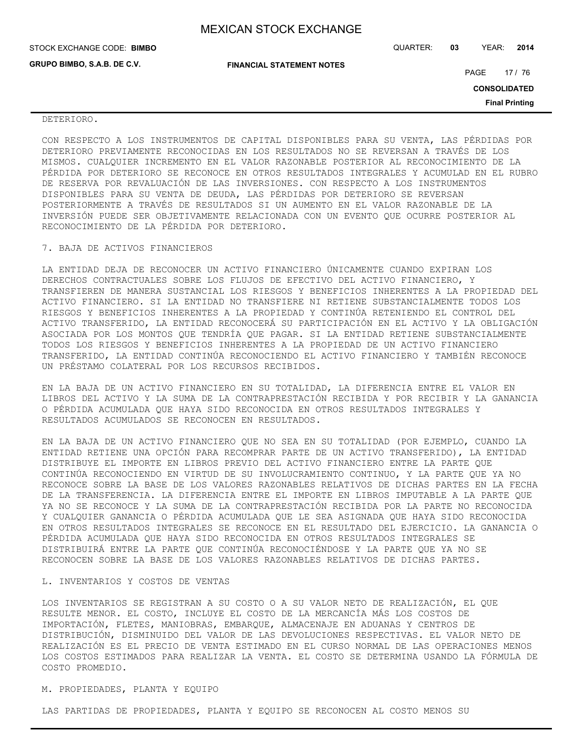| STOCK EXCHANGE CODE: BIMBO  |                                  | QUARTER: | 03 | YEAR:               | 2014                  |
|-----------------------------|----------------------------------|----------|----|---------------------|-----------------------|
| GRUPO BIMBO, S.A.B. DE C.V. | <b>FINANCIAL STATEMENT NOTES</b> |          |    | PAGE                | 17 / 76               |
|                             |                                  |          |    | <b>CONSOLIDATED</b> |                       |
|                             |                                  |          |    |                     | <b>Final Printing</b> |
| DETERIORO.                  |                                  |          |    |                     |                       |

## CON RESPECTO A LOS INSTRUMENTOS DE CAPITAL DISPONIBLES PARA SU VENTA, LAS PÉRDIDAS POR DETERIORO PREVIAMENTE RECONOCIDAS EN LOS RESULTADOS NO SE REVERSAN A TRAVÉS DE LOS MISMOS. CUALQUIER INCREMENTO EN EL VALOR RAZONABLE POSTERIOR AL RECONOCIMIENTO DE LA PÉRDIDA POR DETERIORO SE RECONOCE EN OTROS RESULTADOS INTEGRALES Y ACUMULAD EN EL RUBRO DE RESERVA POR REVALUACIÓN DE LAS INVERSIONES. CON RESPECTO A LOS INSTRUMENTOS DISPONIBLES PARA SU VENTA DE DEUDA, LAS PÉRDIDAS POR DETERIORO SE REVERSAN POSTERIORMENTE A TRAVÉS DE RESULTADOS SI UN AUMENTO EN EL VALOR RAZONABLE DE LA INVERSIÓN PUEDE SER OBJETIVAMENTE RELACIONADA CON UN EVENTO QUE OCURRE POSTERIOR AL RECONOCIMIENTO DE LA PÉRDIDA POR DETERIORO.

#### 7. BAJA DE ACTIVOS FINANCIEROS

LA ENTIDAD DEJA DE RECONOCER UN ACTIVO FINANCIERO ÚNICAMENTE CUANDO EXPIRAN LOS DERECHOS CONTRACTUALES SOBRE LOS FLUJOS DE EFECTIVO DEL ACTIVO FINANCIERO, Y TRANSFIEREN DE MANERA SUSTANCIAL LOS RIESGOS Y BENEFICIOS INHERENTES A LA PROPIEDAD DEL ACTIVO FINANCIERO. SI LA ENTIDAD NO TRANSFIERE NI RETIENE SUBSTANCIALMENTE TODOS LOS RIESGOS Y BENEFICIOS INHERENTES A LA PROPIEDAD Y CONTINÚA RETENIENDO EL CONTROL DEL ACTIVO TRANSFERIDO, LA ENTIDAD RECONOCERÁ SU PARTICIPACIÓN EN EL ACTIVO Y LA OBLIGACIÓN ASOCIADA POR LOS MONTOS QUE TENDRÍA QUE PAGAR. SI LA ENTIDAD RETIENE SUBSTANCIALMENTE TODOS LOS RIESGOS Y BENEFICIOS INHERENTES A LA PROPIEDAD DE UN ACTIVO FINANCIERO TRANSFERIDO, LA ENTIDAD CONTINÚA RECONOCIENDO EL ACTIVO FINANCIERO Y TAMBIÉN RECONOCE UN PRÉSTAMO COLATERAL POR LOS RECURSOS RECIBIDOS.

EN LA BAJA DE UN ACTIVO FINANCIERO EN SU TOTALIDAD, LA DIFERENCIA ENTRE EL VALOR EN LIBROS DEL ACTIVO Y LA SUMA DE LA CONTRAPRESTACIÓN RECIBIDA Y POR RECIBIR Y LA GANANCIA O PÉRDIDA ACUMULADA QUE HAYA SIDO RECONOCIDA EN OTROS RESULTADOS INTEGRALES Y RESULTADOS ACUMULADOS SE RECONOCEN EN RESULTADOS.

EN LA BAJA DE UN ACTIVO FINANCIERO QUE NO SEA EN SU TOTALIDAD (POR EJEMPLO, CUANDO LA ENTIDAD RETIENE UNA OPCIÓN PARA RECOMPRAR PARTE DE UN ACTIVO TRANSFERIDO), LA ENTIDAD DISTRIBUYE EL IMPORTE EN LIBROS PREVIO DEL ACTIVO FINANCIERO ENTRE LA PARTE QUE CONTINÚA RECONOCIENDO EN VIRTUD DE SU INVOLUCRAMIENTO CONTINUO, Y LA PARTE QUE YA NO RECONOCE SOBRE LA BASE DE LOS VALORES RAZONABLES RELATIVOS DE DICHAS PARTES EN LA FECHA DE LA TRANSFERENCIA. LA DIFERENCIA ENTRE EL IMPORTE EN LIBROS IMPUTABLE A LA PARTE QUE YA NO SE RECONOCE Y LA SUMA DE LA CONTRAPRESTACIÓN RECIBIDA POR LA PARTE NO RECONOCIDA Y CUALQUIER GANANCIA O PÉRDIDA ACUMULADA QUE LE SEA ASIGNADA QUE HAYA SIDO RECONOCIDA EN OTROS RESULTADOS INTEGRALES SE RECONOCE EN EL RESULTADO DEL EJERCICIO. LA GANANCIA O PÉRDIDA ACUMULADA QUE HAYA SIDO RECONOCIDA EN OTROS RESULTADOS INTEGRALES SE DISTRIBUIRÁ ENTRE LA PARTE QUE CONTINÚA RECONOCIÉNDOSE Y LA PARTE QUE YA NO SE RECONOCEN SOBRE LA BASE DE LOS VALORES RAZONABLES RELATIVOS DE DICHAS PARTES.

#### L. INVENTARIOS Y COSTOS DE VENTAS

LOS INVENTARIOS SE REGISTRAN A SU COSTO O A SU VALOR NETO DE REALIZACIÓN, EL QUE RESULTE MENOR. EL COSTO, INCLUYE EL COSTO DE LA MERCANCÍA MÁS LOS COSTOS DE IMPORTACIÓN, FLETES, MANIOBRAS, EMBARQUE, ALMACENAJE EN ADUANAS Y CENTROS DE DISTRIBUCIÓN, DISMINUIDO DEL VALOR DE LAS DEVOLUCIONES RESPECTIVAS. EL VALOR NETO DE REALIZACIÓN ES EL PRECIO DE VENTA ESTIMADO EN EL CURSO NORMAL DE LAS OPERACIONES MENOS LOS COSTOS ESTIMADOS PARA REALIZAR LA VENTA. EL COSTO SE DETERMINA USANDO LA FÓRMULA DE COSTO PROMEDIO.

### M. PROPIEDADES, PLANTA Y EQUIPO

LAS PARTIDAS DE PROPIEDADES, PLANTA Y EQUIPO SE RECONOCEN AL COSTO MENOS SU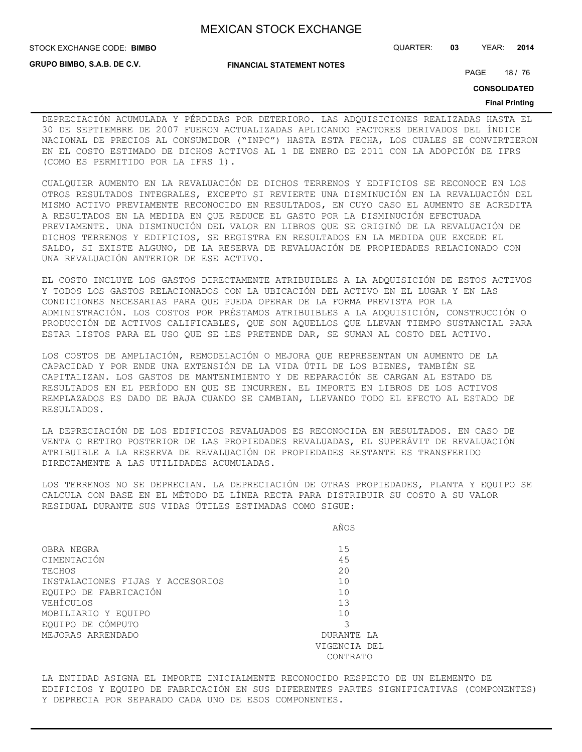**GRUPO BIMBO, S.A.B. DE C.V.**

#### **FINANCIAL STATEMENT NOTES**

STOCK EXCHANGE CODE: QUARTER: **03** YEAR: **2014 BIMBO**

PAGE 18 / 76

**CONSOLIDATED**

#### **Final Printing**

DEPRECIACIÓN ACUMULADA Y PÉRDIDAS POR DETERIORO. LAS ADQUISICIONES REALIZADAS HASTA EL 30 DE SEPTIEMBRE DE 2007 FUERON ACTUALIZADAS APLICANDO FACTORES DERIVADOS DEL ÍNDICE NACIONAL DE PRECIOS AL CONSUMIDOR ("INPC") HASTA ESTA FECHA, LOS CUALES SE CONVIRTIERON EN EL COSTO ESTIMADO DE DICHOS ACTIVOS AL 1 DE ENERO DE 2011 CON LA ADOPCIÓN DE IFRS (COMO ES PERMITIDO POR LA IFRS 1).

CUALQUIER AUMENTO EN LA REVALUACIÓN DE DICHOS TERRENOS Y EDIFICIOS SE RECONOCE EN LOS OTROS RESULTADOS INTEGRALES, EXCEPTO SI REVIERTE UNA DISMINUCIÓN EN LA REVALUACIÓN DEL MISMO ACTIVO PREVIAMENTE RECONOCIDO EN RESULTADOS, EN CUYO CASO EL AUMENTO SE ACREDITA A RESULTADOS EN LA MEDIDA EN QUE REDUCE EL GASTO POR LA DISMINUCIÓN EFECTUADA PREVIAMENTE. UNA DISMINUCIÓN DEL VALOR EN LIBROS QUE SE ORIGINÓ DE LA REVALUACIÓN DE DICHOS TERRENOS Y EDIFICIOS, SE REGISTRA EN RESULTADOS EN LA MEDIDA QUE EXCEDE EL SALDO, SI EXISTE ALGUNO, DE LA RESERVA DE REVALUACIÓN DE PROPIEDADES RELACIONADO CON UNA REVALUACIÓN ANTERIOR DE ESE ACTIVO.

EL COSTO INCLUYE LOS GASTOS DIRECTAMENTE ATRIBUIBLES A LA ADQUISICIÓN DE ESTOS ACTIVOS Y TODOS LOS GASTOS RELACIONADOS CON LA UBICACIÓN DEL ACTIVO EN EL LUGAR Y EN LAS CONDICIONES NECESARIAS PARA QUE PUEDA OPERAR DE LA FORMA PREVISTA POR LA ADMINISTRACIÓN. LOS COSTOS POR PRÉSTAMOS ATRIBUIBLES A LA ADQUISICIÓN, CONSTRUCCIÓN O PRODUCCIÓN DE ACTIVOS CALIFICABLES, QUE SON AQUELLOS QUE LLEVAN TIEMPO SUSTANCIAL PARA ESTAR LISTOS PARA EL USO QUE SE LES PRETENDE DAR, SE SUMAN AL COSTO DEL ACTIVO.

LOS COSTOS DE AMPLIACIÓN, REMODELACIÓN O MEJORA QUE REPRESENTAN UN AUMENTO DE LA CAPACIDAD Y POR ENDE UNA EXTENSIÓN DE LA VIDA ÚTIL DE LOS BIENES, TAMBIÉN SE CAPITALIZAN. LOS GASTOS DE MANTENIMIENTO Y DE REPARACIÓN SE CARGAN AL ESTADO DE RESULTADOS EN EL PERÍODO EN QUE SE INCURREN. EL IMPORTE EN LIBROS DE LOS ACTIVOS REMPLAZADOS ES DADO DE BAJA CUANDO SE CAMBIAN, LLEVANDO TODO EL EFECTO AL ESTADO DE RESULTADOS.

LA DEPRECIACIÓN DE LOS EDIFICIOS REVALUADOS ES RECONOCIDA EN RESULTADOS. EN CASO DE VENTA O RETIRO POSTERIOR DE LAS PROPIEDADES REVALUADAS, EL SUPERÁVIT DE REVALUACIÓN ATRIBUIBLE A LA RESERVA DE REVALUACIÓN DE PROPIEDADES RESTANTE ES TRANSFERIDO DIRECTAMENTE A LAS UTILIDADES ACUMULADAS.

LOS TERRENOS NO SE DEPRECIAN. LA DEPRECIACIÓN DE OTRAS PROPIEDADES, PLANTA Y EQUIPO SE CALCULA CON BASE EN EL MÉTODO DE LÍNEA RECTA PARA DISTRIBUIR SU COSTO A SU VALOR RESIDUAL DURANTE SUS VIDAS ÚTILES ESTIMADAS COMO SIGUE:

|  |  | AÑOS<br>___ |  |
|--|--|-------------|--|
|  |  |             |  |

| OBRA NEGRA                       | 15           |
|----------------------------------|--------------|
| CIMENTACIÓN                      | 45           |
| TECHOS                           | 20           |
| INSTALACIONES FIJAS Y ACCESORIOS | 10           |
| EOUIPO DE FABRICACIÓN            | 10           |
| VEHÍCULOS                        | 13           |
| MOBILIARIO Y EOUIPO              | 10           |
| EQUIPO DE CÓMPUTO                |              |
| MEJORAS ARRENDADO                | DURANTE LA   |
|                                  | VIGENCIA DEL |
|                                  | CONTRATO     |

LA ENTIDAD ASIGNA EL IMPORTE INICIALMENTE RECONOCIDO RESPECTO DE UN ELEMENTO DE EDIFICIOS Y EQUIPO DE FABRICACIÓN EN SUS DIFERENTES PARTES SIGNIFICATIVAS (COMPONENTES) Y DEPRECIA POR SEPARADO CADA UNO DE ESOS COMPONENTES.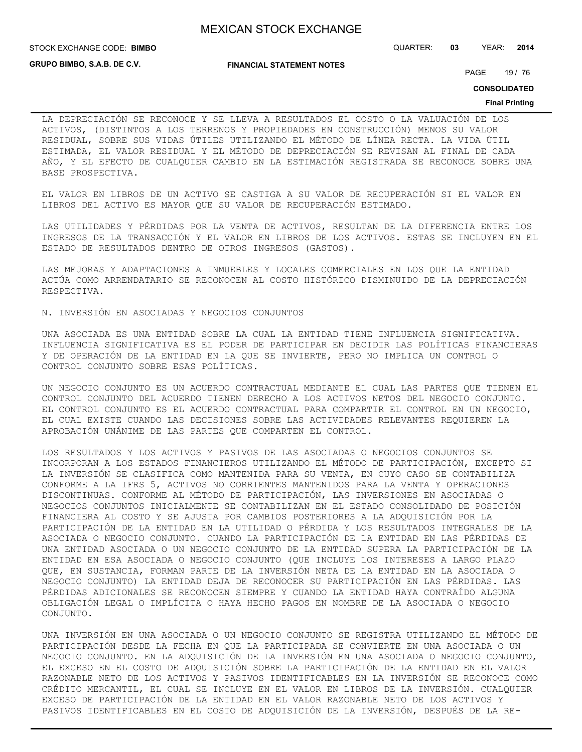STOCK EXCHANGE CODE: QUARTER: **03** YEAR: **2014 BIMBO**

**GRUPO BIMBO, S.A.B. DE C.V.**

**FINANCIAL STATEMENT NOTES**

PAGE 19 / 76

**CONSOLIDATED**

#### **Final Printing**

LA DEPRECIACIÓN SE RECONOCE Y SE LLEVA A RESULTADOS EL COSTO O LA VALUACIÓN DE LOS ACTIVOS, (DISTINTOS A LOS TERRENOS Y PROPIEDADES EN CONSTRUCCIÓN) MENOS SU VALOR RESIDUAL, SOBRE SUS VIDAS ÚTILES UTILIZANDO EL MÉTODO DE LÍNEA RECTA. LA VIDA ÚTIL ESTIMADA, EL VALOR RESIDUAL Y EL MÉTODO DE DEPRECIACIÓN SE REVISAN AL FINAL DE CADA AÑO, Y EL EFECTO DE CUALQUIER CAMBIO EN LA ESTIMACIÓN REGISTRADA SE RECONOCE SOBRE UNA BASE PROSPECTIVA.

EL VALOR EN LIBROS DE UN ACTIVO SE CASTIGA A SU VALOR DE RECUPERACIÓN SI EL VALOR EN LIBROS DEL ACTIVO ES MAYOR QUE SU VALOR DE RECUPERACIÓN ESTIMADO.

LAS UTILIDADES Y PÉRDIDAS POR LA VENTA DE ACTIVOS, RESULTAN DE LA DIFERENCIA ENTRE LOS INGRESOS DE LA TRANSACCIÓN Y EL VALOR EN LIBROS DE LOS ACTIVOS. ESTAS SE INCLUYEN EN EL ESTADO DE RESULTADOS DENTRO DE OTROS INGRESOS (GASTOS).

LAS MEJORAS Y ADAPTACIONES A INMUEBLES Y LOCALES COMERCIALES EN LOS QUE LA ENTIDAD ACTÚA COMO ARRENDATARIO SE RECONOCEN AL COSTO HISTÓRICO DISMINUIDO DE LA DEPRECIACIÓN RESPECTIVA.

N. INVERSIÓN EN ASOCIADAS Y NEGOCIOS CONJUNTOS

UNA ASOCIADA ES UNA ENTIDAD SOBRE LA CUAL LA ENTIDAD TIENE INFLUENCIA SIGNIFICATIVA. INFLUENCIA SIGNIFICATIVA ES EL PODER DE PARTICIPAR EN DECIDIR LAS POLÍTICAS FINANCIERAS Y DE OPERACIÓN DE LA ENTIDAD EN LA QUE SE INVIERTE, PERO NO IMPLICA UN CONTROL O CONTROL CONJUNTO SOBRE ESAS POLÍTICAS.

UN NEGOCIO CONJUNTO ES UN ACUERDO CONTRACTUAL MEDIANTE EL CUAL LAS PARTES QUE TIENEN EL CONTROL CONJUNTO DEL ACUERDO TIENEN DERECHO A LOS ACTIVOS NETOS DEL NEGOCIO CONJUNTO. EL CONTROL CONJUNTO ES EL ACUERDO CONTRACTUAL PARA COMPARTIR EL CONTROL EN UN NEGOCIO, EL CUAL EXISTE CUANDO LAS DECISIONES SOBRE LAS ACTIVIDADES RELEVANTES REQUIEREN LA APROBACIÓN UNÁNIME DE LAS PARTES QUE COMPARTEN EL CONTROL.

LOS RESULTADOS Y LOS ACTIVOS Y PASIVOS DE LAS ASOCIADAS O NEGOCIOS CONJUNTOS SE INCORPORAN A LOS ESTADOS FINANCIEROS UTILIZANDO EL MÉTODO DE PARTICIPACIÓN, EXCEPTO SI LA INVERSIÓN SE CLASIFICA COMO MANTENIDA PARA SU VENTA, EN CUYO CASO SE CONTABILIZA CONFORME A LA IFRS 5, ACTIVOS NO CORRIENTES MANTENIDOS PARA LA VENTA Y OPERACIONES DISCONTINUAS. CONFORME AL MÉTODO DE PARTICIPACIÓN, LAS INVERSIONES EN ASOCIADAS O NEGOCIOS CONJUNTOS INICIALMENTE SE CONTABILIZAN EN EL ESTADO CONSOLIDADO DE POSICIÓN FINANCIERA AL COSTO Y SE AJUSTA POR CAMBIOS POSTERIORES A LA ADQUISICIÓN POR LA PARTICIPACIÓN DE LA ENTIDAD EN LA UTILIDAD O PÉRDIDA Y LOS RESULTADOS INTEGRALES DE LA ASOCIADA O NEGOCIO CONJUNTO. CUANDO LA PARTICIPACIÓN DE LA ENTIDAD EN LAS PÉRDIDAS DE UNA ENTIDAD ASOCIADA O UN NEGOCIO CONJUNTO DE LA ENTIDAD SUPERA LA PARTICIPACIÓN DE LA ENTIDAD EN ESA ASOCIADA O NEGOCIO CONJUNTO (QUE INCLUYE LOS INTERESES A LARGO PLAZO QUE, EN SUSTANCIA, FORMAN PARTE DE LA INVERSIÓN NETA DE LA ENTIDAD EN LA ASOCIADA O NEGOCIO CONJUNTO) LA ENTIDAD DEJA DE RECONOCER SU PARTICIPACIÓN EN LAS PÉRDIDAS. LAS PÉRDIDAS ADICIONALES SE RECONOCEN SIEMPRE Y CUANDO LA ENTIDAD HAYA CONTRAÍDO ALGUNA OBLIGACIÓN LEGAL O IMPLÍCITA O HAYA HECHO PAGOS EN NOMBRE DE LA ASOCIADA O NEGOCIO CONJUNTO.

UNA INVERSIÓN EN UNA ASOCIADA O UN NEGOCIO CONJUNTO SE REGISTRA UTILIZANDO EL MÉTODO DE PARTICIPACIÓN DESDE LA FECHA EN QUE LA PARTICIPADA SE CONVIERTE EN UNA ASOCIADA O UN NEGOCIO CONJUNTO. EN LA ADQUISICIÓN DE LA INVERSIÓN EN UNA ASOCIADA O NEGOCIO CONJUNTO, EL EXCESO EN EL COSTO DE ADQUISICIÓN SOBRE LA PARTICIPACIÓN DE LA ENTIDAD EN EL VALOR RAZONABLE NETO DE LOS ACTIVOS Y PASIVOS IDENTIFICABLES EN LA INVERSIÓN SE RECONOCE COMO CRÉDITO MERCANTIL, EL CUAL SE INCLUYE EN EL VALOR EN LIBROS DE LA INVERSIÓN. CUALQUIER EXCESO DE PARTICIPACIÓN DE LA ENTIDAD EN EL VALOR RAZONABLE NETO DE LOS ACTIVOS Y PASIVOS IDENTIFICABLES EN EL COSTO DE ADQUISICIÓN DE LA INVERSIÓN, DESPUÉS DE LA RE-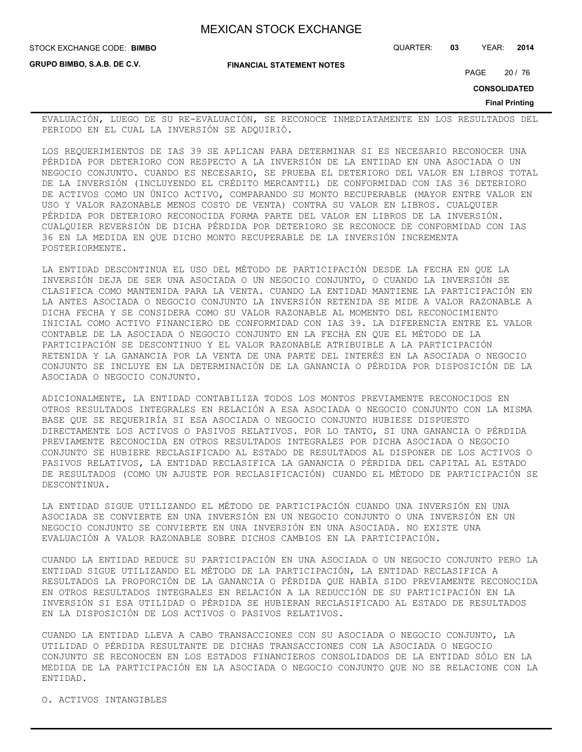**FINANCIAL STATEMENT NOTES**

STOCK EXCHANGE CODE: QUARTER: **03** YEAR: **2014 BIMBO**

**GRUPO BIMBO, S.A.B. DE C.V.**

PAGE 20 / 76

**CONSOLIDATED**

**Final Printing**

EVALUACIÓN, LUEGO DE SU RE-EVALUACIÓN, SE RECONOCE INMEDIATAMENTE EN LOS RESULTADOS DEL PERIODO EN EL CUAL LA INVERSIÓN SE ADQUIRIÓ.

LOS REQUERIMIENTOS DE IAS 39 SE APLICAN PARA DETERMINAR SI ES NECESARIO RECONOCER UNA PÉRDIDA POR DETERIORO CON RESPECTO A LA INVERSIÓN DE LA ENTIDAD EN UNA ASOCIADA O UN NEGOCIO CONJUNTO. CUANDO ES NECESARIO, SE PRUEBA EL DETERIORO DEL VALOR EN LIBROS TOTAL DE LA INVERSIÓN (INCLUYENDO EL CRÉDITO MERCANTIL) DE CONFORMIDAD CON IAS 36 DETERIORO DE ACTIVOS COMO UN ÚNICO ACTIVO, COMPARANDO SU MONTO RECUPERABLE (MAYOR ENTRE VALOR EN USO Y VALOR RAZONABLE MENOS COSTO DE VENTA) CONTRA SU VALOR EN LIBROS. CUALQUIER PÉRDIDA POR DETERIORO RECONOCIDA FORMA PARTE DEL VALOR EN LIBROS DE LA INVERSIÓN. CUALQUIER REVERSIÓN DE DICHA PÉRDIDA POR DETERIORO SE RECONOCE DE CONFORMIDAD CON IAS 36 EN LA MEDIDA EN QUE DICHO MONTO RECUPERABLE DE LA INVERSIÓN INCREMENTA POSTERIORMENTE.

LA ENTIDAD DESCONTINUA EL USO DEL MÉTODO DE PARTICIPACIÓN DESDE LA FECHA EN QUE LA INVERSIÓN DEJA DE SER UNA ASOCIADA O UN NEGOCIO CONJUNTO, O CUANDO LA INVERSIÓN SE CLASIFICA COMO MANTENIDA PARA LA VENTA. CUANDO LA ENTIDAD MANTIENE LA PARTICIPACIÓN EN LA ANTES ASOCIADA O NEGOCIO CONJUNTO LA INVERSIÓN RETENIDA SE MIDE A VALOR RAZONABLE A DICHA FECHA Y SE CONSIDERA COMO SU VALOR RAZONABLE AL MOMENTO DEL RECONOCIMIENTO INICIAL COMO ACTIVO FINANCIERO DE CONFORMIDAD CON IAS 39. LA DIFERENCIA ENTRE EL VALOR CONTABLE DE LA ASOCIADA O NEGOCIO CONJUNTO EN LA FECHA EN QUE EL MÉTODO DE LA PARTICIPACIÓN SE DESCONTINUO Y EL VALOR RAZONABLE ATRIBUIBLE A LA PARTICIPACIÓN RETENIDA Y LA GANANCIA POR LA VENTA DE UNA PARTE DEL INTERÉS EN LA ASOCIADA O NEGOCIO CONJUNTO SE INCLUYE EN LA DETERMINACIÓN DE LA GANANCIA O PÉRDIDA POR DISPOSICIÓN DE LA ASOCIADA O NEGOCIO CONJUNTO.

ADICIONALMENTE, LA ENTIDAD CONTABILIZA TODOS LOS MONTOS PREVIAMENTE RECONOCIDOS EN OTROS RESULTADOS INTEGRALES EN RELACIÓN A ESA ASOCIADA O NEGOCIO CONJUNTO CON LA MISMA BASE QUE SE REQUERIRÍA SI ESA ASOCIADA O NEGOCIO CONJUNTO HUBIESE DISPUESTO DIRECTAMENTE LOS ACTIVOS O PASIVOS RELATIVOS. POR LO TANTO, SI UNA GANANCIA O PÉRDIDA PREVIAMENTE RECONOCIDA EN OTROS RESULTADOS INTEGRALES POR DICHA ASOCIADA O NEGOCIO CONJUNTO SE HUBIERE RECLASIFICADO AL ESTADO DE RESULTADOS AL DISPONER DE LOS ACTIVOS O PASIVOS RELATIVOS, LA ENTIDAD RECLASIFICA LA GANANCIA O PÉRDIDA DEL CAPITAL AL ESTADO DE RESULTADOS (COMO UN AJUSTE POR RECLASIFICACIÓN) CUANDO EL MÉTODO DE PARTICIPACIÓN SE DESCONTINUA.

LA ENTIDAD SIGUE UTILIZANDO EL MÉTODO DE PARTICIPACIÓN CUANDO UNA INVERSIÓN EN UNA ASOCIADA SE CONVIERTE EN UNA INVERSIÓN EN UN NEGOCIO CONJUNTO O UNA INVERSIÓN EN UN NEGOCIO CONJUNTO SE CONVIERTE EN UNA INVERSIÓN EN UNA ASOCIADA. NO EXISTE UNA EVALUACIÓN A VALOR RAZONABLE SOBRE DICHOS CAMBIOS EN LA PARTICIPACIÓN.

CUANDO LA ENTIDAD REDUCE SU PARTICIPACIÓN EN UNA ASOCIADA O UN NEGOCIO CONJUNTO PERO LA ENTIDAD SIGUE UTILIZANDO EL MÉTODO DE LA PARTICIPACIÓN, LA ENTIDAD RECLASIFICA A RESULTADOS LA PROPORCIÓN DE LA GANANCIA O PÉRDIDA QUE HABÍA SIDO PREVIAMENTE RECONOCIDA EN OTROS RESULTADOS INTEGRALES EN RELACIÓN A LA REDUCCIÓN DE SU PARTICIPACIÓN EN LA INVERSIÓN SI ESA UTILIDAD O PÉRDIDA SE HUBIERAN RECLASIFICADO AL ESTADO DE RESULTADOS EN LA DISPOSICIÓN DE LOS ACTIVOS O PASIVOS RELATIVOS.

CUANDO LA ENTIDAD LLEVA A CABO TRANSACCIONES CON SU ASOCIADA O NEGOCIO CONJUNTO, LA UTILIDAD O PÉRDIDA RESULTANTE DE DICHAS TRANSACCIONES CON LA ASOCIADA O NEGOCIO CONJUNTO SE RECONOCEN EN LOS ESTADOS FINANCIEROS CONSOLIDADOS DE LA ENTIDAD SÓLO EN LA MEDIDA DE LA PARTICIPACIÓN EN LA ASOCIADA O NEGOCIO CONJUNTO QUE NO SE RELACIONE CON LA ENTIDAD.

O. ACTIVOS INTANGIBLES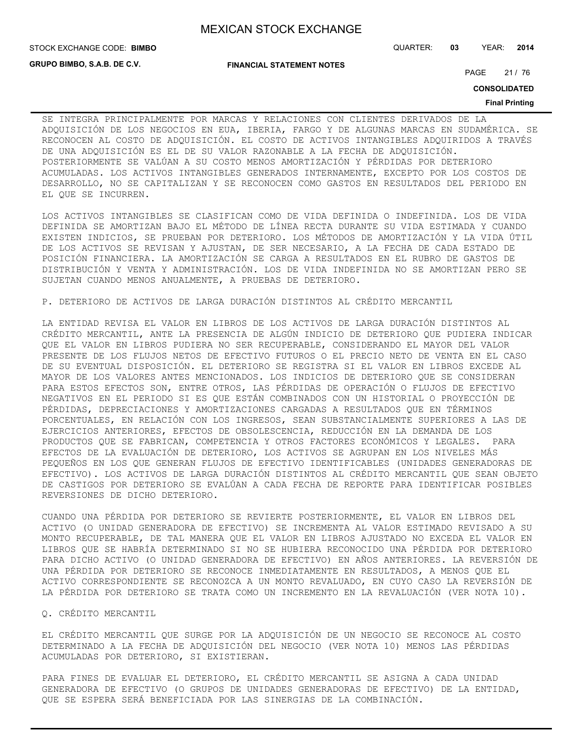**GRUPO BIMBO, S.A.B. DE C.V.**

STOCK EXCHANGE CODE: QUARTER: **03** YEAR: **2014 BIMBO**

**FINANCIAL STATEMENT NOTES**

PAGE 21 / 76

**CONSOLIDATED**

#### **Final Printing**

SE INTEGRA PRINCIPALMENTE POR MARCAS Y RELACIONES CON CLIENTES DERIVADOS DE LA ADQUISICIÓN DE LOS NEGOCIOS EN EUA, IBERIA, FARGO Y DE ALGUNAS MARCAS EN SUDAMÉRICA. SE RECONOCEN AL COSTO DE ADQUISICIÓN. EL COSTO DE ACTIVOS INTANGIBLES ADQUIRIDOS A TRAVÉS DE UNA ADQUISICIÓN ES EL DE SU VALOR RAZONABLE A LA FECHA DE ADQUISICIÓN. POSTERIORMENTE SE VALÚAN A SU COSTO MENOS AMORTIZACIÓN Y PÉRDIDAS POR DETERIORO ACUMULADAS. LOS ACTIVOS INTANGIBLES GENERADOS INTERNAMENTE, EXCEPTO POR LOS COSTOS DE DESARROLLO, NO SE CAPITALIZAN Y SE RECONOCEN COMO GASTOS EN RESULTADOS DEL PERIODO EN EL QUE SE INCURREN.

LOS ACTIVOS INTANGIBLES SE CLASIFICAN COMO DE VIDA DEFINIDA O INDEFINIDA. LOS DE VIDA DEFINIDA SE AMORTIZAN BAJO EL MÉTODO DE LÍNEA RECTA DURANTE SU VIDA ESTIMADA Y CUANDO EXISTEN INDICIOS, SE PRUEBAN POR DETERIORO. LOS MÉTODOS DE AMORTIZACIÓN Y LA VIDA ÚTIL DE LOS ACTIVOS SE REVISAN Y AJUSTAN, DE SER NECESARIO, A LA FECHA DE CADA ESTADO DE POSICIÓN FINANCIERA. LA AMORTIZACIÓN SE CARGA A RESULTADOS EN EL RUBRO DE GASTOS DE DISTRIBUCIÓN Y VENTA Y ADMINISTRACIÓN. LOS DE VIDA INDEFINIDA NO SE AMORTIZAN PERO SE SUJETAN CUANDO MENOS ANUALMENTE, A PRUEBAS DE DETERIORO.

P. DETERIORO DE ACTIVOS DE LARGA DURACIÓN DISTINTOS AL CRÉDITO MERCANTIL

LA ENTIDAD REVISA EL VALOR EN LIBROS DE LOS ACTIVOS DE LARGA DURACIÓN DISTINTOS AL CRÉDITO MERCANTIL, ANTE LA PRESENCIA DE ALGÚN INDICIO DE DETERIORO QUE PUDIERA INDICAR QUE EL VALOR EN LIBROS PUDIERA NO SER RECUPERABLE, CONSIDERANDO EL MAYOR DEL VALOR PRESENTE DE LOS FLUJOS NETOS DE EFECTIVO FUTUROS O EL PRECIO NETO DE VENTA EN EL CASO DE SU EVENTUAL DISPOSICIÓN. EL DETERIORO SE REGISTRA SI EL VALOR EN LIBROS EXCEDE AL MAYOR DE LOS VALORES ANTES MENCIONADOS. LOS INDICIOS DE DETERIORO QUE SE CONSIDERAN PARA ESTOS EFECTOS SON, ENTRE OTROS, LAS PÉRDIDAS DE OPERACIÓN O FLUJOS DE EFECTIVO NEGATIVOS EN EL PERIODO SI ES QUE ESTÁN COMBINADOS CON UN HISTORIAL O PROYECCIÓN DE PÉRDIDAS, DEPRECIACIONES Y AMORTIZACIONES CARGADAS A RESULTADOS QUE EN TÉRMINOS PORCENTUALES, EN RELACIÓN CON LOS INGRESOS, SEAN SUBSTANCIALMENTE SUPERIORES A LAS DE EJERCICIOS ANTERIORES, EFECTOS DE OBSOLESCENCIA, REDUCCIÓN EN LA DEMANDA DE LOS PRODUCTOS QUE SE FABRICAN, COMPETENCIA Y OTROS FACTORES ECONÓMICOS Y LEGALES. PARA EFECTOS DE LA EVALUACIÓN DE DETERIORO, LOS ACTIVOS SE AGRUPAN EN LOS NIVELES MÁS PEQUEÑOS EN LOS QUE GENERAN FLUJOS DE EFECTIVO IDENTIFICABLES (UNIDADES GENERADORAS DE EFECTIVO). LOS ACTIVOS DE LARGA DURACIÓN DISTINTOS AL CRÉDITO MERCANTIL QUE SEAN OBJETO DE CASTIGOS POR DETERIORO SE EVALÚAN A CADA FECHA DE REPORTE PARA IDENTIFICAR POSIBLES REVERSIONES DE DICHO DETERIORO.

CUANDO UNA PÉRDIDA POR DETERIORO SE REVIERTE POSTERIORMENTE, EL VALOR EN LIBROS DEL ACTIVO (O UNIDAD GENERADORA DE EFECTIVO) SE INCREMENTA AL VALOR ESTIMADO REVISADO A SU MONTO RECUPERABLE, DE TAL MANERA QUE EL VALOR EN LIBROS AJUSTADO NO EXCEDA EL VALOR EN LIBROS QUE SE HABRÍA DETERMINADO SI NO SE HUBIERA RECONOCIDO UNA PÉRDIDA POR DETERIORO PARA DICHO ACTIVO (O UNIDAD GENERADORA DE EFECTIVO) EN AÑOS ANTERIORES. LA REVERSIÓN DE UNA PÉRDIDA POR DETERIORO SE RECONOCE INMEDIATAMENTE EN RESULTADOS, A MENOS QUE EL ACTIVO CORRESPONDIENTE SE RECONOZCA A UN MONTO REVALUADO, EN CUYO CASO LA REVERSIÓN DE LA PÉRDIDA POR DETERIORO SE TRATA COMO UN INCREMENTO EN LA REVALUACIÓN (VER NOTA 10).

#### Q. CRÉDITO MERCANTIL

EL CRÉDITO MERCANTIL QUE SURGE POR LA ADQUISICIÓN DE UN NEGOCIO SE RECONOCE AL COSTO DETERMINADO A LA FECHA DE ADQUISICIÓN DEL NEGOCIO (VER NOTA 10) MENOS LAS PÉRDIDAS ACUMULADAS POR DETERIORO, SI EXISTIERAN.

PARA FINES DE EVALUAR EL DETERIORO, EL CRÉDITO MERCANTIL SE ASIGNA A CADA UNIDAD GENERADORA DE EFECTIVO (O GRUPOS DE UNIDADES GENERADORAS DE EFECTIVO) DE LA ENTIDAD, QUE SE ESPERA SERÁ BENEFICIADA POR LAS SINERGIAS DE LA COMBINACIÓN.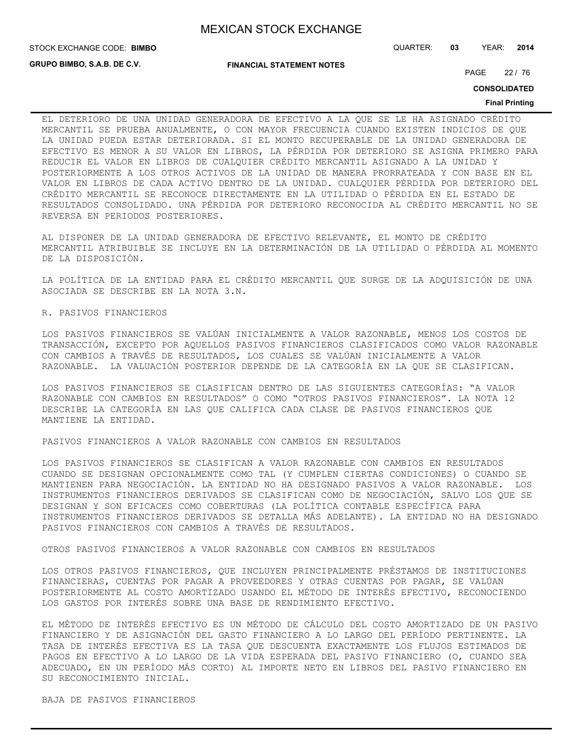**STOCK EXCHANGE CODE: BIMBO** 

**GRUPO BIMBO, S.A.B. DE C.V.**

**FINANCIAL STATEMENT NOTES**

STOCK EXCHANGE CODE: QUARTER: **03** YEAR: **2014**

PAGE 22 / 76

**CONSOLIDATED**

#### **Final Printing**

EL DETERIORO DE UNA UNIDAD GENERADORA DE EFECTIVO A LA QUE SE LE HA ASIGNADO CRÉDITO MERCANTIL SE PRUEBA ANUALMENTE, O CON MAYOR FRECUENCIA CUANDO EXISTEN INDICIOS DE QUE LA UNIDAD PUEDA ESTAR DETERIORADA. SI EL MONTO RECUPERABLE DE LA UNIDAD GENERADORA DE EFECTIVO ES MENOR A SU VALOR EN LIBROS, LA PÉRDIDA POR DETERIORO SE ASIGNA PRIMERO PARA REDUCIR EL VALOR EN LIBROS DE CUALQUIER CRÉDITO MERCANTIL ASIGNADO A LA UNIDAD Y POSTERIORMENTE A LOS OTROS ACTIVOS DE LA UNIDAD DE MANERA PRORRATEADA Y CON BASE EN EL VALOR EN LIBROS DE CADA ACTIVO DENTRO DE LA UNIDAD. CUALQUIER PÉRDIDA POR DETERIORO DEL CRÉDITO MERCANTIL SE RECONOCE DIRECTAMENTE EN LA UTILIDAD O PÉRDIDA EN EL ESTADO DE RESULTADOS CONSOLIDADO. UNA PÉRDIDA POR DETERIORO RECONOCIDA AL CRÉDITO MERCANTIL NO SE REVERSA EN PERIODOS POSTERIORES.

AL DISPONER DE LA UNIDAD GENERADORA DE EFECTIVO RELEVANTE, EL MONTO DE CRÉDITO MERCANTIL ATRIBUIBLE SE INCLUYE EN LA DETERMINACIÓN DE LA UTILIDAD O PÉRDIDA AL MOMENTO DE LA DISPOSICIÓN.

LA POLÍTICA DE LA ENTIDAD PARA EL CRÉDITO MERCANTIL QUE SURGE DE LA ADQUISICIÓN DE UNA ASOCIADA SE DESCRIBE EN LA NOTA 3.N.

#### R. PASIVOS FINANCIEROS

LOS PASIVOS FINANCIEROS SE VALÚAN INICIALMENTE A VALOR RAZONABLE, MENOS LOS COSTOS DE TRANSACCIÓN, EXCEPTO POR AQUELLOS PASIVOS FINANCIEROS CLASIFICADOS COMO VALOR RAZONABLE CON CAMBIOS A TRAVÉS DE RESULTADOS, LOS CUALES SE VALÚAN INICIALMENTE A VALOR RAZONABLE. LA VALUACIÓN POSTERIOR DEPENDE DE LA CATEGORÍA EN LA QUE SE CLASIFICAN.

LOS PASIVOS FINANCIEROS SE CLASIFICAN DENTRO DE LAS SIGUIENTES CATEGORÍAS: "A VALOR RAZONABLE CON CAMBIOS EN RESULTADOS" O COMO "OTROS PASIVOS FINANCIEROS". LA NOTA 12 DESCRIBE LA CATEGORÍA EN LAS QUE CALIFICA CADA CLASE DE PASIVOS FINANCIEROS QUE MANTIENE LA ENTIDAD.

PASIVOS FINANCIEROS A VALOR RAZONABLE CON CAMBIOS EN RESULTADOS

LOS PASIVOS FINANCIEROS SE CLASIFICAN A VALOR RAZONABLE CON CAMBIOS EN RESULTADOS CUANDO SE DESIGNAN OPCIONALMENTE COMO TAL (Y CUMPLEN CIERTAS CONDICIONES) O CUANDO SE MANTIENEN PARA NEGOCIACIÓN. LA ENTIDAD NO HA DESIGNADO PASIVOS A VALOR RAZONABLE. LOS INSTRUMENTOS FINANCIEROS DERIVADOS SE CLASIFICAN COMO DE NEGOCIACIÓN, SALVO LOS QUE SE DESIGNAN Y SON EFICACES COMO COBERTURAS (LA POLÍTICA CONTABLE ESPECÍFICA PARA INSTRUMENTOS FINANCIEROS DERIVADOS SE DETALLA MÁS ADELANTE). LA ENTIDAD NO HA DESIGNADO PASIVOS FINANCIEROS CON CAMBIOS A TRAVÉS DE RESULTADOS.

OTROS PASIVOS FINANCIEROS A VALOR RAZONABLE CON CAMBIOS EN RESULTADOS

LOS OTROS PASIVOS FINANCIEROS, QUE INCLUYEN PRINCIPALMENTE PRÉSTAMOS DE INSTITUCIONES FINANCIERAS, CUENTAS POR PAGAR A PROVEEDORES Y OTRAS CUENTAS POR PAGAR, SE VALÚAN POSTERIORMENTE AL COSTO AMORTIZADO USANDO EL MÉTODO DE INTERÉS EFECTIVO, RECONOCIENDO LOS GASTOS POR INTERÉS SOBRE UNA BASE DE RENDIMIENTO EFECTIVO.

EL MÉTODO DE INTERÉS EFECTIVO ES UN MÉTODO DE CÁLCULO DEL COSTO AMORTIZADO DE UN PASIVO FINANCIERO Y DE ASIGNACIÓN DEL GASTO FINANCIERO A LO LARGO DEL PERÍODO PERTINENTE. LA TASA DE INTERÉS EFECTIVA ES LA TASA QUE DESCUENTA EXACTAMENTE LOS FLUJOS ESTIMADOS DE PAGOS EN EFECTIVO A LO LARGO DE LA VIDA ESPERADA DEL PASIVO FINANCIERO (O, CUANDO SEA ADECUADO, EN UN PERÍODO MÁS CORTO) AL IMPORTE NETO EN LIBROS DEL PASIVO FINANCIERO EN SU RECONOCIMIENTO INICIAL.

BAJA DE PASIVOS FINANCIEROS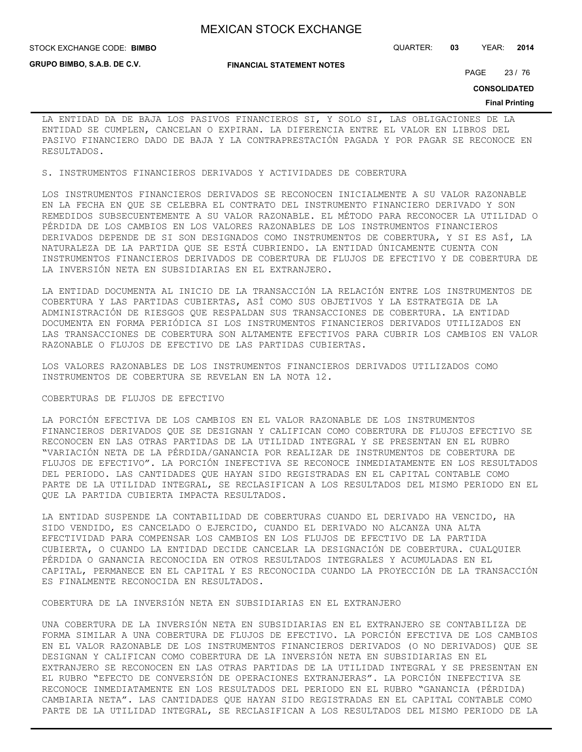**STOCK EXCHANGE CODE: BIMBO** 

**GRUPO BIMBO, S.A.B. DE C.V.**

**FINANCIAL STATEMENT NOTES**

STOCK EXCHANGE CODE: QUARTER: **03** YEAR: **2014**

PAGE 23 / 76

**CONSOLIDATED**

#### **Final Printing**

LA ENTIDAD DA DE BAJA LOS PASIVOS FINANCIEROS SI, Y SOLO SI, LAS OBLIGACIONES DE LA ENTIDAD SE CUMPLEN, CANCELAN O EXPIRAN. LA DIFERENCIA ENTRE EL VALOR EN LIBROS DEL PASIVO FINANCIERO DADO DE BAJA Y LA CONTRAPRESTACIÓN PAGADA Y POR PAGAR SE RECONOCE EN RESULTADOS.

S. INSTRUMENTOS FINANCIEROS DERIVADOS Y ACTIVIDADES DE COBERTURA

LOS INSTRUMENTOS FINANCIEROS DERIVADOS SE RECONOCEN INICIALMENTE A SU VALOR RAZONABLE EN LA FECHA EN QUE SE CELEBRA EL CONTRATO DEL INSTRUMENTO FINANCIERO DERIVADO Y SON REMEDIDOS SUBSECUENTEMENTE A SU VALOR RAZONABLE. EL MÉTODO PARA RECONOCER LA UTILIDAD O PÉRDIDA DE LOS CAMBIOS EN LOS VALORES RAZONABLES DE LOS INSTRUMENTOS FINANCIEROS DERIVADOS DEPENDE DE SI SON DESIGNADOS COMO INSTRUMENTOS DE COBERTURA, Y SI ES ASÍ, LA NATURALEZA DE LA PARTIDA QUE SE ESTÁ CUBRIENDO. LA ENTIDAD ÚNICAMENTE CUENTA CON INSTRUMENTOS FINANCIEROS DERIVADOS DE COBERTURA DE FLUJOS DE EFECTIVO Y DE COBERTURA DE LA INVERSIÓN NETA EN SUBSIDIARIAS EN EL EXTRANJERO.

LA ENTIDAD DOCUMENTA AL INICIO DE LA TRANSACCIÓN LA RELACIÓN ENTRE LOS INSTRUMENTOS DE COBERTURA Y LAS PARTIDAS CUBIERTAS, ASÍ COMO SUS OBJETIVOS Y LA ESTRATEGIA DE LA ADMINISTRACIÓN DE RIESGOS QUE RESPALDAN SUS TRANSACCIONES DE COBERTURA. LA ENTIDAD DOCUMENTA EN FORMA PERIÓDICA SI LOS INSTRUMENTOS FINANCIEROS DERIVADOS UTILIZADOS EN LAS TRANSACCIONES DE COBERTURA SON ALTAMENTE EFECTIVOS PARA CUBRIR LOS CAMBIOS EN VALOR RAZONABLE O FLUJOS DE EFECTIVO DE LAS PARTIDAS CUBIERTAS.

LOS VALORES RAZONABLES DE LOS INSTRUMENTOS FINANCIEROS DERIVADOS UTILIZADOS COMO INSTRUMENTOS DE COBERTURA SE REVELAN EN LA NOTA 12.

#### COBERTURAS DE FLUJOS DE EFECTIVO

LA PORCIÓN EFECTIVA DE LOS CAMBIOS EN EL VALOR RAZONABLE DE LOS INSTRUMENTOS FINANCIEROS DERIVADOS QUE SE DESIGNAN Y CALIFICAN COMO COBERTURA DE FLUJOS EFECTIVO SE RECONOCEN EN LAS OTRAS PARTIDAS DE LA UTILIDAD INTEGRAL Y SE PRESENTAN EN EL RUBRO "VARIACIÓN NETA DE LA PÉRDIDA/GANANCIA POR REALIZAR DE INSTRUMENTOS DE COBERTURA DE FLUJOS DE EFECTIVO". LA PORCIÓN INEFECTIVA SE RECONOCE INMEDIATAMENTE EN LOS RESULTADOS DEL PERIODO. LAS CANTIDADES QUE HAYAN SIDO REGISTRADAS EN EL CAPITAL CONTABLE COMO PARTE DE LA UTILIDAD INTEGRAL, SE RECLASIFICAN A LOS RESULTADOS DEL MISMO PERIODO EN EL QUE LA PARTIDA CUBIERTA IMPACTA RESULTADOS.

LA ENTIDAD SUSPENDE LA CONTABILIDAD DE COBERTURAS CUANDO EL DERIVADO HA VENCIDO, HA SIDO VENDIDO, ES CANCELADO O EJERCIDO, CUANDO EL DERIVADO NO ALCANZA UNA ALTA EFECTIVIDAD PARA COMPENSAR LOS CAMBIOS EN LOS FLUJOS DE EFECTIVO DE LA PARTIDA CUBIERTA, O CUANDO LA ENTIDAD DECIDE CANCELAR LA DESIGNACIÓN DE COBERTURA. CUALQUIER PÉRDIDA O GANANCIA RECONOCIDA EN OTROS RESULTADOS INTEGRALES Y ACUMULADAS EN EL CAPITAL, PERMANECE EN EL CAPITAL Y ES RECONOCIDA CUANDO LA PROYECCIÓN DE LA TRANSACCIÓN ES FINALMENTE RECONOCIDA EN RESULTADOS.

COBERTURA DE LA INVERSIÓN NETA EN SUBSIDIARIAS EN EL EXTRANJERO

UNA COBERTURA DE LA INVERSIÓN NETA EN SUBSIDIARIAS EN EL EXTRANJERO SE CONTABILIZA DE FORMA SIMILAR A UNA COBERTURA DE FLUJOS DE EFECTIVO. LA PORCIÓN EFECTIVA DE LOS CAMBIOS EN EL VALOR RAZONABLE DE LOS INSTRUMENTOS FINANCIEROS DERIVADOS (O NO DERIVADOS) QUE SE DESIGNAN Y CALIFICAN COMO COBERTURA DE LA INVERSIÓN NETA EN SUBSIDIARIAS EN EL EXTRANJERO SE RECONOCEN EN LAS OTRAS PARTIDAS DE LA UTILIDAD INTEGRAL Y SE PRESENTAN EN EL RUBRO "EFECTO DE CONVERSIÓN DE OPERACIONES EXTRANJERAS". LA PORCIÓN INEFECTIVA SE RECONOCE INMEDIATAMENTE EN LOS RESULTADOS DEL PERIODO EN EL RUBRO "GANANCIA (PÉRDIDA) CAMBIARIA NETA". LAS CANTIDADES QUE HAYAN SIDO REGISTRADAS EN EL CAPITAL CONTABLE COMO PARTE DE LA UTILIDAD INTEGRAL, SE RECLASIFICAN A LOS RESULTADOS DEL MISMO PERIODO DE LA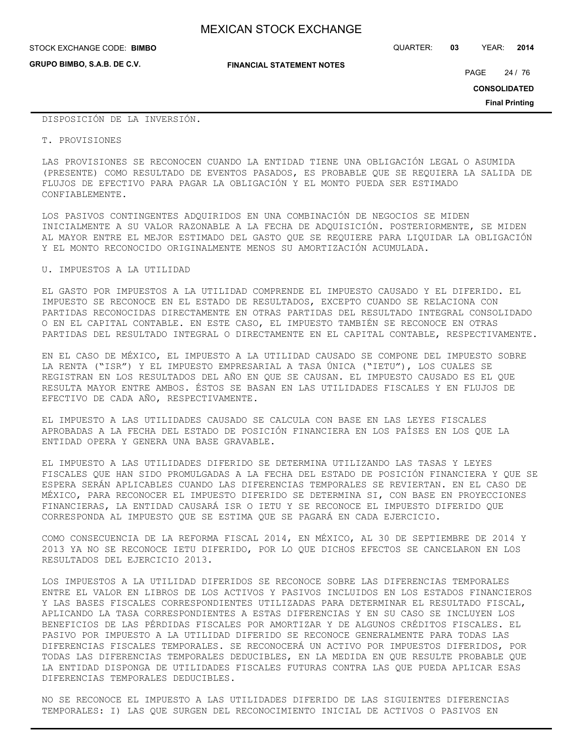**GRUPO BIMBO, S.A.B. DE C.V.**

STOCK EXCHANGE CODE: QUARTER: **03** YEAR: **2014 BIMBO**

**FINANCIAL STATEMENT NOTES**

PAGE 24 / 76

**CONSOLIDATED**

**Final Printing**

DISPOSICIÓN DE LA INVERSIÓN.

#### T. PROVISIONES

LAS PROVISIONES SE RECONOCEN CUANDO LA ENTIDAD TIENE UNA OBLIGACIÓN LEGAL O ASUMIDA (PRESENTE) COMO RESULTADO DE EVENTOS PASADOS, ES PROBABLE QUE SE REQUIERA LA SALIDA DE FLUJOS DE EFECTIVO PARA PAGAR LA OBLIGACIÓN Y EL MONTO PUEDA SER ESTIMADO CONFIABLEMENTE.

LOS PASIVOS CONTINGENTES ADQUIRIDOS EN UNA COMBINACIÓN DE NEGOCIOS SE MIDEN INICIALMENTE A SU VALOR RAZONABLE A LA FECHA DE ADQUISICIÓN. POSTERIORMENTE, SE MIDEN AL MAYOR ENTRE EL MEJOR ESTIMADO DEL GASTO QUE SE REQUIERE PARA LIQUIDAR LA OBLIGACIÓN Y EL MONTO RECONOCIDO ORIGINALMENTE MENOS SU AMORTIZACIÓN ACUMULADA.

## U. IMPUESTOS A LA UTILIDAD

EL GASTO POR IMPUESTOS A LA UTILIDAD COMPRENDE EL IMPUESTO CAUSADO Y EL DIFERIDO. EL IMPUESTO SE RECONOCE EN EL ESTADO DE RESULTADOS, EXCEPTO CUANDO SE RELACIONA CON PARTIDAS RECONOCIDAS DIRECTAMENTE EN OTRAS PARTIDAS DEL RESULTADO INTEGRAL CONSOLIDADO O EN EL CAPITAL CONTABLE. EN ESTE CASO, EL IMPUESTO TAMBIÉN SE RECONOCE EN OTRAS PARTIDAS DEL RESULTADO INTEGRAL O DIRECTAMENTE EN EL CAPITAL CONTABLE, RESPECTIVAMENTE.

EN EL CASO DE MÉXICO, EL IMPUESTO A LA UTILIDAD CAUSADO SE COMPONE DEL IMPUESTO SOBRE LA RENTA ("ISR") Y EL IMPUESTO EMPRESARIAL A TASA ÚNICA ("IETU"), LOS CUALES SE REGISTRAN EN LOS RESULTADOS DEL AÑO EN QUE SE CAUSAN. EL IMPUESTO CAUSADO ES EL QUE RESULTA MAYOR ENTRE AMBOS. ÉSTOS SE BASAN EN LAS UTILIDADES FISCALES Y EN FLUJOS DE EFECTIVO DE CADA AÑO, RESPECTIVAMENTE.

EL IMPUESTO A LAS UTILIDADES CAUSADO SE CALCULA CON BASE EN LAS LEYES FISCALES APROBADAS A LA FECHA DEL ESTADO DE POSICIÓN FINANCIERA EN LOS PAÍSES EN LOS QUE LA ENTIDAD OPERA Y GENERA UNA BASE GRAVABLE.

EL IMPUESTO A LAS UTILIDADES DIFERIDO SE DETERMINA UTILIZANDO LAS TASAS Y LEYES FISCALES QUE HAN SIDO PROMULGADAS A LA FECHA DEL ESTADO DE POSICIÓN FINANCIERA Y QUE SE ESPERA SERÁN APLICABLES CUANDO LAS DIFERENCIAS TEMPORALES SE REVIERTAN. EN EL CASO DE MÉXICO, PARA RECONOCER EL IMPUESTO DIFERIDO SE DETERMINA SI, CON BASE EN PROYECCIONES FINANCIERAS, LA ENTIDAD CAUSARÁ ISR O IETU Y SE RECONOCE EL IMPUESTO DIFERIDO QUE CORRESPONDA AL IMPUESTO QUE SE ESTIMA QUE SE PAGARÁ EN CADA EJERCICIO.

COMO CONSECUENCIA DE LA REFORMA FISCAL 2014, EN MÉXICO, AL 30 DE SEPTIEMBRE DE 2014 Y 2013 YA NO SE RECONOCE IETU DIFERIDO, POR LO QUE DICHOS EFECTOS SE CANCELARON EN LOS RESULTADOS DEL EJERCICIO 2013.

LOS IMPUESTOS A LA UTILIDAD DIFERIDOS SE RECONOCE SOBRE LAS DIFERENCIAS TEMPORALES ENTRE EL VALOR EN LIBROS DE LOS ACTIVOS Y PASIVOS INCLUIDOS EN LOS ESTADOS FINANCIEROS Y LAS BASES FISCALES CORRESPONDIENTES UTILIZADAS PARA DETERMINAR EL RESULTADO FISCAL, APLICANDO LA TASA CORRESPONDIENTES A ESTAS DIFERENCIAS Y EN SU CASO SE INCLUYEN LOS BENEFICIOS DE LAS PÉRDIDAS FISCALES POR AMORTIZAR Y DE ALGUNOS CRÉDITOS FISCALES. EL PASIVO POR IMPUESTO A LA UTILIDAD DIFERIDO SE RECONOCE GENERALMENTE PARA TODAS LAS DIFERENCIAS FISCALES TEMPORALES. SE RECONOCERÁ UN ACTIVO POR IMPUESTOS DIFERIDOS, POR TODAS LAS DIFERENCIAS TEMPORALES DEDUCIBLES, EN LA MEDIDA EN QUE RESULTE PROBABLE QUE LA ENTIDAD DISPONGA DE UTILIDADES FISCALES FUTURAS CONTRA LAS QUE PUEDA APLICAR ESAS DIFERENCIAS TEMPORALES DEDUCIBLES.

NO SE RECONOCE EL IMPUESTO A LAS UTILIDADES DIFERIDO DE LAS SIGUIENTES DIFERENCIAS TEMPORALES: I) LAS QUE SURGEN DEL RECONOCIMIENTO INICIAL DE ACTIVOS O PASIVOS EN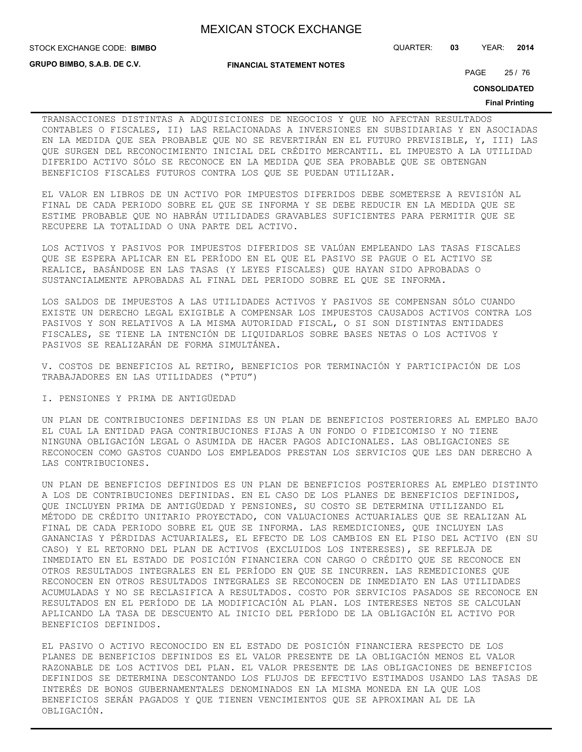STOCK EXCHANGE CODE: QUARTER: **03** YEAR: **2014 BIMBO**

**GRUPO BIMBO, S.A.B. DE C.V.**

**FINANCIAL STATEMENT NOTES**

PAGE 25 / 76

**CONSOLIDATED**

#### **Final Printing**

TRANSACCIONES DISTINTAS A ADQUISICIONES DE NEGOCIOS Y QUE NO AFECTAN RESULTADOS CONTABLES O FISCALES, II) LAS RELACIONADAS A INVERSIONES EN SUBSIDIARIAS Y EN ASOCIADAS EN LA MEDIDA QUE SEA PROBABLE QUE NO SE REVERTIRÁN EN EL FUTURO PREVISIBLE, Y, III) LAS QUE SURGEN DEL RECONOCIMIENTO INICIAL DEL CRÉDITO MERCANTIL. EL IMPUESTO A LA UTILIDAD DIFERIDO ACTIVO SÓLO SE RECONOCE EN LA MEDIDA QUE SEA PROBABLE QUE SE OBTENGAN BENEFICIOS FISCALES FUTUROS CONTRA LOS QUE SE PUEDAN UTILIZAR.

EL VALOR EN LIBROS DE UN ACTIVO POR IMPUESTOS DIFERIDOS DEBE SOMETERSE A REVISIÓN AL FINAL DE CADA PERIODO SOBRE EL QUE SE INFORMA Y SE DEBE REDUCIR EN LA MEDIDA QUE SE ESTIME PROBABLE QUE NO HABRÁN UTILIDADES GRAVABLES SUFICIENTES PARA PERMITIR QUE SE RECUPERE LA TOTALIDAD O UNA PARTE DEL ACTIVO.

LOS ACTIVOS Y PASIVOS POR IMPUESTOS DIFERIDOS SE VALÚAN EMPLEANDO LAS TASAS FISCALES QUE SE ESPERA APLICAR EN EL PERÍODO EN EL QUE EL PASIVO SE PAGUE O EL ACTIVO SE REALICE, BASÁNDOSE EN LAS TASAS (Y LEYES FISCALES) QUE HAYAN SIDO APROBADAS O SUSTANCIALMENTE APROBADAS AL FINAL DEL PERIODO SOBRE EL QUE SE INFORMA.

LOS SALDOS DE IMPUESTOS A LAS UTILIDADES ACTIVOS Y PASIVOS SE COMPENSAN SÓLO CUANDO EXISTE UN DERECHO LEGAL EXIGIBLE A COMPENSAR LOS IMPUESTOS CAUSADOS ACTIVOS CONTRA LOS PASIVOS Y SON RELATIVOS A LA MISMA AUTORIDAD FISCAL, O SI SON DISTINTAS ENTIDADES FISCALES, SE TIENE LA INTENCIÓN DE LIQUIDARLOS SOBRE BASES NETAS O LOS ACTIVOS Y PASIVOS SE REALIZARÁN DE FORMA SIMULTÁNEA.

V. COSTOS DE BENEFICIOS AL RETIRO, BENEFICIOS POR TERMINACIÓN Y PARTICIPACIÓN DE LOS TRABAJADORES EN LAS UTILIDADES ("PTU")

I. PENSIONES Y PRIMA DE ANTIGÜEDAD

UN PLAN DE CONTRIBUCIONES DEFINIDAS ES UN PLAN DE BENEFICIOS POSTERIORES AL EMPLEO BAJO EL CUAL LA ENTIDAD PAGA CONTRIBUCIONES FIJAS A UN FONDO O FIDEICOMISO Y NO TIENE NINGUNA OBLIGACIÓN LEGAL O ASUMIDA DE HACER PAGOS ADICIONALES. LAS OBLIGACIONES SE RECONOCEN COMO GASTOS CUANDO LOS EMPLEADOS PRESTAN LOS SERVICIOS QUE LES DAN DERECHO A LAS CONTRIBUCIONES.

UN PLAN DE BENEFICIOS DEFINIDOS ES UN PLAN DE BENEFICIOS POSTERIORES AL EMPLEO DISTINTO A LOS DE CONTRIBUCIONES DEFINIDAS. EN EL CASO DE LOS PLANES DE BENEFICIOS DEFINIDOS, QUE INCLUYEN PRIMA DE ANTIGÜEDAD Y PENSIONES, SU COSTO SE DETERMINA UTILIZANDO EL MÉTODO DE CRÉDITO UNITARIO PROYECTADO, CON VALUACIONES ACTUARIALES QUE SE REALIZAN AL FINAL DE CADA PERIODO SOBRE EL QUE SE INFORMA. LAS REMEDICIONES, QUE INCLUYEN LAS GANANCIAS Y PÉRDIDAS ACTUARIALES, EL EFECTO DE LOS CAMBIOS EN EL PISO DEL ACTIVO (EN SU CASO) Y EL RETORNO DEL PLAN DE ACTIVOS (EXCLUIDOS LOS INTERESES), SE REFLEJA DE INMEDIATO EN EL ESTADO DE POSICIÓN FINANCIERA CON CARGO O CRÉDITO QUE SE RECONOCE EN OTROS RESULTADOS INTEGRALES EN EL PERÍODO EN QUE SE INCURREN. LAS REMEDICIONES QUE RECONOCEN EN OTROS RESULTADOS INTEGRALES SE RECONOCEN DE INMEDIATO EN LAS UTILIDADES ACUMULADAS Y NO SE RECLASIFICA A RESULTADOS. COSTO POR SERVICIOS PASADOS SE RECONOCE EN RESULTADOS EN EL PERÍODO DE LA MODIFICACIÓN AL PLAN. LOS INTERESES NETOS SE CALCULAN APLICANDO LA TASA DE DESCUENTO AL INICIO DEL PERÍODO DE LA OBLIGACIÓN EL ACTIVO POR BENEFICIOS DEFINIDOS.

EL PASIVO O ACTIVO RECONOCIDO EN EL ESTADO DE POSICIÓN FINANCIERA RESPECTO DE LOS PLANES DE BENEFICIOS DEFINIDOS ES EL VALOR PRESENTE DE LA OBLIGACIÓN MENOS EL VALOR RAZONABLE DE LOS ACTIVOS DEL PLAN. EL VALOR PRESENTE DE LAS OBLIGACIONES DE BENEFICIOS DEFINIDOS SE DETERMINA DESCONTANDO LOS FLUJOS DE EFECTIVO ESTIMADOS USANDO LAS TASAS DE INTERÉS DE BONOS GUBERNAMENTALES DENOMINADOS EN LA MISMA MONEDA EN LA QUE LOS BENEFICIOS SERÁN PAGADOS Y QUE TIENEN VENCIMIENTOS QUE SE APROXIMAN AL DE LA OBLIGACIÓN.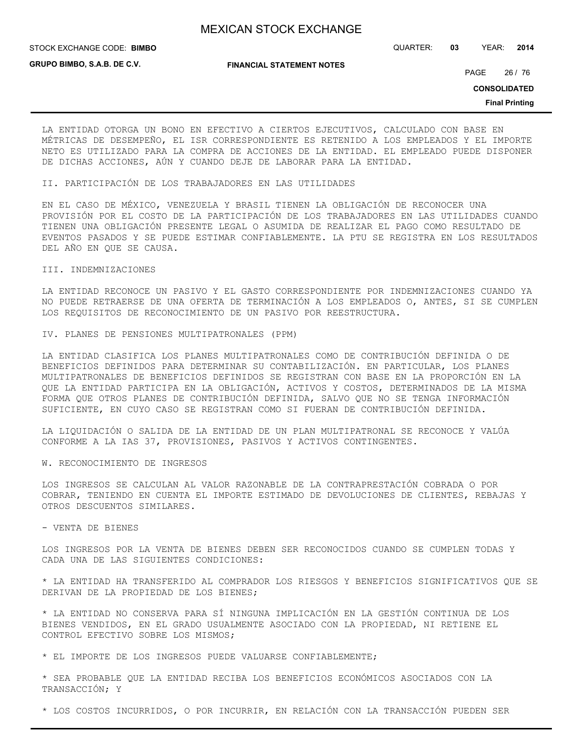STOCK EXCHANGE CODE: QUARTER: **03** YEAR: **2014 BIMBO**

**GRUPO BIMBO, S.A.B. DE C.V.**

**FINANCIAL STATEMENT NOTES**

PAGE 26 / 76

**CONSOLIDATED**

**Final Printing**

LA ENTIDAD OTORGA UN BONO EN EFECTIVO A CIERTOS EJECUTIVOS, CALCULADO CON BASE EN MÉTRICAS DE DESEMPEÑO, EL ISR CORRESPONDIENTE ES RETENIDO A LOS EMPLEADOS Y EL IMPORTE NETO ES UTILIZADO PARA LA COMPRA DE ACCIONES DE LA ENTIDAD. EL EMPLEADO PUEDE DISPONER DE DICHAS ACCIONES, AÚN Y CUANDO DEJE DE LABORAR PARA LA ENTIDAD.

II. PARTICIPACIÓN DE LOS TRABAJADORES EN LAS UTILIDADES

EN EL CASO DE MÉXICO, VENEZUELA Y BRASIL TIENEN LA OBLIGACIÓN DE RECONOCER UNA PROVISIÓN POR EL COSTO DE LA PARTICIPACIÓN DE LOS TRABAJADORES EN LAS UTILIDADES CUANDO TIENEN UNA OBLIGACIÓN PRESENTE LEGAL O ASUMIDA DE REALIZAR EL PAGO COMO RESULTADO DE EVENTOS PASADOS Y SE PUEDE ESTIMAR CONFIABLEMENTE. LA PTU SE REGISTRA EN LOS RESULTADOS DEL AÑO EN QUE SE CAUSA.

## III. INDEMNIZACIONES

LA ENTIDAD RECONOCE UN PASIVO Y EL GASTO CORRESPONDIENTE POR INDEMNIZACIONES CUANDO YA NO PUEDE RETRAERSE DE UNA OFERTA DE TERMINACIÓN A LOS EMPLEADOS O, ANTES, SI SE CUMPLEN LOS REQUISITOS DE RECONOCIMIENTO DE UN PASIVO POR REESTRUCTURA.

IV. PLANES DE PENSIONES MULTIPATRONALES (PPM)

LA ENTIDAD CLASIFICA LOS PLANES MULTIPATRONALES COMO DE CONTRIBUCIÓN DEFINIDA O DE BENEFICIOS DEFINIDOS PARA DETERMINAR SU CONTABILIZACIÓN. EN PARTICULAR, LOS PLANES MULTIPATRONALES DE BENEFICIOS DEFINIDOS SE REGISTRAN CON BASE EN LA PROPORCIÓN EN LA QUE LA ENTIDAD PARTICIPA EN LA OBLIGACIÓN, ACTIVOS Y COSTOS, DETERMINADOS DE LA MISMA FORMA QUE OTROS PLANES DE CONTRIBUCIÓN DEFINIDA, SALVO QUE NO SE TENGA INFORMACIÓN SUFICIENTE, EN CUYO CASO SE REGISTRAN COMO SI FUERAN DE CONTRIBUCIÓN DEFINIDA.

LA LIQUIDACIÓN O SALIDA DE LA ENTIDAD DE UN PLAN MULTIPATRONAL SE RECONOCE Y VALÚA CONFORME A LA IAS 37, PROVISIONES, PASIVOS Y ACTIVOS CONTINGENTES.

W. RECONOCIMIENTO DE INGRESOS

LOS INGRESOS SE CALCULAN AL VALOR RAZONABLE DE LA CONTRAPRESTACIÓN COBRADA O POR COBRAR, TENIENDO EN CUENTA EL IMPORTE ESTIMADO DE DEVOLUCIONES DE CLIENTES, REBAJAS Y OTROS DESCUENTOS SIMILARES.

### - VENTA DE BIENES

LOS INGRESOS POR LA VENTA DE BIENES DEBEN SER RECONOCIDOS CUANDO SE CUMPLEN TODAS Y CADA UNA DE LAS SIGUIENTES CONDICIONES:

\* LA ENTIDAD HA TRANSFERIDO AL COMPRADOR LOS RIESGOS Y BENEFICIOS SIGNIFICATIVOS QUE SE DERIVAN DE LA PROPIEDAD DE LOS BIENES;

\* LA ENTIDAD NO CONSERVA PARA SÍ NINGUNA IMPLICACIÓN EN LA GESTIÓN CONTINUA DE LOS BIENES VENDIDOS, EN EL GRADO USUALMENTE ASOCIADO CON LA PROPIEDAD, NI RETIENE EL CONTROL EFECTIVO SOBRE LOS MISMOS;

\* EL IMPORTE DE LOS INGRESOS PUEDE VALUARSE CONFIABLEMENTE;

\* SEA PROBABLE QUE LA ENTIDAD RECIBA LOS BENEFICIOS ECONÓMICOS ASOCIADOS CON LA TRANSACCIÓN; Y

\* LOS COSTOS INCURRIDOS, O POR INCURRIR, EN RELACIÓN CON LA TRANSACCIÓN PUEDEN SER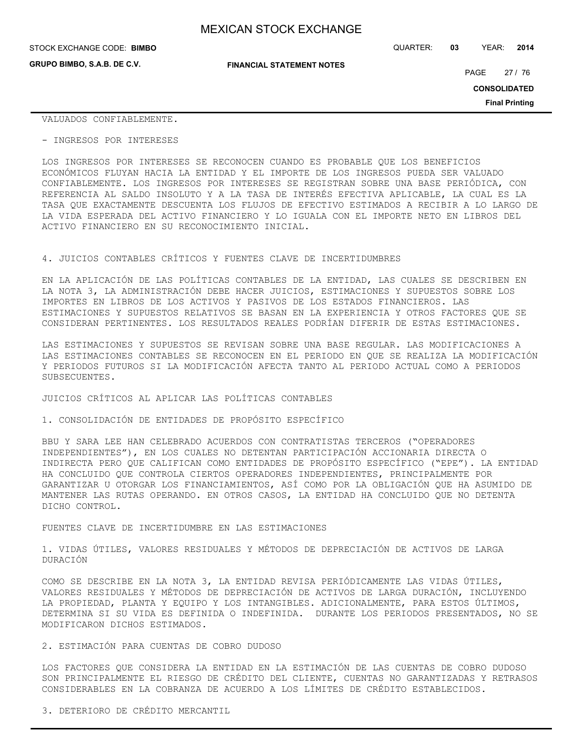**GRUPO BIMBO, S.A.B. DE C.V.**

STOCK EXCHANGE CODE: QUARTER: **03** YEAR: **2014 BIMBO**

**FINANCIAL STATEMENT NOTES**

PAGE 27 / 76

**CONSOLIDATED**

**Final Printing**

VALUADOS CONFIABLEMENTE.

- INGRESOS POR INTERESES

LOS INGRESOS POR INTERESES SE RECONOCEN CUANDO ES PROBABLE QUE LOS BENEFICIOS ECONÓMICOS FLUYAN HACIA LA ENTIDAD Y EL IMPORTE DE LOS INGRESOS PUEDA SER VALUADO CONFIABLEMENTE. LOS INGRESOS POR INTERESES SE REGISTRAN SOBRE UNA BASE PERIÓDICA, CON REFERENCIA AL SALDO INSOLUTO Y A LA TASA DE INTERÉS EFECTIVA APLICABLE, LA CUAL ES LA TASA QUE EXACTAMENTE DESCUENTA LOS FLUJOS DE EFECTIVO ESTIMADOS A RECIBIR A LO LARGO DE LA VIDA ESPERADA DEL ACTIVO FINANCIERO Y LO IGUALA CON EL IMPORTE NETO EN LIBROS DEL ACTIVO FINANCIERO EN SU RECONOCIMIENTO INICIAL.

#### 4. JUICIOS CONTABLES CRÍTICOS Y FUENTES CLAVE DE INCERTIDUMBRES

EN LA APLICACIÓN DE LAS POLÍTICAS CONTABLES DE LA ENTIDAD, LAS CUALES SE DESCRIBEN EN LA NOTA 3, LA ADMINISTRACIÓN DEBE HACER JUICIOS, ESTIMACIONES Y SUPUESTOS SOBRE LOS IMPORTES EN LIBROS DE LOS ACTIVOS Y PASIVOS DE LOS ESTADOS FINANCIEROS. LAS ESTIMACIONES Y SUPUESTOS RELATIVOS SE BASAN EN LA EXPERIENCIA Y OTROS FACTORES QUE SE CONSIDERAN PERTINENTES. LOS RESULTADOS REALES PODRÍAN DIFERIR DE ESTAS ESTIMACIONES.

LAS ESTIMACIONES Y SUPUESTOS SE REVISAN SOBRE UNA BASE REGULAR. LAS MODIFICACIONES A LAS ESTIMACIONES CONTABLES SE RECONOCEN EN EL PERIODO EN QUE SE REALIZA LA MODIFICACIÓN Y PERIODOS FUTUROS SI LA MODIFICACIÓN AFECTA TANTO AL PERIODO ACTUAL COMO A PERIODOS SUBSECUENTES.

JUICIOS CRÍTICOS AL APLICAR LAS POLÍTICAS CONTABLES

1. CONSOLIDACIÓN DE ENTIDADES DE PROPÓSITO ESPECÍFICO

BBU Y SARA LEE HAN CELEBRADO ACUERDOS CON CONTRATISTAS TERCEROS ("OPERADORES INDEPENDIENTES"), EN LOS CUALES NO DETENTAN PARTICIPACIÓN ACCIONARIA DIRECTA O INDIRECTA PERO QUE CALIFICAN COMO ENTIDADES DE PROPÓSITO ESPECÍFICO ("EPE"). LA ENTIDAD HA CONCLUIDO QUE CONTROLA CIERTOS OPERADORES INDEPENDIENTES, PRINCIPALMENTE POR GARANTIZAR U OTORGAR LOS FINANCIAMIENTOS, ASÍ COMO POR LA OBLIGACIÓN QUE HA ASUMIDO DE MANTENER LAS RUTAS OPERANDO. EN OTROS CASOS, LA ENTIDAD HA CONCLUIDO QUE NO DETENTA DICHO CONTROL.

### FUENTES CLAVE DE INCERTIDUMBRE EN LAS ESTIMACIONES

1. VIDAS ÚTILES, VALORES RESIDUALES Y MÉTODOS DE DEPRECIACIÓN DE ACTIVOS DE LARGA DURACIÓN

COMO SE DESCRIBE EN LA NOTA 3, LA ENTIDAD REVISA PERIÓDICAMENTE LAS VIDAS ÚTILES, VALORES RESIDUALES Y MÉTODOS DE DEPRECIACIÓN DE ACTIVOS DE LARGA DURACIÓN, INCLUYENDO LA PROPIEDAD, PLANTA Y EQUIPO Y LOS INTANGIBLES. ADICIONALMENTE, PARA ESTOS ÚLTIMOS, DETERMINA SI SU VIDA ES DEFINIDA O INDEFINIDA. DURANTE LOS PERIODOS PRESENTADOS, NO SE MODIFICARON DICHOS ESTIMADOS.

#### 2. ESTIMACIÓN PARA CUENTAS DE COBRO DUDOSO

LOS FACTORES QUE CONSIDERA LA ENTIDAD EN LA ESTIMACIÓN DE LAS CUENTAS DE COBRO DUDOSO SON PRINCIPALMENTE EL RIESGO DE CRÉDITO DEL CLIENTE, CUENTAS NO GARANTIZADAS Y RETRASOS CONSIDERABLES EN LA COBRANZA DE ACUERDO A LOS LÍMITES DE CRÉDITO ESTABLECIDOS.

3. DETERIORO DE CRÉDITO MERCANTIL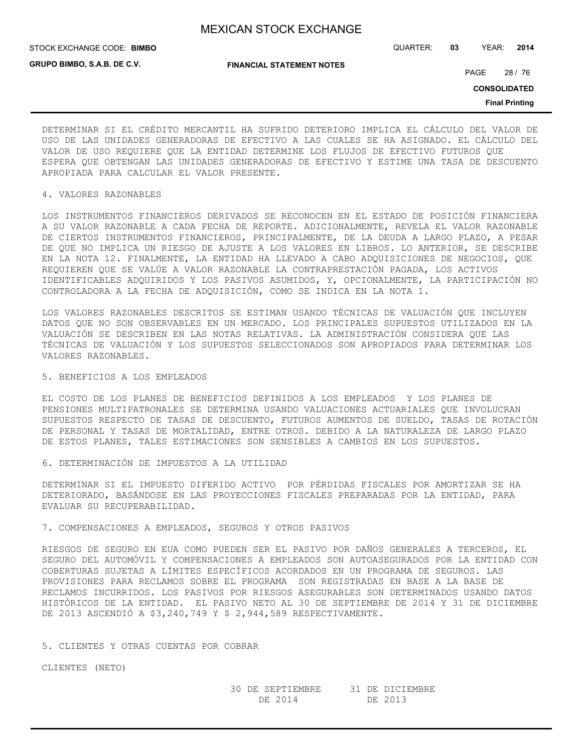STOCK EXCHANGE CODE: QUARTER: **03** YEAR: **2014 BIMBO**

**GRUPO BIMBO, S.A.B. DE C.V.**

**FINANCIAL STATEMENT NOTES**

PAGE 28 / 76

**CONSOLIDATED**

**Final Printing**

DETERMINAR SI EL CRÉDITO MERCANTIL HA SUFRIDO DETERIORO IMPLICA EL CÁLCULO DEL VALOR DE USO DE LAS UNIDADES GENERADORAS DE EFECTIVO A LAS CUALES SE HA ASIGNADO. EL CÁLCULO DEL VALOR DE USO REQUIERE QUE LA ENTIDAD DETERMINE LOS FLUJOS DE EFECTIVO FUTUROS QUE ESPERA QUE OBTENGAN LAS UNIDADES GENERADORAS DE EFECTIVO Y ESTIME UNA TASA DE DESCUENTO APROPIADA PARA CALCULAR EL VALOR PRESENTE.

## 4. VALORES RAZONABLES

LOS INSTRUMENTOS FINANCIEROS DERIVADOS SE RECONOCEN EN EL ESTADO DE POSICIÓN FINANCIERA A SU VALOR RAZONABLE A CADA FECHA DE REPORTE. ADICIONALMENTE, REVELA EL VALOR RAZONABLE DE CIERTOS INSTRUMENTOS FINANCIEROS, PRINCIPALMENTE, DE LA DEUDA A LARGO PLAZO, A PESAR DE QUE NO IMPLICA UN RIESGO DE AJUSTE A LOS VALORES EN LIBROS. LO ANTERIOR, SE DESCRIBE EN LA NOTA 12. FINALMENTE, LA ENTIDAD HA LLEVADO A CABO ADQUISICIONES DE NEGOCIOS, QUE REQUIEREN QUE SE VALÚE A VALOR RAZONABLE LA CONTRAPRESTACIÓN PAGADA, LOS ACTIVOS IDENTIFICABLES ADQUIRIDOS Y LOS PASIVOS ASUMIDOS, Y, OPCIONALMENTE, LA PARTICIPACIÓN NO CONTROLADORA A LA FECHA DE ADQUISICIÓN, COMO SE INDICA EN LA NOTA 1.

LOS VALORES RAZONABLES DESCRITOS SE ESTIMAN USANDO TÉCNICAS DE VALUACIÓN QUE INCLUYEN DATOS QUE NO SON OBSERVABLES EN UN MERCADO. LOS PRINCIPALES SUPUESTOS UTILIZADOS EN LA VALUACIÓN SE DESCRIBEN EN LAS NOTAS RELATIVAS. LA ADMINISTRACIÓN CONSIDERA QUE LAS TÉCNICAS DE VALUACIÓN Y LOS SUPUESTOS SELECCIONADOS SON APROPIADOS PARA DETERMINAR LOS VALORES RAZONABLES.

#### 5. BENEFICIOS A LOS EMPLEADOS

EL COSTO DE LOS PLANES DE BENEFICIOS DEFINIDOS A LOS EMPLEADOS Y LOS PLANES DE PENSIONES MULTIPATRONALES SE DETERMINA USANDO VALUACIONES ACTUARIALES QUE INVOLUCRAN SUPUESTOS RESPECTO DE TASAS DE DESCUENTO, FUTUROS AUMENTOS DE SUELDO, TASAS DE ROTACIÓN DE PERSONAL Y TASAS DE MORTALIDAD, ENTRE OTROS. DEBIDO A LA NATURALEZA DE LARGO PLAZO DE ESTOS PLANES, TALES ESTIMACIONES SON SENSIBLES A CAMBIOS EN LOS SUPUESTOS.

6. DETERMINACIÓN DE IMPUESTOS A LA UTILIDAD

DETERMINAR SI EL IMPUESTO DIFERIDO ACTIVO POR PÉRDIDAS FISCALES POR AMORTIZAR SE HA DETERIORADO, BASÁNDOSE EN LAS PROYECCIONES FISCALES PREPARADAS POR LA ENTIDAD, PARA EVALUAR SU RECUPERABILIDAD.

## 7. COMPENSACIONES A EMPLEADOS, SEGUROS Y OTROS PASIVOS

RIESGOS DE SEGURO EN EUA COMO PUEDEN SER EL PASIVO POR DAÑOS GENERALES A TERCEROS, EL SEGURO DEL AUTOMÓVIL Y COMPENSACIONES A EMPLEADOS SON AUTOASEGURADOS POR LA ENTIDAD CON COBERTURAS SUJETAS A LÍMITES ESPECÍFICOS ACORDADOS EN UN PROGRAMA DE SEGUROS. LAS PROVISIONES PARA RECLAMOS SOBRE EL PROGRAMA SON REGISTRADAS EN BASE A LA BASE DE RECLAMOS INCURRIDOS. LOS PASIVOS POR RIESGOS ASEGURABLES SON DETERMINADOS USANDO DATOS HISTÓRICOS DE LA ENTIDAD. EL PASIVO NETO AL 30 DE SEPTIEMBRE DE 2014 Y 31 DE DICIEMBRE DE 2013 ASCENDIÓ A \$3,240,749 Y \$ 2,944,589 RESPECTIVAMENTE.

#### 5. CLIENTES Y OTRAS CUENTAS POR COBRAR

CLIENTES (NETO)

 30 DE SEPTIEMBRE 31 DE DICIEMBRE DE 2014 DE 2013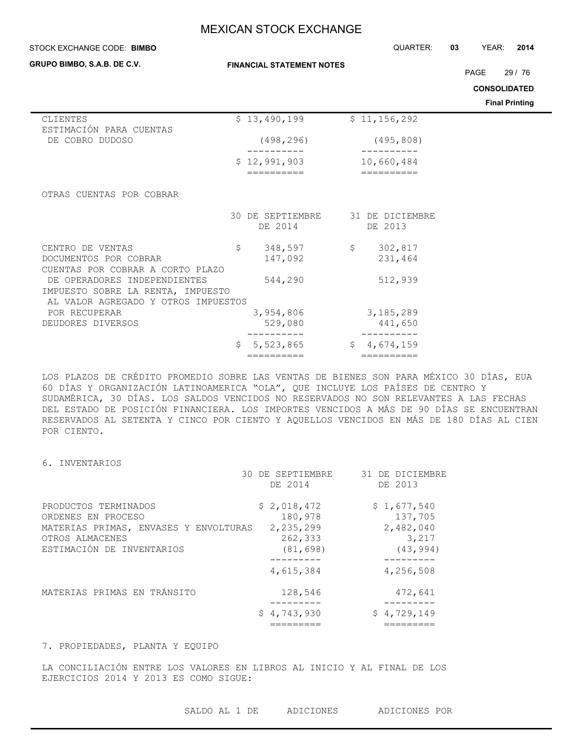| STOCK EXCHANGE CODE: BIMBO                                                                               |                                  |                             |              | QUARTER:                   | 03 | YEAR:               | 2014                  |
|----------------------------------------------------------------------------------------------------------|----------------------------------|-----------------------------|--------------|----------------------------|----|---------------------|-----------------------|
| GRUPO BIMBO, S.A.B. DE C.V.                                                                              | <b>FINANCIAL STATEMENT NOTES</b> |                             |              |                            |    | <b>PAGE</b>         | 29/76                 |
|                                                                                                          |                                  |                             |              |                            |    | <b>CONSOLIDATED</b> |                       |
|                                                                                                          |                                  |                             |              |                            |    |                     | <b>Final Printing</b> |
| CLIENTES                                                                                                 |                                  | \$13,490,199                |              | \$11,156,292               |    |                     |                       |
| ESTIMACIÓN PARA CUENTAS<br>DE COBRO DUDOSO                                                               |                                  | (498, 296)                  |              | (495, 808)                 |    |                     |                       |
|                                                                                                          |                                  | \$12,991,903<br>----------  |              | 10,660,484<br>----------   |    |                     |                       |
| OTRAS CUENTAS POR COBRAR                                                                                 |                                  | 30 DE SEPTIEMBRE<br>DE 2014 |              | 31 DE DICIEMBRE<br>DE 2013 |    |                     |                       |
| CENTRO DE VENTAS<br>DOCUMENTOS POR COBRAR<br>CUENTAS POR COBRAR A CORTO PLAZO                            | \$                               | 348,597<br>147,092          | $\mathsf{S}$ | 302,817<br>231,464         |    |                     |                       |
| DE OPERADORES INDEPENDIENTES<br>IMPUESTO SOBRE LA RENTA, IMPUESTO<br>AL VALOR AGREGADO Y OTROS IMPUESTOS |                                  | 544,290                     |              | 512,939                    |    |                     |                       |
| POR RECUPERAR<br>DEUDORES DIVERSOS                                                                       |                                  | 3,954,806<br>529,080        |              | 3,185,289<br>441,650       |    |                     |                       |
|                                                                                                          | \$                               | 5,523,865                   | \$           | 4,674,159                  |    |                     |                       |

LOS PLAZOS DE CRÉDITO PROMEDIO SOBRE LAS VENTAS DE BIENES SON PARA MÉXICO 30 DÍAS, EUA 60 DÍAS Y ORGANIZACIÓN LATINOAMERICA "OLA", QUE INCLUYE LOS PAÍSES DE CENTRO Y SUDAMÉRICA, 30 DÍAS. LOS SALDOS VENCIDOS NO RESERVADOS NO SON RELEVANTES A LAS FECHAS DEL ESTADO DE POSICIÓN FINANCIERA. LOS IMPORTES VENCIDOS A MÁS DE 90 DÍAS SE ENCUENTRAN RESERVADOS AL SETENTA Y CINCO POR CIENTO Y AQUELLOS VENCIDOS EN MÁS DE 180 DÍAS AL CIEN POR CIENTO.

6. INVENTARIOS

|                                                                                                                                     | 30 DE SEPTIEMBRE<br>DE 2014                                 | 31 DE DICIEMBRE<br>DE 2013                                |
|-------------------------------------------------------------------------------------------------------------------------------------|-------------------------------------------------------------|-----------------------------------------------------------|
| PRODUCTOS TERMINADOS<br>ORDENES EN PROCESO<br>MATERIAS PRIMAS, ENVASES Y ENVOLTURAS<br>OTROS ALMACENES<br>ESTIMACIÓN DE INVENTARIOS | \$2,018,472<br>180,978<br>2,235,299<br>262,333<br>(81, 698) | \$1,677,540<br>137,705<br>2,482,040<br>3,217<br>(43, 994) |
|                                                                                                                                     | 4,615,384                                                   | 4,256,508                                                 |
| MATERIAS PRIMAS EN TRÁNSITO                                                                                                         | 128,546                                                     | 472,641<br>--------                                       |
|                                                                                                                                     | \$4,743,930                                                 | \$4,729,149                                               |

========== ==========

## 7. PROPIEDADES, PLANTA Y EQUIPO

LA CONCILIACIÓN ENTRE LOS VALORES EN LIBROS AL INICIO Y AL FINAL DE LOS EJERCICIOS 2014 Y 2013 ES COMO SIGUE: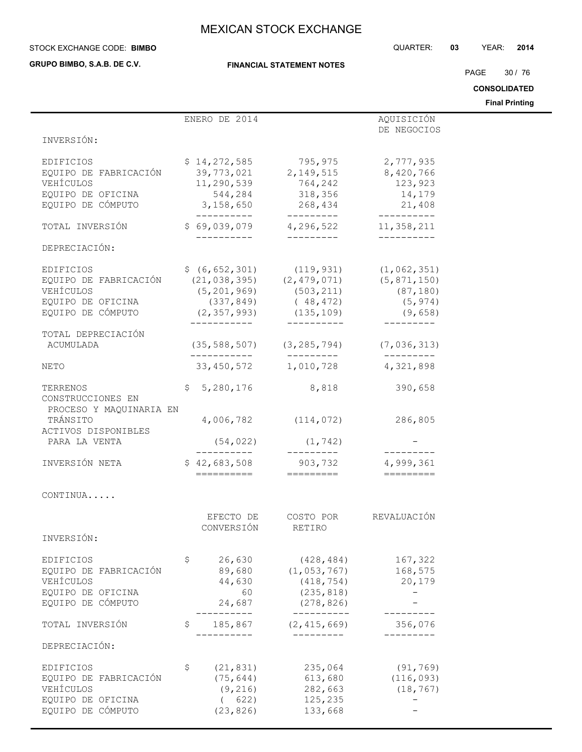**GRUPO BIMBO, S.A.B. DE C.V.**

### **FINANCIAL STATEMENT NOTES**

STOCK EXCHANGE CODE: QUARTER: **03** YEAR: **2014 BIMBO**

PAGE 30 / 76

**CONSOLIDATED**

**Final Printing**

|                                                                                                             | ENERO DE 2014                                                                                                               |                                                                                                                                | AQUISICIÓN                                        |  |
|-------------------------------------------------------------------------------------------------------------|-----------------------------------------------------------------------------------------------------------------------------|--------------------------------------------------------------------------------------------------------------------------------|---------------------------------------------------|--|
|                                                                                                             |                                                                                                                             |                                                                                                                                | DE NEGOCIOS                                       |  |
| INVERSIÓN:                                                                                                  |                                                                                                                             |                                                                                                                                |                                                   |  |
| EDIFICIOS<br>EQUIPO DE FABRICACIÓN<br>VEHÍCULOS<br>EQUIPO DE OFICINA<br>EQUIPO DE CÓMPUTO 3,158,650 268,434 | 11,290,539                                                                                                                  | $$14,272,585$<br>39,773,021<br>2,149,515<br>8,420,766<br>39,773,021<br>32,149,515<br>3,420,766<br>764,242<br>544, 284 318, 356 | 123,923<br>14,179<br>21,408                       |  |
| TOTAL INVERSIÓN                                                                                             | $$69,039,079$ $4,296,522$<br>__________                                                                                     | ----------                                                                                                                     | $- - - - - - - - - -$<br>11,358,211<br>__________ |  |
| DEPRECIACIÓN:                                                                                               |                                                                                                                             |                                                                                                                                |                                                   |  |
| EDIFICIOS<br>EQUIPO DE FABRICACIÓN<br>VEHÍCULOS<br>EQUIPO DE OFICINA<br>EQUIPO DE CÓMPUTO                   | $(21, 038, 395)$ $(2, 479, 071)$<br>$(5, 201, 969)$ $(503, 211)$<br>$(2, 357, 993)$ $(135, 109)$ $(9, 658)$<br>------------ | $$ (6, 652, 301)$ (119, 931) (1, 062, 351)<br>$(337, 849)$ $(48, 472)$<br>__________                                           | (5, 871, 150)<br>(87, 180)<br>(5, 974)            |  |
| TOTAL DEPRECIACIÓN<br>ACUMULADA                                                                             |                                                                                                                             | $(35, 588, 507)$ $(3, 285, 794)$ $(7, 036, 313)$                                                                               |                                                   |  |
| NETO                                                                                                        |                                                                                                                             | —————————<br>33,450,572 1,010,728                                                                                              | ----------<br>4,321,898                           |  |
| TERRENOS<br>CONSTRUCCIONES EN<br>PROCESO Y MAQUINARIA EN                                                    | \$5,280,176                                                                                                                 | 8,818                                                                                                                          | 390,658                                           |  |
| TRÁNSITO<br>ACTIVOS DISPONIBLES                                                                             |                                                                                                                             | 4,006,782 (114,072) 286,805                                                                                                    |                                                   |  |
| PARA LA VENTA                                                                                               | (54, 022)<br>-----------                                                                                                    | (1, 742)<br>__________                                                                                                         |                                                   |  |
| INVERSIÓN NETA                                                                                              | $$42,683,508$ 903,732                                                                                                       |                                                                                                                                | 4,999,361                                         |  |
| CONTINUA                                                                                                    |                                                                                                                             |                                                                                                                                |                                                   |  |
| INVERSIÓN:                                                                                                  | EFECTO DE<br>CONVERSIÓN                                                                                                     | COSTO POR<br>RETIRO                                                                                                            | REVALUACIÓN                                       |  |
| EDIFICIOS<br>EQUIPO DE FABRICACIÓN<br>VEHÍCULOS<br>EQUIPO DE OFICINA<br>EQUIPO DE CÓMPUTO                   | \$<br>26,630<br>89,680<br>44,630<br>60<br>24,687                                                                            | (428, 484)<br>(1, 053, 767)<br>(418, 754)<br>(235, 818)<br>(278, 826)                                                          | 167,322<br>168,575<br>20,179                      |  |
| TOTAL INVERSIÓN                                                                                             | 185,867<br>\$                                                                                                               | ---------<br>(2, 415, 669)                                                                                                     | 356,076                                           |  |
| DEPRECIACIÓN:                                                                                               |                                                                                                                             |                                                                                                                                |                                                   |  |
| EDIFICIOS<br>EQUIPO DE FABRICACIÓN<br>VEHÍCULOS<br>EQUIPO DE OFICINA<br>EQUIPO DE CÓMPUTO                   | \$<br>(21, 831)<br>(75, 644)<br>(9, 216)<br>(622)<br>(23, 826)                                                              | 235,064<br>613,680<br>282,663<br>125,235<br>133,668                                                                            | (91, 769)<br>(116, 093)<br>(18, 767)              |  |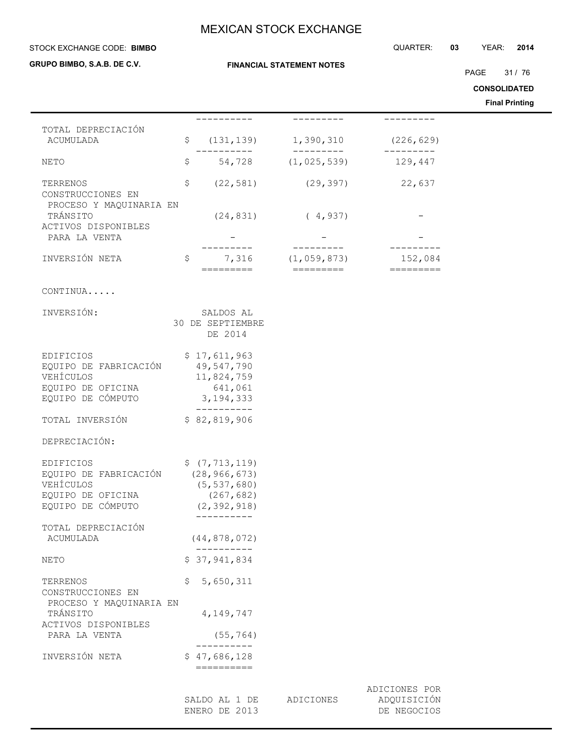**FINANCIAL STATEMENT NOTES**

#### STOCK EXCHANGE CODE: QUARTER: **03** YEAR: **2014 BIMBO**

**GRUPO BIMBO, S.A.B. DE C.V.**

PAGE 31 / 76

**CONSOLIDATED**

**Final Printing**

|                                                                                                  |                                                                                    |                          |                                                | ๛๛๛<br>Final |
|--------------------------------------------------------------------------------------------------|------------------------------------------------------------------------------------|--------------------------|------------------------------------------------|--------------|
|                                                                                                  | --------                                                                           |                          | ---------                                      |              |
| TOTAL DEPRECIACIÓN<br>ACUMULADA                                                                  | \$                                                                                 | $(131, 139)$ 1, 390, 310 | (226, 629)                                     |              |
| NETO                                                                                             | \$                                                                                 | 54,728 (1,025,539)       | 129,447                                        |              |
| TERRENOS<br>CONSTRUCCIONES EN                                                                    | \$<br>(22, 581)                                                                    | (29, 397)                | 22,637                                         |              |
| PROCESO Y MAQUINARIA EN<br>TRÁNSITO<br>ACTIVOS DISPONIBLES                                       | (24, 831)                                                                          | (4, 937)                 |                                                |              |
| PARA LA VENTA                                                                                    |                                                                                    |                          |                                                |              |
| INVERSIÓN NETA                                                                                   | \$<br>7,316<br>$=$ $=$ $=$ $=$ $=$ $=$ $=$ $=$ $=$                                 | (1,059,873)<br>========= | 152,084<br>$=$ $=$ $=$ $=$ $=$ $=$ $=$ $=$ $=$ |              |
| CONTINUA                                                                                         |                                                                                    |                          |                                                |              |
| INVERSIÓN:                                                                                       | SALDOS AL<br>30 DE SEPTIEMBRE<br>DE 2014                                           |                          |                                                |              |
| <b>EDIFICIOS</b><br>EQUIPO DE FABRICACIÓN<br>VEHÍCULOS<br>EQUIPO DE OFICINA<br>EQUIPO DE CÓMPUTO | \$17,611,963<br>49,547,790<br>11,824,759<br>641,061<br>3, 194, 333                 |                          |                                                |              |
| TOTAL INVERSIÓN                                                                                  | ----------<br>\$82,819,906                                                         |                          |                                                |              |
| DEPRECIACIÓN:                                                                                    |                                                                                    |                          |                                                |              |
| EDIFICIOS<br>EQUIPO DE FABRICACIÓN<br>VEHÍCULOS<br>EQUIPO DE OFICINA<br>EQUIPO DE CÓMPUTO        | \$ (7, 713, 119)<br>(28, 966, 673)<br>(5, 537, 680)<br>(267, 682)<br>(2, 392, 918) |                          |                                                |              |
| TOTAL DEPRECIACIÓN<br>ACUMULADA                                                                  | (44, 878, 072)                                                                     |                          |                                                |              |
| NETO                                                                                             | \$37,941,834                                                                       |                          |                                                |              |
| TERRENOS<br>CONSTRUCCIONES EN                                                                    | \$<br>5,650,311                                                                    |                          |                                                |              |
| PROCESO Y MAQUINARIA EN<br>TRÁNSITO<br>ACTIVOS DISPONIBLES                                       | 4, 149, 747                                                                        |                          |                                                |              |
| PARA LA VENTA                                                                                    | (55, 764)                                                                          |                          |                                                |              |

----------<br>\$47,686,128 INVERSIÓN NETA ==========

> SALDO AL 1 DE ADICIONES ADQUISICIÓN ENERO DE 2013 DE NEGOCIOS

ADICIONES POR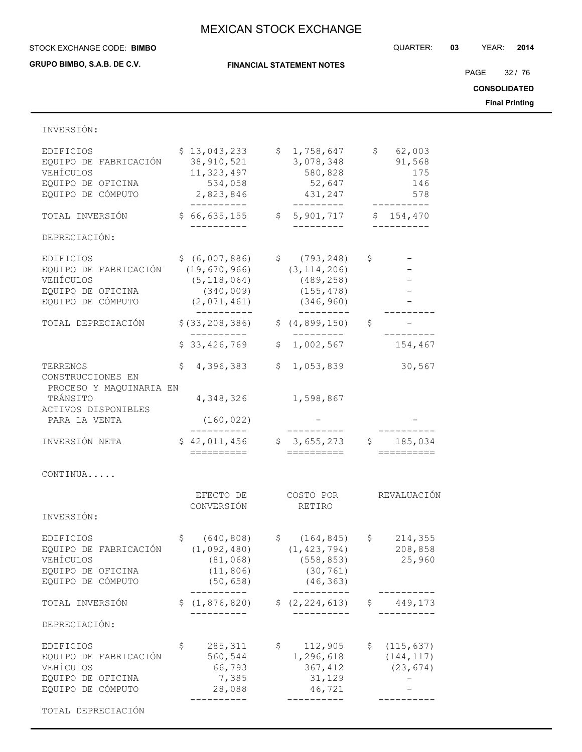**FINANCIAL STATEMENT NOTES**

STOCK EXCHANGE CODE: QUARTER: **03** YEAR: **2014 BIMBO**

**GRUPO BIMBO, S.A.B. DE C.V.**

PAGE 32 / 76

**CONSOLIDATED**

**Final Printing**

| INVERSIÓN:                                                                                       |                                                                                   |                                                                                                       |                                                     |
|--------------------------------------------------------------------------------------------------|-----------------------------------------------------------------------------------|-------------------------------------------------------------------------------------------------------|-----------------------------------------------------|
| <b>EDIFICIOS</b><br>EQUIPO DE FABRICACIÓN<br>VEHÍCULOS<br>EQUIPO DE OFICINA<br>EQUIPO DE CÓMPUTO | \$13,043,233<br>38, 910, 521<br>11,323,497<br>534,058<br>2,823,846<br>----------- | \$1,758,647<br>3,078,348<br>580,828<br>52,647<br>431,247<br>----------                                | 62,003<br>$\uparrow$<br>91,568<br>175<br>146<br>578 |
| TOTAL INVERSIÓN                                                                                  | \$66,635,155                                                                      | \$5,901,717                                                                                           | \$154,470                                           |
| DEPRECIACIÓN:                                                                                    |                                                                                   |                                                                                                       |                                                     |
| EDIFICIOS<br>EQUIPO DE FABRICACIÓN<br>VEHÍCULOS<br>EQUIPO DE OFICINA<br>EQUIPO DE CÓMPUTO        | (19, 670, 966)<br>(5, 118, 064)<br>(340, 009)<br>(2,071,461)                      | $$ (6,007,886)$ $$ (793,248)$<br>(3, 114, 206)<br>(489, 258)<br>(155, 478)<br>(346, 960)<br>_________ | \$                                                  |
| TOTAL DEPRECIACIÓN                                                                               | \$ (33, 208, 386)                                                                 | \$(4, 899, 150)                                                                                       | \$                                                  |
|                                                                                                  | \$33,426,769                                                                      | \$1,002,567                                                                                           | 154,467                                             |
| TERRENOS<br>CONSTRUCCIONES EN<br>PROCESO Y MAQUINARIA EN                                         | 4,396,383<br>\$.                                                                  | 1,053,839<br>\$                                                                                       | 30,567                                              |
| TRÁNSITO<br>ACTIVOS DISPONIBLES                                                                  | 4,348,326                                                                         | 1,598,867                                                                                             |                                                     |
| PARA LA VENTA                                                                                    | (160, 022)                                                                        |                                                                                                       |                                                     |
| INVERSIÓN NETA                                                                                   | \$42,011,456<br>==========                                                        | \$3,655,273<br>==========                                                                             | \$185,034                                           |
| CONTINUA                                                                                         |                                                                                   |                                                                                                       |                                                     |
| INVERSIÓN:                                                                                       | EFECTO DE<br>CONVERSIÓN                                                           | COSTO POR<br>RETIRO                                                                                   | REVALUACIÓN                                         |
| EDIFICIOS<br>EQUIPO DE FABRICACIÓN<br>VEHÍCULOS<br>EQUIPO DE OFICINA<br>EQUIPO DE CÓMPUTO        | \$<br>(640, 808)<br>(1,092,480)<br>(81, 068)<br>(11, 806)<br>(50, 658)            | \$(164, 845)<br>(1, 423, 794)<br>(558, 853)<br>(30, 761)<br>(46, 363)<br>$- - - - - -$                | \$<br>214,355<br>208,858<br>25,960                  |
| TOTAL INVERSIÓN                                                                                  | \$(1, 876, 820)<br>. - - - - - - -                                                | \$ (2, 224, 613)<br>--------                                                                          | 449,173<br>\$                                       |
| DEPRECIACIÓN:                                                                                    |                                                                                   |                                                                                                       |                                                     |
| EDIFICIOS<br>EQUIPO DE FABRICACIÓN<br>VEHÍCULOS<br>EQUIPO DE OFICINA<br>EQUIPO DE CÓMPUTO        | 285, 311<br>\$<br>560,544<br>66,793<br>7,385<br>28,088                            | \$<br>112,905<br>1,296,618<br>367,412<br>31,129<br>46,721                                             | (115, 637)<br>Ş.<br>(144, 117)<br>(23, 674)         |
|                                                                                                  | ----------                                                                        | ----------                                                                                            |                                                     |

TOTAL DEPRECIACIÓN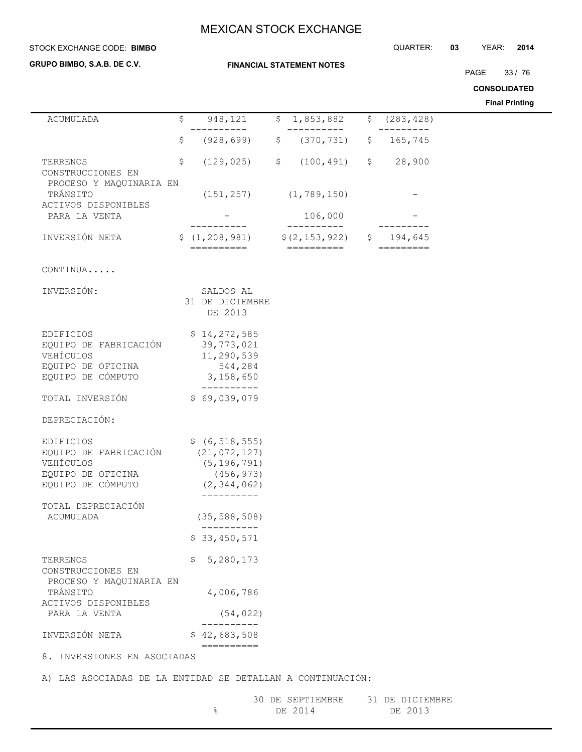**FINANCIAL STATEMENT NOTES**

#### STOCK EXCHANGE CODE: QUARTER: **03** YEAR: **2014 BIMBO**

### **GRUPO BIMBO, S.A.B. DE C.V.**

PAGE 33 / 76

**CONSOLIDATED**

|                                                          |                                         |                                |                                                                                                                                                                                                                                                                                                                                                                                                                                     | <b>Final Printing</b> |
|----------------------------------------------------------|-----------------------------------------|--------------------------------|-------------------------------------------------------------------------------------------------------------------------------------------------------------------------------------------------------------------------------------------------------------------------------------------------------------------------------------------------------------------------------------------------------------------------------------|-----------------------|
| ACUMULADA                                                | \$<br>948, 121<br>-------               | \$<br>1,853,882<br>----------- | \$<br>(283, 428)                                                                                                                                                                                                                                                                                                                                                                                                                    |                       |
|                                                          | \$<br>(928, 699)                        | \$<br>(370, 731)               | \$<br>165,745                                                                                                                                                                                                                                                                                                                                                                                                                       |                       |
| TERRENOS<br>CONSTRUCCIONES EN                            | \$<br>(129, 025)                        | \$<br>(100, 491)               | \$28,900                                                                                                                                                                                                                                                                                                                                                                                                                            |                       |
| PROCESO Y MAQUINARIA EN<br>TRÁNSITO                      |                                         | $(151, 257)$ $(1, 789, 150)$   |                                                                                                                                                                                                                                                                                                                                                                                                                                     |                       |
| ACTIVOS DISPONIBLES<br>PARA LA VENTA                     |                                         | 106,000                        |                                                                                                                                                                                                                                                                                                                                                                                                                                     |                       |
| INVERSIÓN NETA                                           | \$(1, 208, 981)                         | $$(2, 153, 922)$ $$194, 645$   |                                                                                                                                                                                                                                                                                                                                                                                                                                     |                       |
| CONTINUA                                                 | ==========                              | ==========                     | $\begin{array}{cccccccccc} \texttt{m} & \texttt{m} & \texttt{m} & \texttt{m} & \texttt{m} & \texttt{m} & \texttt{m} & \texttt{m} & \texttt{m} & \texttt{m} & \texttt{m} & \texttt{m} & \texttt{m} & \texttt{m} & \texttt{m} & \texttt{m} & \texttt{m} & \texttt{m} & \texttt{m} & \texttt{m} & \texttt{m} & \texttt{m} & \texttt{m} & \texttt{m} & \texttt{m} & \texttt{m} & \texttt{m} & \texttt{m} & \texttt{m} & \texttt{m} & \$ |                       |
|                                                          |                                         |                                |                                                                                                                                                                                                                                                                                                                                                                                                                                     |                       |
| INVERSIÓN:                                               | SALDOS AL<br>31 DE DICIEMBRE<br>DE 2013 |                                |                                                                                                                                                                                                                                                                                                                                                                                                                                     |                       |
| <b>EDIFICIOS</b>                                         | \$14,272,585                            |                                |                                                                                                                                                                                                                                                                                                                                                                                                                                     |                       |
| EQUIPO DE FABRICACIÓN                                    | 39, 773, 021                            |                                |                                                                                                                                                                                                                                                                                                                                                                                                                                     |                       |
| VEHÍCULOS                                                | 11,290,539                              |                                |                                                                                                                                                                                                                                                                                                                                                                                                                                     |                       |
| EQUIPO DE OFICINA<br>EQUIPO DE CÓMPUTO                   | 544,284<br>3,158,650                    |                                |                                                                                                                                                                                                                                                                                                                                                                                                                                     |                       |
| TOTAL INVERSIÓN                                          | -----------<br>\$69,039,079             |                                |                                                                                                                                                                                                                                                                                                                                                                                                                                     |                       |
| DEPRECIACIÓN:                                            |                                         |                                |                                                                                                                                                                                                                                                                                                                                                                                                                                     |                       |
| EDIFICIOS                                                | \$ (6, 518, 555)                        |                                |                                                                                                                                                                                                                                                                                                                                                                                                                                     |                       |
| EQUIPO DE FABRICACIÓN                                    | (21, 072, 127)                          |                                |                                                                                                                                                                                                                                                                                                                                                                                                                                     |                       |
| VEHÍCULOS                                                | (5, 196, 791)                           |                                |                                                                                                                                                                                                                                                                                                                                                                                                                                     |                       |
| EQUIPO DE OFICINA                                        | (456, 973)                              |                                |                                                                                                                                                                                                                                                                                                                                                                                                                                     |                       |
| EQUIPO DE CÓMPUTO                                        | (2, 344, 062)                           |                                |                                                                                                                                                                                                                                                                                                                                                                                                                                     |                       |
| TOTAL DEPRECIACIÓN                                       |                                         |                                |                                                                                                                                                                                                                                                                                                                                                                                                                                     |                       |
| ACUMULADA                                                | (35, 588, 508)                          |                                |                                                                                                                                                                                                                                                                                                                                                                                                                                     |                       |
|                                                          | \$33,450,571                            |                                |                                                                                                                                                                                                                                                                                                                                                                                                                                     |                       |
| TERRENOS<br>CONSTRUCCIONES EN<br>PROCESO Y MAQUINARIA EN | 5,280,173<br>\$.                        |                                |                                                                                                                                                                                                                                                                                                                                                                                                                                     |                       |
| TRÁNSITO<br>ACTIVOS DISPONIBLES                          | 4,006,786                               |                                |                                                                                                                                                                                                                                                                                                                                                                                                                                     |                       |
| PARA LA VENTA                                            | (54, 022)                               |                                |                                                                                                                                                                                                                                                                                                                                                                                                                                     |                       |
|                                                          |                                         |                                |                                                                                                                                                                                                                                                                                                                                                                                                                                     |                       |

A) LAS ASOCIADAS DE LA ENTIDAD SE DETALLAN A CONTINUACIÓN:

| 30 DE SEPTIEMBRE | 31 DE DICIEMBRE |
|------------------|-----------------|
| DE 2014          | DE 2013         |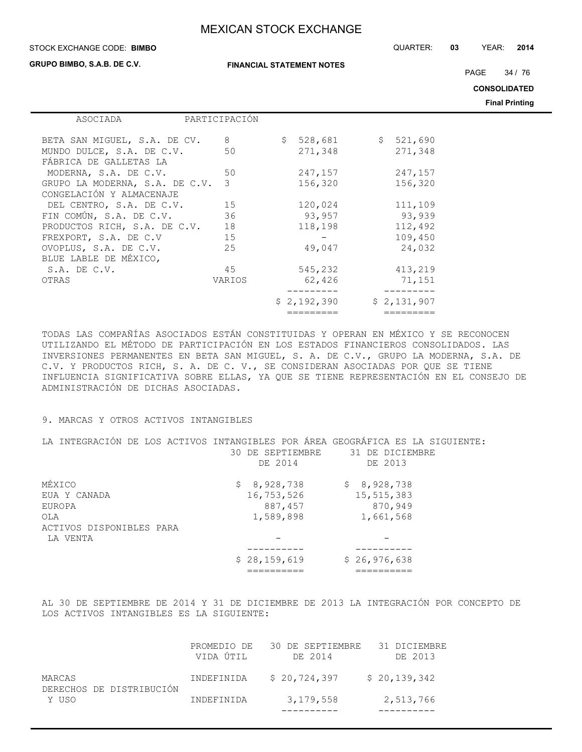#### STOCK EXCHANGE CODE: QUARTER: **03** YEAR: **2014 BIMBO**

**GRUPO BIMBO, S.A.B. DE C.V.**

**FINANCIAL STATEMENT NOTES**

PAGE 34 / 76

**CONSOLIDATED**

**Final Printing**

| ASOCIADA                       | PARTICIPACIÓN |               |              |             |
|--------------------------------|---------------|---------------|--------------|-------------|
|                                |               |               |              |             |
| BETA SAN MIGUEL, S.A. DE CV.   | 8             | \$<br>528,681 | $\mathsf{S}$ | 521,690     |
| MUNDO DULCE, S.A. DE C.V.      | 50            | 271,348       |              | 271,348     |
| FÁBRICA DE GALLETAS LA         |               |               |              |             |
| MODERNA, S.A. DE C.V.          | 50            | 247,157       |              | 247,157     |
| GRUPO LA MODERNA, S.A. DE C.V. | 3             | 156,320       |              | 156,320     |
| CONGELACIÓN Y ALMACENAJE       |               |               |              |             |
|                                |               |               |              |             |
| DEL CENTRO, S.A. DE C.V.       | 15            | 120,024       |              | 111,109     |
| FIN COMÚN, S.A. DE C.V.        | 36            | 93,957        |              | 93,939      |
| PRODUCTOS RICH, S.A. DE C.V.   | 18            | 118,198       |              | 112,492     |
| FREXPORT, S.A. DE C.V          | 15            |               |              | 109,450     |
| OVOPLUS, S.A. DE C.V.          | 25            | 49,047        |              | 24,032      |
| BLUE LABLE DE MÉXICO,          |               |               |              |             |
| $S.A.$ DE $C.V.$               | 45            | 545,232       |              | 413,219     |
| OTRAS                          | VARIOS        | 62,426        |              | 71,151      |
|                                |               |               |              |             |
|                                |               |               |              |             |
|                                |               | \$2,192,390   |              | \$2,131,907 |
|                                |               |               |              |             |

TODAS LAS COMPAÑÍAS ASOCIADOS ESTÁN CONSTITUIDAS Y OPERAN EN MÉXICO Y SE RECONOCEN UTILIZANDO EL MÉTODO DE PARTICIPACIÓN EN LOS ESTADOS FINANCIEROS CONSOLIDADOS. LAS INVERSIONES PERMANENTES EN BETA SAN MIGUEL, S. A. DE C.V., GRUPO LA MODERNA, S.A. DE C.V. Y PRODUCTOS RICH, S. A. DE C. V., SE CONSIDERAN ASOCIADAS POR QUE SE TIENE INFLUENCIA SIGNIFICATIVA SOBRE ELLAS, YA QUE SE TIENE REPRESENTACIÓN EN EL CONSEJO DE ADMINISTRACIÓN DE DICHAS ASOCIADAS.

## 9. MARCAS Y OTROS ACTIVOS INTANGIBLES

| LA INTEGRACIÓN DE LOS ACTIVOS INTANGIBLES POR ÁREA GEOGRÁFICA ES LA SIGUIENTE: |                  |                 |
|--------------------------------------------------------------------------------|------------------|-----------------|
|                                                                                | 30 DE SEPTIEMBRE | 31 DE DICIEMBRE |
|                                                                                | DE 2014          | DE 2013         |
| MÉXICO                                                                         | \$8,928,738      | \$8,928,738     |
| EUA Y CANADA                                                                   | 16,753,526       | 15,515,383      |
| EUROPA                                                                         | 887,457          | 870,949         |
| OLA                                                                            | 1,589,898        | 1,661,568       |
| ACTIVOS DISPONIBLES PARA                                                       |                  |                 |
| LA VENTA                                                                       |                  |                 |
|                                                                                |                  |                 |
|                                                                                | \$28,159,619     | \$26,976,638    |
|                                                                                |                  |                 |

AL 30 DE SEPTIEMBRE DE 2014 Y 31 DE DICIEMBRE DE 2013 LA INTEGRACIÓN POR CONCEPTO DE LOS ACTIVOS INTANGIBLES ES LA SIGUIENTE:

| Y USO                              | INDEFINIDA               | 3,179,558                   | 2,513,766               |
|------------------------------------|--------------------------|-----------------------------|-------------------------|
| MARCAS<br>DERECHOS DE DISTRIBUCIÓN | INDEFINIDA               | \$20.724.397                | \$20,139,342            |
|                                    | PROMEDIO DE<br>VIDA ÚTIL | 30 DE SEPTIEMBRE<br>DE 2014 | 31 DICIEMBRE<br>DE 2013 |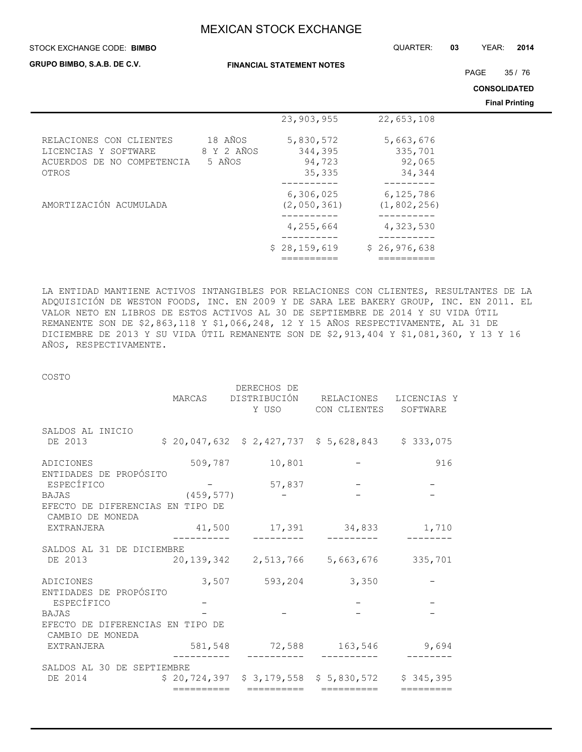#### STOCK EXCHANGE CODE: QUARTER: **03** YEAR: **2014 BIMBO**

**GRUPO BIMBO, S.A.B. DE C.V.**

**FINANCIAL STATEMENT NOTES**

PAGE 35 / 76

**CONSOLIDATED**

**Final Printing**

|                                                    |                      |                            |                            | гшаггишц |
|----------------------------------------------------|----------------------|----------------------------|----------------------------|----------|
|                                                    |                      | 23,903,955                 | 22,653,108                 |          |
| RELACIONES CON CLIENTES                            | 18 AÑOS              | 5,830,572                  | 5,663,676                  |          |
| LICENCIAS Y SOFTWARE<br>ACUERDOS DE NO COMPETENCIA | 8 Y 2 AÑOS<br>5 AÑOS | 344,395<br>94,723          | 335,701<br>92,065          |          |
| OTROS                                              |                      | 35,335                     | 34,344                     |          |
|                                                    |                      |                            |                            |          |
| AMORTIZACIÓN ACUMULADA                             |                      | 6, 306, 025<br>(2,050,361) | 6,125,786<br>(1, 802, 256) |          |
|                                                    |                      | 4,255,664                  | 4,323,530                  |          |
|                                                    |                      | \$28,159,619               | \$26,976,638               |          |

LA ENTIDAD MANTIENE ACTIVOS INTANGIBLES POR RELACIONES CON CLIENTES, RESULTANTES DE LA ADQUISICIÓN DE WESTON FOODS, INC. EN 2009 Y DE SARA LEE BAKERY GROUP, INC. EN 2011. EL VALOR NETO EN LIBROS DE ESTOS ACTIVOS AL 30 DE SEPTIEMBRE DE 2014 Y SU VIDA ÚTIL REMANENTE SON DE \$2,863,118 Y \$1,066,248, 12 Y 15 AÑOS RESPECTIVAMENTE, AL 31 DE DICIEMBRE DE 2013 Y SU VIDA ÚTIL REMANENTE SON DE \$2,913,404 Y \$1,081,360, Y 13 Y 16 AÑOS, RESPECTIVAMENTE.

COSTO

|                                                      |            | DERECHOS DE         | MARCAS DISTRIBUCIÓN RELACIONES LICENCIAS Y         |           |
|------------------------------------------------------|------------|---------------------|----------------------------------------------------|-----------|
|                                                      |            |                     | Y USO CON CLIENTES                                 | SOFTWARE  |
| SALDOS AL INICIO                                     |            |                     |                                                    |           |
| DE 2013                                              |            |                     | $$20,047,632$ $$2,427,737$ $$5,628,843$ $$333,075$ |           |
| ADICIONES                                            |            | 509,787 10,801      |                                                    | 916       |
| ENTIDADES DE PROPÓSITO                               |            |                     |                                                    |           |
| ESPECÍFICO                                           |            | 57,837              |                                                    |           |
| BAJAS                                                | (459, 577) |                     |                                                    |           |
| EFECTO DE DIFERENCIAS EN TIPO DE<br>CAMBIO DE MONEDA |            |                     |                                                    |           |
| EXTRANJERA                                           |            |                     | 41,500 17,391 34,833                               | 1,710     |
| SALDOS AL 31 DE DICIEMBRE                            |            |                     |                                                    |           |
| DE 2013                                              |            |                     | $20,139,342$ $2,513,766$ $5,663,676$ $335,701$     |           |
| ADICIONES                                            |            | 3,507 593,204 3,350 |                                                    |           |
| ENTIDADES DE PROPÓSITO                               |            |                     |                                                    |           |
| ESPECÍFICO                                           |            |                     |                                                    |           |
| <b>BAJAS</b>                                         |            |                     |                                                    |           |
| EFECTO DE DIFERENCIAS EN TIPO DE<br>CAMBIO DE MONEDA |            |                     |                                                    |           |
| EXTRANJERA                                           |            |                     | 581,548 72,588 163,546 9,694                       |           |
|                                                      |            |                     |                                                    |           |
| SALDOS AL 30 DE SEPTIEMBRE                           |            |                     |                                                    |           |
| DE 2014                                              |            |                     | $$20,724,397$ $$3,179,558$ $$5,830,572$ $$345,395$ |           |
|                                                      | ========== | ==========          | ==========                                         | ========= |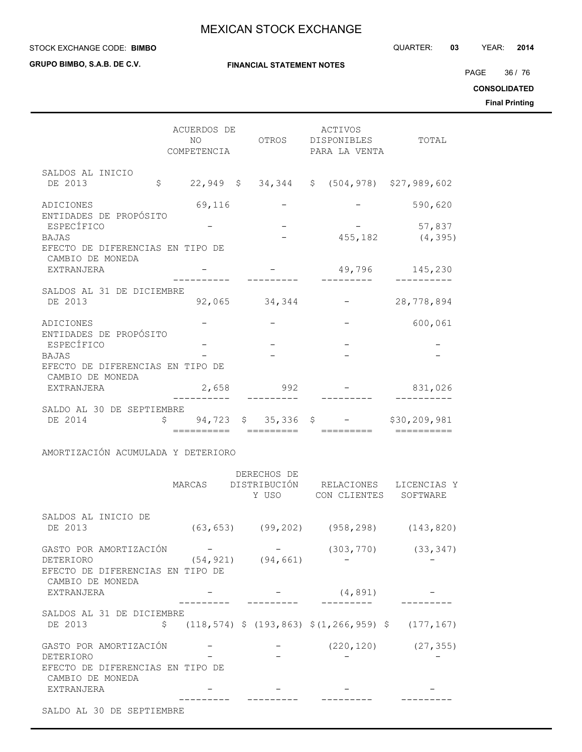**GRUPO BIMBO, S.A.B. DE C.V.**

**FINANCIAL STATEMENT NOTES**

PAGE 36 / 76

**CONSOLIDATED**

**Final Printing**

|                                                                      | ACUERDOS DE<br>NO.<br>COMPETENCIA           |           | ACTIVOS<br>OTROS DISPONIBLES TOTAL<br>PARA LA VENTA             |                           |
|----------------------------------------------------------------------|---------------------------------------------|-----------|-----------------------------------------------------------------|---------------------------|
| SALDOS AL INICIO<br>DE 2013                                          | $\mathsf{S}$                                |           | 22,949 \$ 34,344 \$ (504,978) \$27,989,602                      |                           |
| ADICIONES<br>ENTIDADES DE PROPÓSITO                                  | 69,116                                      |           |                                                                 | 590,620                   |
| ESPECÍFICO<br><b>BAJAS</b><br>EFECTO DE DIFERENCIAS EN TIPO DE       |                                             |           |                                                                 | 57,837<br>455,182 (4,395) |
| CAMBIO DE MONEDA<br>EXTRANJERA                                       |                                             |           | 49,796                                                          | 145,230                   |
| SALDOS AL 31 DE DICIEMBRE<br>DE 2013                                 | 92,065 34,344                               |           |                                                                 | 28,778,894                |
| ADICIONES<br>ENTIDADES DE PROPÓSITO                                  |                                             |           |                                                                 | 600,061                   |
| ESPECÍFICO                                                           |                                             |           |                                                                 |                           |
| <b>BAJAS</b><br>EFECTO DE DIFERENCIAS EN TIPO DE<br>CAMBIO DE MONEDA |                                             |           |                                                                 |                           |
| EXTRANJERA                                                           | 2,658                                       | 992       |                                                                 | 831,026                   |
| SALDO AL 30 DE SEPTIEMBRE<br>DE 2014                                 | $\mathsf{S}$ and $\mathsf{S}$<br>========== | ========= | $94,723 \quad $35,336 \quad $-$ \quad $30,209,981$$<br>-------- | ——————————                |
| AMORTIZACIÓN ACUMULADA Y DETERIORO                                   |                                             |           |                                                                 |                           |

|                                                      | DERECHOS DE             |                                                              |                          |
|------------------------------------------------------|-------------------------|--------------------------------------------------------------|--------------------------|
|                                                      |                         | MARCAS DISTRIBUCIÓN RELACIONES LICENCIAS Y                   |                          |
|                                                      |                         | Y USO CON CLIENTES SOFTWARE                                  |                          |
| SALDOS AL INICIO DE                                  |                         |                                                              |                          |
| DE 2013                                              |                         | $(63, 653)$ $(99, 202)$ $(958, 298)$ $(143, 820)$            |                          |
| GASTO POR AMORTIZACIÓN                               |                         |                                                              | $(303, 770)$ $(33, 347)$ |
| DETERIORO                                            | $(54, 921)$ $(94, 661)$ |                                                              |                          |
| EFECTO DE DIFERENCIAS EN TIPO DE                     |                         |                                                              |                          |
| CAMBIO DE MONEDA                                     |                         |                                                              |                          |
| EXTRANJERA                                           |                         | (4, 891)                                                     |                          |
|                                                      |                         |                                                              |                          |
| SALDOS AL 31 DE DICIEMBRE                            |                         |                                                              |                          |
| DE 2013                                              |                         | $\frac{118,574}{2}$ \$ (193,863) \$ (1,266,959) \$ (177,167) |                          |
| GASTO POR AMORTIZACIÓN                               |                         |                                                              | $(220, 120)$ $(27, 355)$ |
| DETERIORO                                            |                         |                                                              |                          |
| EFECTO DE DIFERENCIAS EN TIPO DE<br>CAMBIO DE MONEDA |                         |                                                              |                          |
| EXTRANJERA                                           |                         |                                                              |                          |
|                                                      |                         |                                                              |                          |
| SALDO AL 30 DE SEPTIEMBRE                            |                         |                                                              |                          |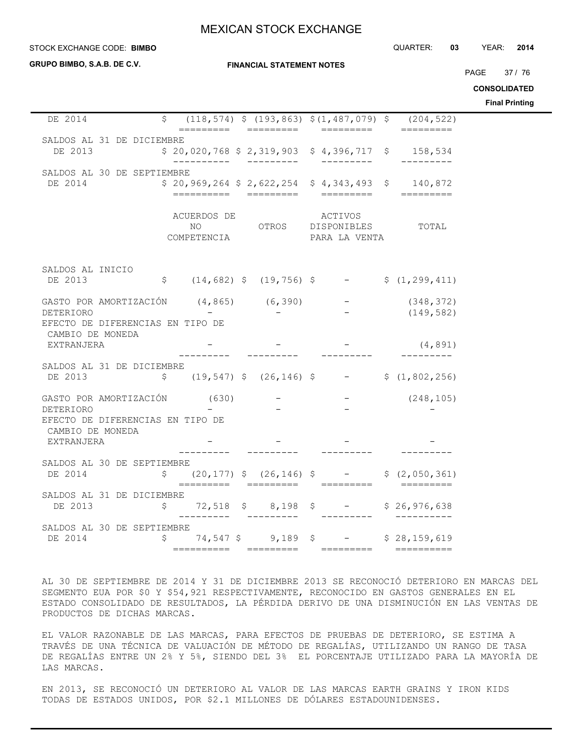#### **STOCK EXCHANGE CODE: BIMBO**

**GRUPO BIMBO, S.A.B. DE C.V.**

#### **FINANCIAL STATEMENT NOTES**

PAGE 37 / 76

STOCK EXCHANGE CODE: QUARTER: **03** YEAR: **2014**

**CONSOLIDATED**

**Final Printing**

| DE 2014                                                                                                                                              | $$(118, 574) $ (193, 863) $ (1, 487, 079) $ (204, 522) $$                                                                                                                                                                                                                           |                                                           |            |  |
|------------------------------------------------------------------------------------------------------------------------------------------------------|-------------------------------------------------------------------------------------------------------------------------------------------------------------------------------------------------------------------------------------------------------------------------------------|-----------------------------------------------------------|------------|--|
| SALDOS AL 31 DE DICIEMBRE<br>DE 2013                                                                                                                 | $$20,020,768 $2,319,903 $4,396,717 $158,534$                                                                                                                                                                                                                                        |                                                           |            |  |
| SALDOS AL 30 DE SEPTIEMBRE<br>DE 2014                                                                                                                | $$20,969,264 $2,622,254 $4,343,493 $140,872$                                                                                                                                                                                                                                        |                                                           |            |  |
|                                                                                                                                                      | ACUERDOS DE ACTIVOS<br>NO OTROS DISPONIBLES TOTAL<br>COMPETENCIA                                                                                                                                                                                                                    | PARA LA VENTA                                             |            |  |
| SALDOS AL INICIO<br>DE 2013                                                                                                                          | $\begin{array}{ccccccccc} \text{S} & (14, 682) & (19, 756) & (19, 756) & (19, 756) & (19, 299) & (1, 299, 411) & (1, 299, 411) & (1, 299, 411) & (1, 299, 411) & (1, 299, 411) & (1, 299, 411) & (1, 299, 411) & (1, 299, 411) & (1, 299, 411) & (1, 299, 411) & (1, 299, 411) & ($ |                                                           |            |  |
| GASTO POR AMORTIZACIÓN (4,865) (6,390) – (348,372)<br>DETERIORO – – – (149,582)<br>DETERIORO<br>EFECTO DE DIFERENCIAS EN TIPO DE<br>CAMBIO DE MONEDA |                                                                                                                                                                                                                                                                                     |                                                           | (149, 582) |  |
| EXTRANJERA                                                                                                                                           |                                                                                                                                                                                                                                                                                     |                                                           | (4, 891)   |  |
| SALDOS AL 31 DE DICIEMBRE<br>DE 2013                                                                                                                 | $$(19, 547) $(26, 146) $ - $(1, 802, 256)$                                                                                                                                                                                                                                          |                                                           |            |  |
| GASTO POR AMORTIZACIÓN (630)<br>DETERIORO                                                                                                            |                                                                                                                                                                                                                                                                                     | $\mathcal{L}_{\text{max}}$ and $\mathcal{L}_{\text{max}}$ | (248, 105) |  |
| EFECTO DE DIFERENCIAS EN TIPO DE<br>CAMBIO DE MONEDA<br>EXTRANJERA                                                                                   |                                                                                                                                                                                                                                                                                     |                                                           |            |  |
| SALDOS AL 30 DE SEPTIEMBRE<br>DE 2014                                                                                                                | $\frac{1}{2}$ (20,177) $\frac{1}{2}$ (26,146) $\frac{1}{2}$ - $\frac{1}{2}$ (2,050,361)                                                                                                                                                                                             |                                                           |            |  |
| SALDOS AL 31 DE DICIEMBRE<br>DE 2013                                                                                                                 | $$72,518$ \$ 8,198 \$ - \$ 26,976,638<br>$\frac{1}{2}$                                                                                                                                                                                                                              |                                                           |            |  |
| SALDOS AL 30 DE SEPTIEMBRE<br>DE 2014                                                                                                                | $$74,547$ \$9,189 \$ - \$28,159,619                                                                                                                                                                                                                                                 |                                                           |            |  |

AL 30 DE SEPTIEMBRE DE 2014 Y 31 DE DICIEMBRE 2013 SE RECONOCIÓ DETERIORO EN MARCAS DEL SEGMENTO EUA POR \$0 Y \$54,921 RESPECTIVAMENTE, RECONOCIDO EN GASTOS GENERALES EN EL ESTADO CONSOLIDADO DE RESULTADOS, LA PÉRDIDA DERIVO DE UNA DISMINUCIÓN EN LAS VENTAS DE PRODUCTOS DE DICHAS MARCAS.

EL VALOR RAZONABLE DE LAS MARCAS, PARA EFECTOS DE PRUEBAS DE DETERIORO, SE ESTIMA A TRAVÉS DE UNA TÉCNICA DE VALUACIÓN DE MÉTODO DE REGALÍAS, UTILIZANDO UN RANGO DE TASA DE REGALÍAS ENTRE UN 2% Y 5%, SIENDO DEL 3% EL PORCENTAJE UTILIZADO PARA LA MAYORÍA DE LAS MARCAS.

EN 2013, SE RECONOCIÓ UN DETERIORO AL VALOR DE LAS MARCAS EARTH GRAINS Y IRON KIDS TODAS DE ESTADOS UNIDOS, POR \$2.1 MILLONES DE DÓLARES ESTADOUNIDENSES.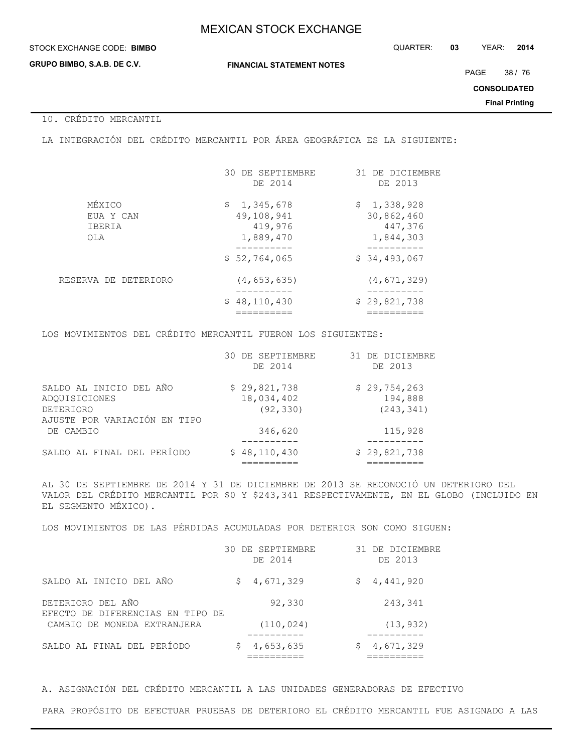#### STOCK EXCHANGE CODE: QUARTER: **03** YEAR: **2014 BIMBO**

**GRUPO BIMBO, S.A.B. DE C.V.**

**FINANCIAL STATEMENT NOTES**

PAGE 38 / 76

**CONSOLIDATED**

**Final Printing**

## 10. CRÉDITO MERCANTIL

LA INTEGRACIÓN DEL CRÉDITO MERCANTIL POR ÁREA GEOGRÁFICA ES LA SIGUIENTE:

| \$1,345,678<br>49,108,941<br>419,976<br>1,889,470 | \$1,338,928<br>30,862,460<br>447,376<br>1,844,303 |
|---------------------------------------------------|---------------------------------------------------|
| \$52,764,065                                      | \$34,493,067                                      |
| (4, 653, 635)<br>\$48,110,430                     | (4, 671, 329)<br>\$29,821,738                     |
|                                                   |                                                   |
|                                                   |                                                   |

LOS MOVIMIENTOS DEL CRÉDITO MERCANTIL FUERON LOS SIGUIENTES:

|                                                  | 30 DE SEPTIEMBRE<br>DE 2014 | 31 DE DICIEMBRE<br>DE 2013 |
|--------------------------------------------------|-----------------------------|----------------------------|
| SALDO AL INICIO DEL AÑO<br>ADOUISICIONES         | \$29,821,738<br>18,034,402  | \$29,754,263<br>194,888    |
| <b>DETERIORO</b><br>AJUSTE POR VARIACIÓN EN TIPO | (92, 330)                   | (243, 341)                 |
| DE CAMBIO                                        | 346,620                     | 115,928                    |
| SALDO AL FINAL DEL PERÍODO                       | \$48,110,430                | \$29,821,738               |

AL 30 DE SEPTIEMBRE DE 2014 Y 31 DE DICIEMBRE DE 2013 SE RECONOCIÓ UN DETERIORO DEL VALOR DEL CRÉDITO MERCANTIL POR \$0 Y \$243,341 RESPECTIVAMENTE, EN EL GLOBO (INCLUIDO EN EL SEGMENTO MÉXICO).

LOS MOVIMIENTOS DE LAS PÉRDIDAS ACUMULADAS POR DETERIOR SON COMO SIGUEN:

|                                                       | DE SEPTIEMBRE<br>30.<br>DE 2014 |    | 31 DE DICIEMBRE<br>DE 2013 |
|-------------------------------------------------------|---------------------------------|----|----------------------------|
| SALDO AL INICIO DEL AÑO                               | 4,671,329<br>S.                 | S. | 4,441,920                  |
| DETERIORO DEL AÑO<br>EFECTO DE DIFERENCIAS EN TIPO DE | 92,330                          |    | 243,341                    |
| CAMBIO DE MONEDA EXTRANJERA                           | (110, 024)                      |    | (13, 932)                  |
| SALDO AL FINAL DEL PERÍODO                            | 4,653,635                       |    | 4,671,329                  |

A. ASIGNACIÓN DEL CRÉDITO MERCANTIL A LAS UNIDADES GENERADORAS DE EFECTIVO

PARA PROPÓSITO DE EFECTUAR PRUEBAS DE DETERIORO EL CRÉDITO MERCANTIL FUE ASIGNADO A LAS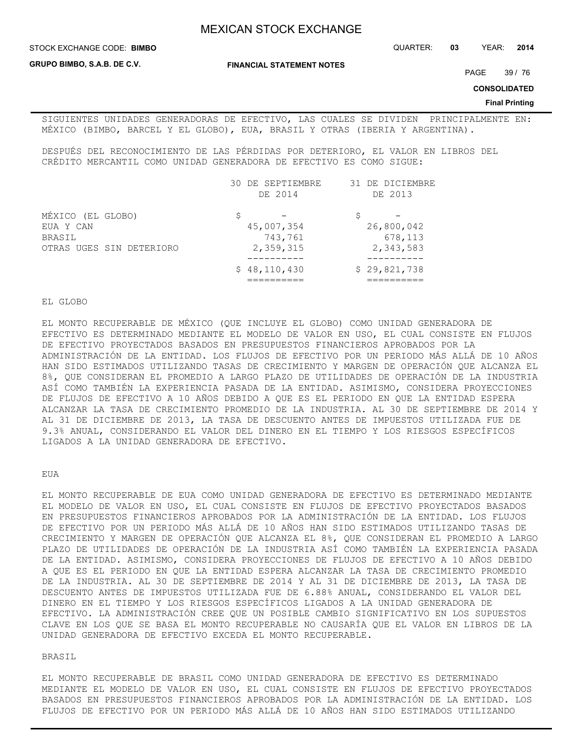**GRUPO BIMBO, S.A.B. DE C.V.**

**FINANCIAL STATEMENT NOTES**

PAGE 39 / 76

**CONSOLIDATED**

#### **Final Printing**

SIGUIENTES UNIDADES GENERADORAS DE EFECTIVO, LAS CUALES SE DIVIDEN PRINCIPALMENTE EN: MÉXICO (BIMBO, BARCEL Y EL GLOBO), EUA, BRASIL Y OTRAS (IBERIA Y ARGENTINA).

DESPUÉS DEL RECONOCIMIENTO DE LAS PÉRDIDAS POR DETERIORO, EL VALOR EN LIBROS DEL CRÉDITO MERCANTIL COMO UNIDAD GENERADORA DE EFECTIVO ES COMO SIGUE:

|                          | 30. | DE SEPTIEMBRE | 31 DE DICIEMBRE |
|--------------------------|-----|---------------|-----------------|
|                          |     | DE 2014       | DE 2013         |
| MÉXICO (EL GLOBO)        | S   |               |                 |
| EUA Y CAN                |     | 45,007,354    | 26,800,042      |
| BRASIL                   |     | 743,761       | 678,113         |
| OTRAS UGES SIN DETERIORO |     | 2,359,315     | 2,343,583       |
|                          |     | \$48,110,430  | \$29,821,738    |
|                          |     |               |                 |

#### EL GLOBO

EL MONTO RECUPERABLE DE MÉXICO (QUE INCLUYE EL GLOBO) COMO UNIDAD GENERADORA DE EFECTIVO ES DETERMINADO MEDIANTE EL MODELO DE VALOR EN USO, EL CUAL CONSISTE EN FLUJOS DE EFECTIVO PROYECTADOS BASADOS EN PRESUPUESTOS FINANCIEROS APROBADOS POR LA ADMINISTRACIÓN DE LA ENTIDAD. LOS FLUJOS DE EFECTIVO POR UN PERIODO MÁS ALLÁ DE 10 AÑOS HAN SIDO ESTIMADOS UTILIZANDO TASAS DE CRECIMIENTO Y MARGEN DE OPERACIÓN QUE ALCANZA EL 8%, QUE CONSIDERAN EL PROMEDIO A LARGO PLAZO DE UTILIDADES DE OPERACIÓN DE LA INDUSTRIA ASÍ COMO TAMBIÉN LA EXPERIENCIA PASADA DE LA ENTIDAD. ASIMISMO, CONSIDERA PROYECCIONES DE FLUJOS DE EFECTIVO A 10 AÑOS DEBIDO A QUE ES EL PERIODO EN QUE LA ENTIDAD ESPERA ALCANZAR LA TASA DE CRECIMIENTO PROMEDIO DE LA INDUSTRIA. AL 30 DE SEPTIEMBRE DE 2014 Y AL 31 DE DICIEMBRE DE 2013, LA TASA DE DESCUENTO ANTES DE IMPUESTOS UTILIZADA FUE DE 9.3% ANUAL, CONSIDERANDO EL VALOR DEL DINERO EN EL TIEMPO Y LOS RIESGOS ESPECÍFICOS LIGADOS A LA UNIDAD GENERADORA DE EFECTIVO.

#### EUA

EL MONTO RECUPERABLE DE EUA COMO UNIDAD GENERADORA DE EFECTIVO ES DETERMINADO MEDIANTE EL MODELO DE VALOR EN USO, EL CUAL CONSISTE EN FLUJOS DE EFECTIVO PROYECTADOS BASADOS EN PRESUPUESTOS FINANCIEROS APROBADOS POR LA ADMINISTRACIÓN DE LA ENTIDAD. LOS FLUJOS DE EFECTIVO POR UN PERIODO MÁS ALLÁ DE 10 AÑOS HAN SIDO ESTIMADOS UTILIZANDO TASAS DE CRECIMIENTO Y MARGEN DE OPERACIÓN QUE ALCANZA EL 8%, QUE CONSIDERAN EL PROMEDIO A LARGO PLAZO DE UTILIDADES DE OPERACIÓN DE LA INDUSTRIA ASÍ COMO TAMBIÉN LA EXPERIENCIA PASADA DE LA ENTIDAD. ASIMISMO, CONSIDERA PROYECCIONES DE FLUJOS DE EFECTIVO A 10 AÑOS DEBIDO A QUE ES EL PERIODO EN QUE LA ENTIDAD ESPERA ALCANZAR LA TASA DE CRECIMIENTO PROMEDIO DE LA INDUSTRIA. AL 30 DE SEPTIEMBRE DE 2014 Y AL 31 DE DICIEMBRE DE 2013, LA TASA DE DESCUENTO ANTES DE IMPUESTOS UTILIZADA FUE DE 6.88% ANUAL, CONSIDERANDO EL VALOR DEL DINERO EN EL TIEMPO Y LOS RIESGOS ESPECÍFICOS LIGADOS A LA UNIDAD GENERADORA DE EFECTIVO. LA ADMINISTRACIÓN CREE QUE UN POSIBLE CAMBIO SIGNIFICATIVO EN LOS SUPUESTOS CLAVE EN LOS QUE SE BASA EL MONTO RECUPERABLE NO CAUSARÍA QUE EL VALOR EN LIBROS DE LA UNIDAD GENERADORA DE EFECTIVO EXCEDA EL MONTO RECUPERABLE.

#### BRASIL

EL MONTO RECUPERABLE DE BRASIL COMO UNIDAD GENERADORA DE EFECTIVO ES DETERMINADO MEDIANTE EL MODELO DE VALOR EN USO, EL CUAL CONSISTE EN FLUJOS DE EFECTIVO PROYECTADOS BASADOS EN PRESUPUESTOS FINANCIEROS APROBADOS POR LA ADMINISTRACIÓN DE LA ENTIDAD. LOS FLUJOS DE EFECTIVO POR UN PERIODO MÁS ALLÁ DE 10 AÑOS HAN SIDO ESTIMADOS UTILIZANDO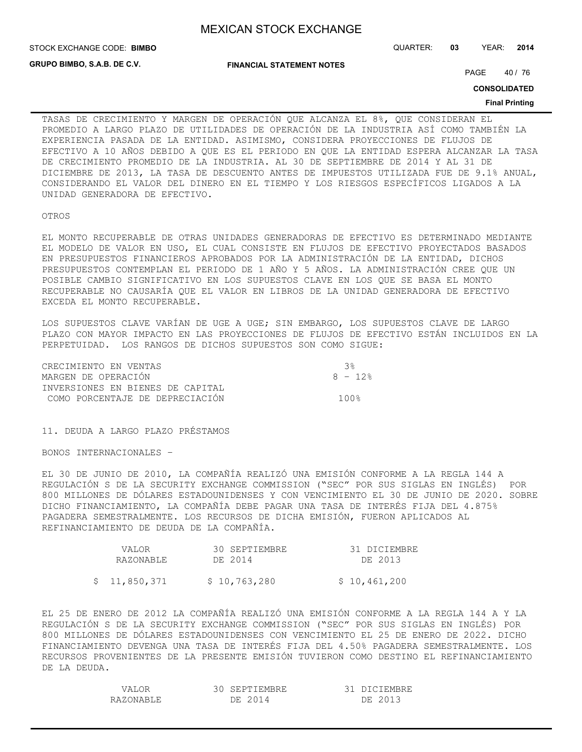STOCK EXCHANGE CODE: QUARTER: **03** YEAR: **2014 BIMBO**

**GRUPO BIMBO, S.A.B. DE C.V.**

**FINANCIAL STATEMENT NOTES**

PAGE 40 / 76

**CONSOLIDATED**

#### **Final Printing**

TASAS DE CRECIMIENTO Y MARGEN DE OPERACIÓN QUE ALCANZA EL 8%, QUE CONSIDERAN EL PROMEDIO A LARGO PLAZO DE UTILIDADES DE OPERACIÓN DE LA INDUSTRIA ASÍ COMO TAMBIÉN LA EXPERIENCIA PASADA DE LA ENTIDAD. ASIMISMO, CONSIDERA PROYECCIONES DE FLUJOS DE EFECTIVO A 10 AÑOS DEBIDO A QUE ES EL PERIODO EN QUE LA ENTIDAD ESPERA ALCANZAR LA TASA DE CRECIMIENTO PROMEDIO DE LA INDUSTRIA. AL 30 DE SEPTIEMBRE DE 2014 Y AL 31 DE DICIEMBRE DE 2013, LA TASA DE DESCUENTO ANTES DE IMPUESTOS UTILIZADA FUE DE 9.1% ANUAL, CONSIDERANDO EL VALOR DEL DINERO EN EL TIEMPO Y LOS RIESGOS ESPECÍFICOS LIGADOS A LA UNIDAD GENERADORA DE EFECTIVO.

#### OTROS

EL MONTO RECUPERABLE DE OTRAS UNIDADES GENERADORAS DE EFECTIVO ES DETERMINADO MEDIANTE EL MODELO DE VALOR EN USO, EL CUAL CONSISTE EN FLUJOS DE EFECTIVO PROYECTADOS BASADOS EN PRESUPUESTOS FINANCIEROS APROBADOS POR LA ADMINISTRACIÓN DE LA ENTIDAD, DICHOS PRESUPUESTOS CONTEMPLAN EL PERIODO DE 1 AÑO Y 5 AÑOS. LA ADMINISTRACIÓN CREE QUE UN POSIBLE CAMBIO SIGNIFICATIVO EN LOS SUPUESTOS CLAVE EN LOS QUE SE BASA EL MONTO RECUPERABLE NO CAUSARÍA QUE EL VALOR EN LIBROS DE LA UNIDAD GENERADORA DE EFECTIVO EXCEDA EL MONTO RECUPERABLE.

LOS SUPUESTOS CLAVE VARÍAN DE UGE A UGE; SIN EMBARGO, LOS SUPUESTOS CLAVE DE LARGO PLAZO CON MAYOR IMPACTO EN LAS PROYECCIONES DE FLUJOS DE EFECTIVO ESTÁN INCLUIDOS EN LA PERPETUIDAD. LOS RANGOS DE DICHOS SUPUESTOS SON COMO SIGUE:

| CRECIMIENTO EN VENTAS            | ્ર ર ર   |
|----------------------------------|----------|
| MARGEN DE OPERACIÓN              | $8 - 12$ |
| INVERSIONES EN BIENES DE CAPITAL |          |
| COMO PORCENTAJE DE DEPRECIACIÓN  | 100%     |

11. DEUDA A LARGO PLAZO PRÉSTAMOS

BONOS INTERNACIONALES –

EL 30 DE JUNIO DE 2010, LA COMPAÑÍA REALIZÓ UNA EMISIÓN CONFORME A LA REGLA 144 A REGULACIÓN S DE LA SECURITY EXCHANGE COMMISSION ("SEC" POR SUS SIGLAS EN INGLÉS) POR 800 MILLONES DE DÓLARES ESTADOUNIDENSES Y CON VENCIMIENTO EL 30 DE JUNIO DE 2020. SOBRE DICHO FINANCIAMIENTO, LA COMPAÑÍA DEBE PAGAR UNA TASA DE INTERÉS FIJA DEL 4.875% PAGADERA SEMESTRALMENTE. LOS RECURSOS DE DICHA EMISIÓN, FUERON APLICADOS AL REFINANCIAMIENTO DE DEUDA DE LA COMPAÑÍA.

| VALOR        | 30 SEPTIEMBRE | 31 DICIEMBRE |
|--------------|---------------|--------------|
| RAZONABLE    | DE 2014       | DE 2013      |
| \$11,850,371 | \$10,763,280  | \$10,461,200 |

EL 25 DE ENERO DE 2012 LA COMPAÑÍA REALIZÓ UNA EMISIÓN CONFORME A LA REGLA 144 A Y LA REGULACIÓN S DE LA SECURITY EXCHANGE COMMISSION ("SEC" POR SUS SIGLAS EN INGLÉS) POR 800 MILLONES DE DÓLARES ESTADOUNIDENSES CON VENCIMIENTO EL 25 DE ENERO DE 2022. DICHO FINANCIAMIENTO DEVENGA UNA TASA DE INTERÉS FIJA DEL 4.50% PAGADERA SEMESTRALMENTE. LOS RECURSOS PROVENIENTES DE LA PRESENTE EMISIÓN TUVIERON COMO DESTINO EL REFINANCIAMIENTO DE LA DEUDA.

| VAIOR     | SEPTIEMBRE  | $\sim$<br><b>DICIEMBRE</b> |
|-----------|-------------|----------------------------|
| RAZONARLE | 2014<br>ר ∩ | רומכ י<br>:דר              |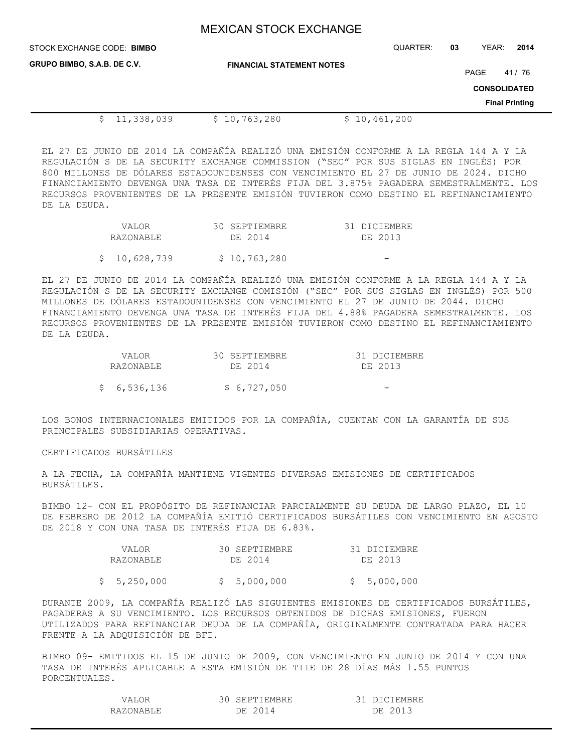| STOCK EXCHANGE CODE: BIMBO         |                                  | QUARTER:     | 03 | YEAR:               | 2014                  |
|------------------------------------|----------------------------------|--------------|----|---------------------|-----------------------|
| <b>GRUPO BIMBO, S.A.B. DE C.V.</b> | <b>FINANCIAL STATEMENT NOTES</b> |              |    | PAGE                | 41 / 76               |
|                                    |                                  |              |    | <b>CONSOLIDATED</b> |                       |
|                                    |                                  |              |    |                     | <b>Final Printing</b> |
| 11,338,039                         | \$10,763,280                     | \$10,461,200 |    |                     |                       |

EL 27 DE JUNIO DE 2014 LA COMPAÑÍA REALIZÓ UNA EMISIÓN CONFORME A LA REGLA 144 A Y LA REGULACIÓN S DE LA SECURITY EXCHANGE COMMISSION ("SEC" POR SUS SIGLAS EN INGLÉS) POR 800 MILLONES DE DÓLARES ESTADOUNIDENSES CON VENCIMIENTO EL 27 DE JUNIO DE 2024. DICHO FINANCIAMIENTO DEVENGA UNA TASA DE INTERÉS FIJA DEL 3.875% PAGADERA SEMESTRALMENTE. LOS RECURSOS PROVENIENTES DE LA PRESENTE EMISIÓN TUVIERON COMO DESTINO EL REFINANCIAMIENTO DE LA DEUDA.

| VALOR        | 30 SEPTIEMBRE | 31 DICIEMBRE |
|--------------|---------------|--------------|
| RAZONABLE    | DE 2014       | DE 2013      |
| \$10,628,739 | \$10,763,280  |              |
|              |               |              |

EL 27 DE JUNIO DE 2014 LA COMPAÑÍA REALIZÓ UNA EMISIÓN CONFORME A LA REGLA 144 A Y LA REGULACIÓN S DE LA SECURITY EXCHANGE COMISIÓN ("SEC" POR SUS SIGLAS EN INGLÉS) POR 500 MILLONES DE DÓLARES ESTADOUNIDENSES CON VENCIMIENTO EL 27 DE JUNIO DE 2044. DICHO FINANCIAMIENTO DEVENGA UNA TASA DE INTERÉS FIJA DEL 4.88% PAGADERA SEMESTRALMENTE. LOS RECURSOS PROVENIENTES DE LA PRESENTE EMISIÓN TUVIERON COMO DESTINO EL REFINANCIAMIENTO DE LA DEUDA.

| VALOR       | 30 SEPTIEMBRE | 31 DICIEMBRE |
|-------------|---------------|--------------|
| RAZONABLE   | DE 2014       | DE 2013      |
| \$6,536,136 | \$6,727,050   |              |

LOS BONOS INTERNACIONALES EMITIDOS POR LA COMPAÑÍA, CUENTAN CON LA GARANTÍA DE SUS PRINCIPALES SUBSIDIARIAS OPERATIVAS.

### CERTIFICADOS BURSÁTILES

A LA FECHA, LA COMPAÑÍA MANTIENE VIGENTES DIVERSAS EMISIONES DE CERTIFICADOS BURSÁTILES.

BIMBO 12- CON EL PROPÓSITO DE REFINANCIAR PARCIALMENTE SU DEUDA DE LARGO PLAZO, EL 10 DE FEBRERO DE 2012 LA COMPAÑÍA EMITIÓ CERTIFICADOS BURSÁTILES CON VENCIMIENTO EN AGOSTO DE 2018 Y CON UNA TASA DE INTERÉS FIJA DE 6.83%.

| VALOR       | 30 SEPTIEMBRE | 31 DICIEMBRE |
|-------------|---------------|--------------|
| RAZONABLE   | DE 2014       | DE 2013      |
| \$5,250,000 | \$5,000,000   | \$5,000,000  |

DURANTE 2009, LA COMPAÑÍA REALIZÓ LAS SIGUIENTES EMISIONES DE CERTIFICADOS BURSÁTILES, PAGADERAS A SU VENCIMIENTO. LOS RECURSOS OBTENIDOS DE DICHAS EMISIONES, FUERON UTILIZADOS PARA REFINANCIAR DEUDA DE LA COMPAÑÍA, ORIGINALMENTE CONTRATADA PARA HACER FRENTE A LA ADQUISICIÓN DE BFI.

BIMBO 09- EMITIDOS EL 15 DE JUNIO DE 2009, CON VENCIMIENTO EN JUNIO DE 2014 Y CON UNA TASA DE INTERÉS APLICABLE A ESTA EMISIÓN DE TIIE DE 28 DÍAS MÁS 1.55 PUNTOS PORCENTUALES.

| A.        | EPTIEMBRE       | IEMBRE    |
|-----------|-----------------|-----------|
| RAZONARLE | DF.<br>$\Delta$ | 1 २<br>DΕ |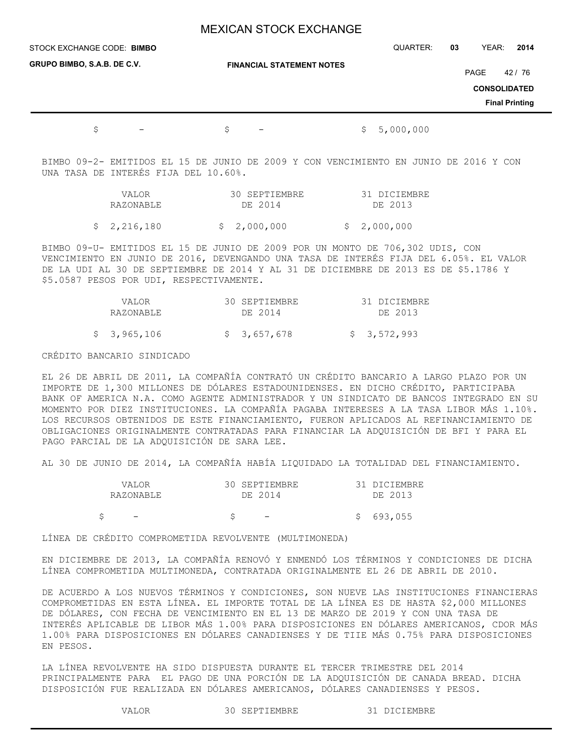| STOCK EXCHANGE CODE: BIMBO     |                                  | QUARTER:         | YEAR:<br>2014<br>03                                             |
|--------------------------------|----------------------------------|------------------|-----------------------------------------------------------------|
| GRUPO BIMBO, S.A.B. DE C.V.    | <b>FINANCIAL STATEMENT NOTES</b> |                  | PAGE<br>42 / 76<br><b>CONSOLIDATED</b><br><b>Final Printing</b> |
| \$<br>$\overline{\phantom{m}}$ | \$<br>$\qquad \qquad -$          | 5,000,000<br>\$. |                                                                 |

BIMBO 09-2- EMITIDOS EL 15 DE JUNIO DE 2009 Y CON VENCIMIENTO EN JUNIO DE 2016 Y CON UNA TASA DE INTERÉS FIJA DEL 10.60%.

| VALOR       | 30 SEPTIEMBRE | 31 DICIEMBRE |
|-------------|---------------|--------------|
| RAZONABLE   | DE 2014       | DE 2013      |
| \$2,216,180 | \$ 2,000,000  | \$2,000,000  |

BIMBO 09-U- EMITIDOS EL 15 DE JUNIO DE 2009 POR UN MONTO DE 706,302 UDIS, CON VENCIMIENTO EN JUNIO DE 2016, DEVENGANDO UNA TASA DE INTERÉS FIJA DEL 6.05%. EL VALOR DE LA UDI AL 30 DE SEPTIEMBRE DE 2014 Y AL 31 DE DICIEMBRE DE 2013 ES DE \$5.1786 Y \$5.0587 PESOS POR UDI, RESPECTIVAMENTE.

| VALOR<br>RAZONABLE | 30 SEPTIEMBRE<br>DE 2014 | 31 DICIEMBRE<br>DE 2013 |
|--------------------|--------------------------|-------------------------|
| \$ 3,965,106       | \$ 3,657,678             | \$3,572,993             |

### CRÉDITO BANCARIO SINDICADO

EL 26 DE ABRIL DE 2011, LA COMPAÑÍA CONTRATÓ UN CRÉDITO BANCARIO A LARGO PLAZO POR UN IMPORTE DE 1,300 MILLONES DE DÓLARES ESTADOUNIDENSES. EN DICHO CRÉDITO, PARTICIPABA BANK OF AMERICA N.A. COMO AGENTE ADMINISTRADOR Y UN SINDICATO DE BANCOS INTEGRADO EN SU MOMENTO POR DIEZ INSTITUCIONES. LA COMPAÑÍA PAGABA INTERESES A LA TASA LIBOR MÁS 1.10%. LOS RECURSOS OBTENIDOS DE ESTE FINANCIAMIENTO, FUERON APLICADOS AL REFINANCIAMIENTO DE OBLIGACIONES ORIGINALMENTE CONTRATADAS PARA FINANCIAR LA ADQUISICIÓN DE BFI Y PARA EL PAGO PARCIAL DE LA ADQUISICIÓN DE SARA LEE.

AL 30 DE JUNIO DE 2014, LA COMPAÑÍA HABÍA LIQUIDADO LA TOTALIDAD DEL FINANCIAMIENTO.

| VALOR<br>RAZONABLE | 30 SEPTIEMBRE<br>DE 2014 | 31 DICIEMBRE<br>DE 2013 |
|--------------------|--------------------------|-------------------------|
|                    | $\overline{\phantom{0}}$ | \$693,055               |

LÍNEA DE CRÉDITO COMPROMETIDA REVOLVENTE (MULTIMONEDA)

EN DICIEMBRE DE 2013, LA COMPAÑÍA RENOVÓ Y ENMENDÓ LOS TÉRMINOS Y CONDICIONES DE DICHA LÍNEA COMPROMETIDA MULTIMONEDA, CONTRATADA ORIGINALMENTE EL 26 DE ABRIL DE 2010.

DE ACUERDO A LOS NUEVOS TÉRMINOS Y CONDICIONES, SON NUEVE LAS INSTITUCIONES FINANCIERAS COMPROMETIDAS EN ESTA LÍNEA. EL IMPORTE TOTAL DE LA LÍNEA ES DE HASTA \$2,000 MILLONES DE DÓLARES, CON FECHA DE VENCIMIENTO EN EL 13 DE MARZO DE 2019 Y CON UNA TASA DE INTERÉS APLICABLE DE LIBOR MÁS 1.00% PARA DISPOSICIONES EN DÓLARES AMERICANOS, CDOR MÁS 1.00% PARA DISPOSICIONES EN DÓLARES CANADIENSES Y DE TIIE MÁS 0.75% PARA DISPOSICIONES EN PESOS.

LA LÍNEA REVOLVENTE HA SIDO DISPUESTA DURANTE EL TERCER TRIMESTRE DEL 2014 PRINCIPALMENTE PARA EL PAGO DE UNA PORCIÓN DE LA ADQUISICIÓN DE CANADA BREAD. DICHA DISPOSICIÓN FUE REALIZADA EN DÓLARES AMERICANOS, DÓLARES CANADIENSES Y PESOS.

VALOR 30 SEPTIEMBRE 31 DICIEMBRE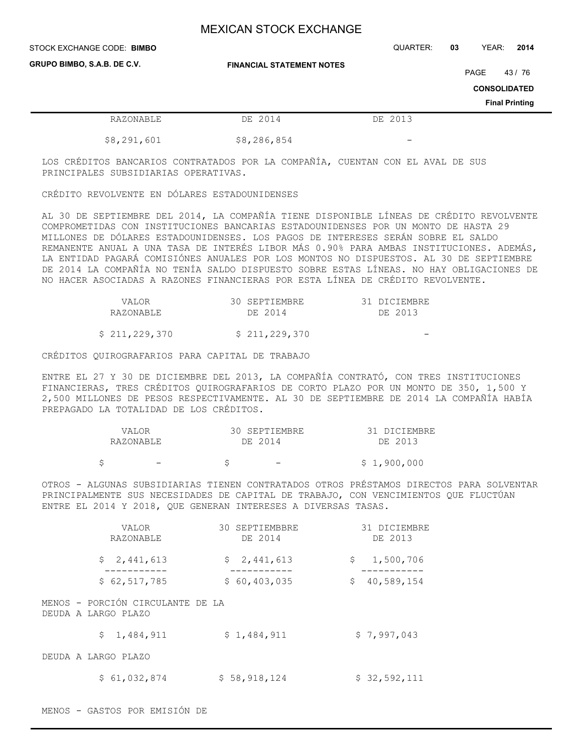| STOCK EXCHANGE CODE: BIMBO  |                                  | QUARTER: | 03 | YEAR:               | 2014                  |
|-----------------------------|----------------------------------|----------|----|---------------------|-----------------------|
| GRUPO BIMBO, S.A.B. DE C.V. | <b>FINANCIAL STATEMENT NOTES</b> |          |    | PAGE                | 43/76                 |
|                             |                                  |          |    | <b>CONSOLIDATED</b> |                       |
|                             |                                  |          |    |                     | <b>Final Printing</b> |
| RAZONABLE                   | DE 2014                          | DE 2013  |    |                     |                       |
| \$8,291,601                 | \$8,286,854                      |          |    |                     |                       |

LOS CRÉDITOS BANCARIOS CONTRATADOS POR LA COMPAÑÍA, CUENTAN CON EL AVAL DE SUS PRINCIPALES SUBSIDIARIAS OPERATIVAS.

CRÉDITO REVOLVENTE EN DÓLARES ESTADOUNIDENSES

AL 30 DE SEPTIEMBRE DEL 2014, LA COMPAÑÍA TIENE DISPONIBLE LÍNEAS DE CRÉDITO REVOLVENTE COMPROMETIDAS CON INSTITUCIONES BANCARIAS ESTADOUNIDENSES POR UN MONTO DE HASTA 29 MILLONES DE DÓLARES ESTADOUNIDENSES. LOS PAGOS DE INTERESES SERÁN SOBRE EL SALDO REMANENTE ANUAL A UNA TASA DE INTERÉS LIBOR MÁS 0.90% PARA AMBAS INSTITUCIONES. ADEMÁS, LA ENTIDAD PAGARÁ COMISIÓNES ANUALES POR LOS MONTOS NO DISPUESTOS. AL 30 DE SEPTIEMBRE DE 2014 LA COMPAÑÍA NO TENÍA SALDO DISPUESTO SOBRE ESTAS LÍNEAS. NO HAY OBLIGACIONES DE NO HACER ASOCIADAS A RAZONES FINANCIERAS POR ESTA LÍNEA DE CRÉDITO REVOLVENTE.

| VALOR         | 30 SEPTIEMBRE | 31 DICIEMBRE |
|---------------|---------------|--------------|
| RAZONABLE     | DE 2014       | DE 2013      |
|               |               |              |
| \$211,229,370 | \$211,229,370 |              |

CRÉDITOS QUIROGRAFARIOS PARA CAPITAL DE TRABAJO

ENTRE EL 27 Y 30 DE DICIEMBRE DEL 2013, LA COMPAÑÍA CONTRATÓ, CON TRES INSTITUCIONES FINANCIERAS, TRES CRÉDITOS QUIROGRAFARIOS DE CORTO PLAZO POR UN MONTO DE 350, 1,500 Y 2,500 MILLONES DE PESOS RESPECTIVAMENTE. AL 30 DE SEPTIEMBRE DE 2014 LA COMPAÑÍA HABÍA PREPAGADO LA TOTALIDAD DE LOS CRÉDITOS.

|  | VALOR     | 30 SEPTIEMBRE            | 31 DICIEMBRE |
|--|-----------|--------------------------|--------------|
|  | RAZONABLE | DE 2014                  | DE 2013      |
|  |           | $\overline{\phantom{0}}$ | \$1,900,000  |

OTROS - ALGUNAS SUBSIDIARIAS TIENEN CONTRATADOS OTROS PRÉSTAMOS DIRECTOS PARA SOLVENTAR PRINCIPALMENTE SUS NECESIDADES DE CAPITAL DE TRABAJO, CON VENCIMIENTOS QUE FLUCTÚAN ENTRE EL 2014 Y 2018, QUE GENERAN INTERESES A DIVERSAS TASAS.

|                     | VALOR<br>RAZONABLE               | 30 SEPTIEMBBRE<br>DE 2014 |              | 31 DICIEMBRE<br>DE 2013 |
|---------------------|----------------------------------|---------------------------|--------------|-------------------------|
|                     | \$2,441,613                      | \$2,441,613               | $\mathsf{S}$ | 1,500,706               |
|                     | \$62,517,785                     | \$60,403,035              | \$           | 40,589,154              |
| DEUDA A LARGO PLAZO | MENOS - PORCIÓN CIRCULANTE DE LA |                           |              |                         |
| \$                  | 1,484,911                        | \$1,484,911               |              | \$7,997,043             |
| DEUDA A LARGO PLAZO |                                  |                           |              |                         |
|                     | \$61,032,874                     | \$58,918,124              |              | \$32,592,111            |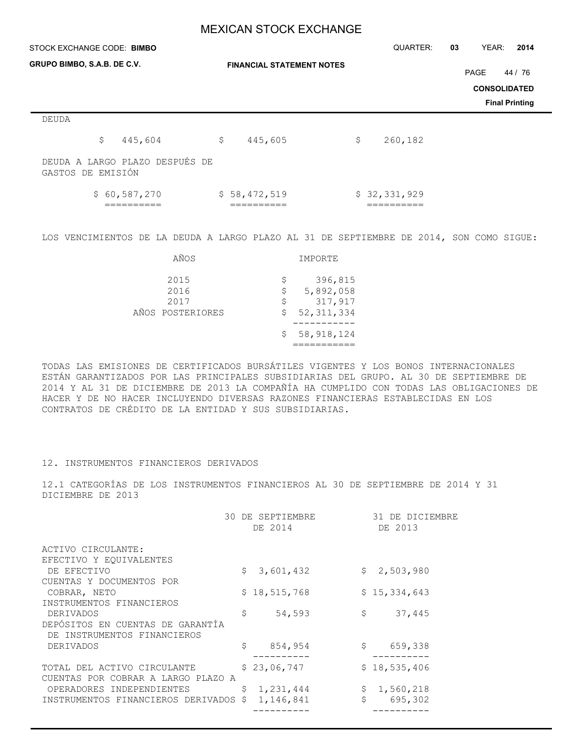| STOCK EXCHANGE CODE: BIMBO                          |                                  | QUARTER:      | YEAR:<br>03<br>2014   |
|-----------------------------------------------------|----------------------------------|---------------|-----------------------|
| GRUPO BIMBO, S.A.B. DE C.V.                         | <b>FINANCIAL STATEMENT NOTES</b> |               | PAGE<br>44 / 76       |
|                                                     |                                  |               | <b>CONSOLIDATED</b>   |
|                                                     |                                  |               | <b>Final Printing</b> |
| DEUDA                                               |                                  |               |                       |
| \$<br>445,604                                       | \$<br>445,605                    | \$<br>260,182 |                       |
| DEUDA A LARGO PLAZO DESPUÉS DE<br>GASTOS DE EMISIÓN |                                  |               |                       |
| \$60,587,270                                        | \$58,472,519                     | \$32,331,929  |                       |

LOS VENCIMIENTOS DE LA DEUDA A LARGO PLAZO AL 31 DE SEPTIEMBRE DE 2014, SON COMO SIGUE:

| AÑOS                                     |                   | IMPORTE                                         |
|------------------------------------------|-------------------|-------------------------------------------------|
| 2015<br>2016<br>2017<br>AÑOS POSTERIORES | \$<br>Ş<br>S<br>S | 396,815<br>5,892,058<br>317,917<br>52, 311, 334 |
|                                          | S                 | 58,918,124                                      |

TODAS LAS EMISIONES DE CERTIFICADOS BURSÁTILES VIGENTES Y LOS BONOS INTERNACIONALES ESTÁN GARANTIZADOS POR LAS PRINCIPALES SUBSIDIARIAS DEL GRUPO. AL 30 DE SEPTIEMBRE DE 2014 Y AL 31 DE DICIEMBRE DE 2013 LA COMPAÑÍA HA CUMPLIDO CON TODAS LAS OBLIGACIONES DE HACER Y DE NO HACER INCLUYENDO DIVERSAS RAZONES FINANCIERAS ESTABLECIDAS EN LOS CONTRATOS DE CRÉDITO DE LA ENTIDAD Y SUS SUBSIDIARIAS.

### 12. INSTRUMENTOS FINANCIEROS DERIVADOS

12.1 CATEGORÍAS DE LOS INSTRUMENTOS FINANCIEROS AL 30 DE SEPTIEMBRE DE 2014 Y 31 DICIEMBRE DE 2013

| 30                                                                | DE SEPTIEMBRE<br>DE 2014 | 31 DE DICIEMBRE<br>DE 2013 |
|-------------------------------------------------------------------|--------------------------|----------------------------|
| ACTIVO CIRCULANTE:                                                |                          |                            |
| EFECTIVO Y EQUIVALENTES                                           |                          |                            |
| DE EFECTIVO                                                       | \$<br>3,601,432          | \$2,503,980                |
| CUENTAS Y DOCUMENTOS POR                                          |                          |                            |
| COBRAR, NETO                                                      | \$18,515,768             | \$15,334,643               |
| INSTRUMENTOS FINANCIEROS                                          |                          |                            |
| DERIVADOS                                                         | \$<br>54,593             | \$<br>37,445               |
| DEPÓSITOS EN CUENTAS DE GARANTÍA<br>DE INSTRUMENTOS FINANCIEROS   |                          |                            |
| DERIVADOS                                                         | \$<br>854,954            | \$<br>659,338              |
| TOTAL DEL ACTIVO CIRCULANTE<br>CUENTAS POR COBRAR A LARGO PLAZO A | \$23,06,747              | \$18,535,406               |
| OPERADORES INDEPENDIENTES                                         | \$<br>1,231,444          | \$<br>1,560,218            |
| INSTRUMENTOS FINANCIEROS DERIVADOS \$                             | 1,146,841                | \$<br>695,302              |
|                                                                   |                          |                            |
|                                                                   |                          |                            |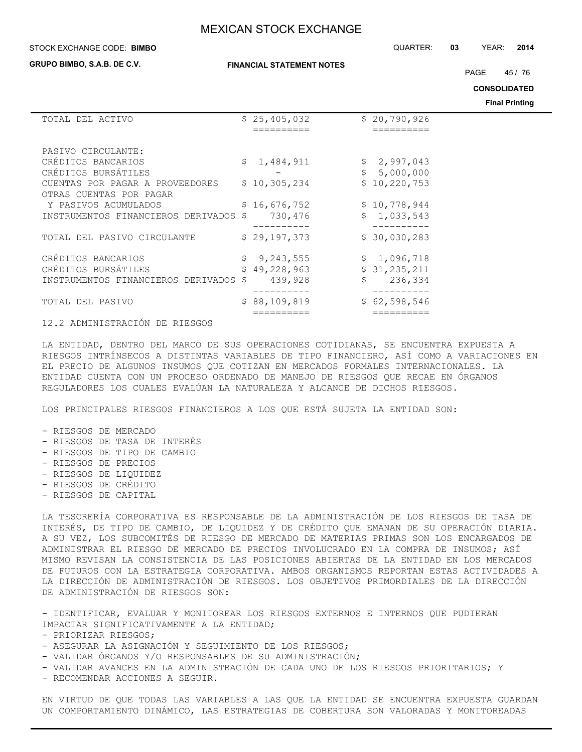#### STOCK EXCHANGE CODE: QUARTER: **03** YEAR: **2014 BIMBO**

**GRUPO BIMBO, S.A.B. DE C.V.**

#### **FINANCIAL STATEMENT NOTES**

PAGE 45 / 76

**CONSOLIDATED**

**Final Printing**

| TOTAL DEL ACTIVO                      | \$25,405,032 |    | \$20,790,926   |
|---------------------------------------|--------------|----|----------------|
|                                       | ==========   |    | ==========     |
|                                       |              |    |                |
| PASIVO CIRCULANTE:                    |              |    |                |
| CRÉDITOS BANCARIOS                    | \$1,484,911  |    | \$2,997,043    |
| CRÉDITOS BURSÁTILES                   |              |    | \$5,000,000    |
| CUENTAS POR PAGAR A PROVEEDORES       | \$10,305,234 |    | \$10, 220, 753 |
| OTRAS CUENTAS POR PAGAR               |              |    |                |
| Y PASIVOS ACUMULADOS                  | \$16,676,752 |    | \$10,778,944   |
| INSTRUMENTOS FINANCIEROS DERIVADOS \$ | 730,476      |    | \$1,033,543    |
|                                       |              |    |                |
| TOTAL DEL PASIVO CIRCULANTE           | \$29,197,373 |    | \$30,030,283   |
|                                       |              |    |                |
| CRÉDITOS BANCARIOS                    | \$9,243,555  |    | \$1,096,718    |
| CRÉDITOS BURSÁTILES                   | \$49,228,963 |    | \$31, 235, 211 |
| INSTRUMENTOS FINANCIEROS DERIVADOS \$ | 439,928      | Ŝ. | 236,334        |
|                                       |              |    |                |
| TOTAL DEL PASIVO                      | \$88,109,819 |    | \$62,598,546   |
|                                       |              |    |                |
|                                       |              |    |                |

12.2 ADMINISTRACIÓN DE RIESGOS

LA ENTIDAD, DENTRO DEL MARCO DE SUS OPERACIONES COTIDIANAS, SE ENCUENTRA EXPUESTA A RIESGOS INTRÍNSECOS A DISTINTAS VARIABLES DE TIPO FINANCIERO, ASÍ COMO A VARIACIONES EN EL PRECIO DE ALGUNOS INSUMOS QUE COTIZAN EN MERCADOS FORMALES INTERNACIONALES. LA ENTIDAD CUENTA CON UN PROCESO ORDENADO DE MANEJO DE RIESGOS QUE RECAE EN ÓRGANOS REGULADORES LOS CUALES EVALÚAN LA NATURALEZA Y ALCANCE DE DICHOS RIESGOS.

LOS PRINCIPALES RIESGOS FINANCIEROS A LOS QUE ESTÁ SUJETA LA ENTIDAD SON:

- RIESGOS DE MERCADO - RIESGOS DE TASA DE INTERÉS - RIESGOS DE TIPO DE CAMBIO - RIESGOS DE PRECIOS - RIESGOS DE LIQUIDEZ - RIESGOS DE CRÉDITO - RIESGOS DE CAPITAL

LA TESORERÍA CORPORATIVA ES RESPONSABLE DE LA ADMINISTRACIÓN DE LOS RIESGOS DE TASA DE INTERÉS, DE TIPO DE CAMBIO, DE LIQUIDEZ Y DE CRÉDITO QUE EMANAN DE SU OPERACIÓN DIARIA. A SU VEZ, LOS SUBCOMITÉS DE RIESGO DE MERCADO DE MATERIAS PRIMAS SON LOS ENCARGADOS DE ADMINISTRAR EL RIESGO DE MERCADO DE PRECIOS INVOLUCRADO EN LA COMPRA DE INSUMOS; ASÍ MISMO REVISAN LA CONSISTENCIA DE LAS POSICIONES ABIERTAS DE LA ENTIDAD EN LOS MERCADOS DE FUTUROS CON LA ESTRATEGIA CORPORATIVA. AMBOS ORGANISMOS REPORTAN ESTAS ACTIVIDADES A LA DIRECCIÓN DE ADMINISTRACIÓN DE RIESGOS. LOS OBJETIVOS PRIMORDIALES DE LA DIRECCIÓN DE ADMINISTRACIÓN DE RIESGOS SON:

- IDENTIFICAR, EVALUAR Y MONITOREAR LOS RIESGOS EXTERNOS E INTERNOS QUE PUDIERAN IMPACTAR SIGNIFICATIVAMENTE A LA ENTIDAD;

- PRIORIZAR RIESGOS;

- ASEGURAR LA ASIGNACIÓN Y SEGUIMIENTO DE LOS RIESGOS;
- VALIDAR ÓRGANOS Y/O RESPONSABLES DE SU ADMINISTRACIÓN;
- VALIDAR AVANCES EN LA ADMINISTRACIÓN DE CADA UNO DE LOS RIESGOS PRIORITARIOS; Y

- RECOMENDAR ACCIONES A SEGUIR.

EN VIRTUD DE QUE TODAS LAS VARIABLES A LAS QUE LA ENTIDAD SE ENCUENTRA EXPUESTA GUARDAN UN COMPORTAMIENTO DINÁMICO, LAS ESTRATEGIAS DE COBERTURA SON VALORADAS Y MONITOREADAS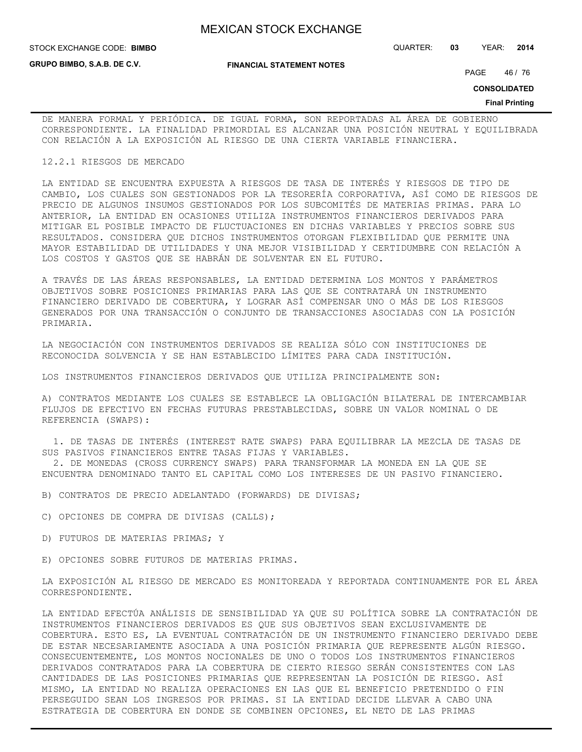**GRUPO BIMBO, S.A.B. DE C.V.**

STOCK EXCHANGE CODE: QUARTER: **03** YEAR: **2014 BIMBO**

**FINANCIAL STATEMENT NOTES**

PAGE 46 / 76

**CONSOLIDATED**

#### **Final Printing**

DE MANERA FORMAL Y PERIÓDICA. DE IGUAL FORMA, SON REPORTADAS AL ÁREA DE GOBIERNO CORRESPONDIENTE. LA FINALIDAD PRIMORDIAL ES ALCANZAR UNA POSICIÓN NEUTRAL Y EQUILIBRADA CON RELACIÓN A LA EXPOSICIÓN AL RIESGO DE UNA CIERTA VARIABLE FINANCIERA.

#### 12.2.1 RIESGOS DE MERCADO

LA ENTIDAD SE ENCUENTRA EXPUESTA A RIESGOS DE TASA DE INTERÉS Y RIESGOS DE TIPO DE CAMBIO, LOS CUALES SON GESTIONADOS POR LA TESORERÍA CORPORATIVA, ASÍ COMO DE RIESGOS DE PRECIO DE ALGUNOS INSUMOS GESTIONADOS POR LOS SUBCOMITÉS DE MATERIAS PRIMAS. PARA LO ANTERIOR, LA ENTIDAD EN OCASIONES UTILIZA INSTRUMENTOS FINANCIEROS DERIVADOS PARA MITIGAR EL POSIBLE IMPACTO DE FLUCTUACIONES EN DICHAS VARIABLES Y PRECIOS SOBRE SUS RESULTADOS. CONSIDERA QUE DICHOS INSTRUMENTOS OTORGAN FLEXIBILIDAD QUE PERMITE UNA MAYOR ESTABILIDAD DE UTILIDADES Y UNA MEJOR VISIBILIDAD Y CERTIDUMBRE CON RELACIÓN A LOS COSTOS Y GASTOS QUE SE HABRÁN DE SOLVENTAR EN EL FUTURO.

A TRAVÉS DE LAS ÁREAS RESPONSABLES, LA ENTIDAD DETERMINA LOS MONTOS Y PARÁMETROS OBJETIVOS SOBRE POSICIONES PRIMARIAS PARA LAS QUE SE CONTRATARÁ UN INSTRUMENTO FINANCIERO DERIVADO DE COBERTURA, Y LOGRAR ASÍ COMPENSAR UNO O MÁS DE LOS RIESGOS GENERADOS POR UNA TRANSACCIÓN O CONJUNTO DE TRANSACCIONES ASOCIADAS CON LA POSICIÓN PRIMARIA.

LA NEGOCIACIÓN CON INSTRUMENTOS DERIVADOS SE REALIZA SÓLO CON INSTITUCIONES DE RECONOCIDA SOLVENCIA Y SE HAN ESTABLECIDO LÍMITES PARA CADA INSTITUCIÓN.

LOS INSTRUMENTOS FINANCIEROS DERIVADOS QUE UTILIZA PRINCIPALMENTE SON:

A) CONTRATOS MEDIANTE LOS CUALES SE ESTABLECE LA OBLIGACIÓN BILATERAL DE INTERCAMBIAR FLUJOS DE EFECTIVO EN FECHAS FUTURAS PRESTABLECIDAS, SOBRE UN VALOR NOMINAL O DE REFERENCIA (SWAPS):

 1. DE TASAS DE INTERÉS (INTEREST RATE SWAPS) PARA EQUILIBRAR LA MEZCLA DE TASAS DE SUS PASIVOS FINANCIEROS ENTRE TASAS FIJAS Y VARIABLES.

 2. DE MONEDAS (CROSS CURRENCY SWAPS) PARA TRANSFORMAR LA MONEDA EN LA QUE SE ENCUENTRA DENOMINADO TANTO EL CAPITAL COMO LOS INTERESES DE UN PASIVO FINANCIERO.

B) CONTRATOS DE PRECIO ADELANTADO (FORWARDS) DE DIVISAS;

- C) OPCIONES DE COMPRA DE DIVISAS (CALLS);
- D) FUTUROS DE MATERIAS PRIMAS; Y

E) OPCIONES SOBRE FUTUROS DE MATERIAS PRIMAS.

LA EXPOSICIÓN AL RIESGO DE MERCADO ES MONITOREADA Y REPORTADA CONTINUAMENTE POR EL ÁREA CORRESPONDIENTE.

LA ENTIDAD EFECTÚA ANÁLISIS DE SENSIBILIDAD YA QUE SU POLÍTICA SOBRE LA CONTRATACIÓN DE INSTRUMENTOS FINANCIEROS DERIVADOS ES QUE SUS OBJETIVOS SEAN EXCLUSIVAMENTE DE COBERTURA. ESTO ES, LA EVENTUAL CONTRATACIÓN DE UN INSTRUMENTO FINANCIERO DERIVADO DEBE DE ESTAR NECESARIAMENTE ASOCIADA A UNA POSICIÓN PRIMARIA QUE REPRESENTE ALGÚN RIESGO. CONSECUENTEMENTE, LOS MONTOS NOCIONALES DE UNO O TODOS LOS INSTRUMENTOS FINANCIEROS DERIVADOS CONTRATADOS PARA LA COBERTURA DE CIERTO RIESGO SERÁN CONSISTENTES CON LAS CANTIDADES DE LAS POSICIONES PRIMARIAS QUE REPRESENTAN LA POSICIÓN DE RIESGO. ASÍ MISMO, LA ENTIDAD NO REALIZA OPERACIONES EN LAS QUE EL BENEFICIO PRETENDIDO O FIN PERSEGUIDO SEAN LOS INGRESOS POR PRIMAS. SI LA ENTIDAD DECIDE LLEVAR A CABO UNA ESTRATEGIA DE COBERTURA EN DONDE SE COMBINEN OPCIONES, EL NETO DE LAS PRIMAS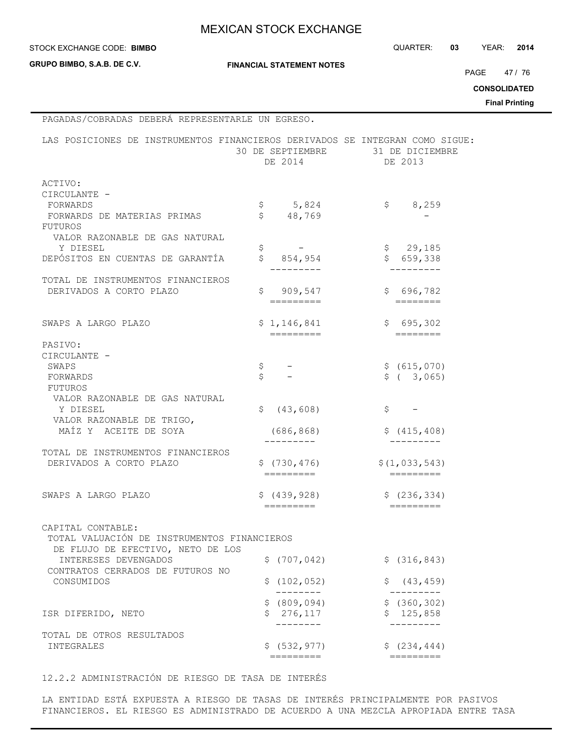#### **STOCK EXCHANGE CODE: BIMBO**

**GRUPO BIMBO, S.A.B. DE C.V.**

 $\blacksquare$ 

STOCK EXCHANGE CODE: QUARTER: **03** YEAR: **2014**

**FINANCIAL STATEMENT NOTES**

PAGE 47 / 76

**CONSOLIDATED**

**Final Printing**

| PAGADAS/COBRADAS DEBERÁ REPRESENTARLE UN EGRESO.                             |                                 |                            |
|------------------------------------------------------------------------------|---------------------------------|----------------------------|
| LAS POSICIONES DE INSTRUMENTOS FINANCIEROS DERIVADOS SE INTEGRAN COMO SIGUE: | 30 DE SEPTIEMBRE<br>DE 2014     | 31 DE DICIEMBRE<br>DE 2013 |
| ACTIVO:                                                                      |                                 |                            |
| CIRCULANTE -                                                                 |                                 |                            |
| FORWARDS                                                                     | 5,824<br>\$                     | \$<br>8,259                |
| FORWARDS DE MATERIAS PRIMAS                                                  | \$<br>48,769                    |                            |
| FUTUROS                                                                      |                                 |                            |
| VALOR RAZONABLE DE GAS NATURAL                                               |                                 |                            |
| Y DIESEL<br>DEPÓSITOS EN CUENTAS DE GARANTÍA                                 | \$<br>\$<br>854,954             | \$29,185<br>\$659,338      |
|                                                                              |                                 |                            |
| TOTAL DE INSTRUMENTOS FINANCIEROS                                            |                                 |                            |
| DERIVADOS A CORTO PLAZO                                                      | \$909,547                       | \$696,782                  |
|                                                                              | =========                       |                            |
|                                                                              |                                 |                            |
| SWAPS A LARGO PLAZO                                                          | \$1,146,841                     | \$695,302                  |
|                                                                              | $=$ $=$ $=$ $=$ $=$ $=$ $=$ $=$ | $=$ = = = = = = =          |
| PASIVO:<br>CIRCULANTE -                                                      |                                 |                            |
| SWAPS                                                                        | \$                              | \$ (615, 070)              |
| FORWARDS                                                                     | \$                              | \$ (3,065)                 |
| FUTUROS                                                                      |                                 |                            |
| VALOR RAZONABLE DE GAS NATURAL                                               |                                 |                            |
| Y DIESEL                                                                     | (43, 608)<br>Ŝ.                 | \$                         |
| VALOR RAZONABLE DE TRIGO,                                                    |                                 |                            |
| MAÍZ Y ACEITE DE SOYA                                                        | (686, 868)                      | \$(415, 408)               |
|                                                                              |                                 |                            |
| TOTAL DE INSTRUMENTOS FINANCIEROS                                            |                                 |                            |
| DERIVADOS A CORTO PLAZO                                                      | \$(730, 476)<br>=========       | \$(1, 033, 543)            |
|                                                                              |                                 |                            |
| SWAPS A LARGO PLAZO                                                          | \$(439, 928)                    | \$(236, 334)               |
|                                                                              |                                 |                            |
|                                                                              |                                 |                            |
| CAPITAL CONTABLE:                                                            |                                 |                            |
| TOTAL VALUACIÓN DE INSTRUMENTOS FINANCIEROS                                  |                                 |                            |
| DE FLUJO DE EFECTIVO, NETO DE LOS                                            |                                 |                            |
| INTERESES DEVENGADOS                                                         | \$(707, 042)                    | \$ (316, 843)              |
| CONTRATOS CERRADOS DE FUTUROS NO                                             |                                 |                            |
| CONSUMIDOS                                                                   | \$(102, 052)                    | \$<br>(43, 459)            |
|                                                                              | \$ (809, 094)                   | \$(360, 302)               |
| ISR DIFERIDO, NETO                                                           | \$276, 117                      | \$125,858                  |
|                                                                              |                                 |                            |
| TOTAL DE OTROS RESULTADOS                                                    |                                 |                            |
| INTEGRALES                                                                   | \$ (532, 977)                   | \$ (234, 444)              |
|                                                                              | =========                       | =========                  |

### 12.2.2 ADMINISTRACIÓN DE RIESGO DE TASA DE INTERÉS

LA ENTIDAD ESTÁ EXPUESTA A RIESGO DE TASAS DE INTERÉS PRINCIPALMENTE POR PASIVOS FINANCIEROS. EL RIESGO ES ADMINISTRADO DE ACUERDO A UNA MEZCLA APROPIADA ENTRE TASA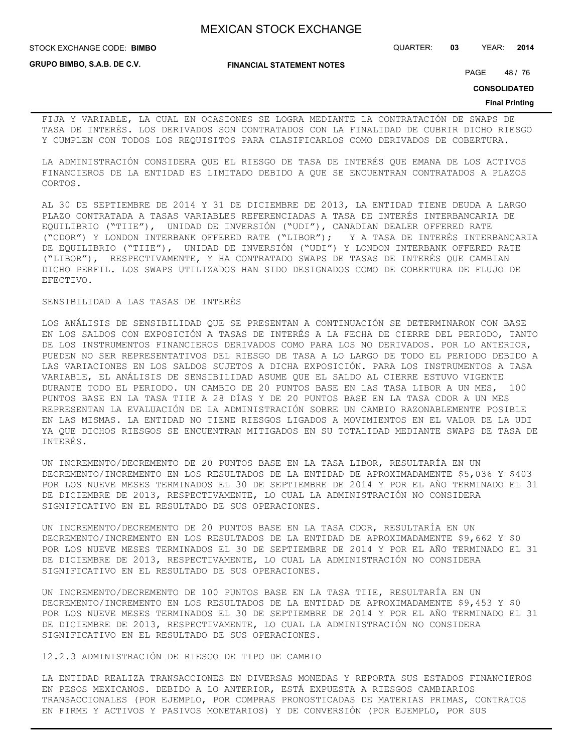STOCK EXCHANGE CODE: QUARTER: **03** YEAR: **2014 BIMBO**

**GRUPO BIMBO, S.A.B. DE C.V.**

**FINANCIAL STATEMENT NOTES**

PAGE 48 / 76

**CONSOLIDATED**

#### **Final Printing**

FIJA Y VARIABLE, LA CUAL EN OCASIONES SE LOGRA MEDIANTE LA CONTRATACIÓN DE SWAPS DE TASA DE INTERÉS. LOS DERIVADOS SON CONTRATADOS CON LA FINALIDAD DE CUBRIR DICHO RIESGO Y CUMPLEN CON TODOS LOS REQUISITOS PARA CLASIFICARLOS COMO DERIVADOS DE COBERTURA.

LA ADMINISTRACIÓN CONSIDERA QUE EL RIESGO DE TASA DE INTERÉS QUE EMANA DE LOS ACTIVOS FINANCIEROS DE LA ENTIDAD ES LIMITADO DEBIDO A QUE SE ENCUENTRAN CONTRATADOS A PLAZOS CORTOS.

AL 30 DE SEPTIEMBRE DE 2014 Y 31 DE DICIEMBRE DE 2013, LA ENTIDAD TIENE DEUDA A LARGO PLAZO CONTRATADA A TASAS VARIABLES REFERENCIADAS A TASA DE INTERÉS INTERBANCARIA DE EQUILIBRIO ("TIIE"), UNIDAD DE INVERSIÓN ("UDI"), CANADIAN DEALER OFFERED RATE ("CDOR") Y LONDON INTERBANK OFFERED RATE ("LIBOR"); Y A TASA DE INTERÉS INTERBANCARIA DE EQUILIBRIO ("TIIE"), UNIDAD DE INVERSIÓN ("UDI") Y LONDON INTERBANK OFFERED RATE ("LIBOR"), RESPECTIVAMENTE, Y HA CONTRATADO SWAPS DE TASAS DE INTERÉS QUE CAMBIAN DICHO PERFIL. LOS SWAPS UTILIZADOS HAN SIDO DESIGNADOS COMO DE COBERTURA DE FLUJO DE EFECTIVO.

#### SENSIBILIDAD A LAS TASAS DE INTERÉS

LOS ANÁLISIS DE SENSIBILIDAD QUE SE PRESENTAN A CONTINUACIÓN SE DETERMINARON CON BASE EN LOS SALDOS CON EXPOSICIÓN A TASAS DE INTERÉS A LA FECHA DE CIERRE DEL PERIODO, TANTO DE LOS INSTRUMENTOS FINANCIEROS DERIVADOS COMO PARA LOS NO DERIVADOS. POR LO ANTERIOR, PUEDEN NO SER REPRESENTATIVOS DEL RIESGO DE TASA A LO LARGO DE TODO EL PERIODO DEBIDO A LAS VARIACIONES EN LOS SALDOS SUJETOS A DICHA EXPOSICIÓN. PARA LOS INSTRUMENTOS A TASA VARIABLE, EL ANÁLISIS DE SENSIBILIDAD ASUME QUE EL SALDO AL CIERRE ESTUVO VIGENTE DURANTE TODO EL PERIODO. UN CAMBIO DE 20 PUNTOS BASE EN LAS TASA LIBOR A UN MES, 100 PUNTOS BASE EN LA TASA TIIE A 28 DÍAS Y DE 20 PUNTOS BASE EN LA TASA CDOR A UN MES REPRESENTAN LA EVALUACIÓN DE LA ADMINISTRACIÓN SOBRE UN CAMBIO RAZONABLEMENTE POSIBLE EN LAS MISMAS. LA ENTIDAD NO TIENE RIESGOS LIGADOS A MOVIMIENTOS EN EL VALOR DE LA UDI YA QUE DICHOS RIESGOS SE ENCUENTRAN MITIGADOS EN SU TOTALIDAD MEDIANTE SWAPS DE TASA DE INTERÉS.

UN INCREMENTO/DECREMENTO DE 20 PUNTOS BASE EN LA TASA LIBOR, RESULTARÍA EN UN DECREMENTO/INCREMENTO EN LOS RESULTADOS DE LA ENTIDAD DE APROXIMADAMENTE \$5,036 Y \$403 POR LOS NUEVE MESES TERMINADOS EL 30 DE SEPTIEMBRE DE 2014 Y POR EL AÑO TERMINADO EL 31 DE DICIEMBRE DE 2013, RESPECTIVAMENTE, LO CUAL LA ADMINISTRACIÓN NO CONSIDERA SIGNIFICATIVO EN EL RESULTADO DE SUS OPERACIONES.

UN INCREMENTO/DECREMENTO DE 20 PUNTOS BASE EN LA TASA CDOR, RESULTARÍA EN UN DECREMENTO/INCREMENTO EN LOS RESULTADOS DE LA ENTIDAD DE APROXIMADAMENTE \$9,662 Y \$0 POR LOS NUEVE MESES TERMINADOS EL 30 DE SEPTIEMBRE DE 2014 Y POR EL AÑO TERMINADO EL 31 DE DICIEMBRE DE 2013, RESPECTIVAMENTE, LO CUAL LA ADMINISTRACIÓN NO CONSIDERA SIGNIFICATIVO EN EL RESULTADO DE SUS OPERACIONES.

UN INCREMENTO/DECREMENTO DE 100 PUNTOS BASE EN LA TASA TIIE, RESULTARÍA EN UN DECREMENTO/INCREMENTO EN LOS RESULTADOS DE LA ENTIDAD DE APROXIMADAMENTE \$9,453 Y \$0 POR LOS NUEVE MESES TERMINADOS EL 30 DE SEPTIEMBRE DE 2014 Y POR EL AÑO TERMINADO EL 31 DE DICIEMBRE DE 2013, RESPECTIVAMENTE, LO CUAL LA ADMINISTRACIÓN NO CONSIDERA SIGNIFICATIVO EN EL RESULTADO DE SUS OPERACIONES.

12.2.3 ADMINISTRACIÓN DE RIESGO DE TIPO DE CAMBIO

LA ENTIDAD REALIZA TRANSACCIONES EN DIVERSAS MONEDAS Y REPORTA SUS ESTADOS FINANCIEROS EN PESOS MEXICANOS. DEBIDO A LO ANTERIOR, ESTÁ EXPUESTA A RIESGOS CAMBIARIOS TRANSACCIONALES (POR EJEMPLO, POR COMPRAS PRONOSTICADAS DE MATERIAS PRIMAS, CONTRATOS EN FIRME Y ACTIVOS Y PASIVOS MONETARIOS) Y DE CONVERSIÓN (POR EJEMPLO, POR SUS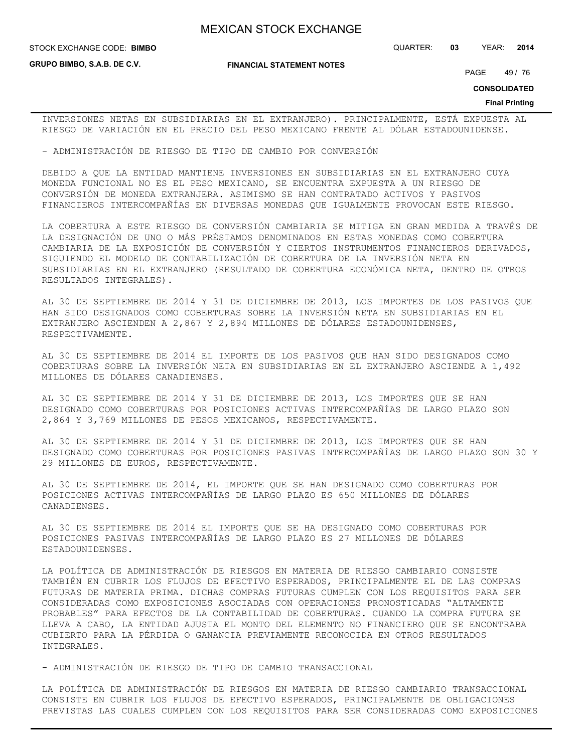**STOCK EXCHANGE CODE: BIMBO** 

**GRUPO BIMBO, S.A.B. DE C.V.**

**FINANCIAL STATEMENT NOTES**

STOCK EXCHANGE CODE: QUARTER: **03** YEAR: **2014**

PAGE 49 / 76

**CONSOLIDATED**

#### **Final Printing**

INVERSIONES NETAS EN SUBSIDIARIAS EN EL EXTRANJERO). PRINCIPALMENTE, ESTÁ EXPUESTA AL RIESGO DE VARIACIÓN EN EL PRECIO DEL PESO MEXICANO FRENTE AL DÓLAR ESTADOUNIDENSE.

- ADMINISTRACIÓN DE RIESGO DE TIPO DE CAMBIO POR CONVERSIÓN

DEBIDO A QUE LA ENTIDAD MANTIENE INVERSIONES EN SUBSIDIARIAS EN EL EXTRANJERO CUYA MONEDA FUNCIONAL NO ES EL PESO MEXICANO, SE ENCUENTRA EXPUESTA A UN RIESGO DE CONVERSIÓN DE MONEDA EXTRANJERA. ASIMISMO SE HAN CONTRATADO ACTIVOS Y PASIVOS FINANCIEROS INTERCOMPAÑÍAS EN DIVERSAS MONEDAS QUE IGUALMENTE PROVOCAN ESTE RIESGO.

LA COBERTURA A ESTE RIESGO DE CONVERSIÓN CAMBIARIA SE MITIGA EN GRAN MEDIDA A TRAVÉS DE LA DESIGNACIÓN DE UNO O MÁS PRÉSTAMOS DENOMINADOS EN ESTAS MONEDAS COMO COBERTURA CAMBIARIA DE LA EXPOSICIÓN DE CONVERSIÓN Y CIERTOS INSTRUMENTOS FINANCIEROS DERIVADOS, SIGUIENDO EL MODELO DE CONTABILIZACIÓN DE COBERTURA DE LA INVERSIÓN NETA EN SUBSIDIARIAS EN EL EXTRANJERO (RESULTADO DE COBERTURA ECONÓMICA NETA, DENTRO DE OTROS RESULTADOS INTEGRALES).

AL 30 DE SEPTIEMBRE DE 2014 Y 31 DE DICIEMBRE DE 2013, LOS IMPORTES DE LOS PASIVOS QUE HAN SIDO DESIGNADOS COMO COBERTURAS SOBRE LA INVERSIÓN NETA EN SUBSIDIARIAS EN EL EXTRANJERO ASCIENDEN A 2,867 Y 2,894 MILLONES DE DÓLARES ESTADOUNIDENSES, RESPECTIVAMENTE.

AL 30 DE SEPTIEMBRE DE 2014 EL IMPORTE DE LOS PASIVOS QUE HAN SIDO DESIGNADOS COMO COBERTURAS SOBRE LA INVERSIÓN NETA EN SUBSIDIARIAS EN EL EXTRANJERO ASCIENDE A 1,492 MILLONES DE DÓLARES CANADIENSES.

AL 30 DE SEPTIEMBRE DE 2014 Y 31 DE DICIEMBRE DE 2013, LOS IMPORTES QUE SE HAN DESIGNADO COMO COBERTURAS POR POSICIONES ACTIVAS INTERCOMPAÑÍAS DE LARGO PLAZO SON 2,864 Y 3,769 MILLONES DE PESOS MEXICANOS, RESPECTIVAMENTE.

AL 30 DE SEPTIEMBRE DE 2014 Y 31 DE DICIEMBRE DE 2013, LOS IMPORTES QUE SE HAN DESIGNADO COMO COBERTURAS POR POSICIONES PASIVAS INTERCOMPAÑÍAS DE LARGO PLAZO SON 30 Y 29 MILLONES DE EUROS, RESPECTIVAMENTE.

AL 30 DE SEPTIEMBRE DE 2014, EL IMPORTE QUE SE HAN DESIGNADO COMO COBERTURAS POR POSICIONES ACTIVAS INTERCOMPAÑÍAS DE LARGO PLAZO ES 650 MILLONES DE DÓLARES CANADIENSES.

AL 30 DE SEPTIEMBRE DE 2014 EL IMPORTE QUE SE HA DESIGNADO COMO COBERTURAS POR POSICIONES PASIVAS INTERCOMPAÑÍAS DE LARGO PLAZO ES 27 MILLONES DE DÓLARES ESTADOUNIDENSES.

LA POLÍTICA DE ADMINISTRACIÓN DE RIESGOS EN MATERIA DE RIESGO CAMBIARIO CONSISTE TAMBIÉN EN CUBRIR LOS FLUJOS DE EFECTIVO ESPERADOS, PRINCIPALMENTE EL DE LAS COMPRAS FUTURAS DE MATERIA PRIMA. DICHAS COMPRAS FUTURAS CUMPLEN CON LOS REQUISITOS PARA SER CONSIDERADAS COMO EXPOSICIONES ASOCIADAS CON OPERACIONES PRONOSTICADAS "ALTAMENTE PROBABLES" PARA EFECTOS DE LA CONTABILIDAD DE COBERTURAS. CUANDO LA COMPRA FUTURA SE LLEVA A CABO, LA ENTIDAD AJUSTA EL MONTO DEL ELEMENTO NO FINANCIERO QUE SE ENCONTRABA CUBIERTO PARA LA PÉRDIDA O GANANCIA PREVIAMENTE RECONOCIDA EN OTROS RESULTADOS INTEGRALES.

- ADMINISTRACIÓN DE RIESGO DE TIPO DE CAMBIO TRANSACCIONAL

LA POLÍTICA DE ADMINISTRACIÓN DE RIESGOS EN MATERIA DE RIESGO CAMBIARIO TRANSACCIONAL CONSISTE EN CUBRIR LOS FLUJOS DE EFECTIVO ESPERADOS, PRINCIPALMENTE DE OBLIGACIONES PREVISTAS LAS CUALES CUMPLEN CON LOS REQUISITOS PARA SER CONSIDERADAS COMO EXPOSICIONES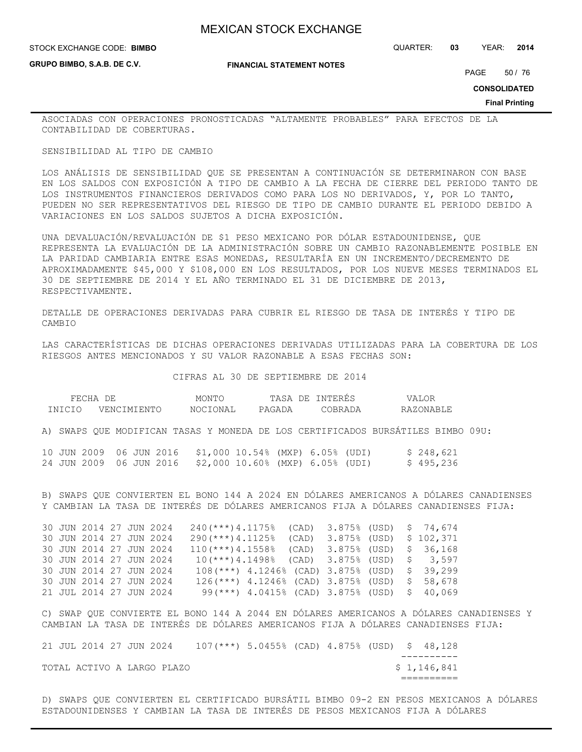#### **STOCK EXCHANGE CODE: BIMBO**

**GRUPO BIMBO, S.A.B. DE C.V.**

### STOCK EXCHANGE CODE: QUARTER: **03** YEAR: **2014**

**FINANCIAL STATEMENT NOTES**

PAGE 50 / 76

**CONSOLIDATED**

**Final Printing**

ASOCIADAS CON OPERACIONES PRONOSTICADAS "ALTAMENTE PROBABLES" PARA EFECTOS DE LA CONTABILIDAD DE COBERTURAS.

#### SENSIBILIDAD AL TIPO DE CAMBIO

LOS ANÁLISIS DE SENSIBILIDAD QUE SE PRESENTAN A CONTINUACIÓN SE DETERMINARON CON BASE EN LOS SALDOS CON EXPOSICIÓN A TIPO DE CAMBIO A LA FECHA DE CIERRE DEL PERIODO TANTO DE LOS INSTRUMENTOS FINANCIEROS DERIVADOS COMO PARA LOS NO DERIVADOS, Y, POR LO TANTO, PUEDEN NO SER REPRESENTATIVOS DEL RIESGO DE TIPO DE CAMBIO DURANTE EL PERIODO DEBIDO A VARIACIONES EN LOS SALDOS SUJETOS A DICHA EXPOSICIÓN.

UNA DEVALUACIÓN/REVALUACIÓN DE \$1 PESO MEXICANO POR DÓLAR ESTADOUNIDENSE, QUE REPRESENTA LA EVALUACIÓN DE LA ADMINISTRACIÓN SOBRE UN CAMBIO RAZONABLEMENTE POSIBLE EN LA PARIDAD CAMBIARIA ENTRE ESAS MONEDAS, RESULTARÍA EN UN INCREMENTO/DECREMENTO DE APROXIMADAMENTE \$45,000 Y \$108,000 EN LOS RESULTADOS, POR LOS NUEVE MESES TERMINADOS EL 30 DE SEPTIEMBRE DE 2014 Y EL AÑO TERMINADO EL 31 DE DICIEMBRE DE 2013, RESPECTIVAMENTE.

DETALLE DE OPERACIONES DERIVADAS PARA CUBRIR EL RIESGO DE TASA DE INTERÉS Y TIPO DE CAMBIO

LAS CARACTERÍSTICAS DE DICHAS OPERACIONES DERIVADAS UTILIZADAS PARA LA COBERTURA DE LOS RIESGOS ANTES MENCIONADOS Y SU VALOR RAZONABLE A ESAS FECHAS SON:

CIFRAS AL 30 DE SEPTIEMBRE DE 2014

| FECHA  | DE                      | MONTC    | TASA   | NTERES!<br>7E. | ALOR<br><u>./ Д I</u> |
|--------|-------------------------|----------|--------|----------------|-----------------------|
| "NTCTO | <b>TMTENTC</b><br>JENC. | NOCIONAL | PAGADA | `OBRADA        | RAZONABLF             |

A) SWAPS QUE MODIFICAN TASAS Y MONEDA DE LOS CERTIFICADOS BURSÁTILES BIMBO 09U:

|  |  |  | 10 JUN 2009 06 JUN 2016 \$1,000 10.54% (MXP) 6.05% (UDI) |  |  | \$248,621 |
|--|--|--|----------------------------------------------------------|--|--|-----------|
|  |  |  | 24 JUN 2009 06 JUN 2016 \$2,000 10.60% (MXP) 6.05% (UDI) |  |  | \$495,236 |

B) SWAPS QUE CONVIERTEN EL BONO 144 A 2024 EN DÓLARES AMERICANOS A DÓLARES CANADIENSES Y CAMBIAN LA TASA DE INTERÉS DE DÓLARES AMERICANOS FIJA A DÓLARES CANADIENSES FIJA:

|  | 30 JUN 2014 27 JUN 2024 |  | $240$ (***) 4.1175% (CAD) 3.875% (USD) \$ 74,674 |                                                 |  |  |                                 |
|--|-------------------------|--|--------------------------------------------------|-------------------------------------------------|--|--|---------------------------------|
|  | 30 JUN 2014 27 JUN 2024 |  | $290$ (***) 4.1125%                              |                                                 |  |  | $(CAD)$ 3.875% (USD) \$ 102,371 |
|  | 30 JUN 2014 27 JUN 2024 |  | $110 (***)$ 4.1558% (CAD) 3.875% (USD) \$ 36,168 |                                                 |  |  |                                 |
|  | 30 JUN 2014 27 JUN 2024 |  | $10(***)$ 4.1498% (CAD) 3.875% (USD) \$ 3.597    |                                                 |  |  |                                 |
|  | 30 JUN 2014 27 JUN 2024 |  | $108$ (***) 4.1246% (CAD) 3.875% (USD) \$ 39,299 |                                                 |  |  |                                 |
|  | 30 JUN 2014 27 JUN 2024 |  | $126$ (***) 4.1246% (CAD) 3.875% (USD) \$        |                                                 |  |  | 58,678                          |
|  | 21 JUL 2014 27 JUN 2024 |  |                                                  | $99$ (***) 4.0415% (CAD) 3.875% (USD) \$ 40,069 |  |  |                                 |

C) SWAP QUE CONVIERTE EL BONO 144 A 2044 EN DÓLARES AMERICANOS A DÓLARES CANADIENSES Y CAMBIAN LA TASA DE INTERÉS DE DÓLARES AMERICANOS FIJA A DÓLARES CANADIENSES FIJA:

|  | 21 JUL 2014 27 JUN 2024 |  |                            | $107$ (***) 5.0455% (CAD) 4.875% (USD) \$ 48,128 |  |  |             |
|--|-------------------------|--|----------------------------|--------------------------------------------------|--|--|-------------|
|  |                         |  |                            |                                                  |  |  |             |
|  |                         |  | TOTAL ACTIVO A LARGO PLAZO |                                                  |  |  | \$1,146,841 |
|  |                         |  |                            |                                                  |  |  |             |

D) SWAPS QUE CONVIERTEN EL CERTIFICADO BURSÁTIL BIMBO 09-2 EN PESOS MEXICANOS A DÓLARES ESTADOUNIDENSES Y CAMBIAN LA TASA DE INTERÉS DE PESOS MEXICANOS FIJA A DÓLARES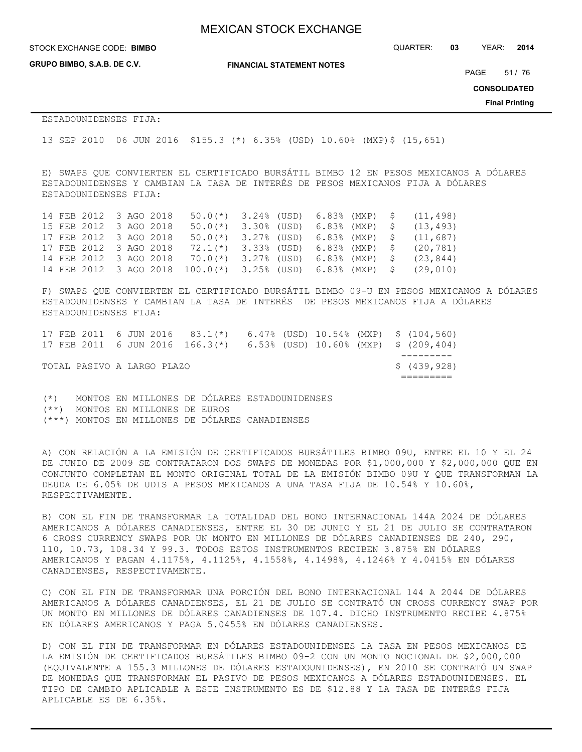**GRUPO BIMBO, S.A.B. DE C.V.**

**FINANCIAL STATEMENT NOTES**

STOCK EXCHANGE CODE: QUARTER: **03** YEAR: **2014 BIMBO**

PAGE 51 / 76

**CONSOLIDATED**

**Final Printing**

ESTADOUNIDENSES FIJA:

13 SEP 2010 06 JUN 2016 \$155.3 (\*) 6.35% (USD) 10.60% (MXP)\$ (15,651)

E) SWAPS QUE CONVIERTEN EL CERTIFICADO BURSÁTIL BIMBO 12 EN PESOS MEXICANOS A DÓLARES ESTADOUNIDENSES Y CAMBIAN LA TASA DE INTERÉS DE PESOS MEXICANOS FIJA A DÓLARES ESTADOUNIDENSES FIJA:

14 FEB 2012 3 AGO 2018 50.0(\*) 3.24% (USD) 6.83% (MXP) \$ (11,498) 15 FEB 2012 3 AGO 2018 50.0(\*) 3.30% (USD) 6.83% (MXP) \$ (13,493) 17 FEB 2012 3 AGO 2018 50.0(\*) 3.27% (USD) 6.83% (MXP) \$ (11,687) 17 FEB 2012 3 AGO 2018 72.1(\*) 3.33% (USD) 6.83% (MXP) \$ (20,781) 14 FEB 2012 3 AGO 2018 70.0(\*) 3.27% (USD) 6.83% (MXP) \$ (23,844) 14 FEB 2012 3 AGO 2018 100.0(\*) 3.25% (USD) 6.83% (MXP) \$ (29,010)

F) SWAPS QUE CONVIERTEN EL CERTIFICADO BURSÁTIL BIMBO 09-U EN PESOS MEXICANOS A DÓLARES ESTADOUNIDENSES Y CAMBIAN LA TASA DE INTERÉS DE PESOS MEXICANOS FIJA A DÓLARES ESTADOUNIDENSES FIJA:

|  |                            |  | 17 FEB 2011 6 JUN 2016 83.1(*) 6.47% (USD) 10.54% (MXP) \$ (104,560)  |  |  |              |
|--|----------------------------|--|-----------------------------------------------------------------------|--|--|--------------|
|  |                            |  | 17 FEB 2011 6 JUN 2016 166.3(*) 6.53% (USD) 10.60% (MXP) \$ (209,404) |  |  |              |
|  |                            |  |                                                                       |  |  |              |
|  | TOTAL PASIVO A LARGO PLAZO |  |                                                                       |  |  | \$ (439,928) |
|  |                            |  |                                                                       |  |  |              |

(\*) MONTOS EN MILLONES DE DÓLARES ESTADOUNIDENSES (\*\*) MONTOS EN MILLONES DE EUROS (\*\*\*) MONTOS EN MILLONES DE DÓLARES CANADIENSES

A) CON RELACIÓN A LA EMISIÓN DE CERTIFICADOS BURSÁTILES BIMBO 09U, ENTRE EL 10 Y EL 24 DE JUNIO DE 2009 SE CONTRATARON DOS SWAPS DE MONEDAS POR \$1,000,000 Y \$2,000,000 QUE EN CONJUNTO COMPLETAN EL MONTO ORIGINAL TOTAL DE LA EMISIÓN BIMBO 09U Y QUE TRANSFORMAN LA DEUDA DE 6.05% DE UDIS A PESOS MEXICANOS A UNA TASA FIJA DE 10.54% Y 10.60%, RESPECTIVAMENTE.

B) CON EL FIN DE TRANSFORMAR LA TOTALIDAD DEL BONO INTERNACIONAL 144A 2024 DE DÓLARES AMERICANOS A DÓLARES CANADIENSES, ENTRE EL 30 DE JUNIO Y EL 21 DE JULIO SE CONTRATARON 6 CROSS CURRENCY SWAPS POR UN MONTO EN MILLONES DE DÓLARES CANADIENSES DE 240, 290, 110, 10.73, 108.34 Y 99.3. TODOS ESTOS INSTRUMENTOS RECIBEN 3.875% EN DÓLARES AMERICANOS Y PAGAN 4.1175%, 4.1125%, 4.1558%, 4.1498%, 4.1246% Y 4.0415% EN DÓLARES CANADIENSES, RESPECTIVAMENTE.

C) CON EL FIN DE TRANSFORMAR UNA PORCIÓN DEL BONO INTERNACIONAL 144 A 2044 DE DÓLARES AMERICANOS A DÓLARES CANADIENSES, EL 21 DE JULIO SE CONTRATÓ UN CROSS CURRENCY SWAP POR UN MONTO EN MILLONES DE DÓLARES CANADIENSES DE 107.4. DICHO INSTRUMENTO RECIBE 4.875% EN DÓLARES AMERICANOS Y PAGA 5.0455% EN DÓLARES CANADIENSES.

D) CON EL FIN DE TRANSFORMAR EN DÓLARES ESTADOUNIDENSES LA TASA EN PESOS MEXICANOS DE LA EMISIÓN DE CERTIFICADOS BURSÁTILES BIMBO 09-2 CON UN MONTO NOCIONAL DE \$2,000,000 (EQUIVALENTE A 155.3 MILLONES DE DÓLARES ESTADOUNIDENSES), EN 2010 SE CONTRATÓ UN SWAP DE MONEDAS QUE TRANSFORMAN EL PASIVO DE PESOS MEXICANOS A DÓLARES ESTADOUNIDENSES. EL TIPO DE CAMBIO APLICABLE A ESTE INSTRUMENTO ES DE \$12.88 Y LA TASA DE INTERÉS FIJA APLICABLE ES DE 6.35%.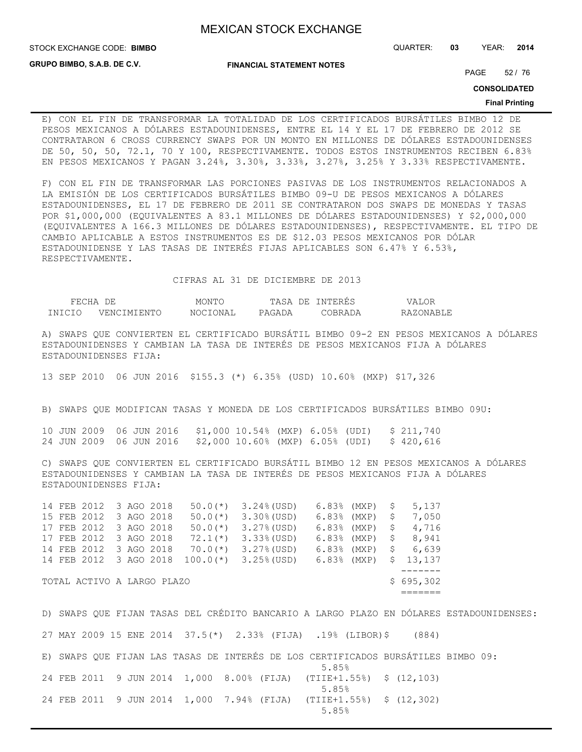**GRUPO BIMBO, S.A.B. DE C.V.**

**FINANCIAL STATEMENT NOTES**

STOCK EXCHANGE CODE: QUARTER: **03** YEAR: **2014 BIMBO**

PAGE 52 / 76

**CONSOLIDATED**

#### **Final Printing**

E) CON EL FIN DE TRANSFORMAR LA TOTALIDAD DE LOS CERTIFICADOS BURSÁTILES BIMBO 12 DE PESOS MEXICANOS A DÓLARES ESTADOUNIDENSES, ENTRE EL 14 Y EL 17 DE FEBRERO DE 2012 SE CONTRATARON 6 CROSS CURRENCY SWAPS POR UN MONTO EN MILLONES DE DÓLARES ESTADOUNIDENSES DE 50, 50, 50, 72.1, 70 Y 100, RESPECTIVAMENTE. TODOS ESTOS INSTRUMENTOS RECIBEN 6.83% EN PESOS MEXICANOS Y PAGAN 3.24%, 3.30%, 3.33%, 3.27%, 3.25% Y 3.33% RESPECTIVAMENTE.

F) CON EL FIN DE TRANSFORMAR LAS PORCIONES PASIVAS DE LOS INSTRUMENTOS RELACIONADOS A LA EMISIÓN DE LOS CERTIFICADOS BURSÁTILES BIMBO 09-U DE PESOS MEXICANOS A DÓLARES ESTADOUNIDENSES, EL 17 DE FEBRERO DE 2011 SE CONTRATARON DOS SWAPS DE MONEDAS Y TASAS POR \$1,000,000 (EQUIVALENTES A 83.1 MILLONES DE DÓLARES ESTADOUNIDENSES) Y \$2,000,000 (EQUIVALENTES A 166.3 MILLONES DE DÓLARES ESTADOUNIDENSES), RESPECTIVAMENTE. EL TIPO DE CAMBIO APLICABLE A ESTOS INSTRUMENTOS ES DE \$12.03 PESOS MEXICANOS POR DÓLAR ESTADOUNIDENSE Y LAS TASAS DE INTERÉS FIJAS APLICABLES SON 6.47% Y 6.53%, RESPECTIVAMENTE.

CIFRAS AL 31 DE DICIEMBRE DE 2013

| FECHA  |             | MONTO    | TASA<br>DE. | INTERES | VALOR            |
|--------|-------------|----------|-------------|---------|------------------|
| INICIO | VENCIMIENTO | NOCIONAL | PAGADA      | COBRADA | <b>RAZONABLE</b> |

A) SWAPS QUE CONVIERTEN EL CERTIFICADO BURSÁTIL BIMBO 09-2 EN PESOS MEXICANOS A DÓLARES ESTADOUNIDENSES Y CAMBIAN LA TASA DE INTERÉS DE PESOS MEXICANOS FIJA A DÓLARES ESTADOUNIDENSES FIJA:

13 SEP 2010 06 JUN 2016 \$155.3 (\*) 6.35% (USD) 10.60% (MXP) \$17,326

B) SWAPS QUE MODIFICAN TASAS Y MONEDA DE LOS CERTIFICADOS BURSÁTILES BIMBO 09U:

10 JUN 2009 06 JUN 2016 \$1,000 10.54% (MXP) 6.05% (UDI) \$ 211,740 24 JUN 2009 06 JUN 2016 \$2,000 10.60% (MXP) 6.05% (UDI) \$ 420,616

C) SWAPS QUE CONVIERTEN EL CERTIFICADO BURSÁTIL BIMBO 12 EN PESOS MEXICANOS A DÓLARES ESTADOUNIDENSES Y CAMBIAN LA TASA DE INTERÉS DE PESOS MEXICANOS FIJA A DÓLARES ESTADOUNIDENSES FIJA:

|  | 14 FEB 2012 3 AGO 2018     |  |             | $50.0$ (*) $3.24$ (USD) | $6.83%$ (MXP) | S   | 5,137     |
|--|----------------------------|--|-------------|-------------------------|---------------|-----|-----------|
|  | 15 FEB 2012 3 AGO 2018     |  | $50.0(*)$   | $3.30\%$ (USD)          | $6.83%$ (MXP) | S   | 7,050     |
|  | 17 FEB 2012 3 AGO 2018     |  | $50.0$ (*)  | $3.27%$ (USD)           | $6.83%$ (MXP) | S   | 4,716     |
|  | 17 FEB 2012 3 AGO 2018     |  | $72.1(*)$   | $3.33$ (USD)            | $6.83%$ (MXP) | \$. | 8,941     |
|  | 14 FEB 2012 3 AGO 2018     |  | $70.0(*)$   | $3.27%$ (USD)           | $6.83%$ (MXP) | S   | 6,639     |
|  | 14 FEB 2012 3 AGO 2018     |  | $100.0$ (*) | $3.25%$ (USD)           | $6.83%$ (MXP) |     | \$13,137  |
|  |                            |  |             |                         |               |     |           |
|  | TOTAL ACTIVO A LARGO PLAZO |  |             |                         |               |     | \$695,302 |
|  |                            |  |             |                         |               |     |           |

D) SWAPS QUE FIJAN TASAS DEL CRÉDITO BANCARIO A LARGO PLAZO EN DÓLARES ESTADOUNIDENSES: 27 MAY 2009 15 ENE 2014 37.5(\*) 2.33% (FIJA) .19% (LIBOR)\$ (884) E) SWAPS QUE FIJAN LAS TASAS DE INTERÉS DE LOS CERTIFICADOS BURSÁTILES BIMBO 09:  $5.85%$ 24 FEB 2011 9 JUN 2014 1,000 8.00% (FIJA) (TIIE+1.55%) \$ (12,103)  $5.85%$ 24 FEB 2011 9 JUN 2014 1,000 7.94% (FIJA) (TIIE+1.55%) \$ (12,302)  $5.85%$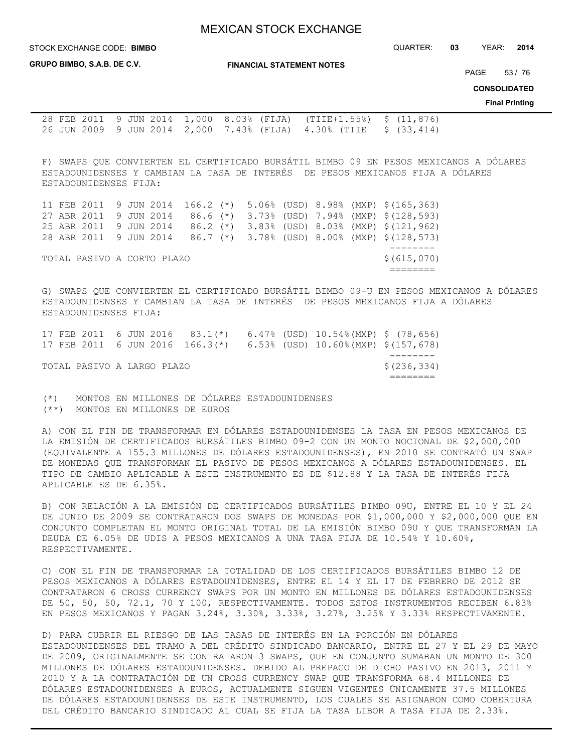STOCK EXCHANGE CODE: QUARTER: **03** YEAR: **2014 BIMBO**

**GRUPO BIMBO, S.A.B. DE C.V.**

**FINANCIAL STATEMENT NOTES**

PAGE 53 / 76

**CONSOLIDATED**

**Final Printing**

28 FEB 2011 9 JUN 2014 1,000 8.03% (FIJA) (TIIE+1.55%) \$ (11,876) 26 JUN 2009 9 JUN 2014 2,000 7.43% (FIJA) 4.30% (TIIE \$ (33,414)

F) SWAPS QUE CONVIERTEN EL CERTIFICADO BURSÁTIL BIMBO 09 EN PESOS MEXICANOS A DÓLARES ESTADOUNIDENSES Y CAMBIAN LA TASA DE INTERÉS DE PESOS MEXICANOS FIJA A DÓLARES ESTADOUNIDENSES FIJA:

|  |                            |  |  |  |  | 11 FEB 2011 9 JUN 2014 166.2 (*) 5.06% (USD) 8.98% (MXP) \$(165,363) |
|--|----------------------------|--|--|--|--|----------------------------------------------------------------------|
|  |                            |  |  |  |  | 27 ABR 2011 9 JUN 2014 86.6 (*) 3.73% (USD) 7.94% (MXP) \$(128,593)  |
|  |                            |  |  |  |  | 25 ABR 2011 9 JUN 2014 86.2 (*) 3.83% (USD) 8.03% (MXP) \$(121,962)  |
|  |                            |  |  |  |  | 28 ABR 2011 9 JUN 2014 86.7 (*) 3.78% (USD) 8.00% (MXP) \$ (128,573) |
|  |                            |  |  |  |  |                                                                      |
|  | TOTAL PASIVO A CORTO PLAZO |  |  |  |  | \$(615,070)                                                          |
|  |                            |  |  |  |  |                                                                      |

G) SWAPS QUE CONVIERTEN EL CERTIFICADO BURSÁTIL BIMBO 09-U EN PESOS MEXICANOS A DÓLARES ESTADOUNIDENSES Y CAMBIAN LA TASA DE INTERÉS DE PESOS MEXICANOS FIJA A DÓLARES ESTADOUNIDENSES FIJA:

|  | TOTAL PASIVO A LARGO PLAZO |  |  |  |                                                                     | \$(236,334) |
|--|----------------------------|--|--|--|---------------------------------------------------------------------|-------------|
|  |                            |  |  |  |                                                                     |             |
|  |                            |  |  |  | 17 FEB 2011 6 JUN 2016 166.3(*) 6.53% (USD) 10.60%(MXP) \$(157,678) |             |
|  |                            |  |  |  | 17 FEB 2011 6 JUN 2016 83.1(*) 6.47% (USD) 10.54%(MXP) \$ (78,656)  |             |

(\*) MONTOS EN MILLONES DE DÓLARES ESTADOUNIDENSES (\*\*) MONTOS EN MILLONES DE EUROS

A) CON EL FIN DE TRANSFORMAR EN DÓLARES ESTADOUNIDENSES LA TASA EN PESOS MEXICANOS DE LA EMISIÓN DE CERTIFICADOS BURSÁTILES BIMBO 09-2 CON UN MONTO NOCIONAL DE \$2,000,000 (EQUIVALENTE A 155.3 MILLONES DE DÓLARES ESTADOUNIDENSES), EN 2010 SE CONTRATÓ UN SWAP DE MONEDAS QUE TRANSFORMAN EL PASIVO DE PESOS MEXICANOS A DÓLARES ESTADOUNIDENSES. EL TIPO DE CAMBIO APLICABLE A ESTE INSTRUMENTO ES DE \$12.88 Y LA TASA DE INTERÉS FIJA APLICABLE ES DE 6.35%.

B) CON RELACIÓN A LA EMISIÓN DE CERTIFICADOS BURSÁTILES BIMBO 09U, ENTRE EL 10 Y EL 24 DE JUNIO DE 2009 SE CONTRATARON DOS SWAPS DE MONEDAS POR \$1,000,000 Y \$2,000,000 QUE EN CONJUNTO COMPLETAN EL MONTO ORIGINAL TOTAL DE LA EMISIÓN BIMBO 09U Y QUE TRANSFORMAN LA DEUDA DE 6.05% DE UDIS A PESOS MEXICANOS A UNA TASA FIJA DE 10.54% Y 10.60%, RESPECTIVAMENTE.

C) CON EL FIN DE TRANSFORMAR LA TOTALIDAD DE LOS CERTIFICADOS BURSÁTILES BIMBO 12 DE PESOS MEXICANOS A DÓLARES ESTADOUNIDENSES, ENTRE EL 14 Y EL 17 DE FEBRERO DE 2012 SE CONTRATARON 6 CROSS CURRENCY SWAPS POR UN MONTO EN MILLONES DE DÓLARES ESTADOUNIDENSES DE 50, 50, 50, 72.1, 70 Y 100, RESPECTIVAMENTE. TODOS ESTOS INSTRUMENTOS RECIBEN 6.83% EN PESOS MEXICANOS Y PAGAN 3.24%, 3.30%, 3.33%, 3.27%, 3.25% Y 3.33% RESPECTIVAMENTE.

D) PARA CUBRIR EL RIESGO DE LAS TASAS DE INTERÉS EN LA PORCIÓN EN DÓLARES ESTADOUNIDENSES DEL TRAMO A DEL CRÉDITO SINDICADO BANCARIO, ENTRE EL 27 Y EL 29 DE MAYO DE 2009, ORIGINALMENTE SE CONTRATARON 3 SWAPS, QUE EN CONJUNTO SUMABAN UN MONTO DE 300 MILLONES DE DÓLARES ESTADOUNIDENSES. DEBIDO AL PREPAGO DE DICHO PASIVO EN 2013, 2011 Y 2010 Y A LA CONTRATACIÓN DE UN CROSS CURRENCY SWAP QUE TRANSFORMA 68.4 MILLONES DE DÓLARES ESTADOUNIDENSES A EUROS, ACTUALMENTE SIGUEN VIGENTES ÚNICAMENTE 37.5 MILLONES DE DÓLARES ESTADOUNIDENSES DE ESTE INSTRUMENTO, LOS CUALES SE ASIGNARON COMO COBERTURA DEL CRÉDITO BANCARIO SINDICADO AL CUAL SE FIJA LA TASA LIBOR A TASA FIJA DE 2.33%.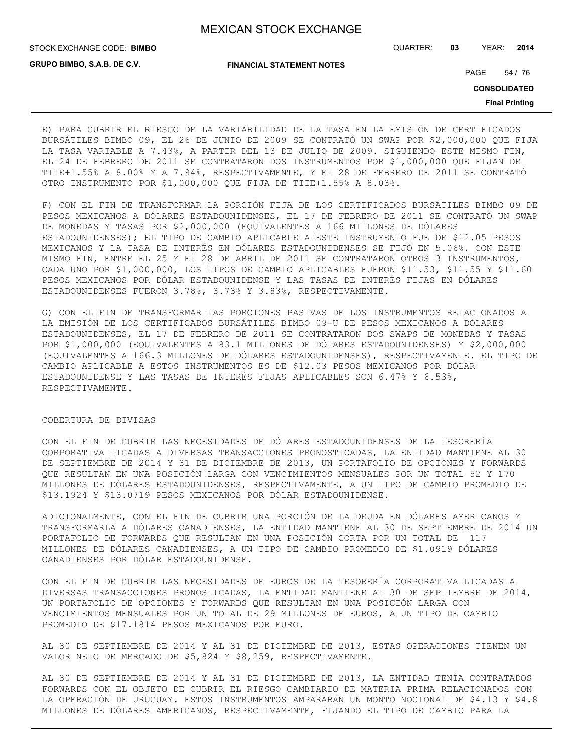**GRUPO BIMBO, S.A.B. DE C.V.**

STOCK EXCHANGE CODE: QUARTER: **03** YEAR: **2014 BIMBO**

**FINANCIAL STATEMENT NOTES**

PAGE 54 / 76

**CONSOLIDATED**

**Final Printing**

E) PARA CUBRIR EL RIESGO DE LA VARIABILIDAD DE LA TASA EN LA EMISIÓN DE CERTIFICADOS BURSÁTILES BIMBO 09, EL 26 DE JUNIO DE 2009 SE CONTRATÓ UN SWAP POR \$2,000,000 QUE FIJA LA TASA VARIABLE A 7.43%, A PARTIR DEL 13 DE JULIO DE 2009. SIGUIENDO ESTE MISMO FIN, EL 24 DE FEBRERO DE 2011 SE CONTRATARON DOS INSTRUMENTOS POR \$1,000,000 QUE FIJAN DE TIIE+1.55% A 8.00% Y A 7.94%, RESPECTIVAMENTE, Y EL 28 DE FEBRERO DE 2011 SE CONTRATÓ OTRO INSTRUMENTO POR \$1,000,000 QUE FIJA DE TIIE+1.55% A 8.03%.

F) CON EL FIN DE TRANSFORMAR LA PORCIÓN FIJA DE LOS CERTIFICADOS BURSÁTILES BIMBO 09 DE PESOS MEXICANOS A DÓLARES ESTADOUNIDENSES, EL 17 DE FEBRERO DE 2011 SE CONTRATÓ UN SWAP DE MONEDAS Y TASAS POR \$2,000,000 (EQUIVALENTES A 166 MILLONES DE DÓLARES ESTADOUNIDENSES); EL TIPO DE CAMBIO APLICABLE A ESTE INSTRUMENTO FUE DE \$12.05 PESOS MEXICANOS Y LA TASA DE INTERÉS EN DÓLARES ESTADOUNIDENSES SE FIJÓ EN 5.06%. CON ESTE MISMO FIN, ENTRE EL 25 Y EL 28 DE ABRIL DE 2011 SE CONTRATARON OTROS 3 INSTRUMENTOS, CADA UNO POR \$1,000,000, LOS TIPOS DE CAMBIO APLICABLES FUERON \$11.53, \$11.55 Y \$11.60 PESOS MEXICANOS POR DÓLAR ESTADOUNIDENSE Y LAS TASAS DE INTERÉS FIJAS EN DÓLARES ESTADOUNIDENSES FUERON 3.78%, 3.73% Y 3.83%, RESPECTIVAMENTE.

G) CON EL FIN DE TRANSFORMAR LAS PORCIONES PASIVAS DE LOS INSTRUMENTOS RELACIONADOS A LA EMISIÓN DE LOS CERTIFICADOS BURSÁTILES BIMBO 09-U DE PESOS MEXICANOS A DÓLARES ESTADOUNIDENSES, EL 17 DE FEBRERO DE 2011 SE CONTRATARON DOS SWAPS DE MONEDAS Y TASAS POR \$1,000,000 (EQUIVALENTES A 83.1 MILLONES DE DÓLARES ESTADOUNIDENSES) Y \$2,000,000 (EQUIVALENTES A 166.3 MILLONES DE DÓLARES ESTADOUNIDENSES), RESPECTIVAMENTE. EL TIPO DE CAMBIO APLICABLE A ESTOS INSTRUMENTOS ES DE \$12.03 PESOS MEXICANOS POR DÓLAR ESTADOUNIDENSE Y LAS TASAS DE INTERÉS FIJAS APLICABLES SON 6.47% Y 6.53%, RESPECTIVAMENTE.

#### COBERTURA DE DIVISAS

CON EL FIN DE CUBRIR LAS NECESIDADES DE DÓLARES ESTADOUNIDENSES DE LA TESORERÍA CORPORATIVA LIGADAS A DIVERSAS TRANSACCIONES PRONOSTICADAS, LA ENTIDAD MANTIENE AL 30 DE SEPTIEMBRE DE 2014 Y 31 DE DICIEMBRE DE 2013, UN PORTAFOLIO DE OPCIONES Y FORWARDS QUE RESULTAN EN UNA POSICIÓN LARGA CON VENCIMIENTOS MENSUALES POR UN TOTAL 52 Y 170 MILLONES DE DÓLARES ESTADOUNIDENSES, RESPECTIVAMENTE, A UN TIPO DE CAMBIO PROMEDIO DE \$13.1924 Y \$13.0719 PESOS MEXICANOS POR DÓLAR ESTADOUNIDENSE.

ADICIONALMENTE, CON EL FIN DE CUBRIR UNA PORCIÓN DE LA DEUDA EN DÓLARES AMERICANOS Y TRANSFORMARLA A DÓLARES CANADIENSES, LA ENTIDAD MANTIENE AL 30 DE SEPTIEMBRE DE 2014 UN PORTAFOLIO DE FORWARDS QUE RESULTAN EN UNA POSICIÓN CORTA POR UN TOTAL DE 117 MILLONES DE DÓLARES CANADIENSES, A UN TIPO DE CAMBIO PROMEDIO DE \$1.0919 DÓLARES CANADIENSES POR DÓLAR ESTADOUNIDENSE.

CON EL FIN DE CUBRIR LAS NECESIDADES DE EUROS DE LA TESORERÍA CORPORATIVA LIGADAS A DIVERSAS TRANSACCIONES PRONOSTICADAS, LA ENTIDAD MANTIENE AL 30 DE SEPTIEMBRE DE 2014, UN PORTAFOLIO DE OPCIONES Y FORWARDS QUE RESULTAN EN UNA POSICIÓN LARGA CON VENCIMIENTOS MENSUALES POR UN TOTAL DE 29 MILLONES DE EUROS, A UN TIPO DE CAMBIO PROMEDIO DE \$17.1814 PESOS MEXICANOS POR EURO.

AL 30 DE SEPTIEMBRE DE 2014 Y AL 31 DE DICIEMBRE DE 2013, ESTAS OPERACIONES TIENEN UN VALOR NETO DE MERCADO DE \$5,824 Y \$8,259, RESPECTIVAMENTE.

AL 30 DE SEPTIEMBRE DE 2014 Y AL 31 DE DICIEMBRE DE 2013, LA ENTIDAD TENÍA CONTRATADOS FORWARDS CON EL OBJETO DE CUBRIR EL RIESGO CAMBIARIO DE MATERIA PRIMA RELACIONADOS CON LA OPERACIÓN DE URUGUAY. ESTOS INSTRUMENTOS AMPARABAN UN MONTO NOCIONAL DE \$4.13 Y \$4.8 MILLONES DE DÓLARES AMERICANOS, RESPECTIVAMENTE, FIJANDO EL TIPO DE CAMBIO PARA LA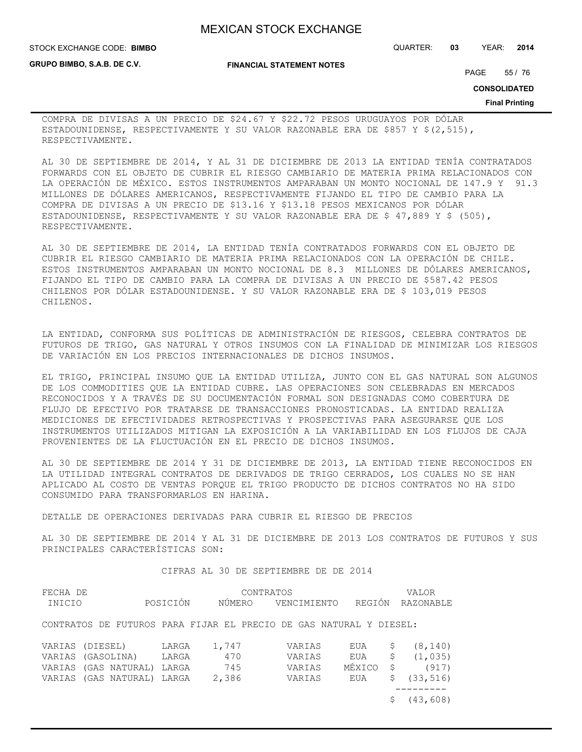**GRUPO BIMBO, S.A.B. DE C.V.**

**FINANCIAL STATEMENT NOTES**

STOCK EXCHANGE CODE: QUARTER: **03** YEAR: **2014 BIMBO**

PAGE 55 / 76

**CONSOLIDATED**

**Final Printing**

COMPRA DE DIVISAS A UN PRECIO DE \$24.67 Y \$22.72 PESOS URUGUAYOS POR DÓLAR ESTADOUNIDENSE, RESPECTIVAMENTE Y SU VALOR RAZONABLE ERA DE \$857 Y \$(2,515), RESPECTIVAMENTE.

AL 30 DE SEPTIEMBRE DE 2014, Y AL 31 DE DICIEMBRE DE 2013 LA ENTIDAD TENÍA CONTRATADOS FORWARDS CON EL OBJETO DE CUBRIR EL RIESGO CAMBIARIO DE MATERIA PRIMA RELACIONADOS CON LA OPERACIÓN DE MÉXICO. ESTOS INSTRUMENTOS AMPARABAN UN MONTO NOCIONAL DE 147.9 Y 91.3 MILLONES DE DÓLARES AMERICANOS, RESPECTIVAMENTE FIJANDO EL TIPO DE CAMBIO PARA LA COMPRA DE DIVISAS A UN PRECIO DE \$13.16 Y \$13.18 PESOS MEXICANOS POR DÓLAR ESTADOUNIDENSE, RESPECTIVAMENTE Y SU VALOR RAZONABLE ERA DE \$ 47,889 Y \$ (505), RESPECTIVAMENTE.

AL 30 DE SEPTIEMBRE DE 2014, LA ENTIDAD TENÍA CONTRATADOS FORWARDS CON EL OBJETO DE CUBRIR EL RIESGO CAMBIARIO DE MATERIA PRIMA RELACIONADOS CON LA OPERACIÓN DE CHILE. ESTOS INSTRUMENTOS AMPARABAN UN MONTO NOCIONAL DE 8.3 MILLONES DE DÓLARES AMERICANOS, FIJANDO EL TIPO DE CAMBIO PARA LA COMPRA DE DIVISAS A UN PRECIO DE \$587.42 PESOS CHILENOS POR DÓLAR ESTADOUNIDENSE. Y SU VALOR RAZONABLE ERA DE \$ 103,019 PESOS CHILENOS.

LA ENTIDAD, CONFORMA SUS POLÍTICAS DE ADMINISTRACIÓN DE RIESGOS, CELEBRA CONTRATOS DE FUTUROS DE TRIGO, GAS NATURAL Y OTROS INSUMOS CON LA FINALIDAD DE MINIMIZAR LOS RIESGOS DE VARIACIÓN EN LOS PRECIOS INTERNACIONALES DE DICHOS INSUMOS.

EL TRIGO, PRINCIPAL INSUMO QUE LA ENTIDAD UTILIZA, JUNTO CON EL GAS NATURAL SON ALGUNOS DE LOS COMMODITIES QUE LA ENTIDAD CUBRE. LAS OPERACIONES SON CELEBRADAS EN MERCADOS RECONOCIDOS Y A TRAVÉS DE SU DOCUMENTACIÓN FORMAL SON DESIGNADAS COMO COBERTURA DE FLUJO DE EFECTIVO POR TRATARSE DE TRANSACCIONES PRONOSTICADAS. LA ENTIDAD REALIZA MEDICIONES DE EFECTIVIDADES RETROSPECTIVAS Y PROSPECTIVAS PARA ASEGURARSE QUE LOS INSTRUMENTOS UTILIZADOS MITIGAN LA EXPOSICIÓN A LA VARIABILIDAD EN LOS FLUJOS DE CAJA PROVENIENTES DE LA FLUCTUACIÓN EN EL PRECIO DE DICHOS INSUMOS.

AL 30 DE SEPTIEMBRE DE 2014 Y 31 DE DICIEMBRE DE 2013, LA ENTIDAD TIENE RECONOCIDOS EN LA UTILIDAD INTEGRAL CONTRATOS DE DERIVADOS DE TRIGO CERRADOS, LOS CUALES NO SE HAN APLICADO AL COSTO DE VENTAS PORQUE EL TRIGO PRODUCTO DE DICHOS CONTRATOS NO HA SIDO CONSUMIDO PARA TRANSFORMARLOS EN HARINA.

DETALLE DE OPERACIONES DERIVADAS PARA CUBRIR EL RIESGO DE PRECIOS

AL 30 DE SEPTIEMBRE DE 2014 Y AL 31 DE DICIEMBRE DE 2013 LOS CONTRATOS DE FUTUROS Y SUS PRINCIPALES CARACTERÍSTICAS SON:

CIFRAS AL 30 DE SEPTIEMBRE DE DE 2014

| FECHA DE          |  |                      | CONTRATOS |       |                                                                    |             |        |   | <b>VALOR</b> |  |
|-------------------|--|----------------------|-----------|-------|--------------------------------------------------------------------|-------------|--------|---|--------------|--|
| INICIO            |  |                      | POSICIÓN  |       | NÚMERO                                                             | VENCIMIENTO | REGIÓN |   | RAZONABLE    |  |
|                   |  |                      |           |       | CONTRATOS DE FUTUROS PARA FIJAR EL PRECIO DE GAS NATURAL Y DIESEL: |             |        |   |              |  |
| VARIAS (DIESEL)   |  |                      | LARGA     | 1,747 |                                                                    | VARIAS      | EUA    |   | (8, 140)     |  |
| VARIAS (GASOLINA) |  |                      | LARGA     | 470   |                                                                    | VARIAS      | EUA    | S | (1, 035)     |  |
|                   |  | VARIAS (GAS NATURAL) | LARGA     | 745   |                                                                    | VARIAS      | MÉXICO |   | (917)        |  |
| VARIAS            |  | (GAS NATURAL)        | LARGA     | 2,386 |                                                                    | VARIAS      | EUA    |   | (33, 516)    |  |
|                   |  |                      |           |       |                                                                    |             |        |   |              |  |

\$ (43,608)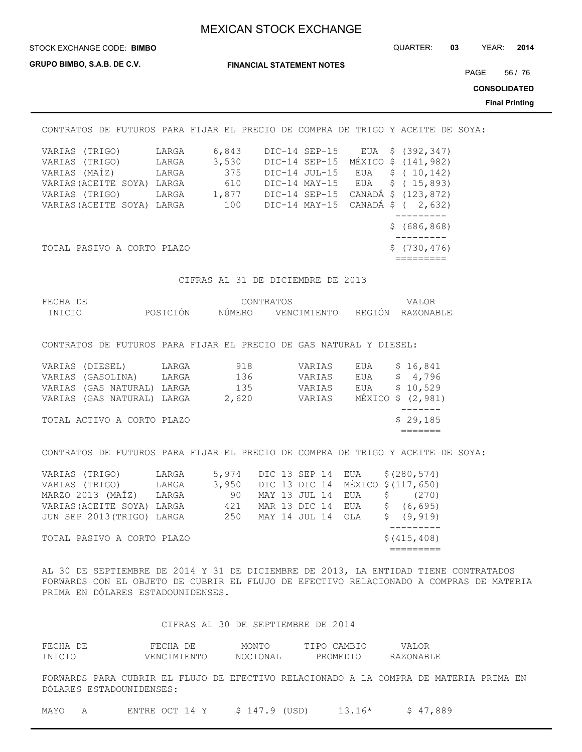STOCK EXCHANGE CODE: QUARTER: **03** YEAR: **2014 BIMBO**

**GRUPO BIMBO, S.A.B. DE C.V.**

**FINANCIAL STATEMENT NOTES**

PAGE 56 / 76

**CONSOLIDATED**

**Final Printing**

| CONTRATOS<br>DE.                                                                                                          |                                           | FUTUROS PARA FIJAR EL PRECIO DE COMPRA DE TRIGO Y ACEITE |                                                                                                    |            |                                                                                                                        | DE SOYA: |
|---------------------------------------------------------------------------------------------------------------------------|-------------------------------------------|----------------------------------------------------------|----------------------------------------------------------------------------------------------------|------------|------------------------------------------------------------------------------------------------------------------------|----------|
| VARIAS (TRIGO)<br>VARIAS (TRIGO)<br>VARIAS (MAÍZ)<br>VARIAS (ACEITE SOYA)<br>VARIAS (TRIGO)<br>VARIAS (ACEITE SOYA) LARGA | LARGA<br>LARGA<br>LARGA<br>LARGA<br>LARGA | 6,843<br>3,530<br>375<br>610<br>1,877<br>100             | DIC-14 SEP-15<br>DIC-14 SEP-15<br>DIC-14 JUL-15<br>DIC-14 MAY-15<br>DIC-14 SEP-15<br>DIC-14 MAY-15 | EUA<br>EUA | \$ (392,347)<br>MÉXICO \$ (141,982)<br>EUA $\frac{10,142}$<br>\$(15, 893)<br>CANADÁ \$ (123,872)<br>CANADÁ \$ ( 2,632) |          |
| TOTAL PASIVO A CORTO PLAZO                                                                                                |                                           |                                                          |                                                                                                    |            | \$(686, 868)<br>\$(730, 476)                                                                                           |          |

CIFRAS AL 31 DE DICIEMBRE DE 2013

| FECHA DE |          | CONTRATOS |                    | VALOR            |
|----------|----------|-----------|--------------------|------------------|
| INICIO   | POSICIÓN |           | NÚMERO VENCIMIENTO | REGIÓN RAZONABLE |

CONTRATOS DE FUTUROS PARA FIJAR EL PRECIO DE GAS NATURAL Y DIESEL:

| VARIAS (DIESEL)            | LARGA | 918   | VARIAS | EUA | \$16,841          |
|----------------------------|-------|-------|--------|-----|-------------------|
| VARIAS (GASOLINA)          | LARGA | 136   | VARIAS | EUA | \$4,796           |
| VARIAS (GAS NATURAL) LARGA |       | 135   | VARIAS | EUA | \$10,529          |
| VARIAS (GAS NATURAL) LARGA |       | 2,620 | VARIAS |     | MÉXICO \$ (2,981) |
|                            |       |       |        |     |                   |
| TOTAL ACTIVO A CORTO PLAZO |       |       |        |     | \$29,185          |
|                            |       |       |        |     |                   |

CONTRATOS DE FUTUROS PARA FIJAR EL PRECIO DE COMPRA DE TRIGO Y ACEITE DE SOYA:

| VARIAS (TRIGO)             | LARGA | 5,974                                  |  |  |                   | DIC 13 SEP 14 EUA \$(280,574) |
|----------------------------|-------|----------------------------------------|--|--|-------------------|-------------------------------|
| VARIAS (TRIGO) LARGA       |       | 3,950 DIC 13 DIC 14 MÉXICO \$(117,650) |  |  |                   |                               |
| MARZO 2013 (MAÍZ) LARGA    |       | 90                                     |  |  | MAY 13 JUL 14 EUA | \$ (270)                      |
| VARIAS (ACEITE SOYA) LARGA |       | 421                                    |  |  |                   | MAR 13 DIC 14 EUA \$ (6,695)  |
| JUN SEP 2013 (TRIGO) LARGA |       | 250 MAY 14 JUL 14 OLA                  |  |  |                   | \$ (9, 919)                   |
|                            |       |                                        |  |  |                   |                               |
| TOTAL PASIVO A CORTO PLAZO |       |                                        |  |  |                   | \$ (415, 408)                 |
|                            |       |                                        |  |  |                   |                               |

AL 30 DE SEPTIEMBRE DE 2014 Y 31 DE DICIEMBRE DE 2013, LA ENTIDAD TIENE CONTRATADOS FORWARDS CON EL OBJETO DE CUBRIR EL FLUJO DE EFECTIVO RELACIONADO A COMPRAS DE MATERIA PRIMA EN DÓLARES ESTADOUNIDENSES.

#### CIFRAS AL 30 DE SEPTIEMBRE DE 2014

| FECHA DE | FECHA DE    | MONTO    | TIPO CAMBIO | VALOR     |
|----------|-------------|----------|-------------|-----------|
| INICIO   | VENCIMIENTO | NOCIONAL | PROMEDIO    | RAZONABLE |

FORWARDS PARA CUBRIR EL FLUJO DE EFECTIVO RELACIONADO A LA COMPRA DE MATERIA PRIMA EN DÓLARES ESTADOUNIDENSES:

| MAYO |  | ENTRE OCT 14 Y | $$147.9$ (USD) | $13.16*$ | \$47,889 |
|------|--|----------------|----------------|----------|----------|
|------|--|----------------|----------------|----------|----------|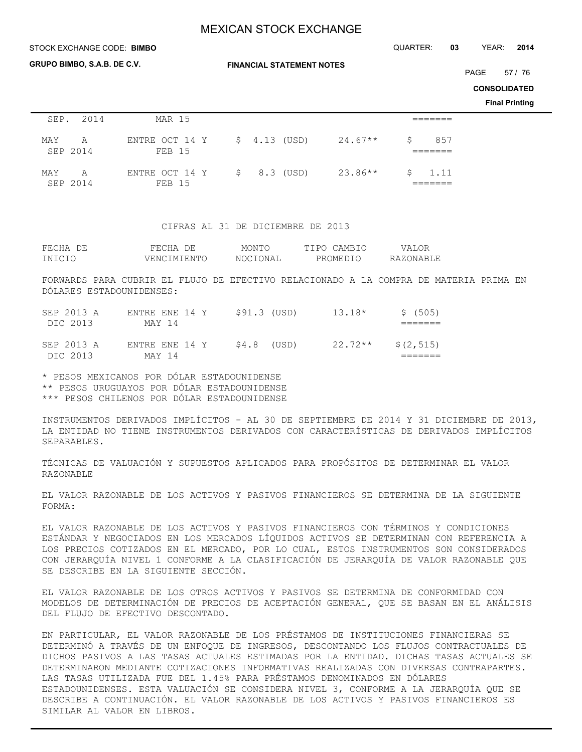**GRUPO BIMBO, S.A.B. DE C.V.**

**FINANCIAL STATEMENT NOTES**

STOCK EXCHANGE CODE: QUARTER: **03** YEAR: **2014 BIMBO**

PAGE 57 / 76

**CONSOLIDATED**

**Final Printing**

| SEP. 2014            | MAR 15                          |               |                 |                    |
|----------------------|---------------------------------|---------------|-----------------|--------------------|
| MAY A<br>SEP 2014    | ENTRE OCT 14 Y<br><b>FEB 15</b> | $$4.13$ (USD) | $24.67**$<br>S. | 857                |
| MAY<br>A<br>SEP 2014 | ENTRE OCT 14 Y<br>FEB 15        | $$8.3$ (USD)  | $23.86**$       | $\frac{1}{2}$ 1.11 |

#### CIFRAS AL 31 DE DICIEMBRE DE 2013

| FECHA DE | FECHA DE    | MONTO    | TIPO CAMBIO | VALOR     |
|----------|-------------|----------|-------------|-----------|
| INICIO   | VENCIMIENTO | NOCIONAL | PROMEDIO    | RAZONABLE |

FORWARDS PARA CUBRIR EL FLUJO DE EFECTIVO RELACIONADO A LA COMPRA DE MATERIA PRIMA EN DÓLARES ESTADOUNIDENSES:

| SEP 2013 A<br>DIC 2013 | ENTRE ENE 14 Y<br>MAY 14 | \$91.3 (USD) | $13.18*$  | \$(505)    |
|------------------------|--------------------------|--------------|-----------|------------|
| SEP 2013 A<br>DIC 2013 | ENTRE ENE 14 Y<br>MAY 14 | \$4.8 (USD)  | $22.72**$ | \$(2, 515) |

\* PESOS MEXICANOS POR DÓLAR ESTADOUNIDENSE \*\* PESOS URUGUAYOS POR DÓLAR ESTADOUNIDENSE \*\*\* PESOS CHILENOS POR DÓLAR ESTADOUNIDENSE

INSTRUMENTOS DERIVADOS IMPLÍCITOS - AL 30 DE SEPTIEMBRE DE 2014 Y 31 DICIEMBRE DE 2013, LA ENTIDAD NO TIENE INSTRUMENTOS DERIVADOS CON CARACTERÍSTICAS DE DERIVADOS IMPLÍCITOS SEPARABLES.

TÉCNICAS DE VALUACIÓN Y SUPUESTOS APLICADOS PARA PROPÓSITOS DE DETERMINAR EL VALOR RAZONABLE

EL VALOR RAZONABLE DE LOS ACTIVOS Y PASIVOS FINANCIEROS SE DETERMINA DE LA SIGUIENTE FORMA:

EL VALOR RAZONABLE DE LOS ACTIVOS Y PASIVOS FINANCIEROS CON TÉRMINOS Y CONDICIONES ESTÁNDAR Y NEGOCIADOS EN LOS MERCADOS LÍQUIDOS ACTIVOS SE DETERMINAN CON REFERENCIA A LOS PRECIOS COTIZADOS EN EL MERCADO, POR LO CUAL, ESTOS INSTRUMENTOS SON CONSIDERADOS CON JERARQUÍA NIVEL 1 CONFORME A LA CLASIFICACIÓN DE JERARQUÍA DE VALOR RAZONABLE QUE SE DESCRIBE EN LA SIGUIENTE SECCIÓN.

EL VALOR RAZONABLE DE LOS OTROS ACTIVOS Y PASIVOS SE DETERMINA DE CONFORMIDAD CON MODELOS DE DETERMINACIÓN DE PRECIOS DE ACEPTACIÓN GENERAL, QUE SE BASAN EN EL ANÁLISIS DEL FLUJO DE EFECTIVO DESCONTADO.

EN PARTICULAR, EL VALOR RAZONABLE DE LOS PRÉSTAMOS DE INSTITUCIONES FINANCIERAS SE DETERMINÓ A TRAVÉS DE UN ENFOQUE DE INGRESOS, DESCONTANDO LOS FLUJOS CONTRACTUALES DE DICHOS PASIVOS A LAS TASAS ACTUALES ESTIMADAS POR LA ENTIDAD. DICHAS TASAS ACTUALES SE DETERMINARON MEDIANTE COTIZACIONES INFORMATIVAS REALIZADAS CON DIVERSAS CONTRAPARTES. LAS TASAS UTILIZADA FUE DEL 1.45% PARA PRÉSTAMOS DENOMINADOS EN DÓLARES ESTADOUNIDENSES. ESTA VALUACIÓN SE CONSIDERA NIVEL 3, CONFORME A LA JERARQUÍA QUE SE DESCRIBE A CONTINUACIÓN. EL VALOR RAZONABLE DE LOS ACTIVOS Y PASIVOS FINANCIEROS ES SIMILAR AL VALOR EN LIBROS.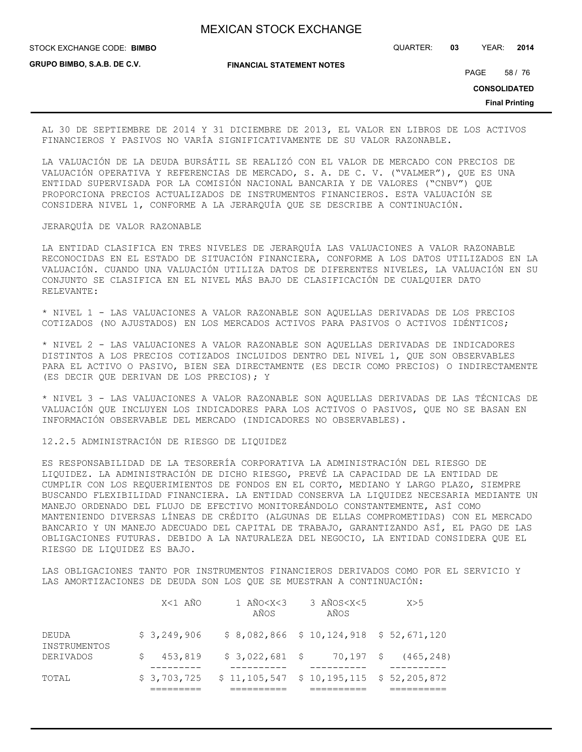STOCK EXCHANGE CODE: QUARTER: **03** YEAR: **2014 BIMBO**

**GRUPO BIMBO, S.A.B. DE C.V.**

**FINANCIAL STATEMENT NOTES**

PAGE 58 / 76

**CONSOLIDATED**

**Final Printing**

AL 30 DE SEPTIEMBRE DE 2014 Y 31 DICIEMBRE DE 2013, EL VALOR EN LIBROS DE LOS ACTIVOS FINANCIEROS Y PASIVOS NO VARÍA SIGNIFICATIVAMENTE DE SU VALOR RAZONABLE.

LA VALUACIÓN DE LA DEUDA BURSÁTIL SE REALIZÓ CON EL VALOR DE MERCADO CON PRECIOS DE VALUACIÓN OPERATIVA Y REFERENCIAS DE MERCADO, S. A. DE C. V. ("VALMER"), QUE ES UNA ENTIDAD SUPERVISADA POR LA COMISIÓN NACIONAL BANCARIA Y DE VALORES ("CNBV") QUE PROPORCIONA PRECIOS ACTUALIZADOS DE INSTRUMENTOS FINANCIEROS. ESTA VALUACIÓN SE CONSIDERA NIVEL 1, CONFORME A LA JERARQUÍA QUE SE DESCRIBE A CONTINUACIÓN.

## JERARQUÍA DE VALOR RAZONABLE

LA ENTIDAD CLASIFICA EN TRES NIVELES DE JERARQUÍA LAS VALUACIONES A VALOR RAZONABLE RECONOCIDAS EN EL ESTADO DE SITUACIÓN FINANCIERA, CONFORME A LOS DATOS UTILIZADOS EN LA VALUACIÓN. CUANDO UNA VALUACIÓN UTILIZA DATOS DE DIFERENTES NIVELES, LA VALUACIÓN EN SU CONJUNTO SE CLASIFICA EN EL NIVEL MÁS BAJO DE CLASIFICACIÓN DE CUALQUIER DATO RELEVANTE:

\* NIVEL 1 - LAS VALUACIONES A VALOR RAZONABLE SON AQUELLAS DERIVADAS DE LOS PRECIOS COTIZADOS (NO AJUSTADOS) EN LOS MERCADOS ACTIVOS PARA PASIVOS O ACTIVOS IDÉNTICOS;

\* NIVEL 2 - LAS VALUACIONES A VALOR RAZONABLE SON AQUELLAS DERIVADAS DE INDICADORES DISTINTOS A LOS PRECIOS COTIZADOS INCLUIDOS DENTRO DEL NIVEL 1, QUE SON OBSERVABLES PARA EL ACTIVO O PASIVO, BIEN SEA DIRECTAMENTE (ES DECIR COMO PRECIOS) O INDIRECTAMENTE (ES DECIR QUE DERIVAN DE LOS PRECIOS); Y

\* NIVEL 3 - LAS VALUACIONES A VALOR RAZONABLE SON AQUELLAS DERIVADAS DE LAS TÉCNICAS DE VALUACIÓN QUE INCLUYEN LOS INDICADORES PARA LOS ACTIVOS O PASIVOS, QUE NO SE BASAN EN INFORMACIÓN OBSERVABLE DEL MERCADO (INDICADORES NO OBSERVABLES).

12.2.5 ADMINISTRACIÓN DE RIESGO DE LIQUIDEZ

ES RESPONSABILIDAD DE LA TESORERÍA CORPORATIVA LA ADMINISTRACIÓN DEL RIESGO DE LIQUIDEZ. LA ADMINISTRACIÓN DE DICHO RIESGO, PREVÉ LA CAPACIDAD DE LA ENTIDAD DE CUMPLIR CON LOS REQUERIMIENTOS DE FONDOS EN EL CORTO, MEDIANO Y LARGO PLAZO, SIEMPRE BUSCANDO FLEXIBILIDAD FINANCIERA. LA ENTIDAD CONSERVA LA LIQUIDEZ NECESARIA MEDIANTE UN MANEJO ORDENADO DEL FLUJO DE EFECTIVO MONITOREÁNDOLO CONSTANTEMENTE, ASÍ COMO MANTENIENDO DIVERSAS LÍNEAS DE CRÉDITO (ALGUNAS DE ELLAS COMPROMETIDAS) CON EL MERCADO BANCARIO Y UN MANEJO ADECUADO DEL CAPITAL DE TRABAJO, GARANTIZANDO ASÍ, EL PAGO DE LAS OBLIGACIONES FUTURAS. DEBIDO A LA NATURALEZA DEL NEGOCIO, LA ENTIDAD CONSIDERA QUE EL RIESGO DE LIQUIDEZ ES BAJO.

LAS OBLIGACIONES TANTO POR INSTRUMENTOS FINANCIEROS DERIVADOS COMO POR EL SERVICIO Y LAS AMORTIZACIONES DE DEUDA SON LOS QUE SE MUESTRAN A CONTINUACIÓN:

|                       | X<1 AÑO     | 1 $ANO < X < 3$<br>AÑOS | 3 AÑOS <x<5<br>AÑOS</x<5<br>                      | X>5                        |
|-----------------------|-------------|-------------------------|---------------------------------------------------|----------------------------|
| DEUDA<br>INSTRUMENTOS | \$3,249,906 |                         | $$8,082,866$ $$10,124,918$ $$52,671,120$          |                            |
| <b>DERIVADOS</b>      | 453,819     | $$3,022,681$ \$         |                                                   | $70,197 \quad $ (465,248)$ |
| TOTAL                 | \$3,703,725 |                         | $$11, 105, 547 \t$ 10, 195, 115 \t$ 52, 205, 872$ |                            |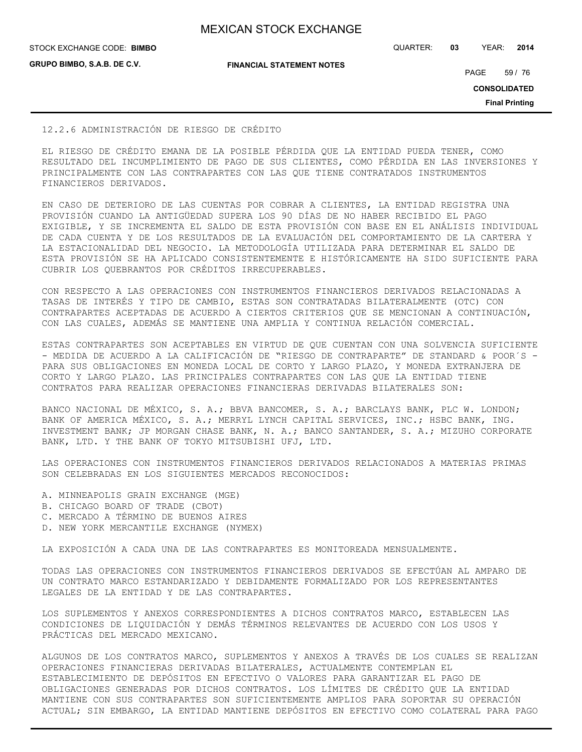**GRUPO BIMBO, S.A.B. DE C.V.**

**FINANCIAL STATEMENT NOTES**

STOCK EXCHANGE CODE: QUARTER: **03** YEAR: **2014 BIMBO**

PAGE 59 / 76

**CONSOLIDATED**

**Final Printing**

#### 12.2.6 ADMINISTRACIÓN DE RIESGO DE CRÉDITO

EL RIESGO DE CRÉDITO EMANA DE LA POSIBLE PÉRDIDA QUE LA ENTIDAD PUEDA TENER, COMO RESULTADO DEL INCUMPLIMIENTO DE PAGO DE SUS CLIENTES, COMO PÉRDIDA EN LAS INVERSIONES Y PRINCIPALMENTE CON LAS CONTRAPARTES CON LAS QUE TIENE CONTRATADOS INSTRUMENTOS FINANCIEROS DERIVADOS.

EN CASO DE DETERIORO DE LAS CUENTAS POR COBRAR A CLIENTES, LA ENTIDAD REGISTRA UNA PROVISIÓN CUANDO LA ANTIGÜEDAD SUPERA LOS 90 DÍAS DE NO HABER RECIBIDO EL PAGO EXIGIBLE, Y SE INCREMENTA EL SALDO DE ESTA PROVISIÓN CON BASE EN EL ANÁLISIS INDIVIDUAL DE CADA CUENTA Y DE LOS RESULTADOS DE LA EVALUACIÓN DEL COMPORTAMIENTO DE LA CARTERA Y LA ESTACIONALIDAD DEL NEGOCIO. LA METODOLOGÍA UTILIZADA PARA DETERMINAR EL SALDO DE ESTA PROVISIÓN SE HA APLICADO CONSISTENTEMENTE E HISTÓRICAMENTE HA SIDO SUFICIENTE PARA CUBRIR LOS QUEBRANTOS POR CRÉDITOS IRRECUPERABLES.

CON RESPECTO A LAS OPERACIONES CON INSTRUMENTOS FINANCIEROS DERIVADOS RELACIONADAS A TASAS DE INTERÉS Y TIPO DE CAMBIO, ESTAS SON CONTRATADAS BILATERALMENTE (OTC) CON CONTRAPARTES ACEPTADAS DE ACUERDO A CIERTOS CRITERIOS QUE SE MENCIONAN A CONTINUACIÓN, CON LAS CUALES, ADEMÁS SE MANTIENE UNA AMPLIA Y CONTINUA RELACIÓN COMERCIAL.

ESTAS CONTRAPARTES SON ACEPTABLES EN VIRTUD DE QUE CUENTAN CON UNA SOLVENCIA SUFICIENTE - MEDIDA DE ACUERDO A LA CALIFICACIÓN DE "RIESGO DE CONTRAPARTE" DE STANDARD & POOR´S - PARA SUS OBLIGACIONES EN MONEDA LOCAL DE CORTO Y LARGO PLAZO, Y MONEDA EXTRANJERA DE CORTO Y LARGO PLAZO. LAS PRINCIPALES CONTRAPARTES CON LAS QUE LA ENTIDAD TIENE CONTRATOS PARA REALIZAR OPERACIONES FINANCIERAS DERIVADAS BILATERALES SON:

BANCO NACIONAL DE MÉXICO, S. A.; BBVA BANCOMER, S. A.; BARCLAYS BANK, PLC W. LONDON; BANK OF AMERICA MÉXICO, S. A.; MERRYL LYNCH CAPITAL SERVICES, INC.; HSBC BANK, ING. INVESTMENT BANK; JP MORGAN CHASE BANK, N. A.; BANCO SANTANDER, S. A.; MIZUHO CORPORATE BANK, LTD. Y THE BANK OF TOKYO MITSUBISHI UFJ, LTD.

LAS OPERACIONES CON INSTRUMENTOS FINANCIEROS DERIVADOS RELACIONADOS A MATERIAS PRIMAS SON CELEBRADAS EN LOS SIGUIENTES MERCADOS RECONOCIDOS:

- A. MINNEAPOLIS GRAIN EXCHANGE (MGE)
- B. CHICAGO BOARD OF TRADE (CBOT)
- C. MERCADO A TÉRMINO DE BUENOS AIRES
- D. NEW YORK MERCANTILE EXCHANGE (NYMEX)

LA EXPOSICIÓN A CADA UNA DE LAS CONTRAPARTES ES MONITOREADA MENSUALMENTE.

TODAS LAS OPERACIONES CON INSTRUMENTOS FINANCIEROS DERIVADOS SE EFECTÚAN AL AMPARO DE UN CONTRATO MARCO ESTANDARIZADO Y DEBIDAMENTE FORMALIZADO POR LOS REPRESENTANTES LEGALES DE LA ENTIDAD Y DE LAS CONTRAPARTES.

LOS SUPLEMENTOS Y ANEXOS CORRESPONDIENTES A DICHOS CONTRATOS MARCO, ESTABLECEN LAS CONDICIONES DE LIQUIDACIÓN Y DEMÁS TÉRMINOS RELEVANTES DE ACUERDO CON LOS USOS Y PRÁCTICAS DEL MERCADO MEXICANO.

ALGUNOS DE LOS CONTRATOS MARCO, SUPLEMENTOS Y ANEXOS A TRAVÉS DE LOS CUALES SE REALIZAN OPERACIONES FINANCIERAS DERIVADAS BILATERALES, ACTUALMENTE CONTEMPLAN EL ESTABLECIMIENTO DE DEPÓSITOS EN EFECTIVO O VALORES PARA GARANTIZAR EL PAGO DE OBLIGACIONES GENERADAS POR DICHOS CONTRATOS. LOS LÍMITES DE CRÉDITO QUE LA ENTIDAD MANTIENE CON SUS CONTRAPARTES SON SUFICIENTEMENTE AMPLIOS PARA SOPORTAR SU OPERACIÓN ACTUAL; SIN EMBARGO, LA ENTIDAD MANTIENE DEPÓSITOS EN EFECTIVO COMO COLATERAL PARA PAGO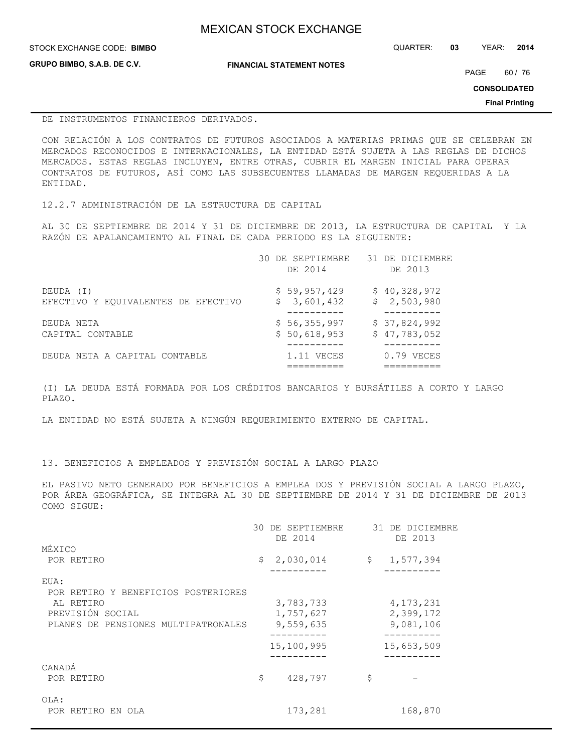| <b>MEXICAN STOCK EXCHANGE</b> |  |  |
|-------------------------------|--|--|
|                               |  |  |

STOCK EXCHANGE CODE: QUARTER: **03** YEAR: **2014 BIMBO**

**GRUPO BIMBO, S.A.B. DE C.V.**

**FINANCIAL STATEMENT NOTES**

PAGE 60 / 76

**CONSOLIDATED**

**Final Printing**

#### DE INSTRUMENTOS FINANCIEROS DERIVADOS.

CON RELACIÓN A LOS CONTRATOS DE FUTUROS ASOCIADOS A MATERIAS PRIMAS QUE SE CELEBRAN EN MERCADOS RECONOCIDOS E INTERNACIONALES, LA ENTIDAD ESTÁ SUJETA A LAS REGLAS DE DICHOS MERCADOS. ESTAS REGLAS INCLUYEN, ENTRE OTRAS, CUBRIR EL MARGEN INICIAL PARA OPERAR CONTRATOS DE FUTUROS, ASÍ COMO LAS SUBSECUENTES LLAMADAS DE MARGEN REQUERIDAS A LA ENTIDAD.

12.2.7 ADMINISTRACIÓN DE LA ESTRUCTURA DE CAPITAL

AL 30 DE SEPTIEMBRE DE 2014 Y 31 DE DICIEMBRE DE 2013, LA ESTRUCTURA DE CAPITAL Y LA RAZÓN DE APALANCAMIENTO AL FINAL DE CADA PERIODO ES LA SIGUIENTE:

|                                     | 30 DE SEPTIEMBRE<br>DE 2014 | 31 DE DICIEMBRE<br>DE 2013 |
|-------------------------------------|-----------------------------|----------------------------|
| DEUDA (I)                           | \$59,957,429                | \$40,328,972               |
| EFECTIVO Y EQUIVALENTES DE EFECTIVO | \$3,601,432                 | \$2,503,980                |
| DEUDA NETA                          | \$56,355,997                | \$37,824,992               |
| CAPITAL CONTABLE                    | \$50,618,953                | \$47,783,052               |
| DEUDA NETA A CAPITAL CONTABLE       | 1.11 VECES                  | $0.79$ VECES               |

(I) LA DEUDA ESTÁ FORMADA POR LOS CRÉDITOS BANCARIOS Y BURSÁTILES A CORTO Y LARGO PLAZO.

LA ENTIDAD NO ESTÁ SUJETA A NINGÚN REQUERIMIENTO EXTERNO DE CAPITAL.

13. BENEFICIOS A EMPLEADOS Y PREVISIÓN SOCIAL A LARGO PLAZO

EL PASIVO NETO GENERADO POR BENEFICIOS A EMPLEA DOS Y PREVISIÓN SOCIAL A LARGO PLAZO, POR ÁREA GEOGRÁFICA, SE INTEGRA AL 30 DE SEPTIEMBRE DE 2014 Y 31 DE DICIEMBRE DE 2013 COMO SIGUE:

|                                     | 30 DE SEPTIEMBRE<br>DE 2014 |              | 31 DE DICIEMBRE<br>DE 2013 |
|-------------------------------------|-----------------------------|--------------|----------------------------|
| MÉXICO                              |                             |              |                            |
| POR RETIRO                          | \$<br>2,030,014             | $\mathsf{S}$ | 1,577,394                  |
| EUA:                                |                             |              |                            |
| POR RETIRO Y BENEFICIOS POSTERIORES |                             |              |                            |
| AL RETIRO                           | 3,783,733                   |              | 4, 173, 231                |
| PREVISIÓN SOCIAL                    | 1,757,627                   |              | 2,399,172                  |
| PLANES DE PENSIONES MULTIPATRONALES | 9,559,635                   |              | 9,081,106                  |
|                                     | 15,100,995                  |              | 15,653,509                 |
|                                     |                             |              |                            |
| CANADA                              |                             |              |                            |
| POR RETIRO                          | \$<br>428,797               | \$           |                            |
| OLA:                                |                             |              |                            |
| POR RETIRO EN OLA                   | 173,281                     |              | 168,870                    |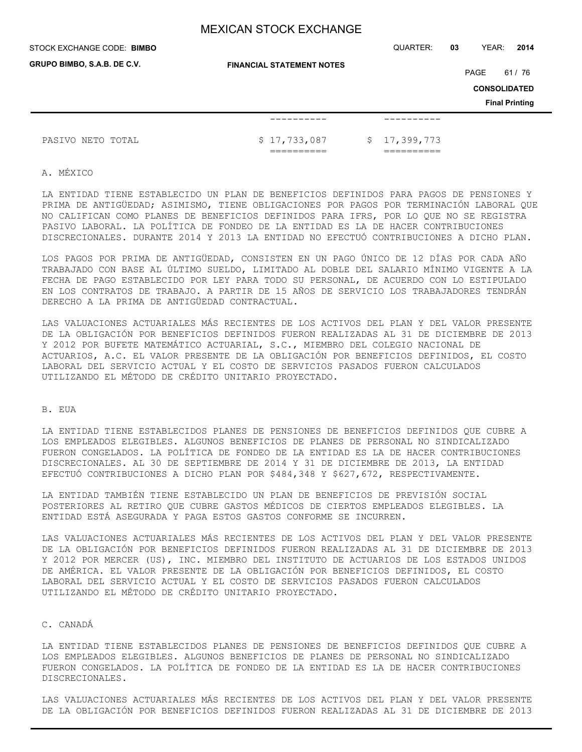STOCK EXCHANGE CODE: QUARTER: **03** YEAR: **2014 BIMBO**

| GRUPO BIMBO, S.A.B. DE C.V. | <b>FINANCIAL STATEMENT NOTES</b> |  |              |      |                       |
|-----------------------------|----------------------------------|--|--------------|------|-----------------------|
|                             |                                  |  |              | PAGE | 61 / 76               |
|                             |                                  |  |              |      | <b>CONSOLIDATED</b>   |
|                             |                                  |  |              |      | <b>Final Printing</b> |
|                             | --------                         |  |              |      |                       |
| PASIVO NETO TOTAL           | \$17,733,087                     |  | \$17,399,773 |      |                       |
|                             |                                  |  |              |      |                       |

A. MÉXICO

LA ENTIDAD TIENE ESTABLECIDO UN PLAN DE BENEFICIOS DEFINIDOS PARA PAGOS DE PENSIONES Y PRIMA DE ANTIGÜEDAD; ASIMISMO, TIENE OBLIGACIONES POR PAGOS POR TERMINACIÓN LABORAL QUE NO CALIFICAN COMO PLANES DE BENEFICIOS DEFINIDOS PARA IFRS, POR LO QUE NO SE REGISTRA PASIVO LABORAL. LA POLÍTICA DE FONDEO DE LA ENTIDAD ES LA DE HACER CONTRIBUCIONES DISCRECIONALES. DURANTE 2014 Y 2013 LA ENTIDAD NO EFECTUÓ CONTRIBUCIONES A DICHO PLAN.

LOS PAGOS POR PRIMA DE ANTIGÜEDAD, CONSISTEN EN UN PAGO ÚNICO DE 12 DÍAS POR CADA AÑO TRABAJADO CON BASE AL ÚLTIMO SUELDO, LIMITADO AL DOBLE DEL SALARIO MÍNIMO VIGENTE A LA FECHA DE PAGO ESTABLECIDO POR LEY PARA TODO SU PERSONAL, DE ACUERDO CON LO ESTIPULADO EN LOS CONTRATOS DE TRABAJO. A PARTIR DE 15 AÑOS DE SERVICIO LOS TRABAJADORES TENDRÁN DERECHO A LA PRIMA DE ANTIGÜEDAD CONTRACTUAL.

LAS VALUACIONES ACTUARIALES MÁS RECIENTES DE LOS ACTIVOS DEL PLAN Y DEL VALOR PRESENTE DE LA OBLIGACIÓN POR BENEFICIOS DEFINIDOS FUERON REALIZADAS AL 31 DE DICIEMBRE DE 2013 Y 2012 POR BUFETE MATEMÁTICO ACTUARIAL, S.C., MIEMBRO DEL COLEGIO NACIONAL DE ACTUARIOS, A.C. EL VALOR PRESENTE DE LA OBLIGACIÓN POR BENEFICIOS DEFINIDOS, EL COSTO LABORAL DEL SERVICIO ACTUAL Y EL COSTO DE SERVICIOS PASADOS FUERON CALCULADOS UTILIZANDO EL MÉTODO DE CRÉDITO UNITARIO PROYECTADO.

## B. EUA

LA ENTIDAD TIENE ESTABLECIDOS PLANES DE PENSIONES DE BENEFICIOS DEFINIDOS QUE CUBRE A LOS EMPLEADOS ELEGIBLES. ALGUNOS BENEFICIOS DE PLANES DE PERSONAL NO SINDICALIZADO FUERON CONGELADOS. LA POLÍTICA DE FONDEO DE LA ENTIDAD ES LA DE HACER CONTRIBUCIONES DISCRECIONALES. AL 30 DE SEPTIEMBRE DE 2014 Y 31 DE DICIEMBRE DE 2013, LA ENTIDAD EFECTUÓ CONTRIBUCIONES A DICHO PLAN POR \$484,348 Y \$627,672, RESPECTIVAMENTE.

LA ENTIDAD TAMBIÉN TIENE ESTABLECIDO UN PLAN DE BENEFICIOS DE PREVISIÓN SOCIAL POSTERIORES AL RETIRO QUE CUBRE GASTOS MÉDICOS DE CIERTOS EMPLEADOS ELEGIBLES. LA ENTIDAD ESTÁ ASEGURADA Y PAGA ESTOS GASTOS CONFORME SE INCURREN.

LAS VALUACIONES ACTUARIALES MÁS RECIENTES DE LOS ACTIVOS DEL PLAN Y DEL VALOR PRESENTE DE LA OBLIGACIÓN POR BENEFICIOS DEFINIDOS FUERON REALIZADAS AL 31 DE DICIEMBRE DE 2013 Y 2012 POR MERCER (US), INC. MIEMBRO DEL INSTITUTO DE ACTUARIOS DE LOS ESTADOS UNIDOS DE AMÉRICA. EL VALOR PRESENTE DE LA OBLIGACIÓN POR BENEFICIOS DEFINIDOS, EL COSTO LABORAL DEL SERVICIO ACTUAL Y EL COSTO DE SERVICIOS PASADOS FUERON CALCULADOS UTILIZANDO EL MÉTODO DE CRÉDITO UNITARIO PROYECTADO.

#### C. CANADÁ

LA ENTIDAD TIENE ESTABLECIDOS PLANES DE PENSIONES DE BENEFICIOS DEFINIDOS QUE CUBRE A LOS EMPLEADOS ELEGIBLES. ALGUNOS BENEFICIOS DE PLANES DE PERSONAL NO SINDICALIZADO FUERON CONGELADOS. LA POLÍTICA DE FONDEO DE LA ENTIDAD ES LA DE HACER CONTRIBUCIONES DISCRECIONALES.

LAS VALUACIONES ACTUARIALES MÁS RECIENTES DE LOS ACTIVOS DEL PLAN Y DEL VALOR PRESENTE DE LA OBLIGACIÓN POR BENEFICIOS DEFINIDOS FUERON REALIZADAS AL 31 DE DICIEMBRE DE 2013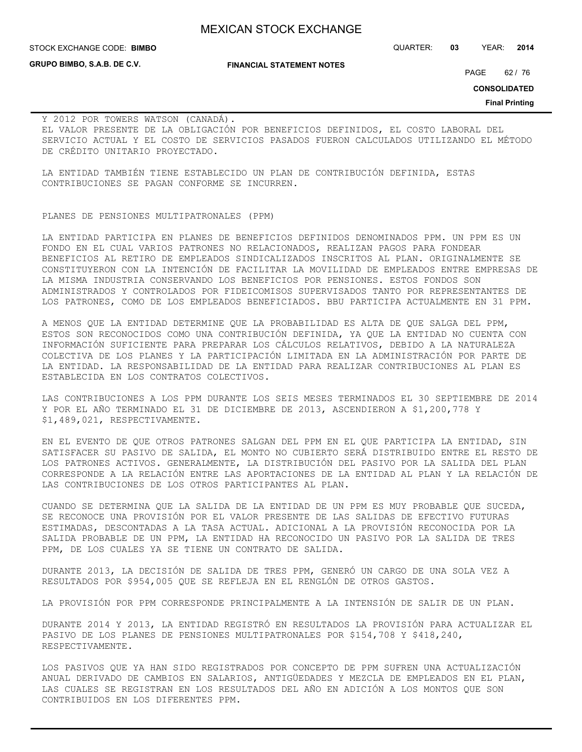**GRUPO BIMBO, S.A.B. DE C.V.**

STOCK EXCHANGE CODE: QUARTER: **03** YEAR: **2014 BIMBO**

**FINANCIAL STATEMENT NOTES**

PAGE 62 / 76

**CONSOLIDATED**

**Final Printing**

Y 2012 POR TOWERS WATSON (CANADÁ). EL VALOR PRESENTE DE LA OBLIGACIÓN POR BENEFICIOS DEFINIDOS, EL COSTO LABORAL DEL SERVICIO ACTUAL Y EL COSTO DE SERVICIOS PASADOS FUERON CALCULADOS UTILIZANDO EL MÉTODO DE CRÉDITO UNITARIO PROYECTADO.

LA ENTIDAD TAMBIÉN TIENE ESTABLECIDO UN PLAN DE CONTRIBUCIÓN DEFINIDA, ESTAS CONTRIBUCIONES SE PAGAN CONFORME SE INCURREN.

#### PLANES DE PENSIONES MULTIPATRONALES (PPM)

LA ENTIDAD PARTICIPA EN PLANES DE BENEFICIOS DEFINIDOS DENOMINADOS PPM. UN PPM ES UN FONDO EN EL CUAL VARIOS PATRONES NO RELACIONADOS, REALIZAN PAGOS PARA FONDEAR BENEFICIOS AL RETIRO DE EMPLEADOS SINDICALIZADOS INSCRITOS AL PLAN. ORIGINALMENTE SE CONSTITUYERON CON LA INTENCIÓN DE FACILITAR LA MOVILIDAD DE EMPLEADOS ENTRE EMPRESAS DE LA MISMA INDUSTRIA CONSERVANDO LOS BENEFICIOS POR PENSIONES. ESTOS FONDOS SON ADMINISTRADOS Y CONTROLADOS POR FIDEICOMISOS SUPERVISADOS TANTO POR REPRESENTANTES DE LOS PATRONES, COMO DE LOS EMPLEADOS BENEFICIADOS. BBU PARTICIPA ACTUALMENTE EN 31 PPM.

A MENOS QUE LA ENTIDAD DETERMINE QUE LA PROBABILIDAD ES ALTA DE QUE SALGA DEL PPM, ESTOS SON RECONOCIDOS COMO UNA CONTRIBUCIÓN DEFINIDA, YA QUE LA ENTIDAD NO CUENTA CON INFORMACIÓN SUFICIENTE PARA PREPARAR LOS CÁLCULOS RELATIVOS, DEBIDO A LA NATURALEZA COLECTIVA DE LOS PLANES Y LA PARTICIPACIÓN LIMITADA EN LA ADMINISTRACIÓN POR PARTE DE LA ENTIDAD. LA RESPONSABILIDAD DE LA ENTIDAD PARA REALIZAR CONTRIBUCIONES AL PLAN ES ESTABLECIDA EN LOS CONTRATOS COLECTIVOS.

LAS CONTRIBUCIONES A LOS PPM DURANTE LOS SEIS MESES TERMINADOS EL 30 SEPTIEMBRE DE 2014 Y POR EL AÑO TERMINADO EL 31 DE DICIEMBRE DE 2013, ASCENDIERON A \$1,200,778 Y \$1,489,021, RESPECTIVAMENTE.

EN EL EVENTO DE QUE OTROS PATRONES SALGAN DEL PPM EN EL QUE PARTICIPA LA ENTIDAD, SIN SATISFACER SU PASIVO DE SALIDA, EL MONTO NO CUBIERTO SERÁ DISTRIBUIDO ENTRE EL RESTO DE LOS PATRONES ACTIVOS. GENERALMENTE, LA DISTRIBUCIÓN DEL PASIVO POR LA SALIDA DEL PLAN CORRESPONDE A LA RELACIÓN ENTRE LAS APORTACIONES DE LA ENTIDAD AL PLAN Y LA RELACIÓN DE LAS CONTRIBUCIONES DE LOS OTROS PARTICIPANTES AL PLAN.

CUANDO SE DETERMINA QUE LA SALIDA DE LA ENTIDAD DE UN PPM ES MUY PROBABLE QUE SUCEDA, SE RECONOCE UNA PROVISIÓN POR EL VALOR PRESENTE DE LAS SALIDAS DE EFECTIVO FUTURAS ESTIMADAS, DESCONTADAS A LA TASA ACTUAL. ADICIONAL A LA PROVISIÓN RECONOCIDA POR LA SALIDA PROBABLE DE UN PPM, LA ENTIDAD HA RECONOCIDO UN PASIVO POR LA SALIDA DE TRES PPM, DE LOS CUALES YA SE TIENE UN CONTRATO DE SALIDA.

DURANTE 2013, LA DECISIÓN DE SALIDA DE TRES PPM, GENERÓ UN CARGO DE UNA SOLA VEZ A RESULTADOS POR \$954,005 QUE SE REFLEJA EN EL RENGLÓN DE OTROS GASTOS.

LA PROVISIÓN POR PPM CORRESPONDE PRINCIPALMENTE A LA INTENSIÓN DE SALIR DE UN PLAN.

DURANTE 2014 Y 2013, LA ENTIDAD REGISTRÓ EN RESULTADOS LA PROVISIÓN PARA ACTUALIZAR EL PASIVO DE LOS PLANES DE PENSIONES MULTIPATRONALES POR \$154,708 Y \$418,240, RESPECTIVAMENTE.

LOS PASIVOS QUE YA HAN SIDO REGISTRADOS POR CONCEPTO DE PPM SUFREN UNA ACTUALIZACIÓN ANUAL DERIVADO DE CAMBIOS EN SALARIOS, ANTIGÜEDADES Y MEZCLA DE EMPLEADOS EN EL PLAN, LAS CUALES SE REGISTRAN EN LOS RESULTADOS DEL AÑO EN ADICIÓN A LOS MONTOS QUE SON CONTRIBUIDOS EN LOS DIFERENTES PPM.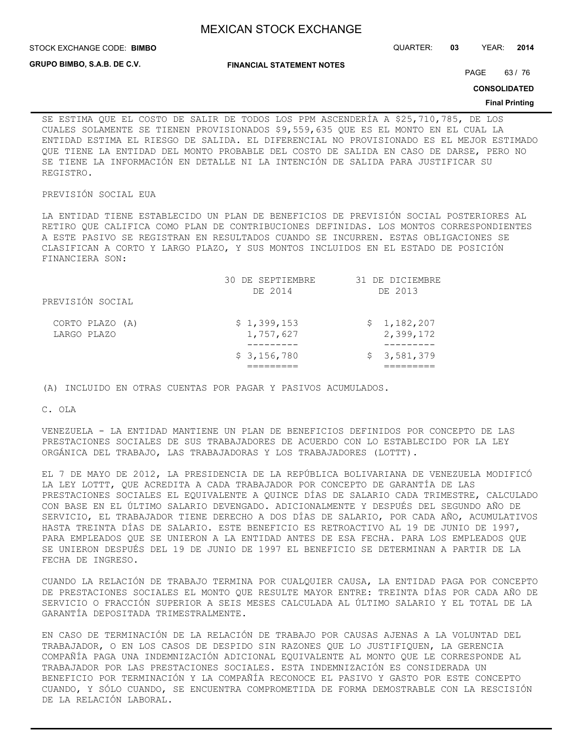**STOCK EXCHANGE CODE: BIMBO** 

STOCK EXCHANGE CODE: QUARTER: **03** YEAR: **2014**

**GRUPO BIMBO, S.A.B. DE C.V.**

**FINANCIAL STATEMENT NOTES**

PAGE 63/76

**CONSOLIDATED**

#### **Final Printing**

SE ESTIMA QUE EL COSTO DE SALIR DE TODOS LOS PPM ASCENDERÍA A \$25,710,785, DE LOS CUALES SOLAMENTE SE TIENEN PROVISIONADOS \$9,559,635 QUE ES EL MONTO EN EL CUAL LA ENTIDAD ESTIMA EL RIESGO DE SALIDA. EL DIFERENCIAL NO PROVISIONADO ES EL MEJOR ESTIMADO QUE TIENE LA ENTIDAD DEL MONTO PROBABLE DEL COSTO DE SALIDA EN CASO DE DARSE, PERO NO SE TIENE LA INFORMACIÓN EN DETALLE NI LA INTENCIÓN DE SALIDA PARA JUSTIFICAR SU REGISTRO.

## PREVISIÓN SOCIAL EUA

LA ENTIDAD TIENE ESTABLECIDO UN PLAN DE BENEFICIOS DE PREVISIÓN SOCIAL POSTERIORES AL RETIRO QUE CALIFICA COMO PLAN DE CONTRIBUCIONES DEFINIDAS. LOS MONTOS CORRESPONDIENTES A ESTE PASIVO SE REGISTRAN EN RESULTADOS CUANDO SE INCURREN. ESTAS OBLIGACIONES SE CLASIFICAN A CORTO Y LARGO PLAZO, Y SUS MONTOS INCLUIDOS EN EL ESTADO DE POSICIÓN FINANCIERA SON:

|                  | 30 DE SEPTIEMBRE | 31 DE DICIEMBRE |
|------------------|------------------|-----------------|
|                  | DE 2014          | DE 2013         |
| PREVISIÓN SOCIAL |                  |                 |
| CORTO PLAZO (A)  | \$1,399,153      | \$1,182,207     |
| LARGO PLAZO      | 1,757,627        | 2,399,172       |
|                  |                  |                 |
|                  | \$3,156,780      | \$3,581,379     |
|                  |                  |                 |

(A) INCLUIDO EN OTRAS CUENTAS POR PAGAR Y PASIVOS ACUMULADOS.

C. OLA

VENEZUELA - LA ENTIDAD MANTIENE UN PLAN DE BENEFICIOS DEFINIDOS POR CONCEPTO DE LAS PRESTACIONES SOCIALES DE SUS TRABAJADORES DE ACUERDO CON LO ESTABLECIDO POR LA LEY ORGÁNICA DEL TRABAJO, LAS TRABAJADORAS Y LOS TRABAJADORES (LOTTT).

EL 7 DE MAYO DE 2012, LA PRESIDENCIA DE LA REPÚBLICA BOLIVARIANA DE VENEZUELA MODIFICÓ LA LEY LOTTT, QUE ACREDITA A CADA TRABAJADOR POR CONCEPTO DE GARANTÍA DE LAS PRESTACIONES SOCIALES EL EQUIVALENTE A QUINCE DÍAS DE SALARIO CADA TRIMESTRE, CALCULADO CON BASE EN EL ÚLTIMO SALARIO DEVENGADO. ADICIONALMENTE Y DESPUÉS DEL SEGUNDO AÑO DE SERVICIO, EL TRABAJADOR TIENE DERECHO A DOS DÍAS DE SALARIO, POR CADA AÑO, ACUMULATIVOS HASTA TREINTA DÍAS DE SALARIO. ESTE BENEFICIO ES RETROACTIVO AL 19 DE JUNIO DE 1997, PARA EMPLEADOS QUE SE UNIERON A LA ENTIDAD ANTES DE ESA FECHA. PARA LOS EMPLEADOS QUE SE UNIERON DESPUÉS DEL 19 DE JUNIO DE 1997 EL BENEFICIO SE DETERMINAN A PARTIR DE LA FECHA DE INGRESO.

CUANDO LA RELACIÓN DE TRABAJO TERMINA POR CUALQUIER CAUSA, LA ENTIDAD PAGA POR CONCEPTO DE PRESTACIONES SOCIALES EL MONTO QUE RESULTE MAYOR ENTRE: TREINTA DÍAS POR CADA AÑO DE SERVICIO O FRACCIÓN SUPERIOR A SEIS MESES CALCULADA AL ÚLTIMO SALARIO Y EL TOTAL DE LA GARANTÍA DEPOSITADA TRIMESTRALMENTE.

EN CASO DE TERMINACIÓN DE LA RELACIÓN DE TRABAJO POR CAUSAS AJENAS A LA VOLUNTAD DEL TRABAJADOR, O EN LOS CASOS DE DESPIDO SIN RAZONES QUE LO JUSTIFIQUEN, LA GERENCIA COMPAÑÍA PAGA UNA INDEMNIZACIÓN ADICIONAL EQUIVALENTE AL MONTO QUE LE CORRESPONDE AL TRABAJADOR POR LAS PRESTACIONES SOCIALES. ESTA INDEMNIZACIÓN ES CONSIDERADA UN BENEFICIO POR TERMINACIÓN Y LA COMPAÑÍA RECONOCE EL PASIVO Y GASTO POR ESTE CONCEPTO CUANDO, Y SÓLO CUANDO, SE ENCUENTRA COMPROMETIDA DE FORMA DEMOSTRABLE CON LA RESCISIÓN DE LA RELACIÓN LABORAL.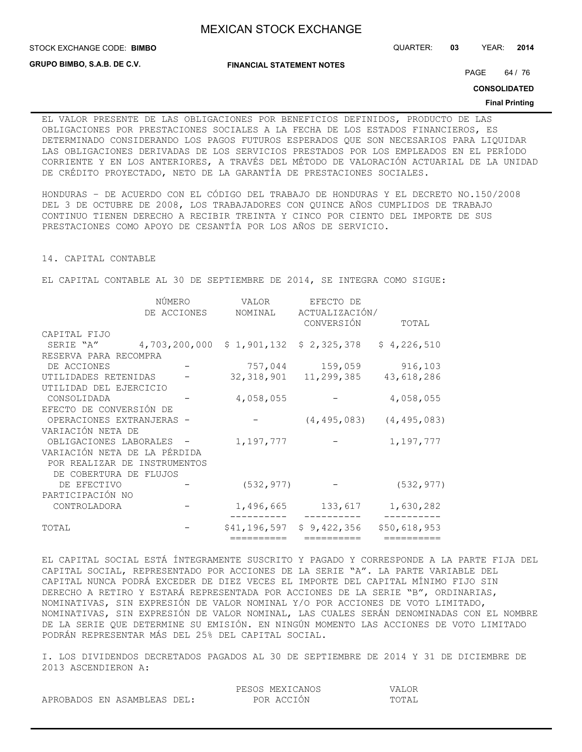**STOCK EXCHANGE CODE: BIMBO** 

**GRUPO BIMBO, S.A.B. DE C.V.**

**FINANCIAL STATEMENT NOTES**

PAGE 64 / 76

STOCK EXCHANGE CODE: QUARTER: **03** YEAR: **2014**

**CONSOLIDATED**

#### **Final Printing**

EL VALOR PRESENTE DE LAS OBLIGACIONES POR BENEFICIOS DEFINIDOS, PRODUCTO DE LAS OBLIGACIONES POR PRESTACIONES SOCIALES A LA FECHA DE LOS ESTADOS FINANCIEROS, ES DETERMINADO CONSIDERANDO LOS PAGOS FUTUROS ESPERADOS QUE SON NECESARIOS PARA LIQUIDAR LAS OBLIGACIONES DERIVADAS DE LOS SERVICIOS PRESTADOS POR LOS EMPLEADOS EN EL PERÍODO CORRIENTE Y EN LOS ANTERIORES, A TRAVÉS DEL MÉTODO DE VALORACIÓN ACTUARIAL DE LA UNIDAD DE CRÉDITO PROYECTADO, NETO DE LA GARANTÍA DE PRESTACIONES SOCIALES.

HONDURAS – DE ACUERDO CON EL CÓDIGO DEL TRABAJO DE HONDURAS Y EL DECRETO NO.150/2008 DEL 3 DE OCTUBRE DE 2008, LOS TRABAJADORES CON QUINCE AÑOS CUMPLIDOS DE TRABAJO CONTINUO TIENEN DERECHO A RECIBIR TREINTA Y CINCO POR CIENTO DEL IMPORTE DE SUS PRESTACIONES COMO APOYO DE CESANTÍA POR LOS AÑOS DE SERVICIO.

14. CAPITAL CONTABLE

EL CAPITAL CONTABLE AL 30 DE SEPTIEMBRE DE 2014, SE INTEGRA COMO SIGUE:

|                              | NÚMERO        | VALOR        | EFECTO DE                 |                                 |
|------------------------------|---------------|--------------|---------------------------|---------------------------------|
|                              | DE ACCIONES   | NOMINAL      | ACTUALIZACIÓN/            |                                 |
|                              |               |              | CONVERSIÓN                | TOTAL                           |
| CAPITAL FIJO                 |               |              |                           |                                 |
| SERIE "A"                    | 4,703,200,000 |              | $$1,901,132$ $$2,325,378$ | \$4,226,510                     |
| RESERVA PARA RECOMPRA        |               |              |                           |                                 |
| DE ACCIONES                  |               |              | 757,044 159,059           | 916,103                         |
| UTILIDADES RETENIDAS         |               |              | 32, 318, 901 11, 299, 385 | 43,618,286                      |
| UTILIDAD DEL EJERCICIO       |               |              |                           |                                 |
| CONSOLIDADA                  |               | 4,058,055    |                           | 4,058,055                       |
| EFECTO DE CONVERSIÓN DE      |               |              |                           |                                 |
| OPERACIONES EXTRANJERAS -    |               |              |                           | $(4, 495, 083)$ $(4, 495, 083)$ |
| VARIACIÓN NETA DE            |               |              |                           |                                 |
| OBLIGACIONES LABORALES -     |               | 1,197,777    |                           | 1,197,777                       |
| VARIACIÓN NETA DE LA PÉRDIDA |               |              |                           |                                 |
| POR REALIZAR DE INSTRUMENTOS |               |              |                           |                                 |
| DE COBERTURA DE FLUJOS       |               |              |                           |                                 |
| DE EFECTIVO                  |               | (532, 977)   |                           | (532, 977)                      |
| PARTICIPACIÓN NO             |               |              |                           |                                 |
| CONTROLADORA                 |               | 1,496,665    | 133,617                   | 1,630,282                       |
| TOTAL                        |               | \$41,196,597 | \$9,422,356               | \$50,618,953                    |
|                              |               | ==========   | ==========                | ==========                      |

EL CAPITAL SOCIAL ESTÁ ÍNTEGRAMENTE SUSCRITO Y PAGADO Y CORRESPONDE A LA PARTE FIJA DEL CAPITAL SOCIAL, REPRESENTADO POR ACCIONES DE LA SERIE "A". LA PARTE VARIABLE DEL CAPITAL NUNCA PODRÁ EXCEDER DE DIEZ VECES EL IMPORTE DEL CAPITAL MÍNIMO FIJO SIN DERECHO A RETIRO Y ESTARÁ REPRESENTADA POR ACCIONES DE LA SERIE "B", ORDINARIAS, NOMINATIVAS, SIN EXPRESIÓN DE VALOR NOMINAL Y/O POR ACCIONES DE VOTO LIMITADO, NOMINATIVAS, SIN EXPRESIÓN DE VALOR NOMINAL, LAS CUALES SERÁN DENOMINADAS CON EL NOMBRE DE LA SERIE QUE DETERMINE SU EMISIÓN. EN NINGÚN MOMENTO LAS ACCIONES DE VOTO LIMITADO PODRÁN REPRESENTAR MÁS DEL 25% DEL CAPITAL SOCIAL.

I. LOS DIVIDENDOS DECRETADOS PAGADOS AL 30 DE SEPTIEMBRE DE 2014 Y 31 DE DICIEMBRE DE 2013 ASCENDIERON A:

|  |                             |  | PESOS MEXICANOS | VALOR |  |
|--|-----------------------------|--|-----------------|-------|--|
|  | APROBADOS EN ASAMBLEAS DEL: |  | POR ACCIÓN      | TOTAL |  |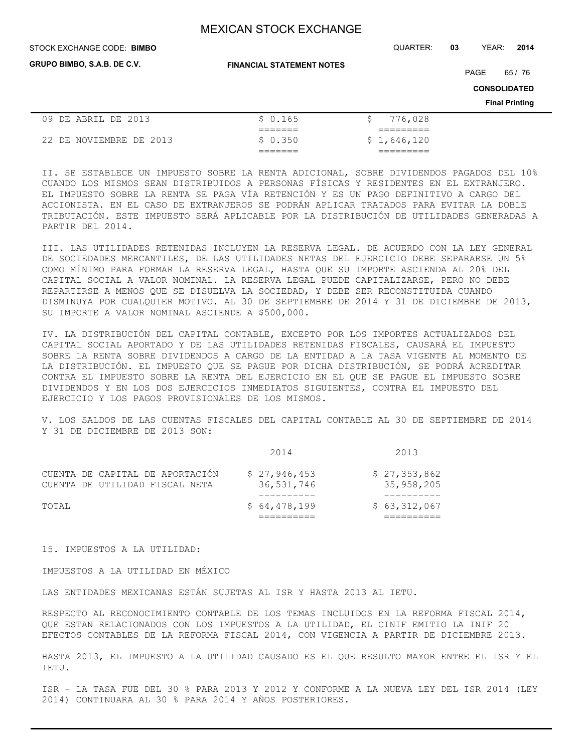**GRUPO BIMBO, S.A.B. DE C.V.**

**FINANCIAL STATEMENT NOTES**

STOCK EXCHANGE CODE: QUARTER: **03** YEAR: **2014 BIMBO**

PAGE 65 / 76

**CONSOLIDATED**

**Final Printing**

| 09 DE ABRIL DE 2013     | \$0.165            | 776,028     |
|-------------------------|--------------------|-------------|
|                         | ______<br>-------- |             |
| 22 DE NOVIEMBRE DE 2013 | \$0.350            | \$1,646,120 |
|                         | --------           |             |

II. SE ESTABLECE UN IMPUESTO SOBRE LA RENTA ADICIONAL, SOBRE DIVIDENDOS PAGADOS DEL 10% CUANDO LOS MISMOS SEAN DISTRIBUIDOS A PERSONAS FÍSICAS Y RESIDENTES EN EL EXTRANJERO. EL IMPUESTO SOBRE LA RENTA SE PAGA VÍA RETENCIÓN Y ES UN PAGO DEFINITIVO A CARGO DEL ACCIONISTA. EN EL CASO DE EXTRANJEROS SE PODRÁN APLICAR TRATADOS PARA EVITAR LA DOBLE TRIBUTACIÓN. ESTE IMPUESTO SERÁ APLICABLE POR LA DISTRIBUCIÓN DE UTILIDADES GENERADAS A PARTIR DEL 2014.

III. LAS UTILIDADES RETENIDAS INCLUYEN LA RESERVA LEGAL. DE ACUERDO CON LA LEY GENERAL DE SOCIEDADES MERCANTILES, DE LAS UTILIDADES NETAS DEL EJERCICIO DEBE SEPARARSE UN 5% COMO MÍNIMO PARA FORMAR LA RESERVA LEGAL, HASTA QUE SU IMPORTE ASCIENDA AL 20% DEL CAPITAL SOCIAL A VALOR NOMINAL. LA RESERVA LEGAL PUEDE CAPITALIZARSE, PERO NO DEBE REPARTIRSE A MENOS QUE SE DISUELVA LA SOCIEDAD, Y DEBE SER RECONSTITUIDA CUANDO DISMINUYA POR CUALQUIER MOTIVO. AL 30 DE SEPTIEMBRE DE 2014 Y 31 DE DICIEMBRE DE 2013, SU IMPORTE A VALOR NOMINAL ASCIENDE A \$500,000.

IV. LA DISTRIBUCIÓN DEL CAPITAL CONTABLE, EXCEPTO POR LOS IMPORTES ACTUALIZADOS DEL CAPITAL SOCIAL APORTADO Y DE LAS UTILIDADES RETENIDAS FISCALES, CAUSARÁ EL IMPUESTO SOBRE LA RENTA SOBRE DIVIDENDOS A CARGO DE LA ENTIDAD A LA TASA VIGENTE AL MOMENTO DE LA DISTRIBUCIÓN. EL IMPUESTO QUE SE PAGUE POR DICHA DISTRIBUCIÓN, SE PODRÁ ACREDITAR CONTRA EL IMPUESTO SOBRE LA RENTA DEL EJERCICIO EN EL QUE SE PAGUE EL IMPUESTO SOBRE DIVIDENDOS Y EN LOS DOS EJERCICIOS INMEDIATOS SIGUIENTES, CONTRA EL IMPUESTO DEL EJERCICIO Y LOS PAGOS PROVISIONALES DE LOS MISMOS.

V. LOS SALDOS DE LAS CUENTAS FISCALES DEL CAPITAL CONTABLE AL 30 DE SEPTIEMBRE DE 2014 Y 31 DE DICIEMBRE DE 2013 SON:

|                                                                   | 2014                       | 2013                       |
|-------------------------------------------------------------------|----------------------------|----------------------------|
| CUENTA DE CAPITAL DE APORTACIÓN<br>CUENTA DE UTILIDAD FISCAL NETA | \$27,946,453<br>36,531,746 | \$27,353,862<br>35,958,205 |
| TOTAL                                                             | \$64,478,199               | \$63,312,067               |

15. IMPUESTOS A LA UTILIDAD:

IMPUESTOS A LA UTILIDAD EN MÉXICO

LAS ENTIDADES MEXICANAS ESTÁN SUJETAS AL ISR Y HASTA 2013 AL IETU.

RESPECTO AL RECONOCIMIENTO CONTABLE DE LOS TEMAS INCLUIDOS EN LA REFORMA FISCAL 2014, QUE ESTAN RELACIONADOS CON LOS IMPUESTOS A LA UTILIDAD, EL CINIF EMITIO LA INIF 20 EFECTOS CONTABLES DE LA REFORMA FISCAL 2014, CON VIGENCIA A PARTIR DE DICIEMBRE 2013.

HASTA 2013, EL IMPUESTO A LA UTILIDAD CAUSADO ES EL QUE RESULTO MAYOR ENTRE EL ISR Y EL IETU.

ISR - LA TASA FUE DEL 30 % PARA 2013 Y 2012 Y CONFORME A LA NUEVA LEY DEL ISR 2014 (LEY 2014) CONTINUARA AL 30 % PARA 2014 Y AÑOS POSTERIORES.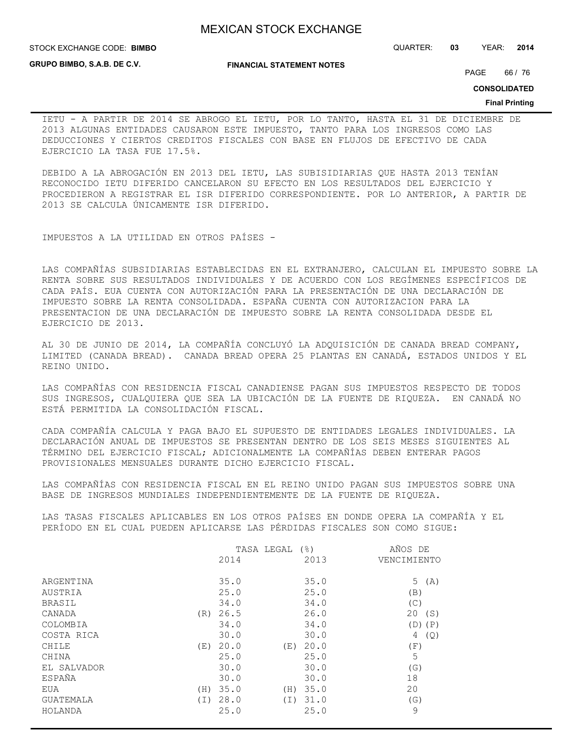STOCK EXCHANGE CODE: QUARTER: **03** YEAR: **2014 BIMBO**

**GRUPO BIMBO, S.A.B. DE C.V.**

**FINANCIAL STATEMENT NOTES**

PAGE 66 / 76

**CONSOLIDATED**

#### **Final Printing**

IETU - A PARTIR DE 2014 SE ABROGO EL IETU, POR LO TANTO, HASTA EL 31 DE DICIEMBRE DE 2013 ALGUNAS ENTIDADES CAUSARON ESTE IMPUESTO, TANTO PARA LOS INGRESOS COMO LAS DEDUCCIONES Y CIERTOS CREDITOS FISCALES CON BASE EN FLUJOS DE EFECTIVO DE CADA EJERCICIO LA TASA FUE 17.5%.

DEBIDO A LA ABROGACIÓN EN 2013 DEL IETU, LAS SUBISIDIARIAS QUE HASTA 2013 TENÍAN RECONOCIDO IETU DIFERIDO CANCELARON SU EFECTO EN LOS RESULTADOS DEL EJERCICIO Y PROCEDIERON A REGISTRAR EL ISR DIFERIDO CORRESPONDIENTE. POR LO ANTERIOR, A PARTIR DE 2013 SE CALCULA ÚNICAMENTE ISR DIFERIDO.

IMPUESTOS A LA UTILIDAD EN OTROS PAÍSES -

LAS COMPAÑÍAS SUBSIDIARIAS ESTABLECIDAS EN EL EXTRANJERO, CALCULAN EL IMPUESTO SOBRE LA RENTA SOBRE SUS RESULTADOS INDIVIDUALES Y DE ACUERDO CON LOS REGÍMENES ESPECÍFICOS DE CADA PAÍS. EUA CUENTA CON AUTORIZACIÓN PARA LA PRESENTACIÓN DE UNA DECLARACIÓN DE IMPUESTO SOBRE LA RENTA CONSOLIDADA. ESPAÑA CUENTA CON AUTORIZACION PARA LA PRESENTACION DE UNA DECLARACIÓN DE IMPUESTO SOBRE LA RENTA CONSOLIDADA DESDE EL EJERCICIO DE 2013.

AL 30 DE JUNIO DE 2014, LA COMPAÑÍA CONCLUYÓ LA ADQUISICIÓN DE CANADA BREAD COMPANY, LIMITED (CANADA BREAD). CANADA BREAD OPERA 25 PLANTAS EN CANADÁ, ESTADOS UNIDOS Y EL REINO UNIDO.

LAS COMPAÑÍAS CON RESIDENCIA FISCAL CANADIENSE PAGAN SUS IMPUESTOS RESPECTO DE TODOS SUS INGRESOS, CUALQUIERA QUE SEA LA UBICACIÓN DE LA FUENTE DE RIQUEZA. EN CANADÁ NO ESTÁ PERMITIDA LA CONSOLIDACIÓN FISCAL.

CADA COMPAÑÍA CALCULA Y PAGA BAJO EL SUPUESTO DE ENTIDADES LEGALES INDIVIDUALES. LA DECLARACIÓN ANUAL DE IMPUESTOS SE PRESENTAN DENTRO DE LOS SEIS MESES SIGUIENTES AL TÉRMINO DEL EJERCICIO FISCAL; ADICIONALMENTE LA COMPAÑÍAS DEBEN ENTERAR PAGOS PROVISIONALES MENSUALES DURANTE DICHO EJERCICIO FISCAL.

LAS COMPAÑÍAS CON RESIDENCIA FISCAL EN EL REINO UNIDO PAGAN SUS IMPUESTOS SOBRE UNA BASE DE INGRESOS MUNDIALES INDEPENDIENTEMENTE DE LA FUENTE DE RIQUEZA.

LAS TASAS FISCALES APLICABLES EN LOS OTROS PAÍSES EN DONDE OPERA LA COMPAÑÍA Y EL PERÍODO EN EL CUAL PUEDEN APLICARSE LAS PÉRDIDAS FISCALES SON COMO SIGUE:

|             | $($ $\frac{6}{6}$ $)$ | AÑOS DE     |
|-------------|-----------------------|-------------|
| 2014        | 2013                  | VENCIMIENTO |
| 35.0        | 35.0                  | 5(A)        |
| 25.0        | 25.0                  | (B)         |
| 34.0        | 34.0                  | (C)         |
| 26.5<br>(R) | 26.0                  | 20 (S)      |
| 34.0        | 34.0                  | $(D)$ $(P)$ |
| 30.0        | 30.0                  | (Q)<br>4    |
| 20.0<br>(E) | 20.0<br>(E)           | (F)         |
| 25.0        | 25.0                  | 5           |
| 30.0        | 30.0                  | (G)         |
| 30.0        | 30.0                  | 18          |
| 35.0<br>(H) | 35.0<br>(H)           | 20          |
| 28.0<br>(T) | 31.0<br>(T)           | (G)         |
| 25.0        | 25.0                  | 9           |
|             |                       | TASA LEGAL  |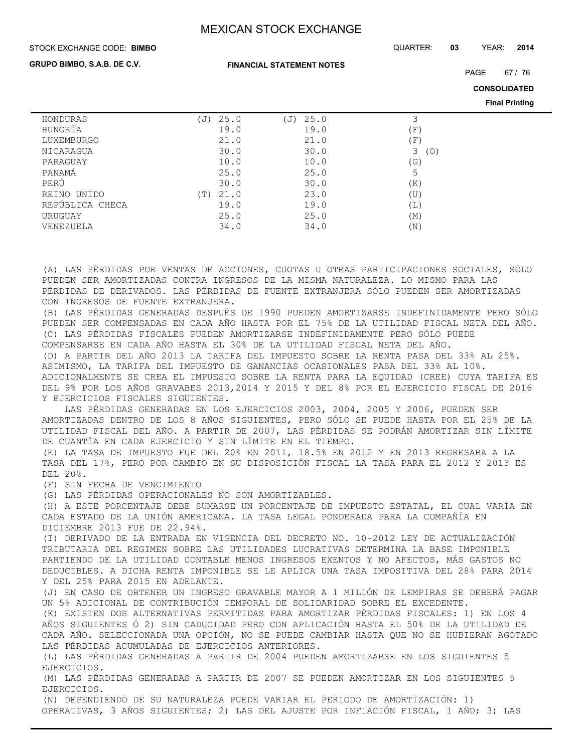#### STOCK EXCHANGE CODE: QUARTER: **03** YEAR: **2014 BIMBO**

**GRUPO BIMBO, S.A.B. DE C.V.**

**FINANCIAL STATEMENT NOTES**

PAGE 67 / 76

**CONSOLIDATED**

**Final Printing**

| 25.0<br>$(\overline{J})$ | 25.0<br>(J) |          |
|--------------------------|-------------|----------|
| 19.0                     | 19.0        | (F)      |
| 21.0                     | 21.0        | (F)      |
| 30.0                     | 30.0        | 3<br>(O) |
| 10.0                     | 10.0        | (G)      |
| 25.0                     | 25.0        | 5        |
| 30.0                     | 30.0        | (K)      |
| 21.0<br>(T)              | 23.0        | (U)      |
| 19.0                     | 19.0        | (L)      |
| 25.0                     | 25.0        | (M)      |
| 34.0                     | 34.0        | (N)      |
|                          |             |          |

(A) LAS PÉRDIDAS POR VENTAS DE ACCIONES, CUOTAS U OTRAS PARTICIPACIONES SOCIALES, SÓLO PUEDEN SER AMORTIZADAS CONTRA INGRESOS DE LA MISMA NATURALEZA. LO MISMO PARA LAS PÉRDIDAS DE DERIVADOS. LAS PÉRDIDAS DE FUENTE EXTRANJERA SÓLO PUEDEN SER AMORTIZADAS CON INGRESOS DE FUENTE EXTRANJERA.

(B) LAS PÉRDIDAS GENERADAS DESPUÉS DE 1990 PUEDEN AMORTIZARSE INDEFINIDAMENTE PERO SÓLO PUEDEN SER COMPENSADAS EN CADA AÑO HASTA POR EL 75% DE LA UTILIDAD FISCAL NETA DEL AÑO. (C) LAS PÉRDIDAS FISCALES PUEDEN AMORTIZARSE INDEFINIDAMENTE PERO SÓLO PUEDE COMPENSARSE EN CADA AÑO HASTA EL 30% DE LA UTILIDAD FISCAL NETA DEL AÑO. (D) A PARTIR DEL AÑO 2013 LA TARIFA DEL IMPUESTO SOBRE LA RENTA PASA DEL 33% AL 25%. ASIMISMO, LA TARIFA DEL IMPUESTO DE GANANCIAS OCASIONALES PASA DEL 33% AL 10%. ADICIONALMENTE SE CREA EL IMPUESTO SOBRE LA RENTA PARA LA EQUIDAD (CREE) CUYA TARIFA ES DEL 9% POR LOS AÑOS GRAVABES 2013,2014 Y 2015 Y DEL 8% POR EL EJERCICIO FISCAL DE 2016 Y EJERCICIOS FISCALES SIGUIENTES.

 LAS PÉRDIDAS GENERADAS EN LOS EJERCICIOS 2003, 2004, 2005 Y 2006, PUEDEN SER AMORTIZADAS DENTRO DE LOS 8 AÑOS SIGUIENTES, PERO SÓLO SE PUEDE HASTA POR EL 25% DE LA UTILIDAD FISCAL DEL AÑO. A PARTIR DE 2007, LAS PÉRDIDAS SE PODRÁN AMORTIZAR SIN LÍMITE DE CUANTÍA EN CADA EJERCICIO Y SIN LÍMITE EN EL TIEMPO.

(E) LA TASA DE IMPUESTO FUE DEL 20% EN 2011, 18.5% EN 2012 Y EN 2013 REGRESABA A LA TASA DEL 17%, PERO POR CAMBIO EN SU DISPOSICIÓN FISCAL LA TASA PARA EL 2012 Y 2013 ES DEL 20%.

(F) SIN FECHA DE VENCIMIENTO

(G) LAS PÉRDIDAS OPERACIONALES NO SON AMORTIZABLES.

(H) A ESTE PORCENTAJE DEBE SUMARSE UN PORCENTAJE DE IMPUESTO ESTATAL, EL CUAL VARÍA EN CADA ESTADO DE LA UNIÓN AMERICANA. LA TASA LEGAL PONDERADA PARA LA COMPAÑÍA EN DICIEMBRE 2013 FUE DE 22.94%.

(I) DERIVADO DE LA ENTRADA EN VIGENCIA DEL DECRETO NO. 10-2012 LEY DE ACTUALIZACIÓN TRIBUTARIA DEL REGIMEN SOBRE LAS UTILIDADES LUCRATIVAS DETERMINA LA BASE IMPONIBLE PARTIENDO DE LA UTILIDAD CONTABLE MENOS INGRESOS EXENTOS Y NO AFECTOS, MÁS GASTOS NO DEDUCIBLES. A DICHA RENTA IMPONIBLE SE LE APLICA UNA TASA IMPOSITIVA DEL 28% PARA 2014 Y DEL 25% PARA 2015 EN ADELANTE.

(J) EN CASO DE OBTENER UN INGRESO GRAVABLE MAYOR A 1 MILLÓN DE LEMPIRAS SE DEBERÁ PAGAR UN 5% ADICIONAL DE CONTRIBUCIÓN TEMPORAL DE SOLIDARIDAD SOBRE EL EXCEDENTE.

(K) EXISTEN DOS ALTERNATIVAS PERMITIDAS PARA AMORTIZAR PÉRDIDAS FISCALES: 1) EN LOS 4 AÑOS SIGUIENTES Ó 2) SIN CADUCIDAD PERO CON APLICACIÓN HASTA EL 50% DE LA UTILIDAD DE CADA AÑO. SELECCIONADA UNA OPCIÓN, NO SE PUEDE CAMBIAR HASTA QUE NO SE HUBIERAN AGOTADO LAS PÉRDIDAS ACUMULADAS DE EJERCICIOS ANTERIORES.

(L) LAS PÉRDIDAS GENERADAS A PARTIR DE 2004 PUEDEN AMORTIZARSE EN LOS SIGUIENTES 5 EJERCICIOS.

(M) LAS PÉRDIDAS GENERADAS A PARTIR DE 2007 SE PUEDEN AMORTIZAR EN LOS SIGUIENTES 5 EJERCICIOS.

(N) DEPENDIENDO DE SU NATURALEZA PUEDE VARIAR EL PERIODO DE AMORTIZACIÓN: 1) OPERATIVAS, 3 AÑOS SIGUIENTES; 2) LAS DEL AJUSTE POR INFLACIÓN FISCAL, 1 AÑO; 3) LAS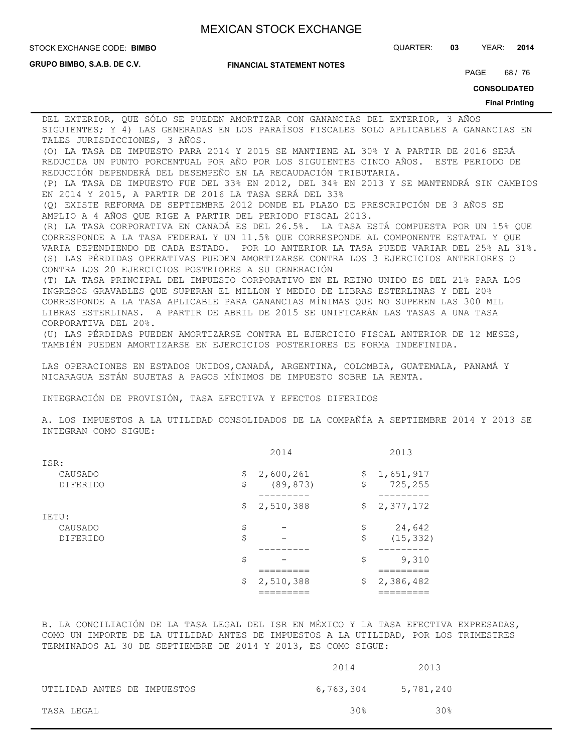**GRUPO BIMBO, S.A.B. DE C.V.**

#### **FINANCIAL STATEMENT NOTES**

STOCK EXCHANGE CODE: QUARTER: **03** YEAR: **2014 BIMBO**

PAGE 68 / 76

**CONSOLIDATED**

#### **Final Printing**

DEL EXTERIOR, QUE SÓLO SE PUEDEN AMORTIZAR CON GANANCIAS DEL EXTERIOR, 3 AÑOS SIGUIENTES; Y 4) LAS GENERADAS EN LOS PARAÍSOS FISCALES SOLO APLICABLES A GANANCIAS EN TALES JURISDICCIONES, 3 AÑOS. (O) LA TASA DE IMPUESTO PARA 2014 Y 2015 SE MANTIENE AL 30% Y A PARTIR DE 2016 SERÁ REDUCIDA UN PUNTO PORCENTUAL POR AÑO POR LOS SIGUIENTES CINCO AÑOS. ESTE PERIODO DE REDUCCIÓN DEPENDERÁ DEL DESEMPEÑO EN LA RECAUDACIÓN TRIBUTARIA. (P) LA TASA DE IMPUESTO FUE DEL 33% EN 2012, DEL 34% EN 2013 Y SE MANTENDRÁ SIN CAMBIOS EN 2014 Y 2015, A PARTIR DE 2016 LA TASA SERÁ DEL 33% (Q) EXISTE REFORMA DE SEPTIEMBRE 2012 DONDE EL PLAZO DE PRESCRIPCIÓN DE 3 AÑOS SE AMPLIO A 4 AÑOS QUE RIGE A PARTIR DEL PERIODO FISCAL 2013. (R) LA TASA CORPORATIVA EN CANADÁ ES DEL 26.5%. LA TASA ESTÁ COMPUESTA POR UN 15% QUE CORRESPONDE A LA TASA FEDERAL Y UN 11.5% QUE CORRESPONDE AL COMPONENTE ESTATAL Y QUE VARIA DEPENDIENDO DE CADA ESTADO. POR LO ANTERIOR LA TASA PUEDE VARIAR DEL 25% AL 31%. (S) LAS PÉRDIDAS OPERATIVAS PUEDEN AMORTIZARSE CONTRA LOS 3 EJERCICIOS ANTERIORES O CONTRA LOS 20 EJERCICIOS POSTRIORES A SU GENERACIÓN (T) LA TASA PRINCIPAL DEL IMPUESTO CORPORATIVO EN EL REINO UNIDO ES DEL 21% PARA LOS INGRESOS GRAVABLES QUE SUPERAN EL MILLON Y MEDIO DE LIBRAS ESTERLINAS Y DEL 20% CORRESPONDE A LA TASA APLICABLE PARA GANANCIAS MÍNIMAS QUE NO SUPEREN LAS 300 MIL LIBRAS ESTERLINAS. A PARTIR DE ABRIL DE 2015 SE UNIFICARÁN LAS TASAS A UNA TASA CORPORATIVA DEL 20%.

(U) LAS PÉRDIDAS PUEDEN AMORTIZARSE CONTRA EL EJERCICIO FISCAL ANTERIOR DE 12 MESES, TAMBIÉN PUEDEN AMORTIZARSE EN EJERCICIOS POSTERIORES DE FORMA INDEFINIDA.

LAS OPERACIONES EN ESTADOS UNIDOS,CANADÁ, ARGENTINA, COLOMBIA, GUATEMALA, PANAMÁ Y NICARAGUA ESTÁN SUJETAS A PAGOS MÍNIMOS DE IMPUESTO SOBRE LA RENTA.

INTEGRACIÓN DE PROVISIÓN, TASA EFECTIVA Y EFECTOS DIFERIDOS

A. LOS IMPUESTOS A LA UTILIDAD CONSOLIDADOS DE LA COMPAÑÍA A SEPTIEMBRE 2014 Y 2013 SE INTEGRAN COMO SIGUE:

|                 | 2014            | 2013            |
|-----------------|-----------------|-----------------|
| ISR:            |                 |                 |
| CAUSADO         | \$<br>2,600,261 | \$<br>1,651,917 |
| <b>DIFERIDO</b> | \$<br>(89, 873) | \$<br>725,255   |
|                 |                 |                 |
|                 | \$2,510,388     | \$<br>2,377,172 |
| IETU:           |                 |                 |
| CAUSADO         | \$              | \$<br>24,642    |
| <b>DIFERIDO</b> | \$              | \$<br>(15, 332) |
|                 |                 |                 |
|                 | \$              | \$<br>9,310     |
|                 |                 |                 |
|                 | \$<br>2,510,388 | \$<br>2,386,482 |
|                 |                 |                 |

B. LA CONCILIACIÓN DE LA TASA LEGAL DEL ISR EN MÉXICO Y LA TASA EFECTIVA EXPRESADAS, COMO UN IMPORTE DE LA UTILIDAD ANTES DE IMPUESTOS A LA UTILIDAD, POR LOS TRIMESTRES TERMINADOS AL 30 DE SEPTIEMBRE DE 2014 Y 2013, ES COMO SIGUE:

|                             | 2014            | 2013      |
|-----------------------------|-----------------|-----------|
| UTILIDAD ANTES DE IMPUESTOS | 6,763,304       | 5,781,240 |
| TASA LEGAL                  | 30 <sub>8</sub> | 30%       |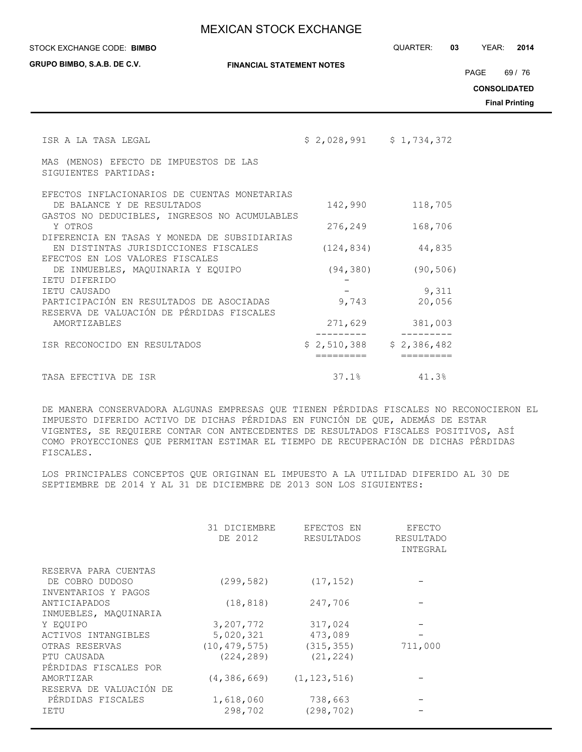STOCK EXCHANGE CODE: QUARTER: **03** YEAR: **2014 BIMBO**

**GRUPO BIMBO, S.A.B. DE C.V.**

**FINANCIAL STATEMENT NOTES**

PAGE 69 / 76

**CONSOLIDATED**

**Final Printing**

| ISR A LA TASA LEGAL                                                                  | $$2,028,991$ $$1,734,372$ |                 |
|--------------------------------------------------------------------------------------|---------------------------|-----------------|
| MAS (MENOS) EFECTO DE IMPUESTOS DE LAS<br>SIGUIENTES PARTIDAS:                       |                           |                 |
| EFECTOS INFLACIONARIOS DE CUENTAS MONETARIAS                                         |                           |                 |
| DE BALANCE Y DE RESULTADOS<br>GASTOS NO DEDUCIBLES, INGRESOS NO ACUMULABLES          | 142,990                   | 118,705         |
| Y OTROS                                                                              | 276,249                   | 168,706         |
| DIFERENCIA EN TASAS Y MONEDA DE SUBSIDIARIAS<br>EN DISTINTAS JURISDICCIONES FISCALES | (124, 834)                | 44,835          |
| EFECTOS EN LOS VALORES FISCALES                                                      |                           |                 |
| DE INMUEBLES, MAQUINARIA Y EQUIPO                                                    | (94, 380)                 | (90, 506)       |
| TETU DIFERIDO                                                                        |                           |                 |
| IETU CAUSADO<br>PARTICIPACIÓN EN RESULTADOS DE ASOCIADAS                             | 9,743                     | 9,311<br>20,056 |
| RESERVA DE VALUACIÓN DE PÉRDIDAS FISCALES                                            |                           |                 |
| AMORTIZABLES                                                                         | 271,629                   | 381,003         |
| ISR RECONOCIDO EN RESULTADOS                                                         | $$2,510,388$ $$2,386,482$ |                 |
| TASA EFECTIVA DE ISR                                                                 | 37.1%                     | 41.3%           |

DE MANERA CONSERVADORA ALGUNAS EMPRESAS QUE TIENEN PÉRDIDAS FISCALES NO RECONOCIERON EL IMPUESTO DIFERIDO ACTIVO DE DICHAS PÉRDIDAS EN FUNCIÓN DE QUE, ADEMÁS DE ESTAR VIGENTES, SE REQUIERE CONTAR CON ANTECEDENTES DE RESULTADOS FISCALES POSITIVOS, ASÍ COMO PROYECCIONES QUE PERMITAN ESTIMAR EL TIEMPO DE RECUPERACIÓN DE DICHAS PÉRDIDAS FISCALES.

LOS PRINCIPALES CONCEPTOS QUE ORIGINAN EL IMPUESTO A LA UTILIDAD DIFERIDO AL 30 DE SEPTIEMBRE DE 2014 Y AL 31 DE DICIEMBRE DE 2013 SON LOS SIGUIENTES:

|                         | 31 DICIEMBRE<br>DE 2012 | EFECTOS EN<br><b>RESULTADOS</b> | EFECTO<br>RESULTADO<br>INTEGRAL |
|-------------------------|-------------------------|---------------------------------|---------------------------------|
| RESERVA PARA CUENTAS    |                         |                                 |                                 |
| DE COBRO DUDOSO         | (299, 582)              | (17, 152)                       |                                 |
| INVENTARIOS Y PAGOS     |                         |                                 |                                 |
| ANTICIAPADOS            | (18, 818)               | 247,706                         |                                 |
| INMUEBLES, MAQUINARIA   |                         |                                 |                                 |
| Y EOUIPO                | 3,207,772               | 317,024                         |                                 |
| ACTIVOS INTANGIBLES     | 5,020,321               | 473,089                         |                                 |
| OTRAS RESERVAS          | (10, 479, 575)          | (315, 355)                      | 711,000                         |
| PTU CAUSADA             | (224, 289)              | (21, 224)                       |                                 |
| PÉRDIDAS FISCALES POR   |                         |                                 |                                 |
| AMORTIZAR               | (4, 386, 669)           | (1, 123, 516)                   |                                 |
| RESERVA DE VALUACIÓN DE |                         |                                 |                                 |
| PÉRDIDAS FISCALES       | 1,618,060               | 738,663                         |                                 |
| IETU                    | 298,702                 | (298, 702)                      |                                 |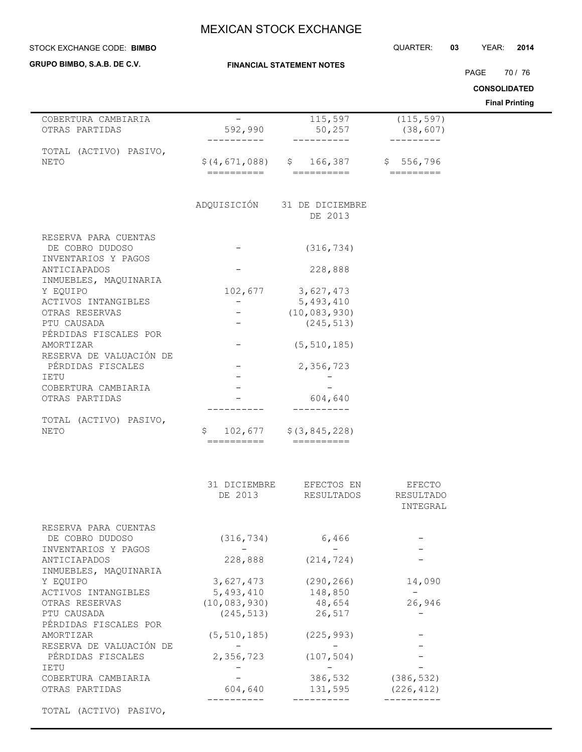| STOCK EXCHANGE CODE: BIMBO             |                                       |                                                                | QUARTER:   | 03<br>YEAR:<br>2014                          |
|----------------------------------------|---------------------------------------|----------------------------------------------------------------|------------|----------------------------------------------|
| GRUPO BIMBO, S.A.B. DE C.V.            |                                       | <b>FINANCIAL STATEMENT NOTES</b>                               |            |                                              |
|                                        |                                       |                                                                |            | 70 / 76<br>PAGE                              |
|                                        |                                       |                                                                |            | <b>CONSOLIDATED</b><br><b>Final Printing</b> |
| COBERTURA CAMBIARIA                    | $\overline{\phantom{m}}$              | $\overline{1}$ 15,597                                          | (115, 597) |                                              |
| OTRAS PARTIDAS                         | 592,990                               | 50, 257                                                        | (38, 607)  |                                              |
| TOTAL (ACTIVO) PASIVO,<br>NETO         | \$(4,671,088)<br>==========           | \$166,387<br>$=$ ==========                                    | \$556,796  |                                              |
|                                        |                                       | ADQUISICIÓN 31 DE DICIEMBRE<br>DE 2013                         |            |                                              |
| RESERVA PARA CUENTAS                   |                                       |                                                                |            |                                              |
| DE COBRO DUDOSO<br>INVENTARIOS Y PAGOS |                                       | (316, 734)                                                     |            |                                              |
| ANTICIAPADOS<br>INMUEBLES, MAQUINARIA  |                                       | 228,888                                                        |            |                                              |
| Y EQUIPO                               | 102,677                               | 3,627,473                                                      |            |                                              |
| ACTIVOS INTANGIBLES                    | $-$                                   | 5,493,410                                                      |            |                                              |
| OTRAS RESERVAS                         |                                       | (10, 083, 930)                                                 |            |                                              |
| PTU CAUSADA<br>PÉRDIDAS FISCALES POR   |                                       | (245, 513)                                                     |            |                                              |
| AMORTIZAR<br>RESERVA DE VALUACIÓN DE   | $\overline{\phantom{0}}$              | (5, 510, 185)                                                  |            |                                              |
| PÉRDIDAS FISCALES                      |                                       | 2,356,723                                                      |            |                                              |
| IETU                                   |                                       |                                                                |            |                                              |
| COBERTURA CAMBIARIA                    |                                       |                                                                |            |                                              |
| OTRAS PARTIDAS                         |                                       | 604,640                                                        |            |                                              |
| TOTAL (ACTIVO) PASIVO,                 |                                       |                                                                |            |                                              |
| NETO                                   | \$.<br>102,677<br>==========          | \$ (3, 845, 228)                                               |            |                                              |
|                                        |                                       |                                                                |            |                                              |
|                                        |                                       | 31 DICIEMBRE EFECTOS EN EFECTO<br>DE 2013 RESULTADOS RESULTADO | INTEGRAL   |                                              |
|                                        |                                       |                                                                |            |                                              |
| RESERVA PARA CUENTAS                   |                                       |                                                                |            |                                              |
| DE COBRO DUDOSO<br>INVENTARIOS Y PAGOS | (316, 734)<br>$\sim 100$ km s $^{-1}$ | 6,466<br>$\sim$ $-$                                            |            |                                              |
| ANTICIAPADOS<br>INMUEBLES, MAQUINARIA  |                                       | 228,888 (214,724)                                              |            |                                              |
| Y EQUIPO                               |                                       | $3,627,473$ (290,266)                                          | 14,090     |                                              |
| ACTIVOS INTANGIBLES                    |                                       | 5,493,410 148,850                                              | $\sim$     |                                              |
| OTRAS RESERVAS                         |                                       | $(10, 083, 930)$ 48,654                                        | 26,946     |                                              |
| PTU CAUSADA                            |                                       | $(245, 513)$ 26,517                                            |            |                                              |
| PÉRDIDAS FISCALES POR                  |                                       |                                                                |            |                                              |
| AMORTIZAR<br>RESERVA DE VALUACIÓN DE   | $\sim$ $  -$                          | $(5, 510, 185)$ (225, 993)<br>$ -$                             |            |                                              |
| PÉRDIDAS FISCALES                      | 2,356,723                             | (107, 504)                                                     |            |                                              |
| IETU                                   |                                       | $-$                                                            |            |                                              |
| COBERTURA CAMBIARIA                    | $\sim$ 100 $\mu$                      | 386,532 (386,532)                                              |            |                                              |
| OTRAS PARTIDAS                         | 604,640                               | 131,595                                                        | (226, 412) |                                              |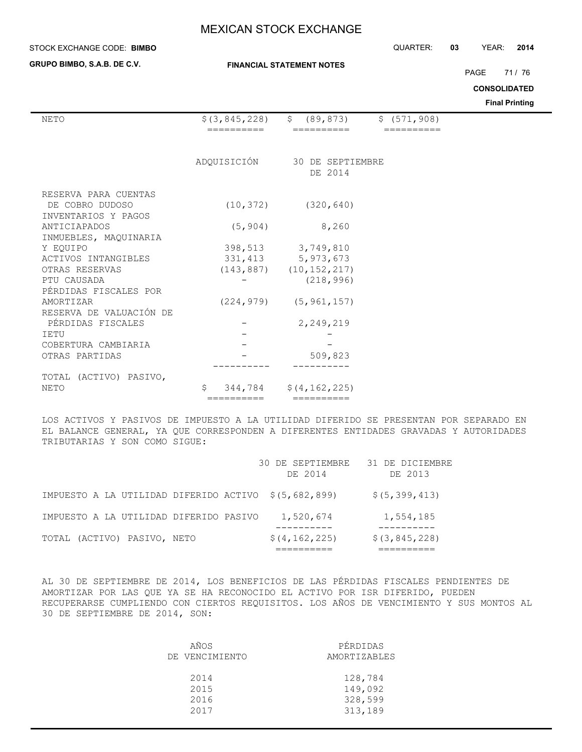#### **STOCK EXCHANGE CODE: BIMBO**

**GRUPO BIMBO, S.A.B. DE C.V.**

#### **FINANCIAL STATEMENT NOTES**

STOCK EXCHANGE CODE: QUARTER: **03** YEAR: **2014**

PAGE 71 / 76

## **CONSOLIDATED**

**Final Printing**

| NETO                      | $$$ (3,845,228) | \$ (89, 873)<br>\$ (571, 908) |  |
|---------------------------|-----------------|-------------------------------|--|
|                           | ________        | --------                      |  |
|                           | ADQUISICIÓN     | 30 DE SEPTIEMBRE              |  |
|                           |                 | DE 2014                       |  |
| RESERVA PARA CUENTAS      |                 |                               |  |
| DE COBRO DUDOSO           | (10, 372)       | (320, 640)                    |  |
| INVENTARIOS Y PAGOS       |                 |                               |  |
| ANTICIAPADOS              | (5, 904)        | 8,260                         |  |
| INMUEBLES, MAQUINARIA     |                 |                               |  |
| Y EOUIPO                  |                 | 398,513 3,749,810             |  |
| ACTIVOS INTANGIBLES       |                 | 331, 413 5, 973, 673          |  |
| OTRAS RESERVAS            |                 | $(143, 887)$ $(10, 152, 217)$ |  |
| PTU CAUSADA               |                 | (218, 996)                    |  |
| PÉRDIDAS FISCALES POR     |                 |                               |  |
| AMORTIZAR                 |                 | $(224, 979)$ $(5, 961, 157)$  |  |
| RESERVA DE VALUACIÓN DE   |                 |                               |  |
| PÉRDIDAS FISCALES         |                 | 2,249,219                     |  |
| <b>IETU</b>               |                 |                               |  |
| COBERTURA CAMBIARIA       |                 |                               |  |
| OTRAS PARTIDAS            |                 | 509,823                       |  |
|                           |                 |                               |  |
| (ACTIVO) PASIVO,<br>TOTAL |                 |                               |  |
| NETO                      | Ŝ               | $344, 784$ $$ (4, 162, 225)$  |  |
|                           | ==========      | ==========                    |  |

LOS ACTIVOS Y PASIVOS DE IMPUESTO A LA UTILIDAD DIFERIDO SE PRESENTAN POR SEPARADO EN EL BALANCE GENERAL, YA QUE CORRESPONDEN A DIFERENTES ENTIDADES GRAVADAS Y AUTORIDADES TRIBUTARIAS Y SON COMO SIGUE:

|                                        | 30 DE SEPTIEMBRE<br>DE 2014 | 31 DE DICIEMBRE<br>DE 2013 |
|----------------------------------------|-----------------------------|----------------------------|
| IMPUESTO A LA UTILIDAD DIFERIDO ACTIVO | \$ (5, 682, 899)            | \$(5, 399, 413)            |
| IMPUESTO A LA UTILIDAD DIFERIDO PASIVO | 1,520,674                   | 1,554,185                  |
| TOTAL (ACTIVO) PASIVO, NETO            | \$(4, 162, 225)             | \$(3, 845, 228)            |

AL 30 DE SEPTIEMBRE DE 2014, LOS BENEFICIOS DE LAS PÉRDIDAS FISCALES PENDIENTES DE AMORTIZAR POR LAS QUE YA SE HA RECONOCIDO EL ACTIVO POR ISR DIFERIDO, PUEDEN RECUPERARSE CUMPLIENDO CON CIERTOS REQUISITOS. LOS AÑOS DE VENCIMIENTO Y SUS MONTOS AL 30 DE SEPTIEMBRE DE 2014, SON:

| AÑOS           | PÉRDIDAS     |
|----------------|--------------|
| DE VENCIMIENTO | AMORTIZABLES |
|                |              |
| 2014           | 128,784      |
| 2015           | 149,092      |
| 2016           | 328,599      |
| 2017           | 313,189      |
|                |              |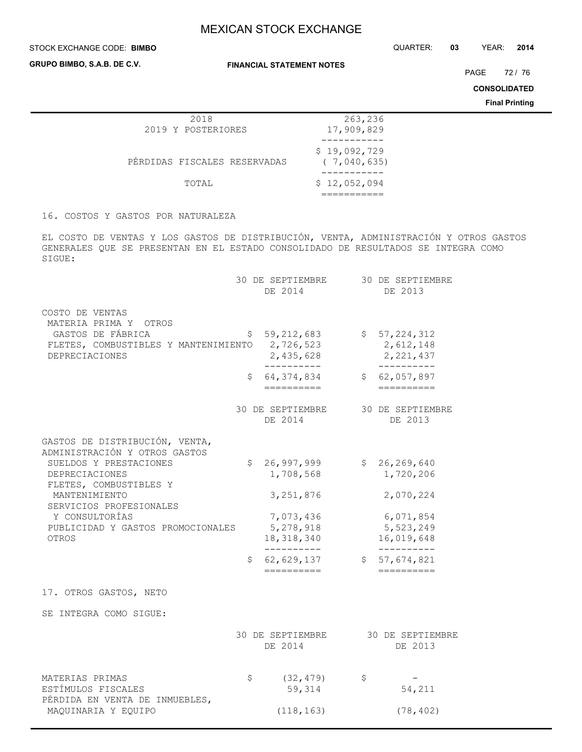#### STOCK EXCHANGE CODE: QUARTER: **03** YEAR: **2014 BIMBO**

**GRUPO BIMBO, S.A.B. DE C.V.**

**FINANCIAL STATEMENT NOTES**

PAGE 72 / 76

**CONSOLIDATED**

**Final Printing**

| 2018                         | 263,236                     |
|------------------------------|-----------------------------|
| 2019 Y POSTERIORES           | 17,909,829                  |
|                              |                             |
| PÉRDIDAS FISCALES RESERVADAS | \$19,092,729<br>(7,040,635) |
|                              |                             |
| TOTAL                        | \$12,052,094                |
|                              |                             |
|                              |                             |

16. COSTOS Y GASTOS POR NATURALEZA

EL COSTO DE VENTAS Y LOS GASTOS DE DISTRIBUCIÓN, VENTA, ADMINISTRACIÓN Y OTROS GASTOS GENERALES QUE SE PRESENTAN EN EL ESTADO CONSOLIDADO DE RESULTADOS SE INTEGRA COMO SIGUE:

|                                                                                                                                                                                                                                                   |          | 30 DE SEPTIEMBRE<br>DE 2014                                                                                               |              | 30 DE SEPTIEMBRE<br>DE 2013                                                                                                 |
|---------------------------------------------------------------------------------------------------------------------------------------------------------------------------------------------------------------------------------------------------|----------|---------------------------------------------------------------------------------------------------------------------------|--------------|-----------------------------------------------------------------------------------------------------------------------------|
| COSTO DE VENTAS<br>MATERIA PRIMA Y<br>OTROS<br>GASTOS DE FÁBRICA<br>FLETES, COMBUSTIBLES Y MANTENIMIENTO<br>DEPRECIACIONES                                                                                                                        | \$.      | 59, 212, 683<br>2,726,523<br>2,435,628<br>. _ _ _ _ _ _ _ _ _ _                                                           |              | \$57,224,312<br>2,612,148<br>2, 221, 437<br>__________                                                                      |
|                                                                                                                                                                                                                                                   | \$.      | 64, 374, 834<br>==========                                                                                                |              | \$62,057,897<br>==========                                                                                                  |
|                                                                                                                                                                                                                                                   |          | 30 DE SEPTIEMBRE<br>DE 2014                                                                                               |              | 30 DE SEPTIEMBRE<br>DE 2013                                                                                                 |
| GASTOS DE DISTRIBUCIÓN, VENTA,<br>ADMINISTRACIÓN Y OTROS GASTOS<br>SUELDOS Y PRESTACIONES<br>DEPRECIACIONES<br>FLETES, COMBUSTIBLES Y<br>MANTENIMIENTO<br>SERVICIOS PROFESIONALES<br>Y CONSULTORÍAS<br>PUBLICIDAD Y GASTOS PROMOCIONALES<br>OTROS | \$<br>\$ | 26,997,999<br>1,708,568<br>3, 251, 876<br>7,073,436<br>5,278,918<br>18,318,340<br>-----------<br>62,629,137<br>========== | $\mathsf{S}$ | \$26, 269, 640<br>1,720,206<br>2,070,224<br>6,071,854<br>5,523,249<br>16,019,648<br>-----------<br>57,674,821<br>========== |
| 17. OTROS GASTOS, NETO                                                                                                                                                                                                                            |          |                                                                                                                           |              |                                                                                                                             |
| SE INTEGRA COMO SIGUE:                                                                                                                                                                                                                            |          |                                                                                                                           |              |                                                                                                                             |
|                                                                                                                                                                                                                                                   |          | 30 DE SEPTIEMBRE<br>DE 2014                                                                                               |              | 30 DE SEPTIEMBRE<br>DE 2013                                                                                                 |
| MATERIAS PRIMAS<br>ESTÍMULOS FISCALES<br>PÉRDIDA EN VENTA DE INMUEBLES,<br>MAQUINARIA Y EQUIPO                                                                                                                                                    | \$       | (32, 479)<br>59,314<br>(118, 163)                                                                                         | \$           | 54,211<br>(78, 402)                                                                                                         |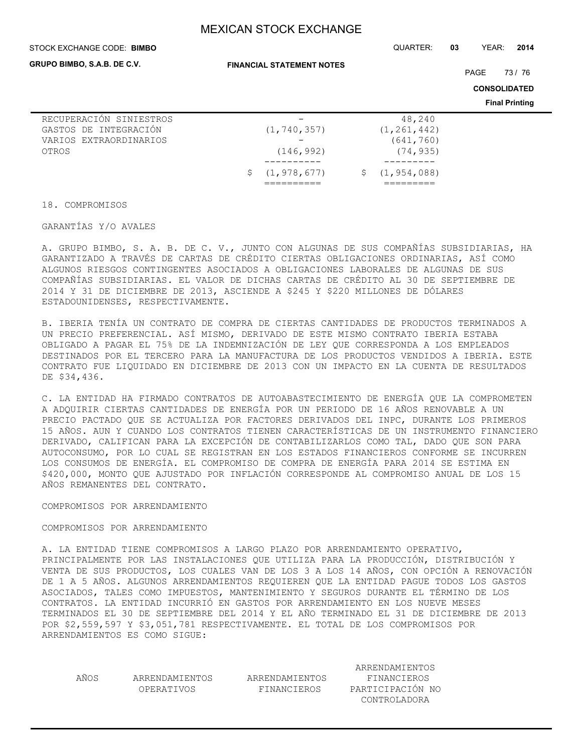#### STOCK EXCHANGE CODE: QUARTER: **03** YEAR: **2014 BIMBO**

**GRUPO BIMBO, S.A.B. DE C.V.**

**FINANCIAL STATEMENT NOTES**

PAGE 73 / 76

**CONSOLIDATED**

**Final Printing**

|                         |                 |                 | . |
|-------------------------|-----------------|-----------------|---|
| RECUPERACIÓN SINIESTROS |                 | 48,240          |   |
| GASTOS DE INTEGRACIÓN   | (1, 740, 357)   | (1, 261, 442)   |   |
| VARIOS EXTRAORDINARIOS  |                 | (641, 760)      |   |
| OTROS                   | (146, 992)      | (74, 935)       |   |
|                         |                 |                 |   |
|                         | \$(1, 978, 677) | \$(1, 954, 088) |   |
|                         |                 |                 |   |

18. COMPROMISOS

GARANTÍAS Y/O AVALES

A. GRUPO BIMBO, S. A. B. DE C. V., JUNTO CON ALGUNAS DE SUS COMPAÑÍAS SUBSIDIARIAS, HA GARANTIZADO A TRAVÉS DE CARTAS DE CRÉDITO CIERTAS OBLIGACIONES ORDINARIAS, ASÍ COMO ALGUNOS RIESGOS CONTINGENTES ASOCIADOS A OBLIGACIONES LABORALES DE ALGUNAS DE SUS COMPAÑÍAS SUBSIDIARIAS. EL VALOR DE DICHAS CARTAS DE CRÉDITO AL 30 DE SEPTIEMBRE DE 2014 Y 31 DE DICIEMBRE DE 2013, ASCIENDE A \$245 Y \$220 MILLONES DE DÓLARES ESTADOUNIDENSES, RESPECTIVAMENTE.

B. IBERIA TENÍA UN CONTRATO DE COMPRA DE CIERTAS CANTIDADES DE PRODUCTOS TERMINADOS A UN PRECIO PREFERENCIAL. ASÍ MISMO, DERIVADO DE ESTE MISMO CONTRATO IBERIA ESTABA OBLIGADO A PAGAR EL 75% DE LA INDEMNIZACIÓN DE LEY QUE CORRESPONDA A LOS EMPLEADOS DESTINADOS POR EL TERCERO PARA LA MANUFACTURA DE LOS PRODUCTOS VENDIDOS A IBERIA. ESTE CONTRATO FUE LIQUIDADO EN DICIEMBRE DE 2013 CON UN IMPACTO EN LA CUENTA DE RESULTADOS DE \$34,436.

C. LA ENTIDAD HA FIRMADO CONTRATOS DE AUTOABASTECIMIENTO DE ENERGÍA QUE LA COMPROMETEN A ADQUIRIR CIERTAS CANTIDADES DE ENERGÍA POR UN PERIODO DE 16 AÑOS RENOVABLE A UN PRECIO PACTADO QUE SE ACTUALIZA POR FACTORES DERIVADOS DEL INPC, DURANTE LOS PRIMEROS 15 AÑOS. AUN Y CUANDO LOS CONTRATOS TIENEN CARACTERÍSTICAS DE UN INSTRUMENTO FINANCIERO DERIVADO, CALIFICAN PARA LA EXCEPCIÓN DE CONTABILIZARLOS COMO TAL, DADO QUE SON PARA AUTOCONSUMO, POR LO CUAL SE REGISTRAN EN LOS ESTADOS FINANCIEROS CONFORME SE INCURREN LOS CONSUMOS DE ENERGÍA. EL COMPROMISO DE COMPRA DE ENERGÍA PARA 2014 SE ESTIMA EN \$420,000, MONTO QUE AJUSTADO POR INFLACIÓN CORRESPONDE AL COMPROMISO ANUAL DE LOS 15 AÑOS REMANENTES DEL CONTRATO.

#### COMPROMISOS POR ARRENDAMIENTO

#### COMPROMISOS POR ARRENDAMIENTO

A. LA ENTIDAD TIENE COMPROMISOS A LARGO PLAZO POR ARRENDAMIENTO OPERATIVO, PRINCIPALMENTE POR LAS INSTALACIONES QUE UTILIZA PARA LA PRODUCCIÓN, DISTRIBUCIÓN Y VENTA DE SUS PRODUCTOS, LOS CUALES VAN DE LOS 3 A LOS 14 AÑOS, CON OPCIÓN A RENOVACIÓN DE 1 A 5 AÑOS. ALGUNOS ARRENDAMIENTOS REQUIEREN QUE LA ENTIDAD PAGUE TODOS LOS GASTOS ASOCIADOS, TALES COMO IMPUESTOS, MANTENIMIENTO Y SEGUROS DURANTE EL TÉRMINO DE LOS CONTRATOS. LA ENTIDAD INCURRIÓ EN GASTOS POR ARRENDAMIENTO EN LOS NUEVE MESES TERMINADOS EL 30 DE SEPTIEMBRE DEL 2014 Y EL AÑO TERMINADO EL 31 DE DICIEMBRE DE 2013 POR \$2,559,597 Y \$3,051,781 RESPECTIVAMENTE. EL TOTAL DE LOS COMPROMISOS POR ARRENDAMIENTOS ES COMO SIGUE:

|      |                |                | ARRENDAMIENTOS   |
|------|----------------|----------------|------------------|
| AÑOS | ARRENDAMIENTOS | ARRENDAMIENTOS | FINANCIEROS      |
|      | OPERATIVOS     | FINANCIEROS    | PARTICIPACIÓN NO |
|      |                |                | CONTROLADORA     |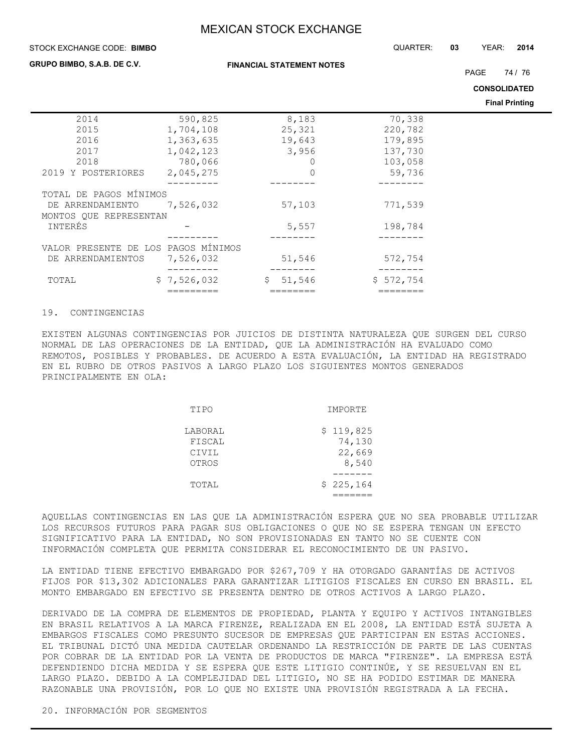#### STOCK EXCHANGE CODE: QUARTER: **03** YEAR: **2014 BIMBO**

#### **GRUPO BIMBO, S.A.B. DE C.V.**

**FINANCIAL STATEMENT NOTES**

PAGE 74 / 76

**CONSOLIDATED**

**Final Printing**

|                                     |             |              |           | THIAI FINIUIY |
|-------------------------------------|-------------|--------------|-----------|---------------|
| 2014                                | 590,825     | 8,183        | 70,338    |               |
| 2015                                | 1,704,108   | 25,321       | 220,782   |               |
| 2016                                | 1,363,635   | 19,643       | 179,895   |               |
| 2017                                | 1,042,123   | 3,956        | 137,730   |               |
| 2018                                | 780,066     | 0            | 103,058   |               |
| 2019 Y POSTERIORES                  | 2,045,275   | $\mathbf 0$  | 59,736    |               |
|                                     |             |              |           |               |
| TOTAL DE PAGOS MÍNIMOS              |             |              |           |               |
| DE ARRENDAMIENTO                    | 7,526,032   | 57,103       | 771,539   |               |
| MONTOS OUE REPRESENTAN              |             |              |           |               |
| INTERÉS                             |             | 5,557        | 198,784   |               |
|                                     |             |              |           |               |
| VALOR PRESENTE DE LOS PAGOS MÍNIMOS |             |              |           |               |
| DE ARRENDAMIENTOS                   | 7,526,032   | 51,546       | 572,754   |               |
|                                     |             |              |           |               |
| TOTAL                               | \$7,526,032 | 51,546<br>\$ | \$572,754 |               |
|                                     |             |              |           |               |

#### 19. CONTINGENCIAS

EXISTEN ALGUNAS CONTINGENCIAS POR JUICIOS DE DISTINTA NATURALEZA QUE SURGEN DEL CURSO NORMAL DE LAS OPERACIONES DE LA ENTIDAD, QUE LA ADMINISTRACIÓN HA EVALUADO COMO REMOTOS, POSIBLES Y PROBABLES. DE ACUERDO A ESTA EVALUACIÓN, LA ENTIDAD HA REGISTRADO EN EL RUBRO DE OTROS PASIVOS A LARGO PLAZO LOS SIGUIENTES MONTOS GENERADOS PRINCIPALMENTE EN OLA:

| TIPO                                | IMPORTE                                |  |
|-------------------------------------|----------------------------------------|--|
| LABORAL<br>FISCAL<br>CIVIL<br>OTROS | \$119,825<br>74,130<br>22,669<br>8,540 |  |
| TOTAL                               | \$225,164                              |  |

AQUELLAS CONTINGENCIAS EN LAS QUE LA ADMINISTRACIÓN ESPERA QUE NO SEA PROBABLE UTILIZAR LOS RECURSOS FUTUROS PARA PAGAR SUS OBLIGACIONES O QUE NO SE ESPERA TENGAN UN EFECTO SIGNIFICATIVO PARA LA ENTIDAD, NO SON PROVISIONADAS EN TANTO NO SE CUENTE CON INFORMACIÓN COMPLETA QUE PERMITA CONSIDERAR EL RECONOCIMIENTO DE UN PASIVO.

LA ENTIDAD TIENE EFECTIVO EMBARGADO POR \$267,709 Y HA OTORGADO GARANTÍAS DE ACTIVOS FIJOS POR \$13,302 ADICIONALES PARA GARANTIZAR LITIGIOS FISCALES EN CURSO EN BRASIL. EL MONTO EMBARGADO EN EFECTIVO SE PRESENTA DENTRO DE OTROS ACTIVOS A LARGO PLAZO.

DERIVADO DE LA COMPRA DE ELEMENTOS DE PROPIEDAD, PLANTA Y EQUIPO Y ACTIVOS INTANGIBLES EN BRASIL RELATIVOS A LA MARCA FIRENZE, REALIZADA EN EL 2008, LA ENTIDAD ESTÁ SUJETA A EMBARGOS FISCALES COMO PRESUNTO SUCESOR DE EMPRESAS QUE PARTICIPAN EN ESTAS ACCIONES. EL TRIBUNAL DICTÓ UNA MEDIDA CAUTELAR ORDENANDO LA RESTRICCIÓN DE PARTE DE LAS CUENTAS POR COBRAR DE LA ENTIDAD POR LA VENTA DE PRODUCTOS DE MARCA "FIRENZE". LA EMPRESA ESTÁ DEFENDIENDO DICHA MEDIDA Y SE ESPERA QUE ESTE LITIGIO CONTINÚE, Y SE RESUELVAN EN EL LARGO PLAZO. DEBIDO A LA COMPLEJIDAD DEL LITIGIO, NO SE HA PODIDO ESTIMAR DE MANERA RAZONABLE UNA PROVISIÓN, POR LO QUE NO EXISTE UNA PROVISIÓN REGISTRADA A LA FECHA.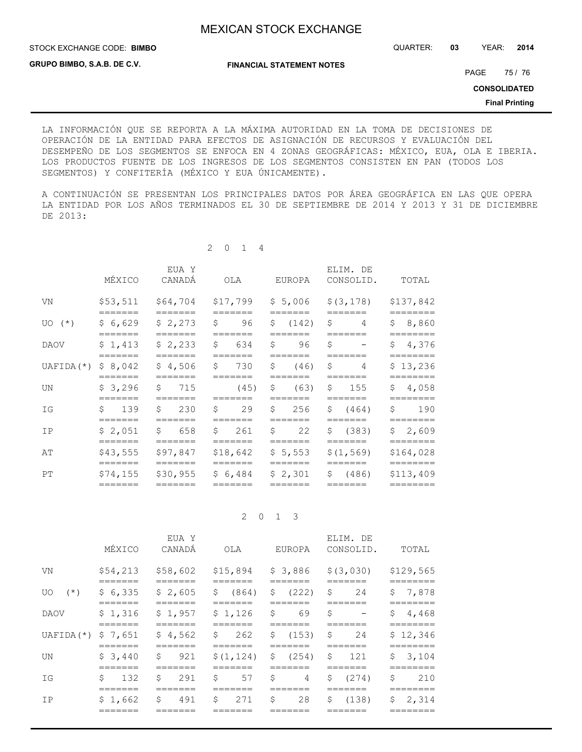STOCK EXCHANGE CODE: QUARTER: **03** YEAR: **2014 BIMBO**

**GRUPO BIMBO, S.A.B. DE C.V.**

**FINANCIAL STATEMENT NOTES**

PAGE 75 / 76

**CONSOLIDATED**

**Final Printing**

LA INFORMACIÓN QUE SE REPORTA A LA MÁXIMA AUTORIDAD EN LA TOMA DE DECISIONES DE OPERACIÓN DE LA ENTIDAD PARA EFECTOS DE ASIGNACIÓN DE RECURSOS Y EVALUACIÓN DEL DESEMPEÑO DE LOS SEGMENTOS SE ENFOCA EN 4 ZONAS GEOGRÁFICAS: MÉXICO, EUA, OLA E IBERIA. LOS PRODUCTOS FUENTE DE LOS INGRESOS DE LOS SEGMENTOS CONSISTEN EN PAN (TODOS LOS SEGMENTOS) Y CONFITERÍA (MÉXICO Y EUA ÚNICAMENTE).

A CONTINUACIÓN SE PRESENTAN LOS PRINCIPALES DATOS POR ÁREA GEOGRÁFICA EN LAS QUE OPERA LA ENTIDAD POR LOS AÑOS TERMINADOS EL 30 DE SEPTIEMBRE DE 2014 Y 2013 Y 31 DE DICIEMBRE DE 2013:

2 0 1 4

| MÉXICO<br>CANADÁ<br>CONSOLID.<br>EUROPA<br>OLA                                                                                                                                 | TOTAL                 |
|--------------------------------------------------------------------------------------------------------------------------------------------------------------------------------|-----------------------|
| \$5,006<br>\$53,511<br>\$64,704<br>\$17,799<br>\$ (3, 178)<br>VN<br>=======<br>=======<br>=======<br>=======<br>=======                                                        | \$137,842<br>======== |
| \$6,629<br>\$2,273<br>Ŝ.<br>Ŝ.<br>96<br>\$(142)<br>4<br>$UO(*)$<br>=======<br>======<br>=======                                                                                | \$8,860               |
| \$1,413<br>\$2,233<br>634<br>Ŝ.<br>96<br>Ŝ.<br>Ŝ.<br>DAOV<br>$\overline{\phantom{a}}$<br>=======<br>=======<br>=======<br>_______<br>=======                                   | \$4,376<br>========   |
| \$8,042<br>\$4,506<br>\$<br>$\mathsf{S}$<br>730<br>$\mathsf{S}$<br>(46)<br>UAFIDA (*)<br>$\overline{4}$<br>=======<br>$=$ $=$ $=$ $=$ $=$ $=$<br>=======<br>=======<br>======= | \$13,236<br>========  |
| \$3,296<br>Ŝ.<br>\$<br>(63)<br>$\mathsf{S}$<br>715<br>(45)<br>155<br>UN<br>=======<br>=======<br>=======<br>=======<br>=======                                                 | \$4,058<br>========   |
| Ŝ.<br>Ŝ.<br>\$139<br>230<br>Ŝ.<br>29<br>\$ (464)<br>256<br>ΙG<br>=======<br>=======<br>=======<br>=======<br>=======                                                           | \$<br>190<br>======== |
| $\mathsf{S}$<br>Ŝ.<br>\$ (383)<br>\$2,051<br>$\mathsf{S}$<br>658<br>261<br>22<br>IP<br>=======<br>=======<br>=======<br>=======<br>=======                                     | \$2,609<br>========   |
| \$43,555<br>\$97,847<br>\$18,642<br>\$5,553<br>\$(1, 569)<br>AΤ<br>=======<br>=======<br>=======<br>=======<br>=======                                                         | \$164,028<br>:======= |
| \$74,155<br>\$30,955<br>\$6,484<br>\$2,301<br>\$ (486)<br>PT<br>=======<br>=======<br>=======<br>=======                                                                       | \$113,409<br>======== |

2 0 1 3

|                       | MÉXICO              | EUA Y<br>CANADÁ                 | OLA                                   | <b>EUROPA</b>     | ELIM. DE<br>CONSOLID.                     | TOTAL                |
|-----------------------|---------------------|---------------------------------|---------------------------------------|-------------------|-------------------------------------------|----------------------|
| VN                    |                     | $$54,213$ $$58,602$             |                                       |                   | $$15,894$ $$3,886$ $$(3,030)$             | \$129,565            |
| $(\star)$<br>UO.      | \$6,335<br>=======  | \$2,605<br>=======              | $$604$ \$ (222) \$<br>=======         | =======           | 24                                        | \$7,878              |
| DAOV                  | \$1,316             | \$1,957                         | $$1,126$ \$                           | 69                | =======<br>\$<br>$\overline{\phantom{m}}$ | =======<br>\$4,468   |
| UAFIDA $(*)$ \$ 7,651 | =======             | \$4,562<br>-------              | - \$                                  |                   | S<br>24                                   | \$12,346<br>======== |
| UN                    | \$3,440<br>------   | $\mathcal{S}$<br>921<br>_______ | $$(1, 124)$ \$ (254) \$ 121<br>------ |                   | -------                                   | \$3,104<br>-------   |
| IG                    | \$<br>132<br>------ | Ŝ.<br>291                       | Ŝ<br>57                               | S.<br>$4 \quad S$ | (274)                                     | S<br>210             |
| IP                    | \$1,662<br>------   | \$ 491                          | \$271                                 |                   | $$28 \t$ (138)$                           | \$2,314<br>======    |
|                       |                     |                                 |                                       |                   |                                           |                      |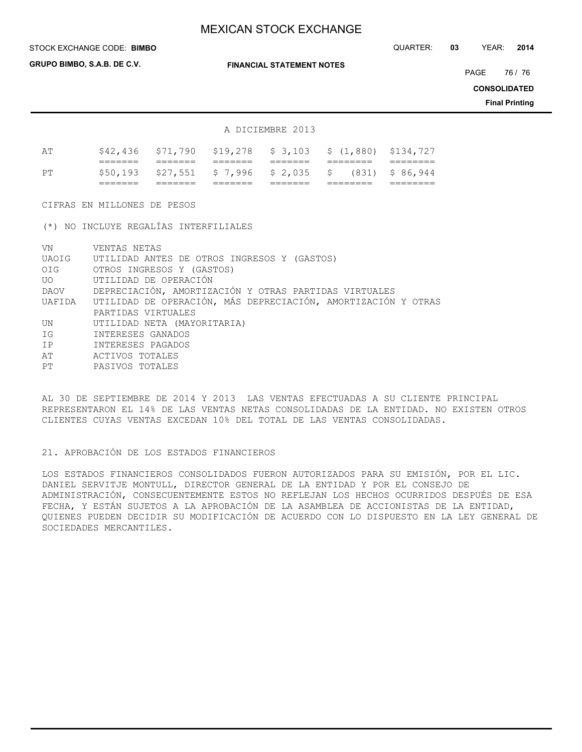**GRUPO BIMBO, S.A.B. DE C.V.**

**FINANCIAL STATEMENT NOTES**

STOCK EXCHANGE CODE: QUARTER: **03** YEAR: **2014 BIMBO**

PAGE 76 / 76

**CONSOLIDATED**

**Final Printing**

#### A DICIEMBRE 2013

|    | _______            |         | ------                                 |                    |                                                              |                   |
|----|--------------------|---------|----------------------------------------|--------------------|--------------------------------------------------------------|-------------------|
|    | _______            |         |                                        | _______            |                                                              |                   |
| חס |                    |         | $$50,193$ $$27,551$ \$7,996 \$2,035 \$ |                    |                                                              | $(831)$ \$ 86,944 |
|    | _______<br>_______ | _______ | _______<br>_______                     | _______<br>_______ | ________<br>________                                         |                   |
| ΑT |                    |         |                                        |                    | $$42,436$ $$71,790$ $$19,278$ $$3,103$ $$(1,880)$ $$134,727$ |                   |

CIFRAS EN MILLONES DE PESOS

(\*) NO INCLUYE REGALÍAS INTERFILIALES

| VN           | VENTAS NETAS                                                           |
|--------------|------------------------------------------------------------------------|
| UAOIG        | UTILIDAD ANTES DE OTROS INGRESOS Y (GASTOS)                            |
|              | OIG OTROS INGRESOS Y (GASTOS)                                          |
| UO <b>UO</b> | UTILIDAD DE OPERACIÓN                                                  |
| DAOV         | DEPRECIACIÓN, AMORTIZACIÓN Y OTRAS PARTIDAS VIRTUALES                  |
|              | UAFIDA — UTILIDAD DE OPERACIÓN, MÁS DEPRECIACIÓN, AMORTIZACIÓN Y OTRAS |
|              | PARTIDAS VIRTUALES                                                     |
| UN           | UTILIDAD NETA (MAYORITARIA)                                            |
| ΙG           | INTERESES GANADOS                                                      |
| IP           | INTERESES PAGADOS                                                      |
| AΤ           | ACTIVOS TOTALES                                                        |
| PT           | PASIVOS TOTALES                                                        |
|              |                                                                        |

AL 30 DE SEPTIEMBRE DE 2014 Y 2013 LAS VENTAS EFECTUADAS A SU CLIENTE PRINCIPAL REPRESENTARON EL 14% DE LAS VENTAS NETAS CONSOLIDADAS DE LA ENTIDAD. NO EXISTEN OTROS CLIENTES CUYAS VENTAS EXCEDAN 10% DEL TOTAL DE LAS VENTAS CONSOLIDADAS.

### 21. APROBACIÓN DE LOS ESTADOS FINANCIEROS

LOS ESTADOS FINANCIEROS CONSOLIDADOS FUERON AUTORIZADOS PARA SU EMISIÓN, POR EL LIC. DANIEL SERVITJE MONTULL, DIRECTOR GENERAL DE LA ENTIDAD Y POR EL CONSEJO DE ADMINISTRACIÓN, CONSECUENTEMENTE ESTOS NO REFLEJAN LOS HECHOS OCURRIDOS DESPUÉS DE ESA FECHA, Y ESTÁN SUJETOS A LA APROBACIÓN DE LA ASAMBLEA DE ACCIONISTAS DE LA ENTIDAD, QUIENES PUEDEN DECIDIR SU MODIFICACIÓN DE ACUERDO CON LO DISPUESTO EN LA LEY GENERAL DE SOCIEDADES MERCANTILES.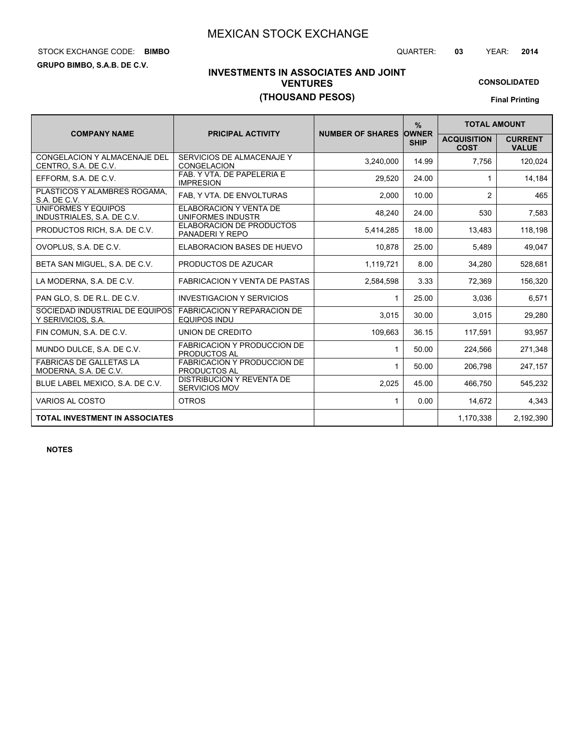# STOCK EXCHANGE CODE: QUARTER: **03** YEAR: **2014 BIMBO**

**GRUPO BIMBO, S.A.B. DE C.V.**

**CONSOLIDATED**

# **INVESTMENTS IN ASSOCIATES AND JOINT VENTURES (THOUSAND PESOS)**

**Final Printing**

|                                                         |                                                           |                               | $\frac{0}{0}$ | <b>TOTAL AMOUNT</b>               |                                |
|---------------------------------------------------------|-----------------------------------------------------------|-------------------------------|---------------|-----------------------------------|--------------------------------|
| <b>COMPANY NAME</b>                                     | <b>PRICIPAL ACTIVITY</b>                                  | <b>NUMBER OF SHARES OWNER</b> | <b>SHIP</b>   | <b>ACQUISITION</b><br><b>COST</b> | <b>CURRENT</b><br><b>VALUE</b> |
| CONGELACION Y ALMACENAJE DEL<br>CENTRO, S.A. DE C.V.    | SERVICIOS DE ALMACENAJE Y<br><b>CONGELACION</b>           | 3,240,000                     | 14.99         | 7,756                             | 120,024                        |
| EFFORM, S.A. DE C.V.                                    | FAB. Y VTA. DE PAPELERIA E<br><b>IMPRESION</b>            | 29,520                        | 24.00         | 1                                 | 14,184                         |
| PLASTICOS Y ALAMBRES ROGAMA,<br>S.A. DE C.V.            | FAB, Y VTA. DE ENVOLTURAS                                 | 2.000                         | 10.00         | $\overline{2}$                    | 465                            |
| UNIFORMES Y EQUIPOS<br>INDUSTRIALES, S.A. DE C.V.       | <b>ELABORACION Y VENTA DE</b><br>UNIFORMES INDUSTR        | 48.240                        | 24.00         | 530                               | 7,583                          |
| PRODUCTOS RICH, S.A. DE C.V.                            | <b>ELABORACION DE PRODUCTOS</b><br>PANADERI Y REPO        | 5,414,285                     | 18.00         | 13,483                            | 118,198                        |
| OVOPLUS, S.A. DE C.V.                                   | ELABORACION BASES DE HUEVO                                | 10,878                        | 25.00         | 5,489                             | 49,047                         |
| BETA SAN MIGUEL, S.A. DE C.V.                           | PRODUCTOS DE AZUCAR                                       | 1,119,721                     | 8.00          | 34,280                            | 528,681                        |
| LA MODERNA, S.A. DE C.V.                                | <b>FABRICACION Y VENTA DE PASTAS</b>                      | 2,584,598                     | 3.33          | 72,369                            | 156,320                        |
| PAN GLO. S. DE R.L. DE C.V.                             | <b>INVESTIGACION Y SERVICIOS</b>                          | $\mathbf{1}$                  | 25.00         | 3,036                             | 6,571                          |
| SOCIEDAD INDUSTRIAL DE EQUIPOS<br>Y SERIVICIOS, S.A.    | <b>FABRICACION Y REPARACION DE</b><br><b>EQUIPOS INDU</b> | 3,015                         | 30.00         | 3,015                             | 29,280                         |
| FIN COMUN, S.A. DE C.V.                                 | UNION DE CREDITO                                          | 109,663                       | 36.15         | 117,591                           | 93,957                         |
| MUNDO DULCE, S.A. DE C.V.                               | <b>FABRICACION Y PRODUCCION DE</b><br><b>PRODUCTOS AL</b> | 1                             | 50.00         | 224,566                           | 271,348                        |
| <b>FABRICAS DE GALLETAS LA</b><br>MODERNA, S.A. DE C.V. | <b>FABRICACION Y PRODUCCION DE</b><br>PRODUCTOS AL        | 1                             | 50.00         | 206,798                           | 247,157                        |
| BLUE LABEL MEXICO, S.A. DE C.V.                         | DISTRIBUCION Y REVENTA DE<br><b>SERVICIOS MOV</b>         | 2,025                         | 45.00         | 466,750                           | 545,232                        |
| VARIOS AL COSTO                                         | <b>OTROS</b>                                              | 1.                            | 0.00          | 14,672                            | 4,343                          |
| <b>TOTAL INVESTMENT IN ASSOCIATES</b>                   |                                                           |                               |               | 1,170,338                         | 2,192,390                      |

**NOTES**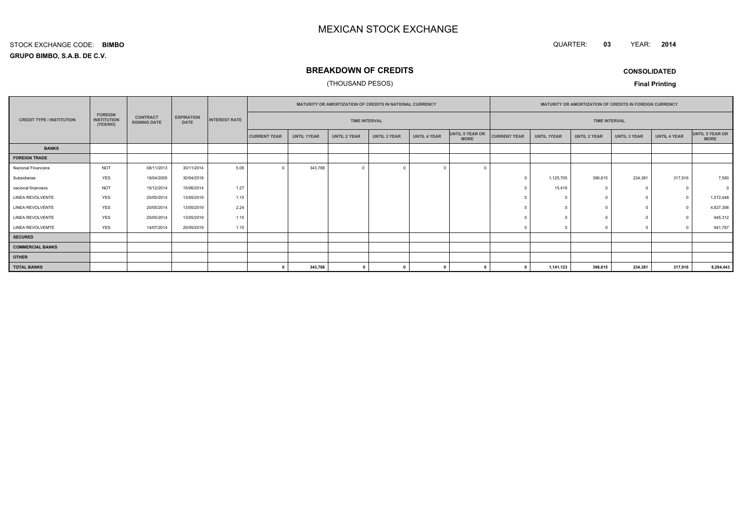QUARTER: **03**YEAR: **<sup>2014</sup>**

## **GRUPO BIMBO, S.A.B. DE C.V.**STOCK EXCHANGE CODE:**BIMBO**

## **BREAKDOWN OF CREDITS**

## (THOUSAND PESOS)

**CONSOLIDATED**

|                                                                                                                                                                    |            |            |                      | MATURITY OR AMORTIZATION OF CREDITS IN NATIONAL CURRENCY |                      |                     |                     | MATURITY OR AMORTIZATION OF CREDITS IN FOREIGN CURRENCY |                     |                    |              |                      |                     |                                |          |           |
|--------------------------------------------------------------------------------------------------------------------------------------------------------------------|------------|------------|----------------------|----------------------------------------------------------|----------------------|---------------------|---------------------|---------------------------------------------------------|---------------------|--------------------|--------------|----------------------|---------------------|--------------------------------|----------|-----------|
| <b>FOREIGN</b><br><b>CONTRACT</b><br><b>EXPIRATION</b><br><b>INSTITUTION</b><br><b>CREDIT TYPE / INSTITUTION</b><br><b>SIGNING DATE</b><br><b>DATE</b><br>(YES/NO) |            |            | <b>INTEREST RATE</b> |                                                          | <b>TIME INTERVAL</b> |                     |                     |                                                         |                     |                    |              | <b>TIME INTERVAL</b> |                     |                                |          |           |
|                                                                                                                                                                    |            |            | <b>CURRENT YEAR</b>  | <b>UNTIL 1YEAR</b>                                       | UNTIL 2 YEAR         | <b>UNTIL 3 YEAR</b> | <b>UNTIL 4 YEAR</b> | UNTIL 5 YEAR OR<br><b>MORE</b>                          | <b>CURRENT YEAR</b> | <b>UNTIL 1YEAR</b> | UNTIL 2 YEAR | <b>UNTIL 3 YEAR</b>  | <b>UNTIL 4 YEAR</b> | UNTIL 5 YEAR OR<br><b>MORE</b> |          |           |
| <b>BANKS</b>                                                                                                                                                       |            |            |                      |                                                          |                      |                     |                     |                                                         |                     |                    |              |                      |                     |                                |          |           |
| <b>FOREIGN TRADE</b>                                                                                                                                               |            |            |                      |                                                          |                      |                     |                     |                                                         |                     |                    |              |                      |                     |                                |          |           |
| Nacional Financiera                                                                                                                                                | <b>NOT</b> | 08/11/2013 | 30/11/2014           | 5.06                                                     | $\Omega$             | 343,788             | $\overline{0}$      |                                                         |                     |                    |              |                      |                     |                                |          |           |
| Subsidiarias                                                                                                                                                       | <b>YES</b> | 19/04/2005 | 30/04/2018           |                                                          |                      |                     |                     |                                                         |                     |                    |              | 1,125,705            | 396,815             | 234,381                        | 317,916  | 7,590     |
| nacional financiera                                                                                                                                                | <b>NOT</b> | 15/12/2014 | 15/06/2014           | 1.27                                                     |                      |                     |                     |                                                         |                     |                    |              | 15,418               |                     | $^{\circ}$                     | $\Omega$ |           |
| LINEA REVOLVENTE                                                                                                                                                   | <b>YES</b> | 20/05/2014 | 13/05/2019           | 1.15                                                     |                      |                     |                     |                                                         |                     |                    |              | $\sqrt{2}$           |                     | $^{\circ}$                     | $\Omega$ | 1,572,448 |
| <b>LINEA REVOLVENTE</b>                                                                                                                                            | <b>YES</b> | 20/05/2014 | 13/05/2019           | 2.24                                                     |                      |                     |                     |                                                         |                     |                    |              |                      |                     | $^{\circ}$                     | $\Omega$ | 4,827,306 |
| LINEA REVOLVENTE                                                                                                                                                   | <b>YES</b> | 20/05/2014 | 13/05/2019           | 1.15                                                     |                      |                     |                     |                                                         |                     |                    |              |                      |                     | $\Omega$                       |          | 945,312   |
| LINEA REVOLVEMTE                                                                                                                                                   | <b>YES</b> | 14/07/2014 | 20/05/2019           | 1.15                                                     |                      |                     |                     |                                                         |                     |                    |              |                      |                     | $\Omega$                       |          | 941,787   |
| <b>SECURED</b>                                                                                                                                                     |            |            |                      |                                                          |                      |                     |                     |                                                         |                     |                    |              |                      |                     |                                |          |           |
| <b>COMMERCIAL BANKS</b>                                                                                                                                            |            |            |                      |                                                          |                      |                     |                     |                                                         |                     |                    |              |                      |                     |                                |          |           |
| <b>OTHER</b>                                                                                                                                                       |            |            |                      |                                                          |                      |                     |                     |                                                         |                     |                    |              |                      |                     |                                |          |           |
| <b>TOTAL BANKS</b>                                                                                                                                                 |            |            |                      |                                                          |                      | 343,788             | $\mathbf{0}$        |                                                         |                     |                    |              | 1,141,123            | 396,815             | 234,381                        | 317,916  | 8,294,443 |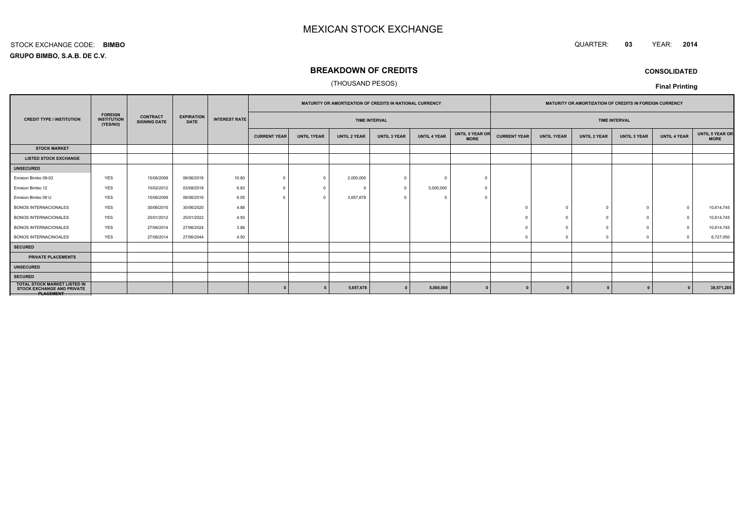#### QUARTER: **<sup>03</sup>**YEAR: **<sup>2014</sup>**

**GRUPO BIMBO, S.A.B. DE C.V.**STOCK EXCHANGE CODE:**BIMBO**

# **BREAKDOWN OF CREDITS**

## (THOUSAND PESOS)

**CONSOLIDATED**

|                                                                                              |            |                                        |                                  | <b>MATURITY OR AMORTIZATION OF CREDITS IN NATIONAL CURRENCY</b> |                     |                    |                     | <b>MATURITY OR AMORTIZATION OF CREDITS IN FOREIGN CURRENCY</b> |                     |                                |                     |                    |                     |                      |                     |                                       |
|----------------------------------------------------------------------------------------------|------------|----------------------------------------|----------------------------------|-----------------------------------------------------------------|---------------------|--------------------|---------------------|----------------------------------------------------------------|---------------------|--------------------------------|---------------------|--------------------|---------------------|----------------------|---------------------|---------------------------------------|
| <b>FOREIGN</b><br><b>INSTITUTION</b><br><b>CREDIT TYPE / INSTITUTION</b><br>(YES/NO)         |            | <b>CONTRACT</b><br><b>SIGNING DATE</b> | <b>EXPIRATION</b><br><b>DATE</b> | <b>INTEREST RATE</b>                                            |                     |                    |                     | <b>TIME INTERVAL</b>                                           |                     |                                |                     |                    |                     | <b>TIME INTERVAL</b> |                     |                                       |
|                                                                                              |            |                                        |                                  |                                                                 | <b>CURRENT YEAR</b> | <b>UNTIL 1YEAR</b> | <b>UNTIL 2 YEAR</b> | <b>UNTIL 3 YEAR</b>                                            | <b>UNTIL 4 YEAR</b> | UNTIL 5 YEAR OR<br><b>MORE</b> | <b>CURRENT YEAR</b> | <b>UNTIL 1YEAR</b> | <b>UNTIL 2 YEAR</b> | <b>UNTIL 3 YEAR</b>  | <b>UNTIL 4 YEAR</b> | <b>UNTIL 5 YEAR OR</b><br><b>MORE</b> |
| <b>STOCK MARKET</b>                                                                          |            |                                        |                                  |                                                                 |                     |                    |                     |                                                                |                     |                                |                     |                    |                     |                      |                     |                                       |
| <b>LISTED STOCK EXCHANGE</b>                                                                 |            |                                        |                                  |                                                                 |                     |                    |                     |                                                                |                     |                                |                     |                    |                     |                      |                     |                                       |
| <b>UNSECURED</b>                                                                             |            |                                        |                                  |                                                                 |                     |                    |                     |                                                                |                     |                                |                     |                    |                     |                      |                     |                                       |
| Emision Bimbo 09-02                                                                          | <b>YES</b> | 15/06/2009                             | 06/06/2016                       | 10.60                                                           | $\Omega$            | $\Omega$           | 2,000,000           |                                                                | $\Omega$            |                                |                     |                    |                     |                      |                     |                                       |
| Emision Bimbo 12                                                                             | <b>YES</b> | 10/02/2012                             | 03/08/2018                       | 6.83                                                            | $\Omega$            | $\Omega$           | $\Omega$            | $\Omega$                                                       | 5,000,000           | $\Omega$                       |                     |                    |                     |                      |                     |                                       |
| Emision Bimbo 09 U                                                                           | <b>YES</b> | 15/06/2009                             | 06/06/2016                       | 6.05                                                            |                     |                    | 3,657,678           |                                                                | $\Omega$            |                                |                     |                    |                     |                      |                     |                                       |
| <b>BONOS INTERNACIONALES</b>                                                                 | <b>YES</b> | 30/06/2010                             | 30/06/2020                       | 4.88                                                            |                     |                    |                     |                                                                |                     |                                |                     | $\cap$             | - 0                 | $\Omega$             | $\Omega$            | 10,614,745                            |
| <b>BONOS INTERNACIONALES</b>                                                                 | <b>YES</b> | 25/01/2012                             | 25/01/2022                       | 4.50                                                            |                     |                    |                     |                                                                |                     |                                |                     | $\Omega$           |                     |                      | $\Omega$            | 10,614,745                            |
| <b>BONOS INTERNACIONALES</b>                                                                 | <b>YES</b> | 27/06/2014                             | 27/06/2024                       | 3.88                                                            |                     |                    |                     |                                                                |                     |                                |                     |                    |                     |                      | $\Omega$            | 10,614,745                            |
| <b>BONOS INTERNACINOALES</b>                                                                 | <b>YES</b> | 27/06/2014                             | 27/06/2044                       | 4.50                                                            |                     |                    |                     |                                                                |                     |                                |                     |                    | - C                 | $\Omega$             | $\sqrt{ }$          | 6,727,050                             |
| <b>SECURED</b>                                                                               |            |                                        |                                  |                                                                 |                     |                    |                     |                                                                |                     |                                |                     |                    |                     |                      |                     |                                       |
| PRIVATE PLACEMENTS                                                                           |            |                                        |                                  |                                                                 |                     |                    |                     |                                                                |                     |                                |                     |                    |                     |                      |                     |                                       |
| <b>UNSECURED</b>                                                                             |            |                                        |                                  |                                                                 |                     |                    |                     |                                                                |                     |                                |                     |                    |                     |                      |                     |                                       |
| <b>SECURED</b>                                                                               |            |                                        |                                  |                                                                 |                     |                    |                     |                                                                |                     |                                |                     |                    |                     |                      |                     |                                       |
| <b>TOTAL STOCK MARKET LISTED IN</b><br><b>STOCK EXCHANGE AND PRIVATE</b><br><b>PLAGEMENT</b> |            |                                        |                                  |                                                                 |                     |                    | 5,657,678           |                                                                | 5,000,000           |                                |                     |                    |                     |                      |                     | 38,571,285                            |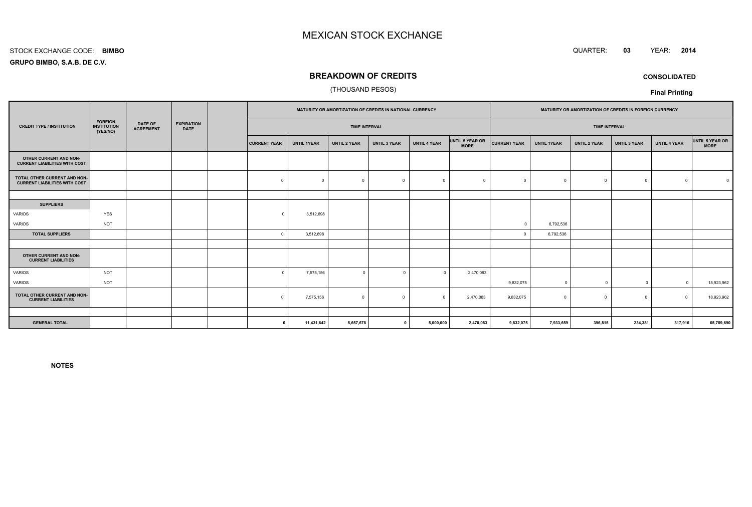#### STOCK EXCHANGE CODE:**BIMBO**

**GRUPO BIMBO, S.A.B. DE C.V.**

## **BREAKDOWN OF CREDITS**

## (THOUSAND PESOS)

|                                                                                                                                                                |  |  | MATURITY OR AMORTIZATION OF CREDITS IN NATIONAL CURRENCY |                      |                     |                     |                     | MATURITY OR AMORTIZATION OF CREDITS IN FOREIGN CURRENCY |                              |                    |                     |                     |                      |                                |
|----------------------------------------------------------------------------------------------------------------------------------------------------------------|--|--|----------------------------------------------------------|----------------------|---------------------|---------------------|---------------------|---------------------------------------------------------|------------------------------|--------------------|---------------------|---------------------|----------------------|--------------------------------|
| <b>FOREIGN</b><br><b>DATE OF</b><br><b>EXPIRATION</b><br><b>CREDIT TYPE / INSTITUTION</b><br><b>INSTITUTION</b><br><b>AGREEMENT</b><br><b>DATE</b><br>(YES/NO) |  |  |                                                          | <b>TIME INTERVAL</b> |                     |                     |                     |                                                         |                              |                    |                     |                     |                      |                                |
|                                                                                                                                                                |  |  | <b>CURRENT YEAR</b>                                      | <b>UNTIL 1YEAR</b>   | <b>UNTIL 2 YEAR</b> | <b>UNTIL 3 YEAR</b> | <b>UNTIL 4 YEAR</b> | <b>MORE</b>                                             | <b>CURRENT YEAR</b>          | <b>UNTIL 1YEAR</b> | <b>UNTIL 2 YEAR</b> | <b>UNTIL 3 YEAR</b> | <b>UNTIL 4 YEAR</b>  | UNTIL 5 YEAR OR<br><b>MORE</b> |
|                                                                                                                                                                |  |  |                                                          |                      |                     |                     |                     |                                                         |                              |                    |                     |                     |                      |                                |
|                                                                                                                                                                |  |  | $\mathbf 0$                                              | $\Omega$             | $\mathbf 0$         | $\Omega$            | $\Omega$            | $\Omega$                                                |                              | $\Omega$           | $\Omega$            | $\mathbf 0$         | $\Omega$             |                                |
|                                                                                                                                                                |  |  |                                                          |                      |                     |                     |                     |                                                         |                              |                    |                     |                     |                      |                                |
|                                                                                                                                                                |  |  |                                                          |                      |                     |                     |                     |                                                         |                              |                    |                     |                     |                      |                                |
| YES                                                                                                                                                            |  |  | $\Omega$                                                 | 3,512,698            |                     |                     |                     |                                                         |                              |                    |                     |                     |                      |                                |
| <b>NOT</b>                                                                                                                                                     |  |  |                                                          |                      |                     |                     |                     |                                                         | $\Omega$                     | 6,792,536          |                     |                     |                      |                                |
|                                                                                                                                                                |  |  | $\Omega$                                                 | 3,512,698            |                     |                     |                     |                                                         |                              | 6,792,536          |                     |                     |                      |                                |
|                                                                                                                                                                |  |  |                                                          |                      |                     |                     |                     |                                                         |                              |                    |                     |                     |                      |                                |
|                                                                                                                                                                |  |  |                                                          |                      |                     |                     |                     |                                                         |                              |                    |                     |                     |                      |                                |
| <b>NOT</b>                                                                                                                                                     |  |  | $\Omega$                                                 | 7,575,156            | $\mathbf 0$         | $\Omega$            | $\Omega$            | 2,470,083                                               |                              |                    |                     |                     |                      |                                |
| <b>NOT</b>                                                                                                                                                     |  |  |                                                          |                      |                     |                     |                     |                                                         | 9,832,075                    | $\overline{0}$     | $\Omega$            | $\overline{0}$      | $\Omega$             | 18,923,962                     |
|                                                                                                                                                                |  |  | $\mathbf 0$                                              | 7,575,156            | $\mathbf 0$         | $\overline{0}$      | $\Omega$            | 2,470,083                                               | 9,832,075                    | $^{\circ}$         | $\Omega$            | $^{\circ}$          | $\Omega$             | 18,923,962                     |
|                                                                                                                                                                |  |  |                                                          |                      |                     |                     |                     |                                                         |                              |                    |                     |                     |                      |                                |
|                                                                                                                                                                |  |  | $\Omega$                                                 | 11,431,642           | 5,657,678           |                     |                     | 2,470,083                                               | 9,832,075                    | 7,933,659          | 396,815             | 234,381             | 317,916              | 65,789,690                     |
| TOTAL OTHER CURRENT AND NON-<br>TOTAL OTHER CURRENT AND NON-                                                                                                   |  |  |                                                          |                      |                     |                     |                     |                                                         | UNTIL 5 YEAR OR<br>5,000,000 |                    |                     |                     | <b>TIME INTERVAL</b> |                                |

**NOTES**



**CONSOLIDATED**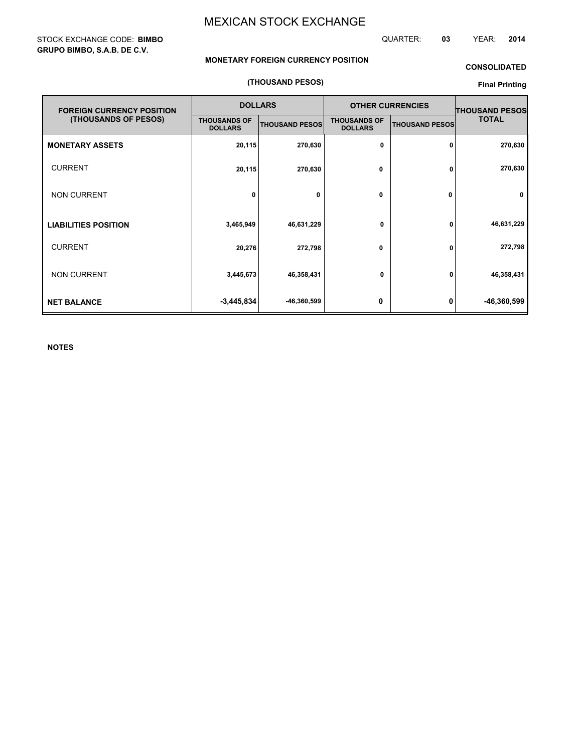## STOCK EXCHANGE CODE: **BIMBO GRUPO BIMBO, S.A.B. DE C.V.**

QUARTER: **03** YEAR: **2014**

## **MONETARY FOREIGN CURRENCY POSITION**

## **CONSOLIDATED**

## **(THOUSAND PESOS)**

## **Final Printing**

| <b>FOREIGN CURRENCY POSITION</b> |                                       | <b>DOLLARS</b>        | <b>OTHER CURRENCIES</b>               | <b>THOUSAND PESOS</b> |              |
|----------------------------------|---------------------------------------|-----------------------|---------------------------------------|-----------------------|--------------|
| (THOUSANDS OF PESOS)             | <b>THOUSANDS OF</b><br><b>DOLLARS</b> | <b>THOUSAND PESOS</b> | <b>THOUSANDS OF</b><br><b>DOLLARS</b> | <b>THOUSAND PESOS</b> | <b>TOTAL</b> |
| <b>MONETARY ASSETS</b>           | 20,115                                | 270,630               | 0                                     | 0                     | 270,630      |
| <b>CURRENT</b>                   | 20,115                                | 270,630               | 0                                     | 0                     | 270,630      |
| <b>NON CURRENT</b>               | 0                                     | 0                     | 0                                     | 0                     | $\mathbf{0}$ |
| <b>LIABILITIES POSITION</b>      | 3,465,949                             | 46,631,229            | 0                                     | 0                     | 46,631,229   |
| <b>CURRENT</b>                   | 20,276                                | 272,798               | 0                                     | 0                     | 272,798      |
| <b>NON CURRENT</b>               | 3,445,673                             | 46,358,431            | 0                                     | 0                     | 46,358,431   |
| <b>NET BALANCE</b>               | $-3,445,834$                          | -46,360,599           | 0                                     | 0                     | -46,360,599  |

**NOTES**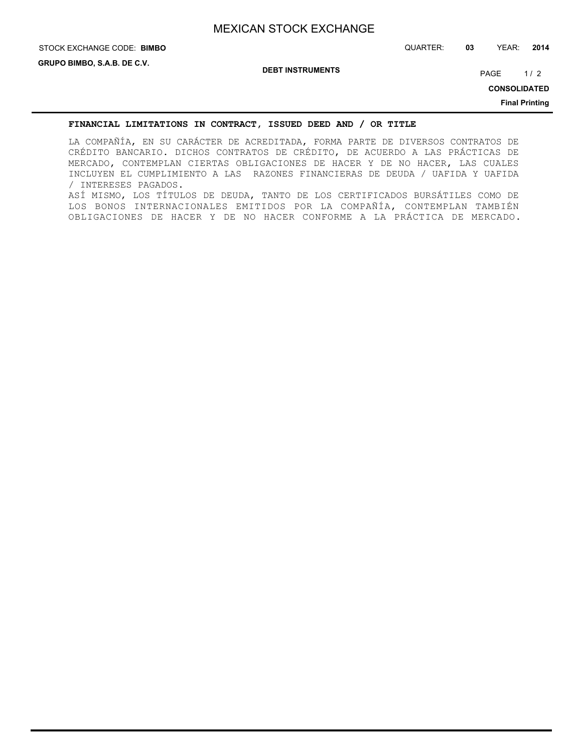# STOCK EXCHANGE CODE: QUARTER: **03** YEAR: **2014 BIMBO**

**DEBT INSTRUMENTS**

PAGE 1/2

**CONSOLIDATED**

**Final Printing**

## **FINANCIAL LIMITATIONS IN CONTRACT, ISSUED DEED AND / OR TITLE**

LA COMPAÑÍA, EN SU CARÁCTER DE ACREDITADA, FORMA PARTE DE DIVERSOS CONTRATOS DE CRÉDITO BANCARIO. DICHOS CONTRATOS DE CRÉDITO, DE ACUERDO A LAS PRÁCTICAS DE MERCADO, CONTEMPLAN CIERTAS OBLIGACIONES DE HACER Y DE NO HACER, LAS CUALES INCLUYEN EL CUMPLIMIENTO A LAS RAZONES FINANCIERAS DE DEUDA / UAFIDA Y UAFIDA / INTERESES PAGADOS. ASÍ MISMO, LOS TÍTULOS DE DEUDA, TANTO DE LOS CERTIFICADOS BURSÁTILES COMO DE LOS BONOS INTERNACIONALES EMITIDOS POR LA COMPAÑÍA, CONTEMPLAN TAMBIÉN OBLIGACIONES DE HACER Y DE NO HACER CONFORME A LA PRÁCTICA DE MERCADO.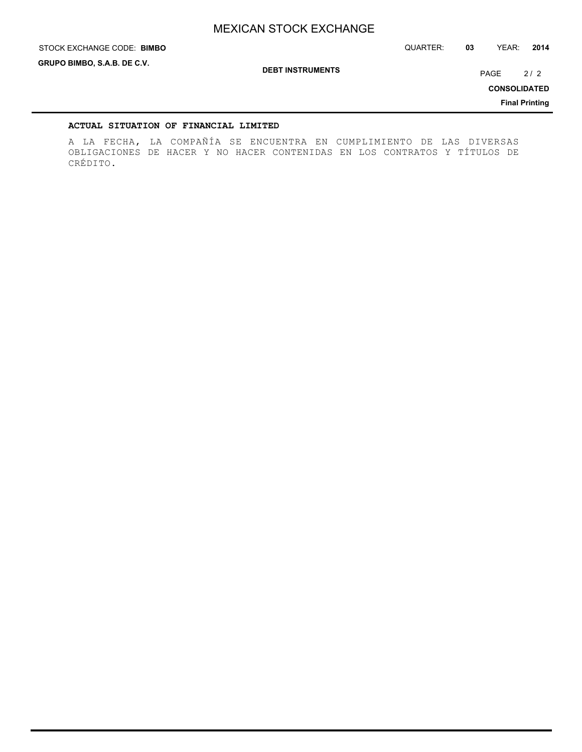STOCK EXCHANGE CODE: QUARTER: **03** YEAR: **2014 BIMBO**

**GRUPO BIMBO, S.A.B. DE C.V.**

**DEBT INSTRUMENTS**

PAGE 2/2

**CONSOLIDATED**

**Final Printing**

## **ACTUAL SITUATION OF FINANCIAL LIMITED**

A LA FECHA, LA COMPAÑÍA SE ENCUENTRA EN CUMPLIMIENTO DE LAS DIVERSAS OBLIGACIONES DE HACER Y NO HACER CONTENIDAS EN LOS CONTRATOS Y TÍTULOS DE CRÉDITO.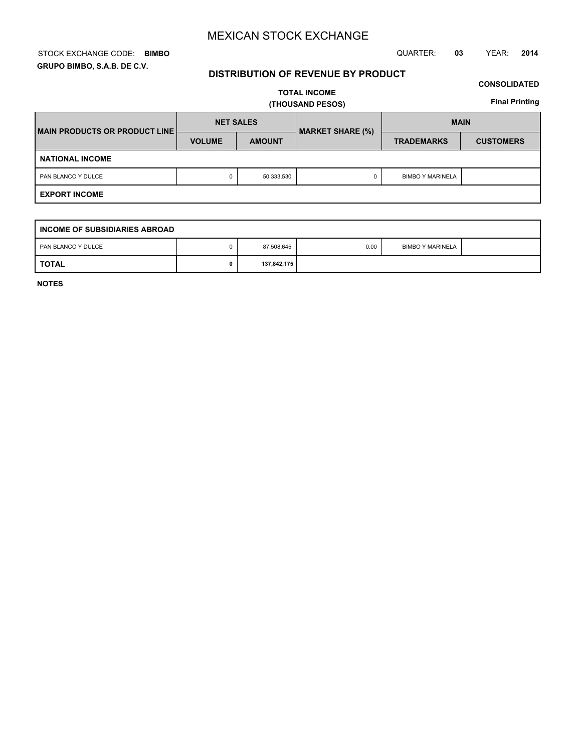## STOCK EXCHANGE CODE: QUARTER: **03** YEAR: **2014 BIMBO GRUPO BIMBO, S.A.B. DE C.V.**

## **DISTRIBUTION OF REVENUE BY PRODUCT**

## **CONSOLIDATED**

**TOTAL INCOME (THOUSAND PESOS)**

**Final Printing**

| <b>IMAIN PRODUCTS OR PRODUCT LINE!</b> | <b>NET SALES</b> |               | <b>MARKET SHARE (%)</b> | <b>MAIN</b>             |                  |  |  |  |
|----------------------------------------|------------------|---------------|-------------------------|-------------------------|------------------|--|--|--|
|                                        | <b>VOLUME</b>    | <b>AMOUNT</b> |                         | <b>TRADEMARKS</b>       | <b>CUSTOMERS</b> |  |  |  |
| <b>NATIONAL INCOME</b>                 |                  |               |                         |                         |                  |  |  |  |
| PAN BLANCO Y DULCE                     | 0                | 50,333,530    | 0                       | <b>BIMBO Y MARINELA</b> |                  |  |  |  |
| <b>EXPORT INCOME</b>                   |                  |               |                         |                         |                  |  |  |  |

| INCOME OF SUBSIDIARIES ABROAD |  |             |      |                         |  |  |  |  |  |  |  |  |
|-------------------------------|--|-------------|------|-------------------------|--|--|--|--|--|--|--|--|
| PAN BLANCO Y DULCE            |  | 87,508,645  | 0.00 | <b>BIMBO Y MARINELA</b> |  |  |  |  |  |  |  |  |
| <b>TOTAL</b>                  |  | 137,842,175 |      |                         |  |  |  |  |  |  |  |  |

**NOTES**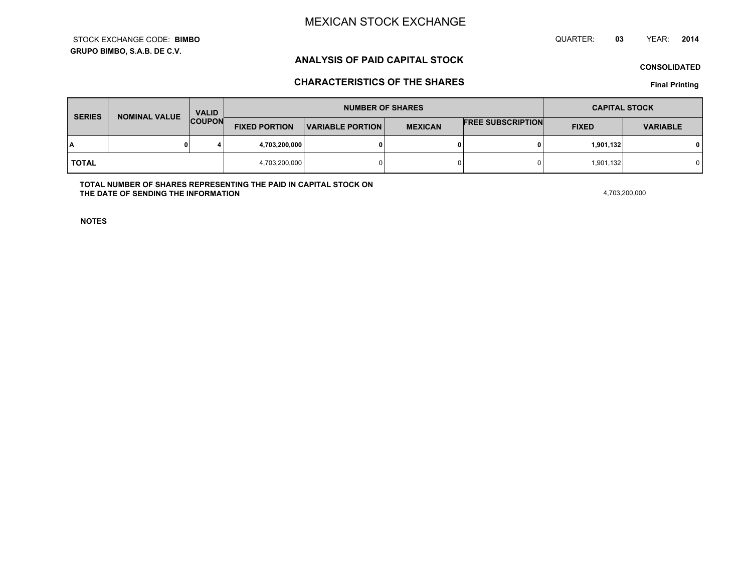**GRUPO BIMBO, S.A.B. DE C.V.**STOCK EXCHANGE CODE:**BIMBO** QUARTER: **03**YEAR: **<sup>2014</sup>**

## **ANALYSIS OF PAID CAPITAL STOCK**

**CONSOLIDATED**

## **CHARACTERISTICS OF THE SHARES**

**Final Printing**

| <b>SERIES</b> | <b>NOMINAL VALUE</b> | <b>VALID</b><br><b>COUPON</b> | <b>NUMBER OF SHARES</b> |                         |                | <b>CAPITAL STOCK</b>     |              |                 |
|---------------|----------------------|-------------------------------|-------------------------|-------------------------|----------------|--------------------------|--------------|-----------------|
|               |                      |                               | <b>FIXED PORTION</b>    | <b>VARIABLE PORTION</b> | <b>MEXICAN</b> | <b>FREE SUBSCRIPTION</b> | <b>FIXED</b> | <b>VARIABLE</b> |
| ١A            |                      |                               | 4,703,200,000           |                         | 0              |                          | 1,901,132    | 0 I             |
| <b>TOTAL</b>  |                      | 4,703,200,000                 |                         | 0                       |                | 1,901,132                |              |                 |

**TOTAL NUMBER OF SHARES REPRESENTING THE PAID IN CAPITAL STOCK ONTHE DATE OF SENDING THE INFORMATIONN** 4,703,200,000

**NOTES**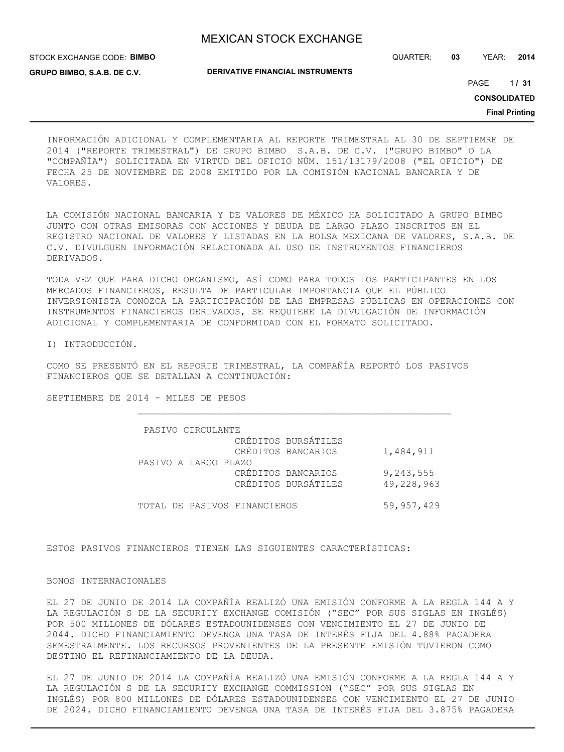STOCK EXCHANGE CODE: **BIMBO GRUPO BIMBO, S.A.B. DE C.V.**

QUARTER: **03** YEAR: **2014**

**DERIVATIVE FINANCIAL INSTRUMENTS**

1 PAGE **/ 31**

**CONSOLIDATED**

**Final Printing**

INFORMACIÓN ADICIONAL Y COMPLEMENTARIA AL REPORTE TRIMESTRAL AL 30 DE SEPTIEMRE DE 2014 ("REPORTE TRIMESTRAL") DE GRUPO BIMBO S.A.B. DE C.V. ("GRUPO BIMBO" O LA "COMPAÑÍA") SOLICITADA EN VIRTUD DEL OFICIO NÚM. 151/13179/2008 ("EL OFICIO") DE FECHA 25 DE NOVIEMBRE DE 2008 EMITIDO POR LA COMISIÓN NACIONAL BANCARIA Y DE VALORES.

LA COMISIÓN NACIONAL BANCARIA Y DE VALORES DE MÉXICO HA SOLICITADO A GRUPO BIMBO JUNTO CON OTRAS EMISORAS CON ACCIONES Y DEUDA DE LARGO PLAZO INSCRITOS EN EL REGISTRO NACIONAL DE VALORES Y LISTADAS EN LA BOLSA MEXICANA DE VALORES, S.A.B. DE C.V. DIVULGUEN INFORMACIÓN RELACIONADA AL USO DE INSTRUMENTOS FINANCIEROS DERIVADOS.

TODA VEZ QUE PARA DICHO ORGANISMO, ASÍ COMO PARA TODOS LOS PARTICIPANTES EN LOS MERCADOS FINANCIEROS, RESULTA DE PARTICULAR IMPORTANCIA QUE EL PÚBLICO INVERSIONISTA CONOZCA LA PARTICIPACIÓN DE LAS EMPRESAS PÚBLICAS EN OPERACIONES CON INSTRUMENTOS FINANCIEROS DERIVADOS, SE REQUIERE LA DIVULGACIÓN DE INFORMACIÓN ADICIONAL Y COMPLEMENTARIA DE CONFORMIDAD CON EL FORMATO SOLICITADO.

I) INTRODUCCIÓN.

COMO SE PRESENTÓ EN EL REPORTE TRIMESTRAL, LA COMPAÑÍA REPORTÓ LOS PASIVOS FINANCIEROS QUE SE DETALLAN A CONTINUACIÓN:

SEPTIEMBRE DE 2014 - MILES DE PESOS

| PASIVO CIRCULANTE            |            |
|------------------------------|------------|
| CRÉDITOS BURSÁTILES          |            |
| CRÉDITOS BANCARIOS           | 1,484,911  |
| PASIVO A LARGO PLAZO         |            |
| CRÉDITOS BANCARIOS           | 9,243,555  |
| CRÉDITOS BURSÁTILES          | 49,228,963 |
|                              |            |
| TOTAL DE PASIVOS FINANCIEROS | 59,957,429 |

ESTOS PASIVOS FINANCIEROS TIENEN LAS SIGUIENTES CARACTERÍSTICAS:

#### BONOS INTERNACIONALES

EL 27 DE JUNIO DE 2014 LA COMPAÑÍA REALIZÓ UNA EMISIÓN CONFORME A LA REGLA 144 A Y LA REGULACIÓN S DE LA SECURITY EXCHANGE COMISIÓN ("SEC" POR SUS SIGLAS EN INGLÉS) POR 500 MILLONES DE DÓLARES ESTADOUNIDENSES CON VENCIMIENTO EL 27 DE JUNIO DE 2044. DICHO FINANCIAMIENTO DEVENGA UNA TASA DE INTERÉS FIJA DEL 4.88% PAGADERA SEMESTRALMENTE. LOS RECURSOS PROVENIENTES DE LA PRESENTE EMISIÓN TUVIERON COMO DESTINO EL REFINANCIAMIENTO DE LA DEUDA.

EL 27 DE JUNIO DE 2014 LA COMPAÑÍA REALIZÓ UNA EMISIÓN CONFORME A LA REGLA 144 A Y LA REGULACIÓN S DE LA SECURITY EXCHANGE COMMISSION ("SEC" POR SUS SIGLAS EN INGLÉS) POR 800 MILLONES DE DÓLARES ESTADOUNIDENSES CON VENCIMIENTO EL 27 DE JUNIO DE 2024. DICHO FINANCIAMIENTO DEVENGA UNA TASA DE INTERÉS FIJA DEL 3.875% PAGADERA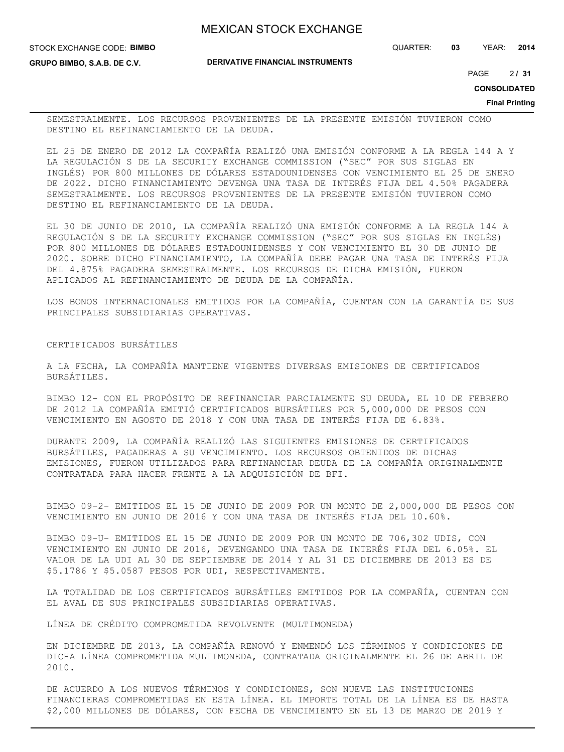STOCK EXCHANGE CODE: **BIMBO**

QUARTER: **03** YEAR: **2014**

**GRUPO BIMBO, S.A.B. DE C.V.**

**DERIVATIVE FINANCIAL INSTRUMENTS**

2 PAGE **/ 31**

**CONSOLIDATED**

**Final Printing**

SEMESTRALMENTE. LOS RECURSOS PROVENIENTES DE LA PRESENTE EMISIÓN TUVIERON COMO DESTINO EL REFINANCIAMIENTO DE LA DEUDA.

EL 25 DE ENERO DE 2012 LA COMPAÑÍA REALIZÓ UNA EMISIÓN CONFORME A LA REGLA 144 A Y LA REGULACIÓN S DE LA SECURITY EXCHANGE COMMISSION ("SEC" POR SUS SIGLAS EN INGLÉS) POR 800 MILLONES DE DÓLARES ESTADOUNIDENSES CON VENCIMIENTO EL 25 DE ENERO DE 2022. DICHO FINANCIAMIENTO DEVENGA UNA TASA DE INTERÉS FIJA DEL 4.50% PAGADERA SEMESTRALMENTE. LOS RECURSOS PROVENIENTES DE LA PRESENTE EMISIÓN TUVIERON COMO DESTINO EL REFINANCIAMIENTO DE LA DEUDA.

EL 30 DE JUNIO DE 2010, LA COMPAÑÍA REALIZÓ UNA EMISIÓN CONFORME A LA REGLA 144 A REGULACIÓN S DE LA SECURITY EXCHANGE COMMISSION ("SEC" POR SUS SIGLAS EN INGLÉS) POR 800 MILLONES DE DÓLARES ESTADOUNIDENSES Y CON VENCIMIENTO EL 30 DE JUNIO DE 2020. SOBRE DICHO FINANCIAMIENTO, LA COMPAÑÍA DEBE PAGAR UNA TASA DE INTERÉS FIJA DEL 4.875% PAGADERA SEMESTRALMENTE. LOS RECURSOS DE DICHA EMISIÓN, FUERON APLICADOS AL REFINANCIAMIENTO DE DEUDA DE LA COMPAÑÍA.

LOS BONOS INTERNACIONALES EMITIDOS POR LA COMPAÑÍA, CUENTAN CON LA GARANTÍA DE SUS PRINCIPALES SUBSIDIARIAS OPERATIVAS.

## CERTIFICADOS BURSÁTILES

A LA FECHA, LA COMPAÑÍA MANTIENE VIGENTES DIVERSAS EMISIONES DE CERTIFICADOS BURSÁTILES.

BIMBO 12- CON EL PROPÓSITO DE REFINANCIAR PARCIALMENTE SU DEUDA, EL 10 DE FEBRERO DE 2012 LA COMPAÑÍA EMITIÓ CERTIFICADOS BURSÁTILES POR 5,000,000 DE PESOS CON VENCIMIENTO EN AGOSTO DE 2018 Y CON UNA TASA DE INTERÉS FIJA DE 6.83%.

DURANTE 2009, LA COMPAÑÍA REALIZÓ LAS SIGUIENTES EMISIONES DE CERTIFICADOS BURSÁTILES, PAGADERAS A SU VENCIMIENTO. LOS RECURSOS OBTENIDOS DE DICHAS EMISIONES, FUERON UTILIZADOS PARA REFINANCIAR DEUDA DE LA COMPAÑÍA ORIGINALMENTE CONTRATADA PARA HACER FRENTE A LA ADQUISICIÓN DE BFI.

BIMBO 09-2- EMITIDOS EL 15 DE JUNIO DE 2009 POR UN MONTO DE 2,000,000 DE PESOS CON VENCIMIENTO EN JUNIO DE 2016 Y CON UNA TASA DE INTERÉS FIJA DEL 10.60%.

BIMBO 09-U- EMITIDOS EL 15 DE JUNIO DE 2009 POR UN MONTO DE 706,302 UDIS, CON VENCIMIENTO EN JUNIO DE 2016, DEVENGANDO UNA TASA DE INTERÉS FIJA DEL 6.05%. EL VALOR DE LA UDI AL 30 DE SEPTIEMBRE DE 2014 Y AL 31 DE DICIEMBRE DE 2013 ES DE \$5.1786 Y \$5.0587 PESOS POR UDI, RESPECTIVAMENTE.

LA TOTALIDAD DE LOS CERTIFICADOS BURSÁTILES EMITIDOS POR LA COMPAÑÍA, CUENTAN CON EL AVAL DE SUS PRINCIPALES SUBSIDIARIAS OPERATIVAS.

LÍNEA DE CRÉDITO COMPROMETIDA REVOLVENTE (MULTIMONEDA)

EN DICIEMBRE DE 2013, LA COMPAÑÍA RENOVÓ Y ENMENDÓ LOS TÉRMINOS Y CONDICIONES DE DICHA LÍNEA COMPROMETIDA MULTIMONEDA, CONTRATADA ORIGINALMENTE EL 26 DE ABRIL DE 2010.

DE ACUERDO A LOS NUEVOS TÉRMINOS Y CONDICIONES, SON NUEVE LAS INSTITUCIONES FINANCIERAS COMPROMETIDAS EN ESTA LÍNEA. EL IMPORTE TOTAL DE LA LÍNEA ES DE HASTA \$2,000 MILLONES DE DÓLARES, CON FECHA DE VENCIMIENTO EN EL 13 DE MARZO DE 2019 Y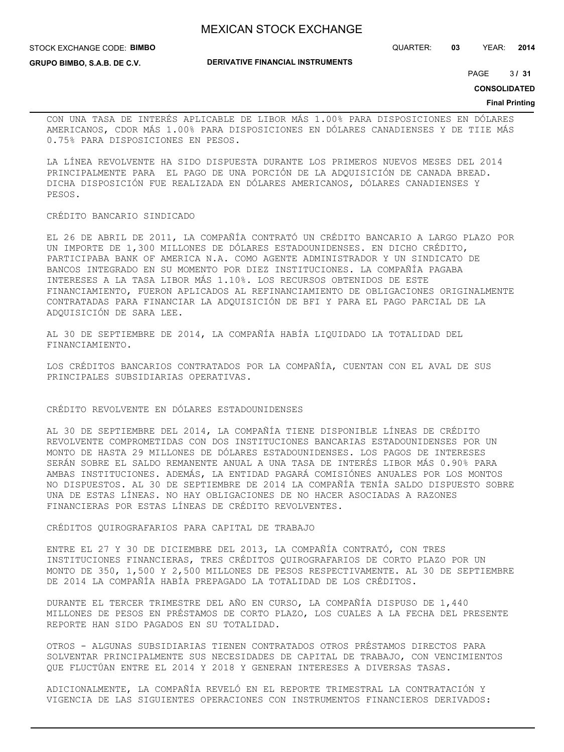#### STOCK EXCHANGE CODE: **BIMBO**

**GRUPO BIMBO, S.A.B. DE C.V.**

**DERIVATIVE FINANCIAL INSTRUMENTS**

QUARTER: **03** YEAR: **2014**

 $3131$ PAGE **/ 31**

#### **CONSOLIDATED**

#### **Final Printing**

CON UNA TASA DE INTERÉS APLICABLE DE LIBOR MÁS 1.00% PARA DISPOSICIONES EN DÓLARES AMERICANOS, CDOR MÁS 1.00% PARA DISPOSICIONES EN DÓLARES CANADIENSES Y DE TIIE MÁS 0.75% PARA DISPOSICIONES EN PESOS.

LA LÍNEA REVOLVENTE HA SIDO DISPUESTA DURANTE LOS PRIMEROS NUEVOS MESES DEL 2014 PRINCIPALMENTE PARA EL PAGO DE UNA PORCIÓN DE LA ADQUISICIÓN DE CANADA BREAD. DICHA DISPOSICIÓN FUE REALIZADA EN DÓLARES AMERICANOS, DÓLARES CANADIENSES Y PESOS.

#### CRÉDITO BANCARIO SINDICADO

EL 26 DE ABRIL DE 2011, LA COMPAÑÍA CONTRATÓ UN CRÉDITO BANCARIO A LARGO PLAZO POR UN IMPORTE DE 1,300 MILLONES DE DÓLARES ESTADOUNIDENSES. EN DICHO CRÉDITO, PARTICIPABA BANK OF AMERICA N.A. COMO AGENTE ADMINISTRADOR Y UN SINDICATO DE BANCOS INTEGRADO EN SU MOMENTO POR DIEZ INSTITUCIONES. LA COMPAÑÍA PAGABA INTERESES A LA TASA LIBOR MÁS 1.10%. LOS RECURSOS OBTENIDOS DE ESTE FINANCIAMIENTO, FUERON APLICADOS AL REFINANCIAMIENTO DE OBLIGACIONES ORIGINALMENTE CONTRATADAS PARA FINANCIAR LA ADQUISICIÓN DE BFI Y PARA EL PAGO PARCIAL DE LA ADQUISICIÓN DE SARA LEE.

AL 30 DE SEPTIEMBRE DE 2014, LA COMPAÑÍA HABÍA LIQUIDADO LA TOTALIDAD DEL FINANCIAMIENTO.

LOS CRÉDITOS BANCARIOS CONTRATADOS POR LA COMPAÑÍA, CUENTAN CON EL AVAL DE SUS PRINCIPALES SUBSIDIARIAS OPERATIVAS.

#### CRÉDITO REVOLVENTE EN DÓLARES ESTADOUNIDENSES

AL 30 DE SEPTIEMBRE DEL 2014, LA COMPAÑÍA TIENE DISPONIBLE LÍNEAS DE CRÉDITO REVOLVENTE COMPROMETIDAS CON DOS INSTITUCIONES BANCARIAS ESTADOUNIDENSES POR UN MONTO DE HASTA 29 MILLONES DE DÓLARES ESTADOUNIDENSES. LOS PAGOS DE INTERESES SERÁN SOBRE EL SALDO REMANENTE ANUAL A UNA TASA DE INTERÉS LIBOR MÁS 0.90% PARA AMBAS INSTITUCIONES. ADEMÁS, LA ENTIDAD PAGARÁ COMISIÓNES ANUALES POR LOS MONTOS NO DISPUESTOS. AL 30 DE SEPTIEMBRE DE 2014 LA COMPAÑÍA TENÍA SALDO DISPUESTO SOBRE UNA DE ESTAS LÍNEAS. NO HAY OBLIGACIONES DE NO HACER ASOCIADAS A RAZONES FINANCIERAS POR ESTAS LÍNEAS DE CRÉDITO REVOLVENTES.

## CRÉDITOS QUIROGRAFARIOS PARA CAPITAL DE TRABAJO

ENTRE EL 27 Y 30 DE DICIEMBRE DEL 2013, LA COMPAÑÍA CONTRATÓ, CON TRES INSTITUCIONES FINANCIERAS, TRES CRÉDITOS QUIROGRAFARIOS DE CORTO PLAZO POR UN MONTO DE 350, 1,500 Y 2,500 MILLONES DE PESOS RESPECTIVAMENTE. AL 30 DE SEPTIEMBRE DE 2014 LA COMPAÑÍA HABÍA PREPAGADO LA TOTALIDAD DE LOS CRÉDITOS.

DURANTE EL TERCER TRIMESTRE DEL AÑO EN CURSO, LA COMPAÑÍA DISPUSO DE 1,440 MILLONES DE PESOS EN PRÉSTAMOS DE CORTO PLAZO, LOS CUALES A LA FECHA DEL PRESENTE REPORTE HAN SIDO PAGADOS EN SU TOTALIDAD.

OTROS - ALGUNAS SUBSIDIARIAS TIENEN CONTRATADOS OTROS PRÉSTAMOS DIRECTOS PARA SOLVENTAR PRINCIPALMENTE SUS NECESIDADES DE CAPITAL DE TRABAJO, CON VENCIMIENTOS QUE FLUCTÚAN ENTRE EL 2014 Y 2018 Y GENERAN INTERESES A DIVERSAS TASAS.

ADICIONALMENTE, LA COMPAÑÍA REVELÓ EN EL REPORTE TRIMESTRAL LA CONTRATACIÓN Y VIGENCIA DE LAS SIGUIENTES OPERACIONES CON INSTRUMENTOS FINANCIEROS DERIVADOS: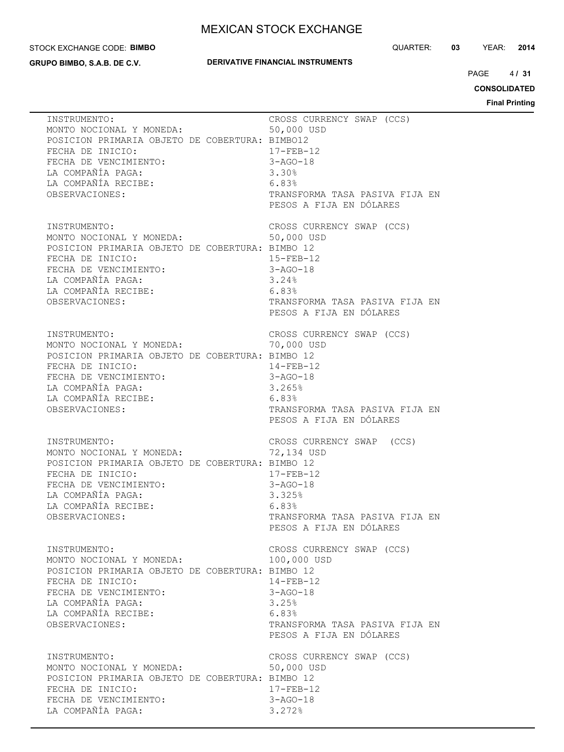#### STOCK EXCHANGE CODE: **BIMBO**

**GRUPO BIMBO, S.A.B. DE C.V.**

## **DERIVATIVE FINANCIAL INSTRUMENTS**

QUARTER: **03** YEAR: **2014**

 $4131$ PAGE **/ 31**

**CONSOLIDATED**

| INSTRUMENTO:                                                                                                                                                                                                    | CROSS CURRENCY SWAP (CCS)                                                                                                                          |
|-----------------------------------------------------------------------------------------------------------------------------------------------------------------------------------------------------------------|----------------------------------------------------------------------------------------------------------------------------------------------------|
| MONTO NOCIONAL Y MONEDA:                                                                                                                                                                                        | 50,000 USD                                                                                                                                         |
| POSICION PRIMARIA OBJETO DE COBERTURA: BIMBO12                                                                                                                                                                  | $17 - FEB - 12$                                                                                                                                    |
| FECHA DE INICIO:                                                                                                                                                                                                | $3 - AGO - 18$                                                                                                                                     |
| FECHA DE VENCIMIENTO:                                                                                                                                                                                           | 3.30%                                                                                                                                              |
| LA COMPAÑÍA PAGA:                                                                                                                                                                                               | 6.83%                                                                                                                                              |
| LA COMPAÑÍA RECIBE:                                                                                                                                                                                             | TRANSFORMA TASA PASIVA FIJA EN                                                                                                                     |
| OBSERVACIONES:                                                                                                                                                                                                  | PESOS A FIJA EN DÓLARES                                                                                                                            |
| INSTRUMENTO:<br>MONTO NOCIONAL Y MONEDA:<br>POSICION PRIMARIA OBJETO DE COBERTURA: BIMBO 12<br>FECHA DE INICIO:<br>FECHA DE VENCIMIENTO:<br>LA COMPAÑÍA PAGA:<br>LA COMPAÑÍA RECIBE:<br>6.83%<br>OBSERVACIONES: | CROSS CURRENCY SWAP (CCS)<br>50,000 USD<br>$15 - FEB - 12$<br>$3 - AGO - 18$<br>3.24%<br>TRANSFORMA TASA PASIVA FIJA EN<br>PESOS A FIJA EN DÓLARES |
| INSTRUMENTO:                                                                                                                                                                                                    | CROSS CURRENCY SWAP (CCS)                                                                                                                          |
| MONTO NOCIONAL Y MONEDA:                                                                                                                                                                                        | 70,000 USD                                                                                                                                         |
| POSICION PRIMARIA OBJETO DE COBERTURA: BIMBO 12                                                                                                                                                                 | $14 - FEB - 12$                                                                                                                                    |
| FECHA DE INICIO:                                                                                                                                                                                                | $3 - AGO - 18$                                                                                                                                     |
| FECHA DE VENCIMIENTO:                                                                                                                                                                                           | 3.265%                                                                                                                                             |
| LA COMPAÑÍA PAGA:                                                                                                                                                                                               | 6.83%                                                                                                                                              |
| LA COMPAÑÍA RECIBE:                                                                                                                                                                                             | TRANSFORMA TASA PASIVA FIJA EN                                                                                                                     |
| OBSERVACIONES:                                                                                                                                                                                                  | PESOS A FIJA EN DÓLARES                                                                                                                            |
| INSTRUMENTO:                                                                                                                                                                                                    | CROSS CURRENCY SWAP (CCS)                                                                                                                          |
| MONTO NOCIONAL Y MONEDA:                                                                                                                                                                                        | 72,134 USD                                                                                                                                         |
| POSICION PRIMARIA OBJETO DE COBERTURA: BIMBO 12                                                                                                                                                                 | $17 - FEB - 12$                                                                                                                                    |
| FECHA DE INICIO:                                                                                                                                                                                                | $3 - AGO - 18$                                                                                                                                     |
| FECHA DE VENCIMIENTO:                                                                                                                                                                                           | 3.325%                                                                                                                                             |
| LA COMPAÑÍA PAGA:                                                                                                                                                                                               | 6.83%                                                                                                                                              |
| LA COMPAÑÍA RECIBE:                                                                                                                                                                                             | TRANSFORMA TASA PASIVA FIJA EN                                                                                                                     |
| OBSERVACIONES:                                                                                                                                                                                                  | PESOS A FIJA EN DÓLARES                                                                                                                            |
| INSTRUMENTO:                                                                                                                                                                                                    | CROSS CURRENCY SWAP (CCS)                                                                                                                          |
| MONTO NOCIONAL Y MONEDA:                                                                                                                                                                                        | 100,000 USD                                                                                                                                        |
| POSICION PRIMARIA OBJETO DE COBERTURA: BIMBO 12                                                                                                                                                                 | $14 - FEB - 12$                                                                                                                                    |
| FECHA DE INICIO:                                                                                                                                                                                                | $3 - AGO - 18$                                                                                                                                     |
| FECHA DE VENCIMIENTO:                                                                                                                                                                                           | 3.25%                                                                                                                                              |
| LA COMPAÑÍA PAGA:                                                                                                                                                                                               | 6.83%                                                                                                                                              |
| LA COMPAÑÍA RECIBE:                                                                                                                                                                                             | TRANSFORMA TASA PASIVA FIJA EN                                                                                                                     |
| OBSERVACIONES:                                                                                                                                                                                                  | PESOS A FIJA EN DÓLARES                                                                                                                            |
| INSTRUMENTO:<br>MONTO NOCIONAL Y MONEDA:<br>POSICION PRIMARIA OBJETO DE COBERTURA: BIMBO 12<br>FECHA DE INICIO:<br>FECHA DE VENCIMIENTO:<br>LA COMPAÑÍA PAGA:                                                   | CROSS CURRENCY SWAP (CCS)<br>50,000 USD<br>$17 - FEB - 12$<br>$3 - AGO - 18$<br>3.272%                                                             |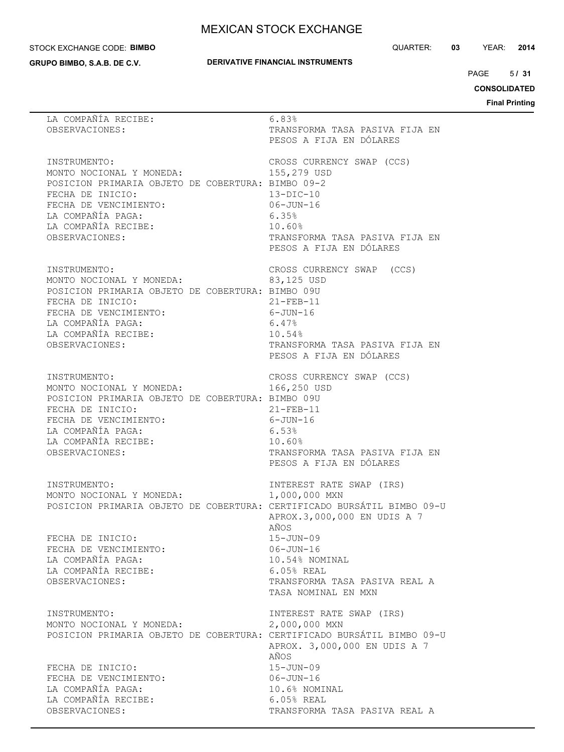#### STOCK EXCHANGE CODE: **BIMBO**

**GRUPO BIMBO, S.A.B. DE C.V.**

## **DERIVATIVE FINANCIAL INSTRUMENTS**

QUARTER: **03** YEAR: **2014**

 $5/31$ PAGE **/ 31**

**CONSOLIDATED**

| 6.83%                                                                                                                                                                                                             |
|-------------------------------------------------------------------------------------------------------------------------------------------------------------------------------------------------------------------|
| TRANSFORMA TASA PASIVA FIJA EN<br>PESOS A FIJA EN DÓLARES                                                                                                                                                         |
| CROSS CURRENCY SWAP (CCS)<br>155,279 USD<br>POSICION PRIMARIA OBJETO DE COBERTURA: BIMBO 09-2<br>$13-DIC-10$<br>$06 - JUN - 16$<br>6.35%<br>10.60%<br>TRANSFORMA TASA PASIVA FIJA EN<br>PESOS A FIJA EN DÓLARES   |
| CROSS CURRENCY SWAP<br>(CCS)<br>83,125 USD<br>POSICION PRIMARIA OBJETO DE COBERTURA: BIMBO 09U<br>$21 - FEB - 11$<br>$6 - JUN-16$<br>6.47%<br>10.54%<br>TRANSFORMA TASA PASIVA FIJA EN<br>PESOS A FIJA EN DÓLARES |
| CROSS CURRENCY SWAP (CCS)<br>166,250 USD<br>POSICION PRIMARIA OBJETO DE COBERTURA: BIMBO 09U<br>$21 - FEB - 11$<br>6-JUN-16<br>6.53%<br>10.60%<br>TRANSFORMA TASA PASIVA FIJA EN<br>PESOS A FIJA EN DÓLARES       |
| INTEREST RATE SWAP (IRS)<br>INSTRUMENTO:<br>MONTO NOCIONAL Y MONEDA:<br>1,000,000 MXN<br>POSICION PRIMARIA OBJETO DE COBERTURA: CERTIFICADO BURSÁTIL BIMBO 09-U<br>APROX.3,000,000 EN UDIS A 7<br>AÑOS            |
| $15 - JUN - 09$<br>$06 - JUN - 16$<br>10.54% NOMINAL<br>6.05% REAL<br>TRANSFORMA TASA PASIVA REAL A<br>TASA NOMINAL EN MXN                                                                                        |
| INTEREST RATE SWAP (IRS)<br>2,000,000 MXN<br>POSICION PRIMARIA OBJETO DE COBERTURA: CERTIFICADO BURSÁTIL BIMBO 09-U<br>APROX. 3,000,000 EN UDIS A 7<br>AÑOS                                                       |
| $15 - JUN - 09$<br>$06 - JUN - 16$<br>10.6% NOMINAL<br>6.05% REAL<br>TRANSFORMA TASA PASIVA REAL A                                                                                                                |
|                                                                                                                                                                                                                   |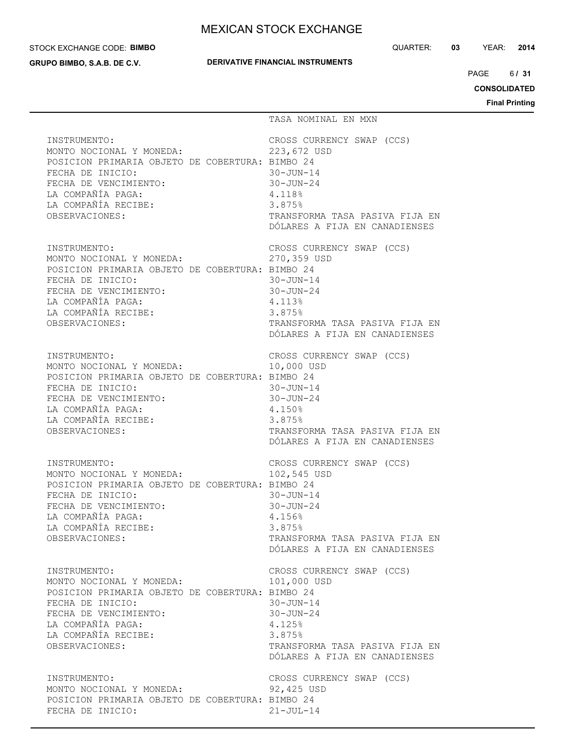#### STOCK EXCHANGE CODE: **BIMBO**

**GRUPO BIMBO, S.A.B. DE C.V.**

## **DERIVATIVE FINANCIAL INSTRUMENTS**

QUARTER: **03** YEAR: **2014**

6/31 PAGE **/ 31**

**CONSOLIDATED**

|                                                                                                                                                                                                        | TASA NOMINAL EN MXN                                                                                                                                                  |
|--------------------------------------------------------------------------------------------------------------------------------------------------------------------------------------------------------|----------------------------------------------------------------------------------------------------------------------------------------------------------------------|
| INSTRUMENTO:                                                                                                                                                                                           | CROSS CURRENCY SWAP (CCS)                                                                                                                                            |
| MONTO NOCIONAL Y MONEDA:                                                                                                                                                                               | 223,672 USD                                                                                                                                                          |
| POSICION PRIMARIA OBJETO DE COBERTURA: BIMBO 24                                                                                                                                                        | $30 - JUN - 14$                                                                                                                                                      |
| FECHA DE INICIO:                                                                                                                                                                                       | $30 - JUN - 24$                                                                                                                                                      |
| FECHA DE VENCIMIENTO:                                                                                                                                                                                  | 4.118%                                                                                                                                                               |
| LA COMPAÑÍA PAGA:                                                                                                                                                                                      | 3.875%                                                                                                                                                               |
| LA COMPAÑÍA RECIBE:                                                                                                                                                                                    | TRANSFORMA TASA PASIVA FIJA EN                                                                                                                                       |
| OBSERVACIONES:                                                                                                                                                                                         | DÓLARES A FIJA EN CANADIENSES                                                                                                                                        |
| INSTRUMENTO:                                                                                                                                                                                           | CROSS CURRENCY SWAP (CCS)                                                                                                                                            |
| INSTRUMENTO:<br>MONTO NOCIONAL Y MONEDA:                                                                                                                                                               | 270,359 USD                                                                                                                                                          |
| POSICION PRIMARIA OBJETO DE COBERTURA: BIMBO 24                                                                                                                                                        | $30 - JUN - 14$                                                                                                                                                      |
| FECHA DE INICIO:                                                                                                                                                                                       | $30 - JUN - 24$                                                                                                                                                      |
| FECHA DE VENCIMIENTO:                                                                                                                                                                                  | 4.113%                                                                                                                                                               |
| LA COMPAÑÍA PAGA:                                                                                                                                                                                      | 3.875%                                                                                                                                                               |
| LA COMPAÑÍA RECIBE:                                                                                                                                                                                    | TRANSFORMA TASA PASIVA FIJA EN                                                                                                                                       |
| OBSERVACIONES:                                                                                                                                                                                         | DÓLARES A FIJA EN CANADIENSES                                                                                                                                        |
| INSTRUMENTO:<br>MONTO NOCIONAL Y MONEDA:<br>POSICION PRIMARIA OBJETO DE COBERTURA: BIMBO 24<br>FECHA DE INICIO:<br>FECHA DE VENCIMIENTO:<br>LA COMPAÑÍA PAGA:<br>LA COMPAÑÍA RECIBE:<br>OBSERVACIONES: | CROSS CURRENCY SWAP (CCS)<br>10,000 USD<br>$30 - JUN - 14$<br>$30 - JUN - 24$<br>4.150%<br>3.875%<br>TRANSFORMA TASA PASIVA FIJA EN<br>DÓLARES A FIJA EN CANADIENSES |
| INSTRUMENTO:                                                                                                                                                                                           | CROSS CURRENCY SWAP (CCS)                                                                                                                                            |
| MONTO NOCIONAL Y MONEDA:                                                                                                                                                                               | 102,545 USD                                                                                                                                                          |
| POSICION PRIMARIA OBJETO DE COBERTURA: BIMBO 24                                                                                                                                                        | $30 - JUN - 14$                                                                                                                                                      |
| FECHA DE INICIO:                                                                                                                                                                                       | $30 - JUN - 24$                                                                                                                                                      |
| FECHA DE VENCIMIENTO:                                                                                                                                                                                  | 4.156%                                                                                                                                                               |
| LA COMPAÑÍA PAGA:                                                                                                                                                                                      | 3.875%                                                                                                                                                               |
| LA COMPAÑÍA RECIBE:                                                                                                                                                                                    | TRANSFORMA TASA PASIVA FIJA EN                                                                                                                                       |
| OBSERVACIONES:                                                                                                                                                                                         | DÓLARES A FIJA EN CANADIENSES                                                                                                                                        |
| INSTRUMENTO:                                                                                                                                                                                           | CROSS CURRENCY SWAP (CCS)                                                                                                                                            |
| MONTO NOCIONAL Y MONEDA:                                                                                                                                                                               | 101,000 USD                                                                                                                                                          |
| POSICION PRIMARIA OBJETO DE COBERTURA: BIMBO 24                                                                                                                                                        | $30 - JUN - 14$                                                                                                                                                      |
| FECHA DE INICIO:                                                                                                                                                                                       | $30 - JUN - 24$                                                                                                                                                      |
| FECHA DE VENCIMIENTO:                                                                                                                                                                                  | 4.125%                                                                                                                                                               |
| LA COMPAÑÍA PAGA:                                                                                                                                                                                      | 3.875%                                                                                                                                                               |
| LA COMPAÑÍA RECIBE:                                                                                                                                                                                    | TRANSFORMA TASA PASIVA FIJA EN                                                                                                                                       |
| OBSERVACIONES:                                                                                                                                                                                         | DÓLARES A FIJA EN CANADIENSES                                                                                                                                        |
| INSTRUMENTO:<br>MONTO NOCIONAL Y MONEDA:<br>POSICION PRIMARIA OBJETO DE COBERTURA: BIMBO 24<br>FECHA DE INICIO:                                                                                        | CROSS CURRENCY SWAP (CCS)<br>92,425 USD<br>$21 - JUL-14$                                                                                                             |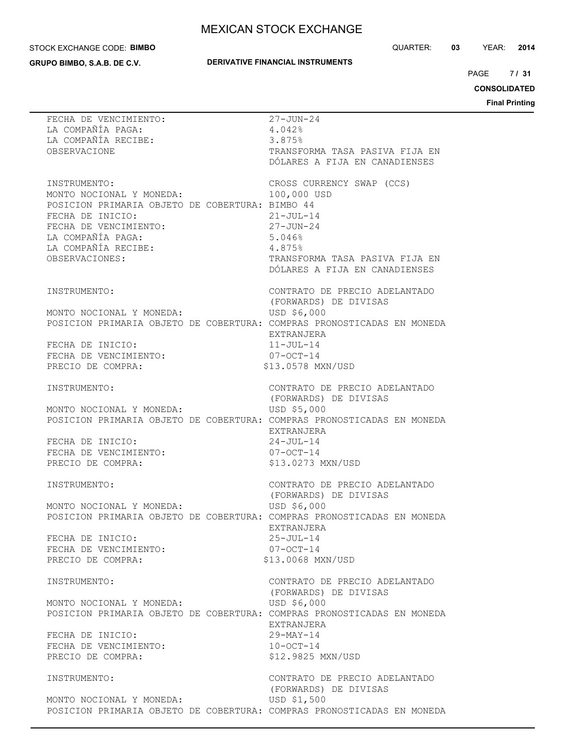#### STOCK EXCHANGE CODE: **BIMBO**

**GRUPO BIMBO, S.A.B. DE C.V.**

## **DERIVATIVE FINANCIAL INSTRUMENTS**

 $7131$ PAGE **/ 31**

**CONSOLIDATED**

| FECHA DE VENCIMIENTO:<br>LA COMPAÑÍA PAGA:<br>LA COMPAÑÍA RECIBE:<br>OBSERVACIONE                              | $27 - JUN - 24$<br>4.042%<br>3.875%<br>TRANSFORMA TASA PASIVA FIJA EN<br>DÓLARES A FIJA EN CANADIENSES |
|----------------------------------------------------------------------------------------------------------------|--------------------------------------------------------------------------------------------------------|
| INSTRUMENTO:                                                                                                   | CROSS CURRENCY SWAP (CCS)                                                                              |
| MONTO NOCIONAL Y MONEDA:                                                                                       | 100,000 USD                                                                                            |
| POSICION PRIMARIA OBJETO DE COBERTURA: BIMBO 44                                                                | $21 - JUL-14$                                                                                          |
| FECHA DE INICIO:                                                                                               | $27 - JUN - 24$                                                                                        |
| FECHA DE VENCIMIENTO:                                                                                          | 5.046%                                                                                                 |
| LA COMPAÑÍA PAGA:                                                                                              | 4.875%                                                                                                 |
| LA COMPAÑÍA RECIBE:                                                                                            | TRANSFORMA TASA PASIVA FIJA EN                                                                         |
| OBSERVACIONES:                                                                                                 | DÓLARES A FIJA EN CANADIENSES                                                                          |
| INSTRUMENTO:                                                                                                   | CONTRATO DE PRECIO ADELANTADO                                                                          |
| MONTO NOCIONAL Y MONEDA:                                                                                       | (FORWARDS) DE DIVISAS                                                                                  |
| POSICION PRIMARIA OBJETO DE COBERTURA: COMPRAS PRONOSTICADAS EN MONEDA                                         | USD \$6,000                                                                                            |
| FECHA DE INICIO:<br>FECHA DE VENCIMIENTO:<br>PRECIO DE COMPRA:<br>PRECIO DE COMPRA:                            | EXTRANJERA<br>$11 - JUL - 14$<br>$07-0CT-14$<br>\$13.0578 MXN/USD                                      |
| INSTRUMENTO:                                                                                                   | CONTRATO DE PRECIO ADELANTADO<br>(FORWARDS) DE DIVISAS                                                 |
| MONTO NOCIONAL Y MONEDA:                                                                                       | USD \$5,000                                                                                            |
| POSICION PRIMARIA OBJETO DE COBERTURA: COMPRAS PRONOSTICADAS EN MONEDA                                         | EXTRANJERA                                                                                             |
| FECHA DE INICIO:                                                                                               | $24 - JUL-14$                                                                                          |
| FECHA DE VENCIMIENTO:                                                                                          | $07-0CT-14$                                                                                            |
| PRECIO DE COMPRA:                                                                                              | \$13.0273 MXN/USD                                                                                      |
| INSTRUMENTO:                                                                                                   | CONTRATO DE PRECIO ADELANTADO<br>(FORWARDS) DE DIVISAS                                                 |
| MONTO NOCIONAL Y MONEDA:                                                                                       | USD \$6,000                                                                                            |
| POSICION PRIMARIA OBJETO DE COBERTURA: COMPRAS PRONOSTICADAS EN MONEDA                                         | EXTRANJERA                                                                                             |
| FECHA DE INICIO:                                                                                               | $25 - JUL - 14$                                                                                        |
| FECHA DE VENCIMIENTO:                                                                                          | $07-0CT-14$                                                                                            |
| PRECIO DE COMPRA:                                                                                              | \$13.0068 MXN/USD                                                                                      |
| INSTRUMENTO:                                                                                                   | CONTRATO DE PRECIO ADELANTADO<br>(FORWARDS) DE DIVISAS                                                 |
| MONTO NOCIONAL Y MONEDA:                                                                                       | USD \$6,000                                                                                            |
| POSICION PRIMARIA OBJETO DE COBERTURA: COMPRAS PRONOSTICADAS EN MONEDA                                         | EXTRANJERA                                                                                             |
| FECHA DE INICIO:                                                                                               | 29-MAY-14                                                                                              |
| FECHA DE VENCIMIENTO:                                                                                          | $10-0CT-14$                                                                                            |
| PRECIO DE COMPRA:                                                                                              | \$12.9825 MXN/USD                                                                                      |
| INSTRUMENTO:                                                                                                   | CONTRATO DE PRECIO ADELANTADO<br>(FORWARDS) DE DIVISAS                                                 |
| MONTO NOCIONAL Y MONEDA: USD \$1,500<br>POSICION PRIMARIA OBJETO DE COBERTURA: COMPRAS PRONOSTICADAS EN MONEDA |                                                                                                        |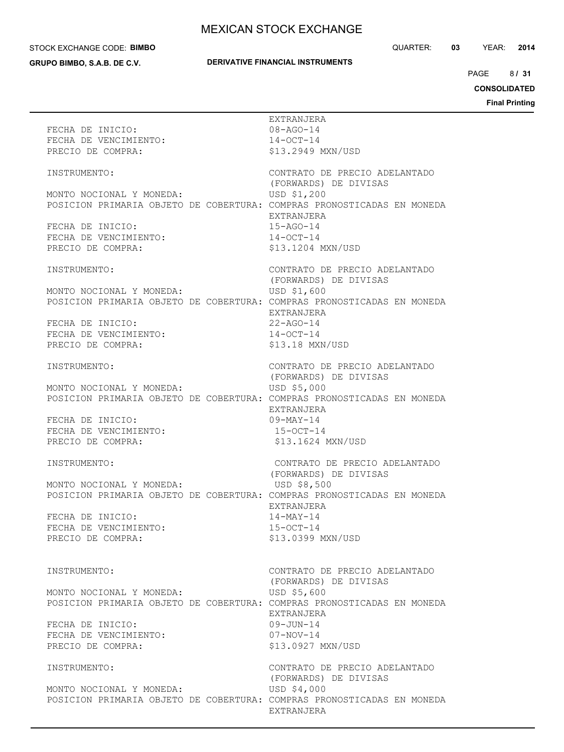#### STOCK EXCHANGE CODE: **BIMBO**

**GRUPO BIMBO, S.A.B. DE C.V.**

## **DERIVATIVE FINANCIAL INSTRUMENTS**

QUARTER: **03** YEAR: **2014**

8/31 PAGE **/ 31**

# **CONSOLIDATED**

| EXTRANJERA<br>FECHA DE INICIO:<br>08-AGO-14<br>FECHA DE INICIO:<br>FECHA DE VENCIMIENTO:<br>$14 - OCT - 14$<br>\$13.2949 MXN/USD<br>PRECIO DE COMPRA:<br>CONTRATO DE PRECIO ADELANTADO<br>INSTRUMENTO:<br>(FORWARDS) DE DIVISAS<br>MONTO NOCIONAL Y MONEDA:<br>USD \$1,200<br>POSICION PRIMARIA OBJETO DE COBERTURA: COMPRAS PRONOSTICADAS EN MONEDA<br>EXTRANJERA<br>FECHA DE INICIO:<br>15-AGO-14<br>FECHA DE VENCIMIENTO:<br>$14-OCT-14$<br>\$13.1204 MXN/USD<br>PRECIO DE COMPRA:<br>CONTRATO DE PRECIO ADELANTADO<br>INSTRUMENTO:<br>(FORWARDS) DE DIVISAS<br>MONTO NOCIONAL Y MONEDA:<br>USD \$1,600<br>POSICION PRIMARIA OBJETO DE COBERTURA: COMPRAS PRONOSTICADAS EN MONEDA<br>EXTRANJERA<br>INICIO:<br>FECHA DE VENCIMIENTO:<br>PRECIO DE COMPRA:<br>22-AGO-14<br>$14-0CT-14$<br>\$13.18 MXN/USD<br>CONTRATO DE PRECIO ADELANTADO<br>INSTRUMENTO:<br>(FORWARDS) DE DIVISAS<br>MONTO NOCIONAL Y MONEDA:<br>USD \$5,000<br>POSICION PRIMARIA OBJETO DE COBERTURA: COMPRAS PRONOSTICADAS EN MONEDA<br>EXTRANJERA<br>FECHA DE INICIO:<br>09-MAY-14<br>FECHA DE VENCIMIENTO:<br>15-OCT-14<br>\$13.1624 MXN/USD<br>PRECIO DE COMPRA:<br>CONTRATO DE PRECIO ADELANTADO<br>INSTRUMENTO:<br>(FORWARDS) DE DIVISAS<br>MONTO NOCIONAL Y MONEDA:<br>USD \$8,500<br>POSICION PRIMARIA OBJETO DE COBERTURA: COMPRAS PRONOSTICADAS EN MONEDA<br>EXTRANJERA<br>$14 - \text{MAX} - 14$<br>FECHA DE INICIO:<br>FECHA DE VENCIMIENTO:<br>$15 - OCT - 14$<br>\$13.0399 MXN/USD<br>PRECIO DE COMPRA:<br>CONTRATO DE PRECIO ADELANTADO<br>INSTRUMENTO:<br>(FORWARDS) DE DIVISAS<br>USD \$5,600<br>MONTO NOCIONAL Y MONEDA:<br>POSICION PRIMARIA OBJETO DE COBERTURA: COMPRAS PRONOSTICADAS EN MONEDA<br>EXTRANJERA<br>FECHA DE INICIO:<br>$09 - JUN - 14$<br>FECHA DE VENCIMIENTO:<br>$07 - NOV - 14$<br>PRECIO DE COMPRA:<br>\$13,0927 MXN/USD<br>CONTRATO DE PRECIO ADELANTADO<br>INSTRUMENTO:<br>(FORWARDS) DE DIVISAS<br>USD \$4,000<br>MONTO NOCIONAL Y MONEDA:<br>POSICION PRIMARIA OBJETO DE COBERTURA: COMPRAS PRONOSTICADAS EN MONEDA<br>EXTRANJERA |  |  |
|--------------------------------------------------------------------------------------------------------------------------------------------------------------------------------------------------------------------------------------------------------------------------------------------------------------------------------------------------------------------------------------------------------------------------------------------------------------------------------------------------------------------------------------------------------------------------------------------------------------------------------------------------------------------------------------------------------------------------------------------------------------------------------------------------------------------------------------------------------------------------------------------------------------------------------------------------------------------------------------------------------------------------------------------------------------------------------------------------------------------------------------------------------------------------------------------------------------------------------------------------------------------------------------------------------------------------------------------------------------------------------------------------------------------------------------------------------------------------------------------------------------------------------------------------------------------------------------------------------------------------------------------------------------------------------------------------------------------------------------------------------------------------------------------------------------------------------------------------------------------------------------------------------------------------------------------------------------------------------------------------------------------------------------------------|--|--|
|                                                                                                                                                                                                                                                                                                                                                                                                                                                                                                                                                                                                                                                                                                                                                                                                                                                                                                                                                                                                                                                                                                                                                                                                                                                                                                                                                                                                                                                                                                                                                                                                                                                                                                                                                                                                                                                                                                                                                                                                                                                  |  |  |
|                                                                                                                                                                                                                                                                                                                                                                                                                                                                                                                                                                                                                                                                                                                                                                                                                                                                                                                                                                                                                                                                                                                                                                                                                                                                                                                                                                                                                                                                                                                                                                                                                                                                                                                                                                                                                                                                                                                                                                                                                                                  |  |  |
|                                                                                                                                                                                                                                                                                                                                                                                                                                                                                                                                                                                                                                                                                                                                                                                                                                                                                                                                                                                                                                                                                                                                                                                                                                                                                                                                                                                                                                                                                                                                                                                                                                                                                                                                                                                                                                                                                                                                                                                                                                                  |  |  |
|                                                                                                                                                                                                                                                                                                                                                                                                                                                                                                                                                                                                                                                                                                                                                                                                                                                                                                                                                                                                                                                                                                                                                                                                                                                                                                                                                                                                                                                                                                                                                                                                                                                                                                                                                                                                                                                                                                                                                                                                                                                  |  |  |
|                                                                                                                                                                                                                                                                                                                                                                                                                                                                                                                                                                                                                                                                                                                                                                                                                                                                                                                                                                                                                                                                                                                                                                                                                                                                                                                                                                                                                                                                                                                                                                                                                                                                                                                                                                                                                                                                                                                                                                                                                                                  |  |  |
|                                                                                                                                                                                                                                                                                                                                                                                                                                                                                                                                                                                                                                                                                                                                                                                                                                                                                                                                                                                                                                                                                                                                                                                                                                                                                                                                                                                                                                                                                                                                                                                                                                                                                                                                                                                                                                                                                                                                                                                                                                                  |  |  |
|                                                                                                                                                                                                                                                                                                                                                                                                                                                                                                                                                                                                                                                                                                                                                                                                                                                                                                                                                                                                                                                                                                                                                                                                                                                                                                                                                                                                                                                                                                                                                                                                                                                                                                                                                                                                                                                                                                                                                                                                                                                  |  |  |
|                                                                                                                                                                                                                                                                                                                                                                                                                                                                                                                                                                                                                                                                                                                                                                                                                                                                                                                                                                                                                                                                                                                                                                                                                                                                                                                                                                                                                                                                                                                                                                                                                                                                                                                                                                                                                                                                                                                                                                                                                                                  |  |  |
|                                                                                                                                                                                                                                                                                                                                                                                                                                                                                                                                                                                                                                                                                                                                                                                                                                                                                                                                                                                                                                                                                                                                                                                                                                                                                                                                                                                                                                                                                                                                                                                                                                                                                                                                                                                                                                                                                                                                                                                                                                                  |  |  |
|                                                                                                                                                                                                                                                                                                                                                                                                                                                                                                                                                                                                                                                                                                                                                                                                                                                                                                                                                                                                                                                                                                                                                                                                                                                                                                                                                                                                                                                                                                                                                                                                                                                                                                                                                                                                                                                                                                                                                                                                                                                  |  |  |
|                                                                                                                                                                                                                                                                                                                                                                                                                                                                                                                                                                                                                                                                                                                                                                                                                                                                                                                                                                                                                                                                                                                                                                                                                                                                                                                                                                                                                                                                                                                                                                                                                                                                                                                                                                                                                                                                                                                                                                                                                                                  |  |  |
|                                                                                                                                                                                                                                                                                                                                                                                                                                                                                                                                                                                                                                                                                                                                                                                                                                                                                                                                                                                                                                                                                                                                                                                                                                                                                                                                                                                                                                                                                                                                                                                                                                                                                                                                                                                                                                                                                                                                                                                                                                                  |  |  |
|                                                                                                                                                                                                                                                                                                                                                                                                                                                                                                                                                                                                                                                                                                                                                                                                                                                                                                                                                                                                                                                                                                                                                                                                                                                                                                                                                                                                                                                                                                                                                                                                                                                                                                                                                                                                                                                                                                                                                                                                                                                  |  |  |
|                                                                                                                                                                                                                                                                                                                                                                                                                                                                                                                                                                                                                                                                                                                                                                                                                                                                                                                                                                                                                                                                                                                                                                                                                                                                                                                                                                                                                                                                                                                                                                                                                                                                                                                                                                                                                                                                                                                                                                                                                                                  |  |  |
|                                                                                                                                                                                                                                                                                                                                                                                                                                                                                                                                                                                                                                                                                                                                                                                                                                                                                                                                                                                                                                                                                                                                                                                                                                                                                                                                                                                                                                                                                                                                                                                                                                                                                                                                                                                                                                                                                                                                                                                                                                                  |  |  |
|                                                                                                                                                                                                                                                                                                                                                                                                                                                                                                                                                                                                                                                                                                                                                                                                                                                                                                                                                                                                                                                                                                                                                                                                                                                                                                                                                                                                                                                                                                                                                                                                                                                                                                                                                                                                                                                                                                                                                                                                                                                  |  |  |
|                                                                                                                                                                                                                                                                                                                                                                                                                                                                                                                                                                                                                                                                                                                                                                                                                                                                                                                                                                                                                                                                                                                                                                                                                                                                                                                                                                                                                                                                                                                                                                                                                                                                                                                                                                                                                                                                                                                                                                                                                                                  |  |  |
|                                                                                                                                                                                                                                                                                                                                                                                                                                                                                                                                                                                                                                                                                                                                                                                                                                                                                                                                                                                                                                                                                                                                                                                                                                                                                                                                                                                                                                                                                                                                                                                                                                                                                                                                                                                                                                                                                                                                                                                                                                                  |  |  |
|                                                                                                                                                                                                                                                                                                                                                                                                                                                                                                                                                                                                                                                                                                                                                                                                                                                                                                                                                                                                                                                                                                                                                                                                                                                                                                                                                                                                                                                                                                                                                                                                                                                                                                                                                                                                                                                                                                                                                                                                                                                  |  |  |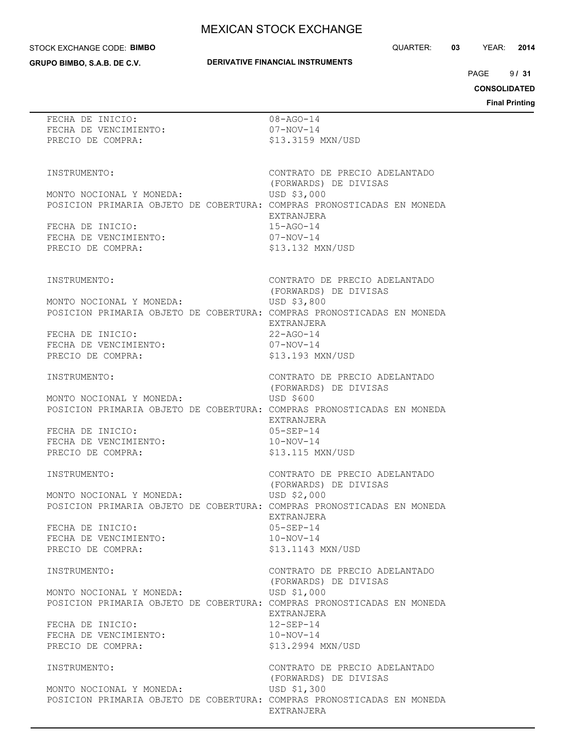#### STOCK EXCHANGE CODE: **BIMBO**

**GRUPO BIMBO, S.A.B. DE C.V.**

## **DERIVATIVE FINANCIAL INSTRUMENTS**

QUARTER: **03** YEAR: **2014**

 $9131$ PAGE **/ 31**

**CONSOLIDATED**

| FECHA DE INICIO:<br>FECHA DE VENCIMIENTO:<br>PRECIO DE COMPRA:                                                                                                                       | $08 - AGO - 14$<br>$07 - NOV - 14$<br>\$13.3159 MXN/USD                                                                                       |  |
|--------------------------------------------------------------------------------------------------------------------------------------------------------------------------------------|-----------------------------------------------------------------------------------------------------------------------------------------------|--|
| INSTRUMENTO:<br>MONTO NOCIONAL Y MONEDA:<br>POSICION PRIMARIA OBJETO DE COBERTURA: COMPRAS PRONOSTICADAS EN MONEDA<br>FECHA DE INICIO:<br>FECHA DE VENCIMIENTO:<br>PRECIO DE COMPRA: | CONTRATO DE PRECIO ADELANTADO<br>(FORWARDS) DE DIVISAS<br>USD \$3,000<br>EXTRANJERA<br>$15 - AGO - 14$<br>$07 - NOV - 14$<br>\$13.132 MXN/USD |  |
| INSTRUMENTO:<br>MONTO NOCIONAL Y MONEDA:<br>POSICION PRIMARIA OBJETO DE COBERTURA: COMPRAS PRONOSTICADAS EN MONEDA<br>FECHA DE INICIO:<br>FECHA DE VENCIMIENTO:<br>PRECIO DE COMPRA: | CONTRATO DE PRECIO ADELANTADO<br>(FORWARDS) DE DIVISAS<br>USD \$3,800<br>EXTRANJERA<br>$22 - AGO - 14$<br>$07 - NOV - 14$<br>\$13.193 MXN/USD |  |
| INSTRUMENTO:<br>MONTO NOCIONAL Y MONEDA:<br>POSICION PRIMARIA OBJETO DE COBERTURA: COMPRAS PRONOSTICADAS EN MONEDA<br>FECHA DE INICIO:<br>FECHA DE VENCIMIENTO:<br>PRECIO DE COMPRA: | CONTRATO DE PRECIO ADELANTADO<br>(FORWARDS) DE DIVISAS<br>USD \$600<br>EXTRANJERA<br>$05 - SEP - 14$<br>$10-NOV-14$<br>\$13.115 MXN/USD       |  |
| INSTRUMENTO:<br>MONTO NOCIONAL Y MONEDA:<br>POSICION PRIMARIA OBJETO DE COBERTURA: COMPRAS PRONOSTICADAS EN MONEDA<br>FECHA DE INICIO:<br>FECHA DE VENCIMIENTO:<br>PRECIO DE COMPRA: | CONTRATO DE PRECIO ADELANTADO<br>(FORWARDS) DE DIVISAS<br>USD \$2,000<br>EXTRANJERA<br>$05 - SEP - 14$<br>$10-NOV-14$<br>\$13.1143 MXN/USD    |  |
| INSTRUMENTO:<br>MONTO NOCIONAL Y MONEDA:<br>POSICION PRIMARIA OBJETO DE COBERTURA: COMPRAS PRONOSTICADAS EN MONEDA<br>FECHA DE INICIO:<br>FECHA DE VENCIMIENTO:<br>PRECIO DE COMPRA: | CONTRATO DE PRECIO ADELANTADO<br>(FORWARDS) DE DIVISAS<br>USD \$1,000<br>EXTRANJERA<br>$12 - SEP - 14$<br>$10-NOV-14$<br>\$13.2994 MXN/USD    |  |
| INSTRUMENTO:<br>MONTO NOCIONAL Y MONEDA:<br>POSICION PRIMARIA OBJETO DE COBERTURA: COMPRAS PRONOSTICADAS EN MONEDA                                                                   | CONTRATO DE PRECIO ADELANTADO<br>(FORWARDS) DE DIVISAS<br>USD \$1,300<br>EXTRANJERA                                                           |  |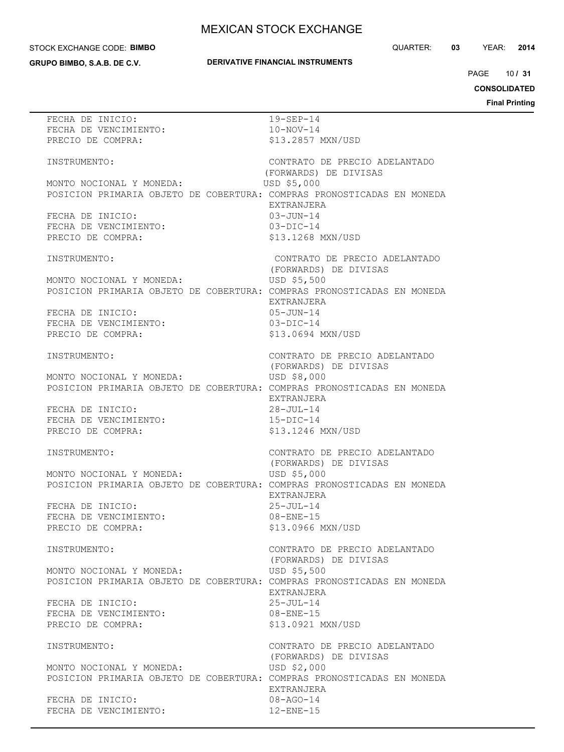### STOCK EXCHANGE CODE: **BIMBO**

**GRUPO BIMBO, S.A.B. DE C.V.**

## **DERIVATIVE FINANCIAL INSTRUMENTS**

QUARTER: **03** YEAR: **2014**

10 PAGE **/ 31**

**CONSOLIDATED**

| FECHA DE INICIO:                                                       | $19 - SEP - 14$               |
|------------------------------------------------------------------------|-------------------------------|
| FECHA DE VENCIMIENTO:                                                  | $10-NOV-14$                   |
| PRECIO DE COMPRA:                                                      | \$13.2857 MXN/USD             |
|                                                                        |                               |
|                                                                        |                               |
| INSTRUMENTO:                                                           | CONTRATO DE PRECIO ADELANTADO |
|                                                                        | (FORWARDS) DE DIVISAS         |
| MONTO NOCIONAL Y MONEDA:                                               | USD \$5,000                   |
| POSICION PRIMARIA OBJETO DE COBERTURA: COMPRAS PRONOSTICADAS EN MONEDA |                               |
|                                                                        |                               |
|                                                                        | EXTRANJERA                    |
| FECHA DE INICIO:                                                       | $03 - JUN - 14$               |
| FECHA DE VENCIMIENTO:                                                  | $03-DIC-14$                   |
| PRECIO DE COMPRA:                                                      | \$13.1268 MXN/USD             |
|                                                                        |                               |
|                                                                        |                               |
| INSTRUMENTO:                                                           | CONTRATO DE PRECIO ADELANTADO |
|                                                                        | (FORWARDS) DE DIVISAS         |
| MONTO NOCIONAL Y MONEDA:                                               | USD \$5,500                   |
| POSICION PRIMARIA OBJETO DE COBERTURA: COMPRAS PRONOSTICADAS EN MONEDA |                               |
|                                                                        |                               |
|                                                                        | EXTRANJERA                    |
| FECHA DE INICIO:                                                       | 05-JUN-14                     |
| FECHA DE VENCIMIENTO:                                                  | $03 - DIC - 14$               |
| PRECIO DE COMPRA:                                                      | \$13.0694 MXN/USD             |
|                                                                        |                               |
|                                                                        |                               |
| INSTRUMENTO:                                                           | CONTRATO DE PRECIO ADELANTADO |
|                                                                        | (FORWARDS) DE DIVISAS         |
| MONTO NOCIONAL Y MONEDA:                                               | USD \$8,000                   |
| POSICION PRIMARIA OBJETO DE COBERTURA: COMPRAS PRONOSTICADAS EN MONEDA |                               |
|                                                                        |                               |
|                                                                        | EXTRANJERA                    |
| FECHA DE INICIO:                                                       | $28 - JUL-14$                 |
| FECHA DE VENCIMIENTO:                                                  | $15 - DIC - 14$               |
| PRECIO DE COMPRA:                                                      | \$13.1246 MXN/USD             |
|                                                                        |                               |
|                                                                        |                               |
| INSTRUMENTO:                                                           | CONTRATO DE PRECIO ADELANTADO |
|                                                                        | (FORWARDS) DE DIVISAS         |
| MONTO NOCIONAL Y MONEDA:                                               | USD \$5,000                   |
| POSICION PRIMARIA OBJETO DE COBERTURA: COMPRAS PRONOSTICADAS EN MONEDA |                               |
|                                                                        | EXTRANJERA                    |
|                                                                        |                               |
| FECHA DE INICIO:                                                       | $25 - JUL - 14$               |
| FECHA DE VENCIMIENTO:                                                  | $08 - ENE - 15$               |
| PRECIO DE COMPRA:                                                      | \$13.0966 MXN/USD             |
|                                                                        |                               |
| INSTRUMENTO:                                                           | CONTRATO DE PRECIO ADELANTADO |
|                                                                        |                               |
|                                                                        | (FORWARDS) DE DIVISAS         |
| MONTO NOCIONAL Y MONEDA:                                               | USD \$5,500                   |
| POSICION PRIMARIA OBJETO DE COBERTURA: COMPRAS PRONOSTICADAS EN MONEDA |                               |
|                                                                        | EXTRANJERA                    |
| FECHA DE INICIO:                                                       | $25 - JUL - 14$               |
|                                                                        |                               |
| FECHA DE VENCIMIENTO:                                                  | $08 - ENE - 15$               |
| PRECIO DE COMPRA:                                                      | \$13.0921 MXN/USD             |
|                                                                        |                               |
| INSTRUMENTO:                                                           | CONTRATO DE PRECIO ADELANTADO |
|                                                                        | (FORWARDS) DE DIVISAS         |
|                                                                        |                               |
| MONTO NOCIONAL Y MONEDA:                                               | USD \$2,000                   |
| POSICION PRIMARIA OBJETO DE COBERTURA: COMPRAS PRONOSTICADAS EN MONEDA |                               |
|                                                                        | EXTRANJERA                    |
| FECHA DE INICIO:                                                       | $08 - AGO - 14$               |
| FECHA DE VENCIMIENTO:                                                  | $12 - ENE - 15$               |
|                                                                        |                               |
|                                                                        |                               |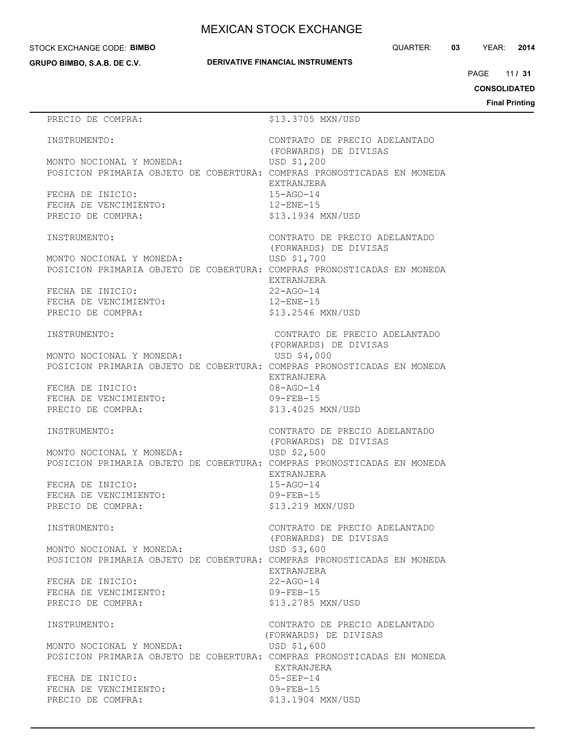#### STOCK EXCHANGE CODE: **BIMBO**

**GRUPO BIMBO, S.A.B. DE C.V.**

QUARTER: **03** YEAR: **2014**

11 PAGE **/ 31**

**CONSOLIDATED**

**Final Printing**

# PRECIO DE COMPRA:  $$13.3705$  MXN/USD INSTRUMENTO: CONTRATO DE PRECIO ADELANTADO (FORWARDS) DE DIVISAS MONTO NOCIONAL Y MONEDA: USD \$1,200 POSICION PRIMARIA OBJETO DE COBERTURA: COMPRAS PRONOSTICADAS EN MONEDA EXTRANJERA FECHA DE INICIO: 15-AGO-14 FECHA DE VENCIMIENTO: 12-ENE-15 PRECIO DE COMPRA:  $$13.1934$  MXN/USD INSTRUMENTO: CONTRATO DE PRECIO ADELANTADO (FORWARDS) DE DIVISAS MONTO NOCIONAL Y MONEDA: USD \$1,700 POSICION PRIMARIA OBJETO DE COBERTURA: COMPRAS PRONOSTICADAS EN MONEDA EXTRANJERA FECHA DE INICIO: 22-AGO-14 FECHA DE VENCIMIENTO: 12-ENE-15 PRECIO DE COMPRA:  $$13.2546$  MXN/USD INSTRUMENTO: CONTRATO DE PRECIO ADELANTADO (FORWARDS) DE DIVISAS MONTO NOCIONAL Y MONEDA: USD \$4,000 POSICION PRIMARIA OBJETO DE COBERTURA: COMPRAS PRONOSTICADAS EN MONEDA EXTRANJERA FECHA DE INICIO: 08-AGO-14 FECHA DE VENCIMIENTO: 09-FEB-15 PRECIO DE COMPRA:  $$13.4025$  MXN/USD INSTRUMENTO: CONTRATO DE PRECIO ADELANTADO (FORWARDS) DE DIVISAS MONTO NOCIONAL Y MONEDA: USD \$2,500 POSICION PRIMARIA OBJETO DE COBERTURA: COMPRAS PRONOSTICADAS EN MONEDA EXTRANJERA FECHA DE INICIO: 15-AGO-14 FECHA DE VENCIMIENTO: 09-FEB-15 PRECIO DE COMPRA:  $$13.219$  MXN/USD INSTRUMENTO: CONTRATO DE PRECIO ADELANTADO (FORWARDS) DE DIVISAS MONTO NOCIONAL Y MONEDA: USD \$3,600 POSICION PRIMARIA OBJETO DE COBERTURA: COMPRAS PRONOSTICADAS EN MONEDA EXTRANJERA FECHA DE INICIO: 22-AGO-14 FECHA DE VENCIMIENTO: 09-FEB-15 PRECIO DE COMPRA:  $$13.2785$  MXN/USD INSTRUMENTO: CONTRATO DE PRECIO ADELANTADO (FORWARDS) DE DIVISAS MONTO NOCIONAL Y MONEDA: USD \$1,600 POSICION PRIMARIA OBJETO DE COBERTURA: COMPRAS PRONOSTICADAS EN MONEDA EXTRANJERA FECHA DE INICIO: 05-SEP-14 FECHA DE VENCIMIENTO: 09-FEB-15 PRECIO DE COMPRA:  $$13.1904$  MXN/USD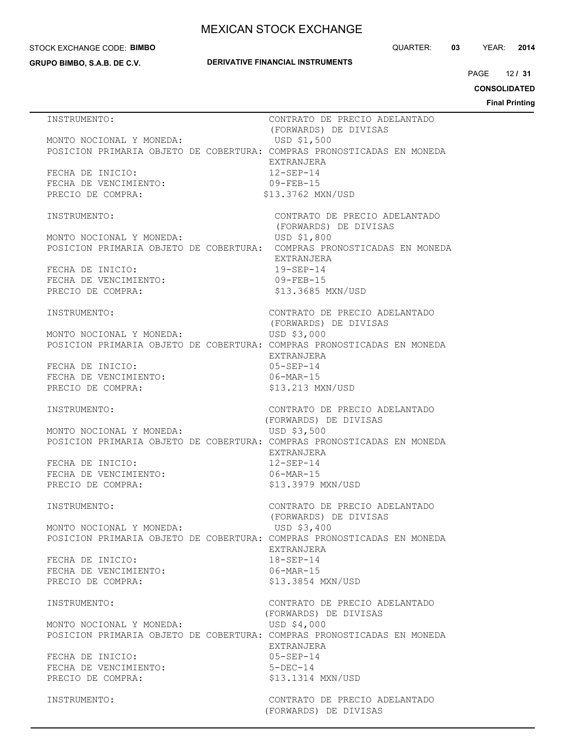#### STOCK EXCHANGE CODE: **BIMBO**

**GRUPO BIMBO, S.A.B. DE C.V.**

### **DERIVATIVE FINANCIAL INSTRUMENTS**

QUARTER: **03** YEAR: **2014**

12 PAGE **/ 31**

**CONSOLIDATED**

| INSTRUMENTO:                                                                                       | CONTRATO DE PRECIO ADELANTADO<br>(FORWARDS) DE DIVISAS |
|----------------------------------------------------------------------------------------------------|--------------------------------------------------------|
| MONTO NOCIONAL Y MONEDA:                                                                           | USD \$1,500                                            |
| POSICION PRIMARIA OBJETO DE COBERTURA: COMPRAS PRONOSTICADAS EN MONEDA                             | EXTRANJERA                                             |
| FECHA DE INICIO:                                                                                   | $12 - SEP - 14$                                        |
| FECHA DE VENCIMIENTO:                                                                              | $09 - FEB - 15$                                        |
| PRECIO DE COMPRA:                                                                                  | \$13.3762 MXN/USD                                      |
| INSTRUMENTO:                                                                                       | CONTRATO DE PRECIO ADELANTADO                          |
|                                                                                                    | (FORWARDS) DE DIVISAS                                  |
| MONTO NOCIONAL Y MONEDA:<br>POSICION PRIMARIA OBJETO DE COBERTURA: COMPRAS PRONOSTICADAS EN MONEDA | USD \$1,800                                            |
|                                                                                                    | EXTRANJERA                                             |
| FECHA DE INICIO:                                                                                   | $19 - SEP - 14$                                        |
| FECHA DE VENCIMIENTO:                                                                              | $09 - FEB - 15$                                        |
| PRECIO DE COMPRA:                                                                                  | \$13.3685 MXN/USD                                      |
| INSTRUMENTO:                                                                                       | CONTRATO DE PRECIO ADELANTADO                          |
|                                                                                                    | (FORWARDS) DE DIVISAS                                  |
| MONTO NOCIONAL Y MONEDA:<br>POSICION PRIMARIA OBJETO DE COBERTURA: COMPRAS PRONOSTICADAS EN MONEDA | USD \$3,000                                            |
|                                                                                                    | EXTRANJERA                                             |
| FECHA DE INICIO:                                                                                   | $05 - SEP - 14$                                        |
| FECHA DE VENCIMIENTO:<br>PRECIO DE COMPRA:                                                         | $06 - \text{MAR} - 15$<br>\$13.213 MXN/USD             |
|                                                                                                    |                                                        |
| INSTRUMENTO:                                                                                       | CONTRATO DE PRECIO ADELANTADO                          |
| MONTO NOCIONAL Y MONEDA:                                                                           | (FORWARDS) DE DIVISAS<br>USD \$3,500                   |
| POSICION PRIMARIA OBJETO DE COBERTURA: COMPRAS PRONOSTICADAS EN MONEDA                             |                                                        |
|                                                                                                    | EXTRANJERA                                             |
| FECHA DE INICIO:                                                                                   | $12 - SEP - 14$                                        |
| FECHA DE VENCIMIENTO:<br>PRECIO DE COMPRA:                                                         | $06 - \text{MAR} - 15$<br>\$13.3979 MXN/USD            |
|                                                                                                    |                                                        |
| INSTRUMENTO:                                                                                       | CONTRATO DE PRECIO ADELANTADO                          |
| MONTO NOCIONAL Y MONEDA:                                                                           | (FORWARDS) DE DIVISAS<br>USD \$3,400                   |
| POSICION PRIMARIA OBJETO DE COBERTURA: COMPRAS PRONOSTICADAS EN MONEDA                             |                                                        |
|                                                                                                    | EXTRANJERA                                             |
| FECHA DE INICIO:                                                                                   | $18 - SEP - 14$                                        |
| FECHA DE VENCIMIENTO:<br>PRECIO DE COMPRA:                                                         | $06 - \text{MAR} - 15$<br>\$13.3854 MXN/USD            |
|                                                                                                    |                                                        |
| INSTRUMENTO:                                                                                       | CONTRATO DE PRECIO ADELANTADO                          |
| MONTO NOCIONAL Y MONEDA:                                                                           | (FORWARDS) DE DIVISAS<br>USD \$4,000                   |
| POSICION PRIMARIA OBJETO DE COBERTURA: COMPRAS PRONOSTICADAS EN MONEDA                             |                                                        |
|                                                                                                    | EXTRANJERA                                             |
| FECHA DE INICIO:                                                                                   | $05 - SEP - 14$                                        |
| FECHA DE VENCIMIENTO:<br>PRECIO DE COMPRA:                                                         | $5-DEC-14$<br>\$13.1314 MXN/USD                        |
|                                                                                                    |                                                        |
| INSTRUMENTO:                                                                                       | CONTRATO DE PRECIO ADELANTADO                          |
|                                                                                                    | (FORWARDS) DE DIVISAS                                  |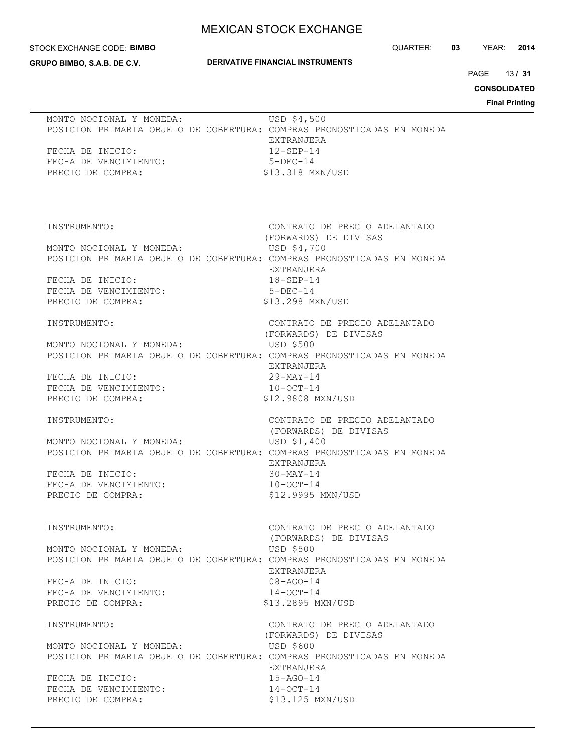#### STOCK EXCHANGE CODE: **BIMBO**

**GRUPO BIMBO, S.A.B. DE C.V.**

## **DERIVATIVE FINANCIAL INSTRUMENTS**

QUARTER: **03** YEAR: **2014**

 $13/31$ PAGE **/ 31**

**CONSOLIDATED**

**Printing** 

|                                                                                                                                                                                      |                                                                                                                                          | <b>Final F</b> |
|--------------------------------------------------------------------------------------------------------------------------------------------------------------------------------------|------------------------------------------------------------------------------------------------------------------------------------------|----------------|
| MONTO NOCIONAL Y MONEDA:<br>POSICION PRIMARIA OBJETO DE COBERTURA: COMPRAS PRONOSTICADAS EN MONEDA<br>FECHA DE INICIO:<br>FECHA DE VENCIMIENTO:<br>PRECIO DE COMPRA:                 | USD \$4,500<br>EXTRANJERA<br>$12 - SEP - 14$<br>5-DEC-14<br>\$13.318 MXN/USD                                                             |                |
| INSTRUMENTO:<br>MONTO NOCIONAL Y MONEDA:<br>POSICION PRIMARIA OBJETO DE COBERTURA: COMPRAS PRONOSTICADAS EN MONEDA<br>FECHA DE INICIO:<br>FECHA DE VENCIMIENTO:<br>PRECIO DE COMPRA: | CONTRATO DE PRECIO ADELANTADO<br>(FORWARDS) DE DIVISAS<br>USD \$4,700<br>EXTRANJERA<br>18-SEP-14<br>5-DEC-14<br>\$13.298 MXN/USD         |                |
| INSTRUMENTO:<br>MONTO NOCIONAL Y MONEDA:<br>POSICION PRIMARIA OBJETO DE COBERTURA: COMPRAS PRONOSTICADAS EN MONEDA<br>FECHA DE INICIO:<br>FECHA DE VENCIMIENTO:<br>PRECIO DE COMPRA: | CONTRATO DE PRECIO ADELANTADO<br>(FORWARDS) DE DIVISAS<br>USD \$500<br>EXTRANJERA<br>29-MAY-14<br>$10-OCT-14$<br>\$12.9808 MXN/USD       |                |
| INSTRUMENTO:<br>MONTO NOCIONAL Y MONEDA:<br>POSICION PRIMARIA OBJETO DE COBERTURA: COMPRAS PRONOSTICADAS EN MONEDA<br>FECHA DE INICIO:<br>FECHA DE VENCIMIENTO:<br>PRECIO DE COMPRA: | CONTRATO DE PRECIO ADELANTADO<br>(FORWARDS) DE DIVISAS<br>USD \$1,400<br>EXTRANJERA<br>30-MAY-14<br>$10-OCT-14$<br>\$12.9995 MXN/USD     |                |
| INSTRUMENTO:<br>MONTO NOCIONAL Y MONEDA:<br>POSICION PRIMARIA OBJETO DE COBERTURA: COMPRAS PRONOSTICADAS EN MONEDA<br>FECHA DE INICIO:<br>FECHA DE VENCIMIENTO:<br>PRECIO DE COMPRA: | CONTRATO DE PRECIO ADELANTADO<br>(FORWARDS) DE DIVISAS<br>USD \$500<br>EXTRANJERA<br>$08 - AGO - 14$<br>$14-0CT-14$<br>\$13.2895 MXN/USD |                |
| INSTRUMENTO:<br>MONTO NOCIONAL Y MONEDA:<br>POSICION PRIMARIA OBJETO DE COBERTURA: COMPRAS PRONOSTICADAS EN MONEDA<br>FECHA DE INICIO:<br>FECHA DE VENCIMIENTO:<br>PRECIO DE COMPRA: | CONTRATO DE PRECIO ADELANTADO<br>(FORWARDS) DE DIVISAS<br>USD \$600<br>EXTRANJERA<br>$15 - AGO - 14$<br>$14-OCT-14$<br>\$13.125 MXN/USD  |                |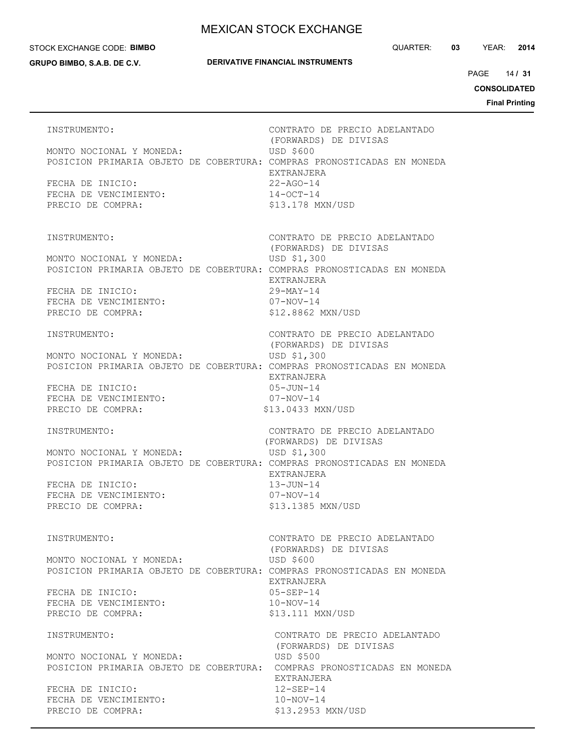#### STOCK EXCHANGE CODE: **BIMBO**

**GRUPO BIMBO, S.A.B. DE C.V.**

## **DERIVATIVE FINANCIAL INSTRUMENTS**

14 PAGE **/ 31**

**CONSOLIDATED**

| INSTRUMENTO:<br>MONTO NOCIONAL Y MONEDA:<br>POSICION PRIMARIA OBJETO DE COBERTURA: COMPRAS PRONOSTICADAS EN MONEDA<br>FECHA DE INICIO:<br>FECHA DE VENCIMIENTO:<br>PRECIO DE COMPRA: | CONTRATO DE PRECIO ADELANTADO<br>(FORWARDS) DE DIVISAS<br><b>USD \$600</b><br>EXTRANJERA<br>$22 - AGO - 14$<br>$14 - OCT - 14$<br>\$13.178 MXN/USD                                 |
|--------------------------------------------------------------------------------------------------------------------------------------------------------------------------------------|------------------------------------------------------------------------------------------------------------------------------------------------------------------------------------|
| INSTRUMENTO:<br>MONTO NOCIONAL Y MONEDA:<br>POSICION PRIMARIA OBJETO DE COBERTURA: COMPRAS PRONOSTICADAS EN MONEDA<br>FECHA DE INICIO:<br>FECHA DE VENCIMIENTO:<br>PRECIO DE COMPRA: | CONTRATO DE PRECIO ADELANTADO<br>(FORWARDS) DE DIVISAS<br>USD \$1,300<br>EXTRANJERA<br>$29-MAY-14$<br>07-NOV-14<br>\$12.8862 MXN/USD                                               |
| INSTRUMENTO:<br>MONTO NOCIONAL Y MONEDA:<br>POSICION PRIMARIA OBJETO DE COBERTURA: COMPRAS PRONOSTICADAS EN MONEDA<br>FECHA DE INICIO:<br>FECHA DE VENCIMIENTO:<br>PRECIO DE COMPRA: | CONTRATO DE PRECIO ADELANTADO<br>(FORWARDS) DE DIVISAS<br>USD \$1,300<br>EXTRANJERA<br>$05 - JUN - 14$<br>$07 - NOV - 14$<br>\$13.0433 MXN/USD                                     |
| INSTRUMENTO:<br>MONTO NOCIONAL Y MONEDA:<br>POSICION PRIMARIA OBJETO DE COBERTURA: COMPRAS PRONOSTICADAS EN MONEDA<br>FECHA DE INICIO:<br>FECHA DE VENCIMIENTO:<br>PRECIO DE COMPRA: | CONTRATO DE PRECIO ADELANTADO<br>(FORWARDS) DE DIVISAS<br>USD \$1,300<br>EXTRANJERA<br>$13 - JUN-14$<br>07-NOV-14<br>\$13.1385 MXN/USD                                             |
| INSTRUMENTO:<br>MONTO NOCIONAL Y MONEDA:<br>POSICION PRIMARIA OBJETO DE COBERTURA: COMPRAS PRONOSTICADAS EN MONEDA<br>FECHA DE INICIO:<br>FECHA DE VENCIMIENTO:<br>PRECIO DE COMPRA: | CONTRATO DE PRECIO ADELANTADO<br>(FORWARDS) DE DIVISAS<br>USD \$600<br>EXTRANJERA<br>$05 - SEP - 14$<br>$10-NOV-14$<br>\$13.111 MXN/USD                                            |
| INSTRUMENTO:<br>MONTO NOCIONAL Y MONEDA:<br>POSICION PRIMARIA OBJETO DE COBERTURA:<br>FECHA DE INICIO:<br>FECHA DE VENCIMIENTO:<br>PRECIO DE COMPRA:                                 | CONTRATO DE PRECIO ADELANTADO<br>(FORWARDS) DE DIVISAS<br><b>USD \$500</b><br>COMPRAS PRONOSTICADAS EN MONEDA<br>EXTRANJERA<br>$12 - SEP - 14$<br>$10-NOV-14$<br>\$13,2953 MXN/USD |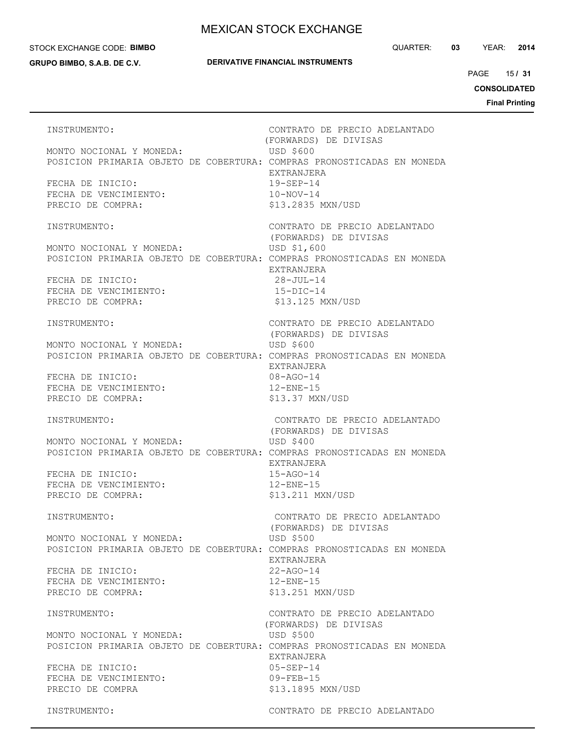#### STOCK EXCHANGE CODE: **BIMBO**

**GRUPO BIMBO, S.A.B. DE C.V.**

## **DERIVATIVE FINANCIAL INSTRUMENTS**

QUARTER: **03** YEAR: **2014**

15 PAGE **/ 31**

**CONSOLIDATED**

**Final Printing**

INSTRUMENTO: CONTRATO DE PRECIO ADELANTADO (FORWARDS) DE DIVISAS MONTO NOCIONAL Y MONEDA: USD \$600 POSICION PRIMARIA OBJETO DE COBERTURA: COMPRAS PRONOSTICADAS EN MONEDA EXTRANJERA FECHA DE INICIO: 19-SEP-14 FECHA DE VENCIMIENTO: 10-NOV-14 PRECIO DE COMPRA:  $$13.2835$  MXN/USD INSTRUMENTO: CONTRATO DE PRECIO ADELANTADO (FORWARDS) DE DIVISAS MONTO NOCIONAL Y MONEDA: USD \$1,600 POSICION PRIMARIA OBJETO DE COBERTURA: COMPRAS PRONOSTICADAS EN MONEDA EXTRANJERA FECHA DE INICIO: 28-JUL-14 FECHA DE VENCIMIENTO: 15-DIC-14 PRECIO DE COMPRA:  $$13.125$  MXN/USD INSTRUMENTO: CONTRATO DE PRECIO ADELANTADO (FORWARDS) DE DIVISAS MONTO NOCIONAL Y MONEDA: USD \$600 POSICION PRIMARIA OBJETO DE COBERTURA: COMPRAS PRONOSTICADAS EN MONEDA EXTRANJERA FECHA DE INICIO: 08-AGO-14 FECHA DE VENCIMIENTO: 12-ENE-15 PRECIO DE COMPRA: \$13.37 MXN/USD INSTRUMENTO: CONTRATO DE PRECIO ADELANTADO (FORWARDS) DE DIVISAS MONTO NOCIONAL Y MONEDA: USD \$400 POSICION PRIMARIA OBJETO DE COBERTURA: COMPRAS PRONOSTICADAS EN MONEDA EXTRANJERA FECHA DE INICIO: 15-AGO-14 FECHA DE VENCIMIENTO: 12-ENE-15 PRECIO DE COMPRA:  $$13.211$  MXN/USD INSTRUMENTO: CONTRATO DE PRECIO ADELANTADO (FORWARDS) DE DIVISAS MONTO NOCIONAL Y MONEDA: USD \$500 POSICION PRIMARIA OBJETO DE COBERTURA: COMPRAS PRONOSTICADAS EN MONEDA EXTRANJERA FECHA DE INICIO: 22-AGO-14 FECHA DE VENCIMIENTO: 12-ENE-15 PRECIO DE COMPRA:  $$13.251$  MXN/USD INSTRUMENTO: CONTRATO DE PRECIO ADELANTADO (FORWARDS) DE DIVISAS MONTO NOCIONAL Y MONEDA: USD \$500 POSICION PRIMARIA OBJETO DE COBERTURA: COMPRAS PRONOSTICADAS EN MONEDA EXTRANJERA FECHA DE INICIO: 05-SEP-14 FECHA DE VENCIMIENTO: 09-FEB-15 PRECIO DE COMPRA \$13.1895 MXN/USD INSTRUMENTO: CONTRATO DE PRECIO ADELANTADO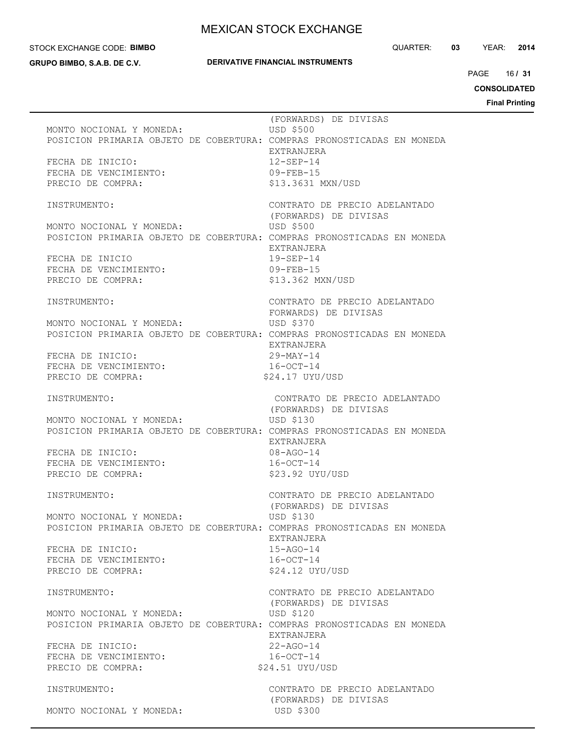STOCK EXCHANGE CODE: **BIMBO**

**GRUPO BIMBO, S.A.B. DE C.V.**

### **DERIVATIVE FINANCIAL INSTRUMENTS**

QUARTER: **03** YEAR: **2014**

16 PAGE **/ 31**

**CONSOLIDATED Final Printing**

 (FORWARDS) DE DIVISAS MONTO NOCIONAL Y MONEDA: USD \$500 POSICION PRIMARIA OBJETO DE COBERTURA: COMPRAS PRONOSTICADAS EN MONEDA EXTRANJERA FECHA DE INICIO: 12-SEP-14 FECHA DE VENCIMIENTO: 09-FEB-15 PRECIO DE COMPRA:  $$13.3631$  MXN/USD INSTRUMENTO: CONTRATO DE PRECIO ADELANTADO (FORWARDS) DE DIVISAS MONTO NOCIONAL Y MONEDA: USD \$500 POSICION PRIMARIA OBJETO DE COBERTURA: COMPRAS PRONOSTICADAS EN MONEDA EXTRANJERA FECHA DE INICIO 19-SEP-14 FECHA DE VENCIMIENTO: 09-FEB-15 PRECIO DE COMPRA:  $$13.362$  MXN/USD INSTRUMENTO: CONTRATO DE PRECIO ADELANTADO FORWARDS) DE DIVISAS MONTO NOCIONAL Y MONEDA: USD \$370 POSICION PRIMARIA OBJETO DE COBERTURA: COMPRAS PRONOSTICADAS EN MONEDA EXTRANJERA FECHA DE INICIO: 29-MAY-14 FECHA DE VENCIMIENTO:  $16-9CT-14$ PRECIO DE COMPRA:  $$24.17$  UYU/USD INSTRUMENTO: CONTRATO DE PRECIO ADELANTADO (FORWARDS) DE DIVISAS MONTO NOCIONAL Y MONEDA: USD \$130 POSICION PRIMARIA OBJETO DE COBERTURA: COMPRAS PRONOSTICADAS EN MONEDA EXTRANJERA FECHA DE INICIO: 08-AGO-14 FECHA DE VENCIMIENTO:  $16-9CT-14$ PRECIO DE COMPRA:  $$23.92$  UYU/USD INSTRUMENTO: CONTRATO DE PRECIO ADELANTADO (FORWARDS) DE DIVISAS MONTO NOCIONAL Y MONEDA: USD \$130 POSICION PRIMARIA OBJETO DE COBERTURA: COMPRAS PRONOSTICADAS EN MONEDA EXTRANJERA FECHA DE INICIO: 15-AGO-14 FECHA DE VENCIMIENTO:  $16-9CT-14$ <br>PRECIO DE COMPRA:  $$24.12$  UYU/USD PRECIO DE COMPRA: INSTRUMENTO: CONTRATO DE PRECIO ADELANTADO (FORWARDS) DE DIVISAS MONTO NOCIONAL Y MONEDA: USD \$120 POSICION PRIMARIA OBJETO DE COBERTURA: COMPRAS PRONOSTICADAS EN MONEDA EXTRANJERA FECHA DE INICIO: 22-AGO-14 FECHA DE VENCIMIENTO:  $16-9CT-14$ PRECIO DE COMPRA: \$24.51 UYU/USD INSTRUMENTO: CONTRATO DE PRECIO ADELANTADO (FORWARDS) DE DIVISAS MONTO NOCIONAL Y MONEDA: USD \$300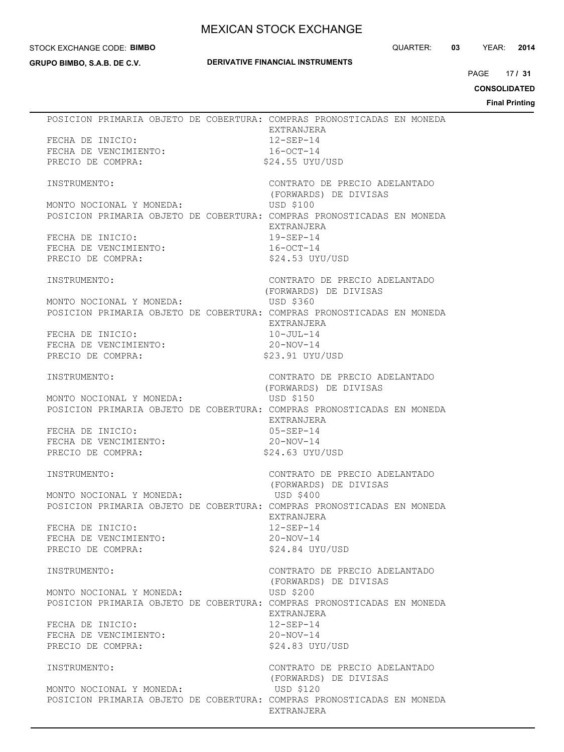#### STOCK EXCHANGE CODE: **BIMBO**

**GRUPO BIMBO, S.A.B. DE C.V.**

## **DERIVATIVE FINANCIAL INSTRUMENTS**

QUARTER: **03** YEAR: **2014**

17 PAGE **/ 31**

**CONSOLIDATED**

| FECHA DE INICIO:<br>FECHA DE VENCIMIENTO:<br>FECHA DE VENCIMIENTO:<br>PRECIO DE COMPRA:              |  | POSICION PRIMARIA OBJETO DE COBERTURA: COMPRAS PRONOSTICADAS EN MONEDA<br>EXTRANJERA<br>$12 - SEP - 14$<br>$16-0CT-14$<br>\$24.55 UYU/USD                                     |
|------------------------------------------------------------------------------------------------------|--|-------------------------------------------------------------------------------------------------------------------------------------------------------------------------------|
| INSTRUMENTO:                                                                                         |  | CONTRATO DE PRECIO ADELANTADO<br>(FORWARDS) DE DIVISAS                                                                                                                        |
| MONTO NOCIONAL Y MONEDA:<br>FECHA DE INICIO:<br>FECHA DE VENCIMIENTO:<br>PRECIO DE COMPRA:           |  | <b>USD \$100</b><br>POSICION PRIMARIA OBJETO DE COBERTURA: COMPRAS PRONOSTICADAS EN MONEDA<br>EXTRANJERA<br>$19 - SEP - 14$<br>16-OCT-14<br>\$24.53 UYU/USD                   |
| INSTRUMENTO:                                                                                         |  | CONTRATO DE PRECIO ADELANTADO                                                                                                                                                 |
| MONTO NOCIONAL Y MONEDA: USD \$360<br>FECHA DE INICIO:<br>FECHA DE VENCIMIENTO:<br>PRECIO DE COMPRA: |  | (FORWARDS) DE DIVISAS<br>POSICION PRIMARIA OBJETO DE COBERTURA: COMPRAS PRONOSTICADAS EN MONEDA<br>EXTRANJERA<br>$10 - JUL-14$<br>$20 - NOV - 14$<br>\$23.91 UYU/USD          |
| INSTRUMENTO:                                                                                         |  | CONTRATO DE PRECIO ADELANTADO                                                                                                                                                 |
| MONTO NOCIONAL Y MONEDA:<br>FECHA DE INICIO:<br>FECHA DE VENCIMIENTO:<br>PRECIO DE COMPRA:           |  | (FORWARDS) DE DIVISAS<br>USD \$150<br>POSICION PRIMARIA OBJETO DE COBERTURA: COMPRAS PRONOSTICADAS EN MONEDA<br>EXTRANJERA<br>$05 - SEP - 14$<br>20-NOV-14<br>\$24.63 UYU/USD |
| INSTRUMENTO:                                                                                         |  | CONTRATO DE PRECIO ADELANTADO<br>(FORWARDS) DE DIVISAS                                                                                                                        |
| MONTO NOCIONAL Y MONEDA:                                                                             |  | USD \$400<br>POSICION PRIMARIA OBJETO DE COBERTURA: COMPRAS PRONOSTICADAS EN MONEDA<br>EXTRANJERA                                                                             |
| FECHA DE INICIO:<br>FECHA DE VENCIMIENTO:<br>PRECIO DE COMPRA:                                       |  | $12 - SEP - 14$<br>$20 - NOV - 14$<br>\$24.84 UYU/USD                                                                                                                         |
| INSTRUMENTO:                                                                                         |  | CONTRATO DE PRECIO ADELANTADO                                                                                                                                                 |
| MONTO NOCIONAL Y MONEDA:                                                                             |  | (FORWARDS) DE DIVISAS<br>USD \$200<br>POSICION PRIMARIA OBJETO DE COBERTURA: COMPRAS PRONOSTICADAS EN MONEDA<br>EXTRANJERA                                                    |
| FECHA DE INICIO:<br>FECHA DE VENCIMIENTO:<br>PRECIO DE COMPRA:                                       |  | $12 - SEP - 14$<br>$20-NOV-14$<br>\$24.83 UYU/USD                                                                                                                             |
| INSTRUMENTO:                                                                                         |  | CONTRATO DE PRECIO ADELANTADO<br>(FORWARDS) DE DIVISAS                                                                                                                        |
| MONTO NOCIONAL Y MONEDA:                                                                             |  | USD \$120<br>POSICION PRIMARIA OBJETO DE COBERTURA: COMPRAS PRONOSTICADAS EN MONEDA<br>EXTRANJERA                                                                             |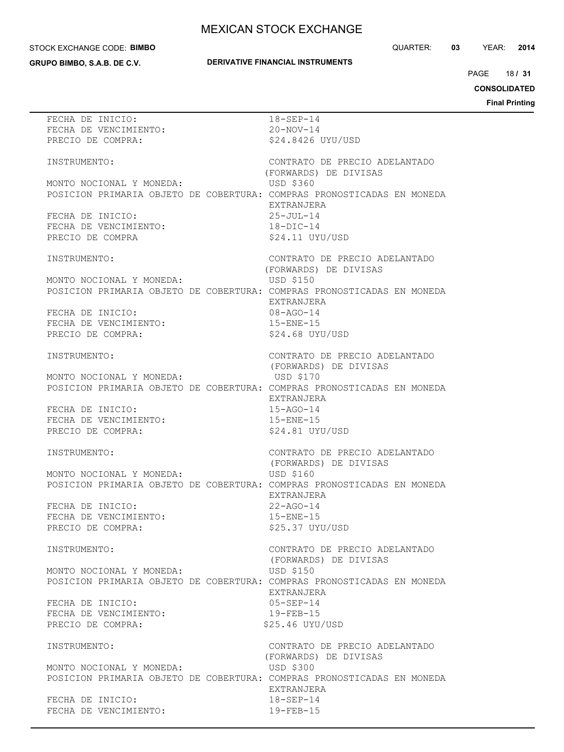### STOCK EXCHANGE CODE: **BIMBO**

**GRUPO BIMBO, S.A.B. DE C.V.**

## **DERIVATIVE FINANCIAL INSTRUMENTS**

QUARTER: **03** YEAR: **2014**

18 PAGE **/ 31**

**CONSOLIDATED**

| FECHA DE INICIO:                                                       | $18 - SEP - 14$               |
|------------------------------------------------------------------------|-------------------------------|
| FECHA DE VENCIMIENTO:                                                  | $20 - \text{NOV} - 14$        |
|                                                                        |                               |
| PRECIO DE COMPRA:                                                      | \$24.8426 UYU/USD             |
|                                                                        |                               |
|                                                                        |                               |
| INSTRUMENTO:                                                           | CONTRATO DE PRECIO ADELANTADO |
|                                                                        | (FORWARDS) DE DIVISAS         |
|                                                                        |                               |
| MONTO NOCIONAL Y MONEDA:                                               | USD \$360                     |
| POSICION PRIMARIA OBJETO DE COBERTURA: COMPRAS PRONOSTICADAS EN MONEDA |                               |
|                                                                        |                               |
|                                                                        | EXTRANJERA                    |
| FECHA DE INICIO:                                                       | $25 - JUL-14$                 |
| FECHA DE VENCIMIENTO:                                                  | $18 - DIC - 14$               |
|                                                                        |                               |
| PRECIO DE COMPRA                                                       | \$24.11 UYU/USD               |
|                                                                        |                               |
|                                                                        |                               |
| INSTRUMENTO:                                                           | CONTRATO DE PRECIO ADELANTADO |
|                                                                        | (FORWARDS) DE DIVISAS         |
|                                                                        |                               |
| MONTO NOCIONAL Y MONEDA:                                               | USD \$150                     |
| POSICION PRIMARIA OBJETO DE COBERTURA: COMPRAS PRONOSTICADAS EN MONEDA |                               |
|                                                                        |                               |
|                                                                        | EXTRANJERA                    |
| FECHA DE INICIO:                                                       | 08-AGO-14                     |
| FECHA DE VENCIMIENTO:                                                  | $15 - ENE - 15$               |
|                                                                        |                               |
| PRECIO DE COMPRA:                                                      | \$24.68 UYU/USD               |
|                                                                        |                               |
|                                                                        |                               |
| INSTRUMENTO:                                                           | CONTRATO DE PRECIO ADELANTADO |
|                                                                        | (FORWARDS) DE DIVISAS         |
|                                                                        |                               |
| MONTO NOCIONAL Y MONEDA:                                               | USD \$170                     |
| POSICION PRIMARIA OBJETO DE COBERTURA: COMPRAS PRONOSTICADAS EN MONEDA |                               |
|                                                                        |                               |
|                                                                        | EXTRANJERA                    |
| FECHA DE INICIO:                                                       | $15 - AGO - 14$               |
|                                                                        |                               |
| FECHA DE VENCIMIENTO:                                                  | $15 - ENE - 15$               |
| PRECIO DE COMPRA:                                                      | \$24.81 UYU/USD               |
|                                                                        |                               |
|                                                                        |                               |
| INSTRUMENTO:                                                           | CONTRATO DE PRECIO ADELANTADO |
|                                                                        | (FORWARDS) DE DIVISAS         |
|                                                                        |                               |
| MONTO NOCIONAL Y MONEDA:                                               | USD \$160                     |
| POSICION PRIMARIA OBJETO DE COBERTURA: COMPRAS PRONOSTICADAS EN MONEDA |                               |
|                                                                        |                               |
|                                                                        | EXTRANJERA                    |
| FECHA DE INICIO:                                                       | $22 - AGO - 14$               |
|                                                                        |                               |
| FECHA DE VENCIMIENTO:                                                  | $15 - ENE - 15$               |
| PRECIO DE COMPRA:                                                      | \$25.37 UYU/USD               |
|                                                                        |                               |
|                                                                        |                               |
| INSTRUMENTO:                                                           | CONTRATO DE PRECIO ADELANTADO |
|                                                                        | (FORWARDS) DE DIVISAS         |
|                                                                        |                               |
| MONTO NOCIONAL Y MONEDA:                                               | USD \$150                     |
| POSICION PRIMARIA OBJETO DE COBERTURA: COMPRAS PRONOSTICADAS EN MONEDA |                               |
|                                                                        |                               |
|                                                                        | EXTRANJERA                    |
| FECHA DE INICIO:                                                       | $05 - SEP - 14$               |
|                                                                        |                               |
| FECHA DE VENCIMIENTO:                                                  | $19 - FEB - 15$               |
| PRECIO DE COMPRA:                                                      | \$25.46 UYU/USD               |
|                                                                        |                               |
|                                                                        |                               |
| INSTRUMENTO:                                                           | CONTRATO DE PRECIO ADELANTADO |
|                                                                        |                               |
|                                                                        | (FORWARDS) DE DIVISAS         |
| MONTO NOCIONAL Y MONEDA:                                               | <b>USD \$300</b>              |
|                                                                        |                               |
| POSICION PRIMARIA OBJETO DE COBERTURA: COMPRAS PRONOSTICADAS EN MONEDA |                               |
|                                                                        | EXTRANJERA                    |
| FECHA DE INICIO:                                                       | $18 - SEP - 14$               |
|                                                                        |                               |
| FECHA DE VENCIMIENTO:                                                  | $19 - FEB - 15$               |
|                                                                        |                               |
|                                                                        |                               |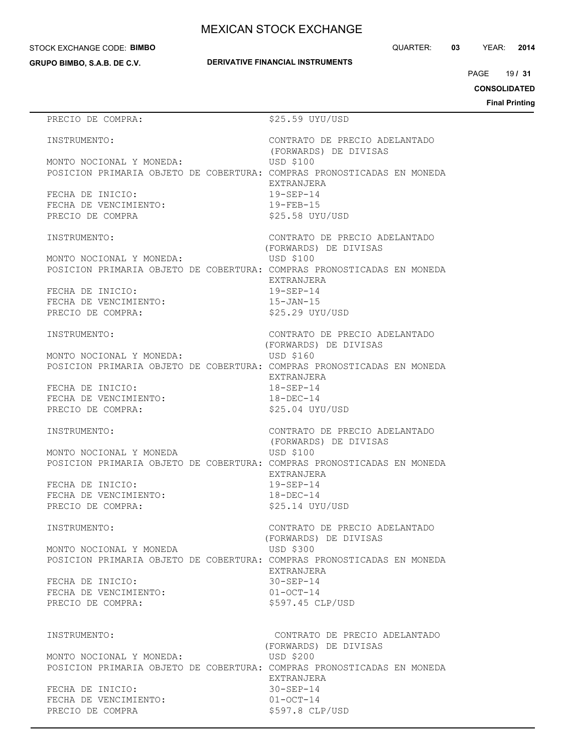#### STOCK EXCHANGE CODE: **BIMBO**

**GRUPO BIMBO, S.A.B. DE C.V.**

QUARTER: **03** YEAR: **2014**

19 PAGE **/ 31**

**CONSOLIDATED**

**Final Printing**

# PRECIO DE COMPRA:  $$25.59$  UYU/USD INSTRUMENTO: CONTRATO DE PRECIO ADELANTADO (FORWARDS) DE DIVISAS MONTO NOCIONAL Y MONEDA: USD \$100 POSICION PRIMARIA OBJETO DE COBERTURA: COMPRAS PRONOSTICADAS EN MONEDA EXTRANJERA FECHA DE INICIO: 19-SEP-14 FECHA DE VENCIMIENTO: 19-FEB-15 PRECIO DE COMPRA  $$25.58$  UYU/USD INSTRUMENTO: CONTRATO DE PRECIO ADELANTADO (FORWARDS) DE DIVISAS MONTO NOCIONAL Y MONEDA: USD \$100 POSICION PRIMARIA OBJETO DE COBERTURA: COMPRAS PRONOSTICADAS EN MONEDA EXTRANJERA FECHA DE INICIO: 19-SEP-14 FECHA DE VENCIMIENTO: 15-JAN-15 PRECIO DE COMPRA:  $$25.29$  UYU/USD INSTRUMENTO: CONTRATO DE PRECIO ADELANTADO (FORWARDS) DE DIVISAS MONTO NOCIONAL Y MONEDA: USD \$160 POSICION PRIMARIA OBJETO DE COBERTURA: COMPRAS PRONOSTICADAS EN MONEDA EXTRANJERA FECHA DE INICIO: 18-SEP-14 FECHA DE VENCIMIENTO:  $18-\text{DEC}-14$ PRECIO DE COMPRA:  $$25.04$  UYU/USD INSTRUMENTO: CONTRATO DE PRECIO ADELANTADO (FORWARDS) DE DIVISAS MONTO NOCIONAL Y MONEDA USD \$100 POSICION PRIMARIA OBJETO DE COBERTURA: COMPRAS PRONOSTICADAS EN MONEDA EXTRANJERA FECHA DE INICIO: 19-SEP-14 FECHA DE VENCIMIENTO: 18-DEC-14 PRECIO DE COMPRA:  $$25.14$  UYU/USD INSTRUMENTO: CONTRATO DE PRECIO ADELANTADO (FORWARDS) DE DIVISAS MONTO NOCIONAL Y MONEDA USD \$300 POSICION PRIMARIA OBJETO DE COBERTURA: COMPRAS PRONOSTICADAS EN MONEDA EXTRANJERA FECHA DE INICIO: 30-SEP-14 FECHA DE VENCIMIENTO: 01-OCT-14 PRECIO DE COMPRA:  $$597.45$  CLP/USD INSTRUMENTO: CONTRATO DE PRECIO ADELANTADO (FORWARDS) DE DIVISAS MONTO NOCIONAL Y MONEDA: USD \$200 POSICION PRIMARIA OBJETO DE COBERTURA: COMPRAS PRONOSTICADAS EN MONEDA EXTRANJERA FECHA DE INICIO: 30-SEP-14 FECHA DE VENCIMIENTO: 01-OCT-14 PRECIO DE COMPRA  $$597.8$  CLP/USD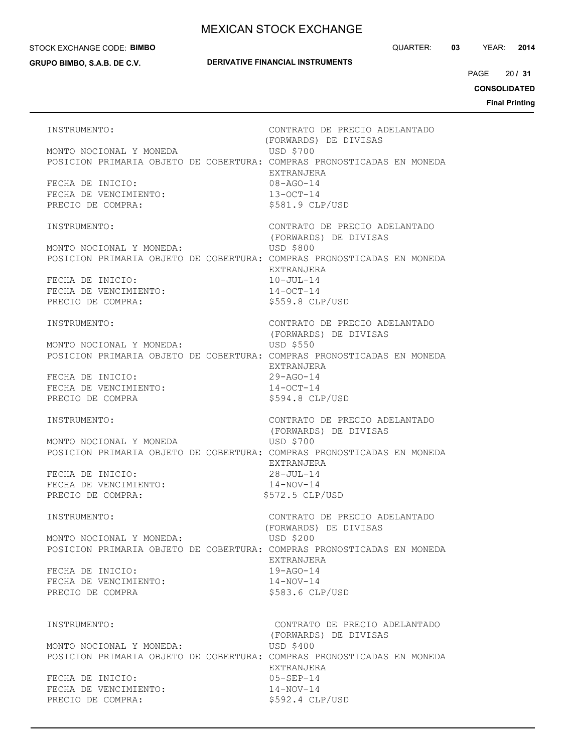#### STOCK EXCHANGE CODE: **BIMBO**

**GRUPO BIMBO, S.A.B. DE C.V.**

### **DERIVATIVE FINANCIAL INSTRUMENTS**

QUARTER: **03** YEAR: **2014**

20 PAGE **/ 31**

**CONSOLIDATED**

**Final Printing**

INSTRUMENTO: CONTRATO DE PRECIO ADELANTADO (FORWARDS) DE DIVISAS MONTO NOCIONAL Y MONEDA USD \$700 POSICION PRIMARIA OBJETO DE COBERTURA: COMPRAS PRONOSTICADAS EN MONEDA EXTRANJERA FECHA DE INICIO: 08-AGO-14 FECHA DE VENCIMIENTO: 13-OCT-14 PRECIO DE COMPRA:  $$581.9$  CLP/USD INSTRUMENTO: CONTRATO DE PRECIO ADELANTADO (FORWARDS) DE DIVISAS MONTO NOCIONAL Y MONEDA: USD \$800 POSICION PRIMARIA OBJETO DE COBERTURA: COMPRAS PRONOSTICADAS EN MONEDA EXTRANJERA FECHA DE INICIO: 10-JUL-14 FECHA DE VENCIMIENTO:  $14-9CT-14$ PRECIO DE COMPRA:  $$559.8$  CLP/USD INSTRUMENTO: CONTRATO DE PRECIO ADELANTADO (FORWARDS) DE DIVISAS MONTO NOCIONAL Y MONEDA: USD \$550 POSICION PRIMARIA OBJETO DE COBERTURA: COMPRAS PRONOSTICADAS EN MONEDA EXTRANJERA FECHA DE INICIO: 29-AGO-14 FECHA DE VENCIMIENTO:  $14-9CT-14$ PRECIO DE COMPRA  $$594.8$  CLP/USD INSTRUMENTO: CONTRATO DE PRECIO ADELANTADO (FORWARDS) DE DIVISAS MONTO NOCIONAL Y MONEDA USD \$700 POSICION PRIMARIA OBJETO DE COBERTURA: COMPRAS PRONOSTICADAS EN MONEDA EXTRANJERA FECHA DE INICIO: 28-JUL-14 FECHA DE VENCIMIENTO: 14-NOV-14 PRECIO DE COMPRA:  $$572.5$  CLP/USD INSTRUMENTO: CONTRATO DE PRECIO ADELANTADO (FORWARDS) DE DIVISAS MONTO NOCIONAL Y MONEDA: USD \$200 POSICION PRIMARIA OBJETO DE COBERTURA: COMPRAS PRONOSTICADAS EN MONEDA EXTRANJERA FECHA DE INICIO: 19-AGO-14 FECHA DE VENCIMIENTO:  $14-NOV-14$ PRECIO DE COMPRA  $$583.6$  CLP/USD INSTRUMENTO: CONTRATO DE PRECIO ADELANTADO (FORWARDS) DE DIVISAS MONTO NOCIONAL Y MONEDA: USD \$400 POSICION PRIMARIA OBJETO DE COBERTURA: COMPRAS PRONOSTICADAS EN MONEDA EXTRANJERA FECHA DE INICIO: 05-SEP-14 FECHA DE VENCIMIENTO: 14-NOV-14 PRECIO DE COMPRA:  $$592.4$  CLP/USD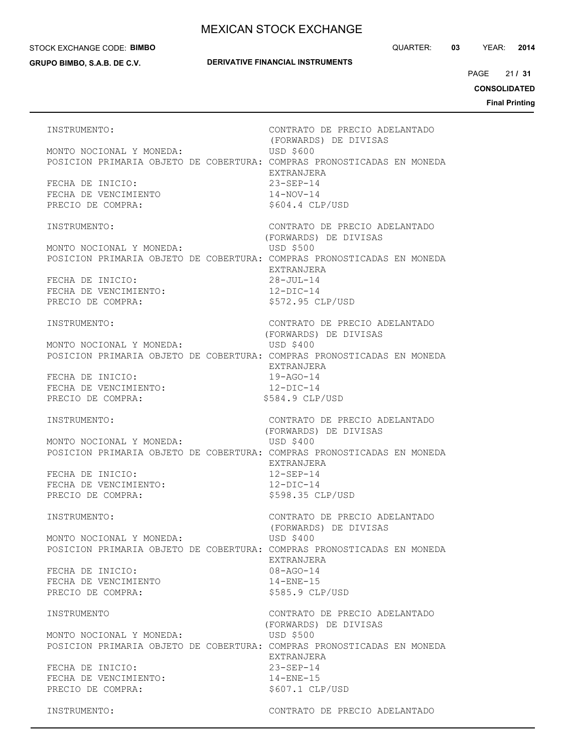#### STOCK EXCHANGE CODE: **BIMBO**

**GRUPO BIMBO, S.A.B. DE C.V.**

**DERIVATIVE FINANCIAL INSTRUMENTS**

21 PAGE **/ 31**

**CONSOLIDATED**

**Final Printing**

INSTRUMENTO: CONTRATO DE PRECIO ADELANTADO (FORWARDS) DE DIVISAS MONTO NOCIONAL Y MONEDA: USD \$600 POSICION PRIMARIA OBJETO DE COBERTURA: COMPRAS PRONOSTICADAS EN MONEDA EXTRANJERA FECHA DE INICIO: 23-SEP-14 FECHA DE VENCIMIENTO  $14-NOV-14$ PRECIO DE COMPRA:  $$604.4$  CLP/USD INSTRUMENTO: CONTRATO DE PRECIO ADELANTADO (FORWARDS) DE DIVISAS MONTO NOCIONAL Y MONEDA: USD \$500 POSICION PRIMARIA OBJETO DE COBERTURA: COMPRAS PRONOSTICADAS EN MONEDA EXTRANJERA FECHA DE INICIO: 28-JUL-14 FECHA DE VENCIMIENTO:  $12-DIC-14$ PRECIO DE COMPRA:  $$572.95$  CLP/USD INSTRUMENTO: CONTRATO DE PRECIO ADELANTADO (FORWARDS) DE DIVISAS MONTO NOCIONAL Y MONEDA: USD \$400 POSICION PRIMARIA OBJETO DE COBERTURA: COMPRAS PRONOSTICADAS EN MONEDA EXTRANJERA FECHA DE INICIO: 19-AGO-14 FECHA DE VENCIMIENTO: 12-DIC-14 PRECIO DE COMPRA:  $$584.9$  CLP/USD INSTRUMENTO: CONTRATO DE PRECIO ADELANTADO (FORWARDS) DE DIVISAS MONTO NOCIONAL Y MONEDA: USD \$400 POSICION PRIMARIA OBJETO DE COBERTURA: COMPRAS PRONOSTICADAS EN MONEDA EXTRANJERA FECHA DE INICIO: 12-SEP-14 FECHA DE VENCIMIENTO: 12-DIC-14 PRECIO DE COMPRA:  $$598.35$  CLP/USD INSTRUMENTO: CONTRATO DE PRECIO ADELANTADO (FORWARDS) DE DIVISAS MONTO NOCIONAL Y MONEDA: USD \$400 POSICION PRIMARIA OBJETO DE COBERTURA: COMPRAS PRONOSTICADAS EN MONEDA EXTRANJERA FECHA DE INICIO: 08-AGO-14 FECHA DE VENCIMIENTO 14-ENE-15 PRECIO DE COMPRA:  $$585.9$  CLP/USD INSTRUMENTO CONTRATO DE PRECIO ADELANTADO (FORWARDS) DE DIVISAS MONTO NOCIONAL Y MONEDA: USD \$500 POSICION PRIMARIA OBJETO DE COBERTURA: COMPRAS PRONOSTICADAS EN MONEDA EXTRANJERA FECHA DE INICIO: 23-SEP-14 FECHA DE VENCIMIENTO: 14-ENE-15 PRECIO DE COMPRA:  $$607.1$  CLP/USD INSTRUMENTO: CONTRATO DE PRECIO ADELANTADO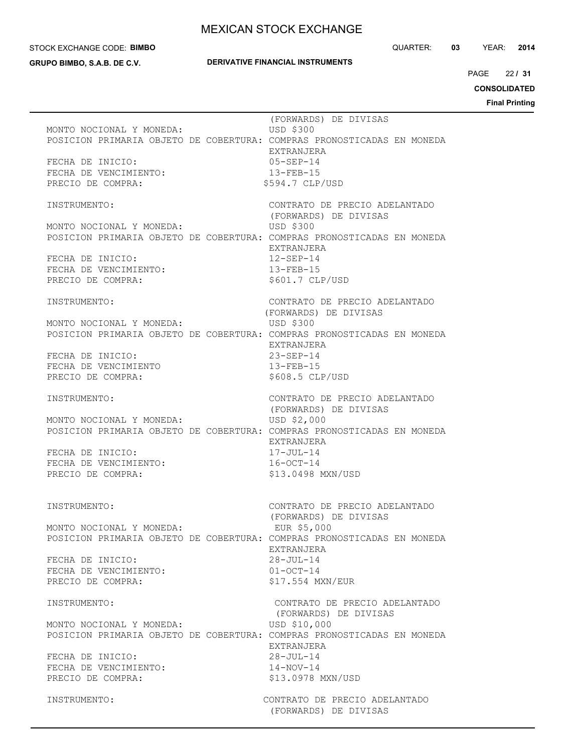### STOCK EXCHANGE CODE: **BIMBO**

**GRUPO BIMBO, S.A.B. DE C.V.**

### **DERIVATIVE FINANCIAL INSTRUMENTS**

QUARTER: **03** YEAR: **2014**

22 PAGE **/ 31**

**CONSOLIDATED**

**Final Printing**

 (FORWARDS) DE DIVISAS MONTO NOCIONAL Y MONEDA: USD \$300 POSICION PRIMARIA OBJETO DE COBERTURA: COMPRAS PRONOSTICADAS EN MONEDA EXTRANJERA FECHA DE INICIO: 05-SEP-14 FECHA DE VENCIMIENTO: 13-FEB-15 PRECIO DE COMPRA:  $$594.7$  CLP/USD INSTRUMENTO: CONTRATO DE PRECIO ADELANTADO (FORWARDS) DE DIVISAS MONTO NOCIONAL Y MONEDA: USD \$300 POSICION PRIMARIA OBJETO DE COBERTURA: COMPRAS PRONOSTICADAS EN MONEDA EXTRANJERA FECHA DE INICIO: 12-SEP-14 FECHA DE VENCIMIENTO: 13-FEB-15 PRECIO DE COMPRA:  $$601.7$  CLP/USD INSTRUMENTO: CONTRATO DE PRECIO ADELANTADO (FORWARDS) DE DIVISAS MONTO NOCIONAL Y MONEDA: USD \$300 POSICION PRIMARIA OBJETO DE COBERTURA: COMPRAS PRONOSTICADAS EN MONEDA EXTRANJERA FECHA DE INICIO: 23-SEP-14 FECHA DE VENCIMIENTO 13-FEB-15 PRECIO DE COMPRA:  $$608.5$  CLP/USD INSTRUMENTO: CONTRATO DE PRECIO ADELANTADO (FORWARDS) DE DIVISAS MONTO NOCIONAL Y MONEDA: USD \$2,000 POSICION PRIMARIA OBJETO DE COBERTURA: COMPRAS PRONOSTICADAS EN MONEDA EXTRANJERA FECHA DE INICIO:  $17$ -JUL-14 FECHA DE VENCIMIENTO: 16-OCT-14 PRECIO DE COMPRA:  $$13.0498$  MXN/USD INSTRUMENTO: CONTRATO DE PRECIO ADELANTADO (FORWARDS) DE DIVISAS MONTO NOCIONAL Y MONEDA: EUR \$5,000 POSICION PRIMARIA OBJETO DE COBERTURA: COMPRAS PRONOSTICADAS EN MONEDA EXTRANJERA FECHA DE INICIO: 28-JUL-14 FECHA DE VENCIMIENTO: 01-OCT-14 PRECIO DE COMPRA:  $$17.554$  MXN/EUR INSTRUMENTO: CONTRATO DE PRECIO ADELANTADO (FORWARDS) DE DIVISAS MONTO NOCIONAL Y MONEDA: USD \$10,000 POSICION PRIMARIA OBJETO DE COBERTURA: COMPRAS PRONOSTICADAS EN MONEDA EXTRANJERA FECHA DE INICIO: 28-JUL-14 FECHA DE VENCIMIENTO: 14-NOV-14 PRECIO DE COMPRA:  $$13.0978$  MXN/USD INSTRUMENTO: CONTRATO DE PRECIO ADELANTADO (FORWARDS) DE DIVISAS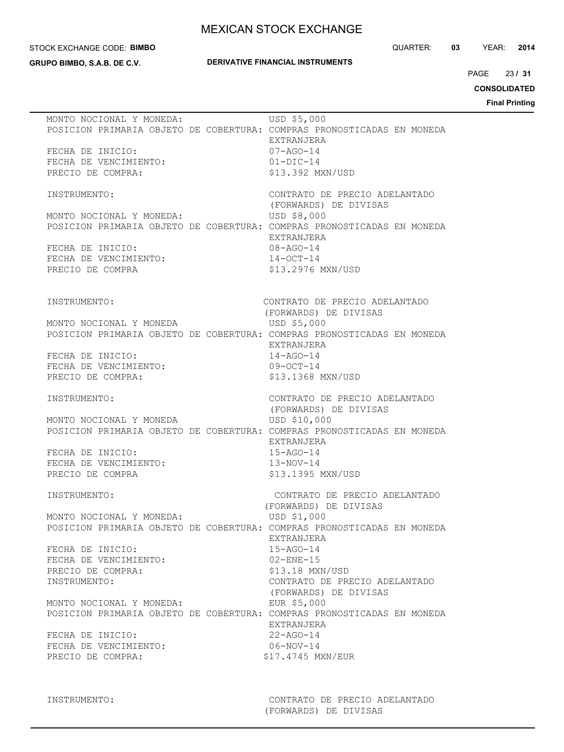#### STOCK EXCHANGE CODE: **BIMBO**

**GRUPO BIMBO, S.A.B. DE C.V.**

## **DERIVATIVE FINANCIAL INSTRUMENTS**

QUARTER: **03** YEAR: **2014**

23 PAGE **/ 31**

**CONSOLIDATED**

| MONTO NOCIONAL Y MONEDA:                   | USD \$5,000<br>POSICION PRIMARIA OBJETO DE COBERTURA: COMPRAS PRONOSTICADAS EN MONEDA<br>EXTRANJERA |
|--------------------------------------------|-----------------------------------------------------------------------------------------------------|
| FECHA DE INICIO:                           | 07-AGO-14                                                                                           |
| FECHA DE VENCIMIENTO:                      | $01 - DIC - 14$                                                                                     |
| PRECIO DE COMPRA:                          | \$13.392 MXN/USD                                                                                    |
|                                            |                                                                                                     |
| INSTRUMENTO:                               | CONTRATO DE PRECIO ADELANTADO                                                                       |
| MONTO NOCIONAL Y MONEDA:                   | (FORWARDS) DE DIVISAS<br>USD \$8,000                                                                |
|                                            | POSICION PRIMARIA OBJETO DE COBERTURA: COMPRAS PRONOSTICADAS EN MONEDA                              |
|                                            | EXTRANJERA                                                                                          |
| FECHA DE INICIO:                           | $08 - AGO - 14$                                                                                     |
| FECHA DE VENCIMIENTO:                      | $14-0CT-14$                                                                                         |
| PRECIO DE COMPRA                           | \$13.2976 MXN/USD                                                                                   |
|                                            |                                                                                                     |
| INSTRUMENTO:                               | CONTRATO DE PRECIO ADELANTADO                                                                       |
|                                            | (FORWARDS) DE DIVISAS                                                                               |
| MONTO NOCIONAL Y MONEDA                    | USD \$5,000                                                                                         |
|                                            | POSICION PRIMARIA OBJETO DE COBERTURA: COMPRAS PRONOSTICADAS EN MONEDA                              |
|                                            | EXTRANJERA                                                                                          |
| FECHA DE INICIO:                           | $14 - AGO - 14$<br>$09 - OCT - 14$                                                                  |
| FECHA DE VENCIMIENTO:<br>PRECIO DE COMPRA: | \$13.1368 MXN/USD                                                                                   |
|                                            |                                                                                                     |
| INSTRUMENTO:                               | CONTRATO DE PRECIO ADELANTADO                                                                       |
|                                            | (FORWARDS) DE DIVISAS                                                                               |
| MONTO NOCIONAL Y MONEDA                    | USD \$10,000                                                                                        |
|                                            | POSICION PRIMARIA OBJETO DE COBERTURA: COMPRAS PRONOSTICADAS EN MONEDA<br>EXTRANJERA                |
| FECHA DE INICIO:                           | $15 - AGO - 14$                                                                                     |
| FECHA DE VENCIMIENTO:                      | $13-NOV-14$                                                                                         |
| PRECIO DE COMPRA                           | \$13.1395 MXN/USD                                                                                   |
|                                            |                                                                                                     |
| INSTRUMENTO:                               | CONTRATO DE PRECIO ADELANTADO                                                                       |
| MONTO NOCIONAL Y MONEDA:                   | (FORWARDS) DE DIVISAS<br>USD \$1,000                                                                |
|                                            | POSICION PRIMARIA OBJETO DE COBERTURA: COMPRAS PRONOSTICADAS EN MONEDA                              |
|                                            | EXTRANJERA                                                                                          |
| FECHA DE INICIO:                           | $15 - AGO - 14$                                                                                     |
| FECHA DE VENCIMIENTO:                      | $02 - ENE - 15$                                                                                     |
| PRECIO DE COMPRA:                          | \$13.18 MXN/USD                                                                                     |
| INSTRUMENTO:                               | CONTRATO DE PRECIO ADELANTADO                                                                       |
| MONTO NOCIONAL Y MONEDA:                   | (FORWARDS) DE DIVISAS<br>EUR \$5,000                                                                |
|                                            | POSICION PRIMARIA OBJETO DE COBERTURA: COMPRAS PRONOSTICADAS EN MONEDA                              |
|                                            | EXTRANJERA                                                                                          |
| FECHA DE INICIO:                           | $22 - AGO - 14$                                                                                     |
| FECHA DE VENCIMIENTO:                      | 06-NOV-14                                                                                           |
| PRECIO DE COMPRA:                          |                                                                                                     |
|                                            | \$17.4745 MXN/EUR                                                                                   |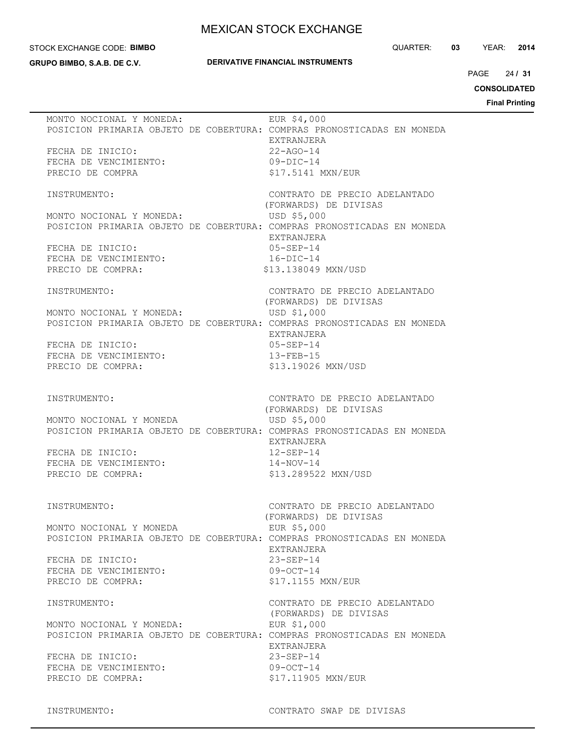#### STOCK EXCHANGE CODE: **BIMBO**

**GRUPO BIMBO, S.A.B. DE C.V.**

## **DERIVATIVE FINANCIAL INSTRUMENTS**

QUARTER: **03** YEAR: **2014**

24 PAGE **/ 31**

**CONSOLIDATED**

**Final Printing**

| MONTO NOCIONAL Y MONEDA:                                               | EUR \$4,000                   |
|------------------------------------------------------------------------|-------------------------------|
| POSICION PRIMARIA OBJETO DE COBERTURA: COMPRAS PRONOSTICADAS EN MONEDA |                               |
|                                                                        | EXTRANJERA                    |
|                                                                        |                               |
| FECHA DE INICIO:                                                       | $22 - AGO - 14$               |
| FECHA DE VENCIMIENTO:                                                  | $09-DIC-14$                   |
| PRECIO DE COMPRA                                                       | \$17.5141 MXN/EUR             |
|                                                                        |                               |
|                                                                        |                               |
| INSTRUMENTO:                                                           | CONTRATO DE PRECIO ADELANTADO |
|                                                                        | (FORWARDS) DE DIVISAS         |
| MONTO NOCIONAL Y MONEDA:                                               | USD \$5,000                   |
| POSICION PRIMARIA OBJETO DE COBERTURA: COMPRAS PRONOSTICADAS EN MONEDA |                               |
|                                                                        |                               |
|                                                                        | EXTRANJERA                    |
| FECHA DE INICIO:                                                       | $05 - SEP - 14$               |
| FECHA DE VENCIMIENTO:                                                  | $16 - DIC - 14$               |
| PRECIO DE COMPRA:                                                      | \$13.138049 MXN/USD           |
|                                                                        |                               |
|                                                                        |                               |
| INSTRUMENTO:                                                           | CONTRATO DE PRECIO ADELANTADO |
|                                                                        | (FORWARDS) DE DIVISAS         |
| MONTO NOCIONAL Y MONEDA:                                               | USD \$1,000                   |
| POSICION PRIMARIA OBJETO DE COBERTURA: COMPRAS PRONOSTICADAS EN MONEDA |                               |
|                                                                        |                               |
|                                                                        | EXTRANJERA                    |
| FECHA DE INICIO:                                                       | $05 - SEP - 14$               |
| FECHA DE VENCIMIENTO:                                                  | $13 - FEB - 15$               |
| PRECIO DE COMPRA:                                                      | \$13.19026 MXN/USD            |
|                                                                        |                               |
|                                                                        |                               |
|                                                                        |                               |
| INSTRUMENTO:                                                           | CONTRATO DE PRECIO ADELANTADO |
|                                                                        | (FORWARDS) DE DIVISAS         |
| MONTO NOCIONAL Y MONEDA                                                | USD \$5,000                   |
|                                                                        |                               |
| POSICION PRIMARIA OBJETO DE COBERTURA: COMPRAS PRONOSTICADAS EN MONEDA |                               |
|                                                                        | EXTRANJERA                    |
| FECHA DE INICIO:                                                       | $12 - SEP - 14$               |
| FECHA DE VENCIMIENTO:                                                  | $14 - NOV - 14$               |
|                                                                        |                               |
| PRECIO DE COMPRA:                                                      | \$13.289522 MXN/USD           |
|                                                                        |                               |
|                                                                        |                               |
| INSTRUMENTO:                                                           | CONTRATO DE PRECIO ADELANTADO |
|                                                                        | (FORWARDS) DE DIVISAS         |
| MONTO NOCIONAL Y MONEDA                                                | EUR \$5,000                   |
|                                                                        |                               |
| POSICION PRIMARIA OBJETO DE COBERTURA: COMPRAS PRONOSTICADAS EN MONEDA |                               |
|                                                                        | EXTRANJERA                    |
| FECHA DE INICIO:                                                       | $23 - SEP - 14$               |
| FECHA DE VENCIMIENTO:                                                  | $09-0CT-14$                   |
|                                                                        |                               |
| PRECIO DE COMPRA:                                                      | \$17.1155 MXN/EUR             |
|                                                                        |                               |
| INSTRUMENTO:                                                           | CONTRATO DE PRECIO ADELANTADO |
|                                                                        | (FORWARDS) DE DIVISAS         |
| MONTO NOCIONAL Y MONEDA:                                               | EUR \$1,000                   |
|                                                                        |                               |
| POSICION PRIMARIA OBJETO DE COBERTURA: COMPRAS PRONOSTICADAS EN MONEDA |                               |
|                                                                        | EXTRANJERA                    |
| FECHA DE INICIO:                                                       | $23 - SEP - 14$               |
| FECHA DE VENCIMIENTO:                                                  | $09-0CT-14$                   |
|                                                                        |                               |
| PRECIO DE COMPRA:                                                      | \$17.11905 MXN/EUR            |
|                                                                        |                               |
|                                                                        |                               |

INSTRUMENTO: CONTRATO SWAP DE DIVISAS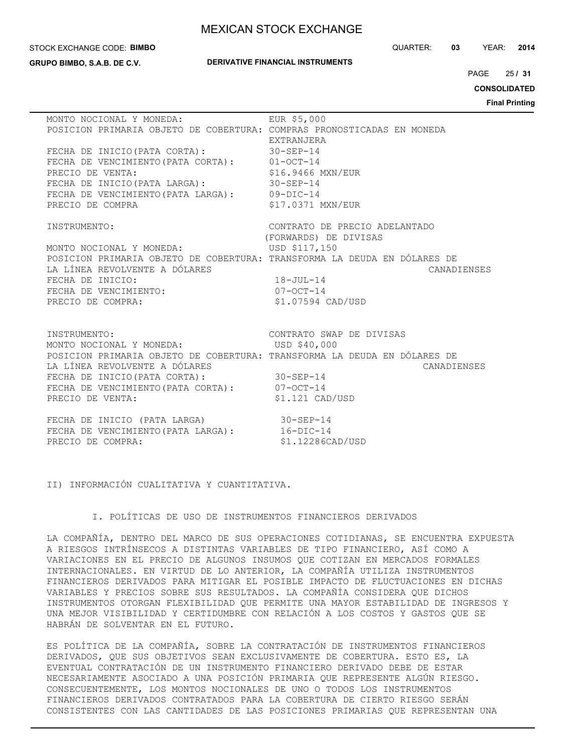### STOCK EXCHANGE CODE: **BIMBO**

**GRUPO BIMBO, S.A.B. DE C.V.**

### **DERIVATIVE FINANCIAL INSTRUMENTS**

QUARTER: **03** YEAR: **2014**

25 PAGE **/ 31**

**CONSOLIDATED**

**Final Printing**

| MONTO NOCIONAL Y MONEDA:                                                                                  | EUR \$5,000                   |
|-----------------------------------------------------------------------------------------------------------|-------------------------------|
| POSICION PRIMARIA OBJETO DE COBERTURA: COMPRAS PRONOSTICADAS EN MONEDA                                    | EXTRANJERA                    |
|                                                                                                           |                               |
| FECHA DE INICIO (PATA CORTA): 30-SEP-14                                                                   |                               |
| FECHA DE VENCIMIENTO (PATA CORTA): 01-OCT-14                                                              |                               |
| PRECIO DE VENTA:                                                                                          | \$16.9466 MXN/EUR             |
| FECHA DE INICIO (PATA LARGA): 30-SEP-14                                                                   |                               |
| FECHA DE VENCIMIENTO (PATA LARGA): 09-DIC-14                                                              |                               |
| PRECIO DE COMPRA                                                                                          | \$17.0371 MXN/EUR             |
| INSTRUMENTO:                                                                                              | CONTRATO DE PRECIO ADELANTADO |
|                                                                                                           | (FORWARDS) DE DIVISAS         |
| MONTO NOCIONAL Y MONEDA: USD \$117,150                                                                    |                               |
| POSICION PRIMARIA OBJETO DE COBERTURA: TRANSFORMA LA DEUDA EN DÓLARES DE                                  |                               |
| LA LÍNEA REVOLVENTE A DÓLARES                                                                             | CANADIENSES                   |
| FECHA DE INICIO:                                                                                          | $18 - JUL - 14$               |
| FECHA DE VENCIMIENTO:                                                                                     | $07 - OCT - 14$               |
| PRECIO DE COMPRA:                                                                                         | \$1.07594 CAD/USD             |
|                                                                                                           |                               |
|                                                                                                           |                               |
| INSTRUMENTO:                                                                                              | CONTRATO SWAP DE DIVISAS      |
| MONTO NOCIONAL Y MONEDA: USD \$40,000                                                                     |                               |
| POSICION PRIMARIA OBJETO DE COBERTURA: TRANSFORMA LA DEUDA EN DÓLARES DE<br>LA LÍNEA REVOLVENTE A DÓLARES | CANADIENSES                   |
| FECHA DE INICIO (PATA CORTA): 30-SEP-14                                                                   |                               |
| FECHA DE VENCIMIENTO (PATA CORTA): 07-OCT-14                                                              |                               |
| PRECIO DE VENTA:                                                                                          | $$1.121$ CAD/USD              |
|                                                                                                           |                               |
| FECHA DE INICIO (PATA LARGA) 30-SEP-14                                                                    |                               |
| FECHA DE VENCIMIENTO (PATA LARGA): 16-DIC-14                                                              |                               |
| PRECIO DE COMPRA:                                                                                         | \$1.12286CAD/USD              |
|                                                                                                           |                               |

II) INFORMACIÓN CUALITATIVA Y CUANTITATIVA.

## I. POLÍTICAS DE USO DE INSTRUMENTOS FINANCIEROS DERIVADOS

LA COMPAÑÍA, DENTRO DEL MARCO DE SUS OPERACIONES COTIDIANAS, SE ENCUENTRA EXPUESTA A RIESGOS INTRÍNSECOS A DISTINTAS VARIABLES DE TIPO FINANCIERO, ASÍ COMO A VARIACIONES EN EL PRECIO DE ALGUNOS INSUMOS QUE COTIZAN EN MERCADOS FORMALES INTERNACIONALES. EN VIRTUD DE LO ANTERIOR, LA COMPAÑÍA UTILIZA INSTRUMENTOS FINANCIEROS DERIVADOS PARA MITIGAR EL POSIBLE IMPACTO DE FLUCTUACIONES EN DICHAS VARIABLES Y PRECIOS SOBRE SUS RESULTADOS. LA COMPAÑÍA CONSIDERA QUE DICHOS INSTRUMENTOS OTORGAN FLEXIBILIDAD QUE PERMITE UNA MAYOR ESTABILIDAD DE INGRESOS Y UNA MEJOR VISIBILIDAD Y CERTIDUMBRE CON RELACIÓN A LOS COSTOS Y GASTOS QUE SE HABRÁN DE SOLVENTAR EN EL FUTURO.

ES POLÍTICA DE LA COMPAÑÍA, SOBRE LA CONTRATACIÓN DE INSTRUMENTOS FINANCIEROS DERIVADOS, QUE SUS OBJETIVOS SEAN EXCLUSIVAMENTE DE COBERTURA. ESTO ES, LA EVENTUAL CONTRATACIÓN DE UN INSTRUMENTO FINANCIERO DERIVADO DEBE DE ESTAR NECESARIAMENTE ASOCIADO A UNA POSICIÓN PRIMARIA QUE REPRESENTE ALGÚN RIESGO. CONSECUENTEMENTE, LOS MONTOS NOCIONALES DE UNO O TODOS LOS INSTRUMENTOS FINANCIEROS DERIVADOS CONTRATADOS PARA LA COBERTURA DE CIERTO RIESGO SERÁN CONSISTENTES CON LAS CANTIDADES DE LAS POSICIONES PRIMARIAS QUE REPRESENTAN UNA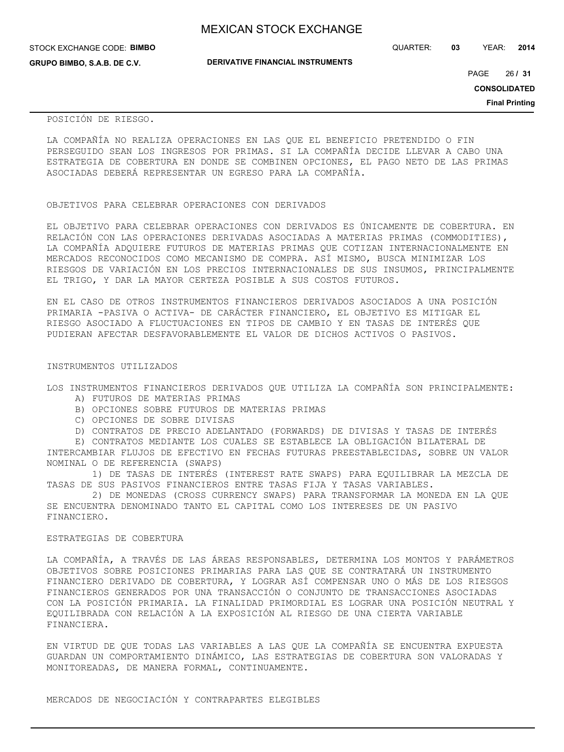**GRUPO BIMBO, S.A.B. DE C.V.**

QUARTER: **03** YEAR: **2014**

**DERIVATIVE FINANCIAL INSTRUMENTS**

26 PAGE **/ 31**

**CONSOLIDATED**

**Final Printing**

POSICIÓN DE RIESGO.

LA COMPAÑÍA NO REALIZA OPERACIONES EN LAS QUE EL BENEFICIO PRETENDIDO O FIN PERSEGUIDO SEAN LOS INGRESOS POR PRIMAS. SI LA COMPAÑÍA DECIDE LLEVAR A CABO UNA ESTRATEGIA DE COBERTURA EN DONDE SE COMBINEN OPCIONES, EL PAGO NETO DE LAS PRIMAS ASOCIADAS DEBERÁ REPRESENTAR UN EGRESO PARA LA COMPAÑÍA.

### OBJETIVOS PARA CELEBRAR OPERACIONES CON DERIVADOS

EL OBJETIVO PARA CELEBRAR OPERACIONES CON DERIVADOS ES ÚNICAMENTE DE COBERTURA. EN RELACIÓN CON LAS OPERACIONES DERIVADAS ASOCIADAS A MATERIAS PRIMAS (COMMODITIES), LA COMPAÑÍA ADQUIERE FUTUROS DE MATERIAS PRIMAS QUE COTIZAN INTERNACIONALMENTE EN MERCADOS RECONOCIDOS COMO MECANISMO DE COMPRA. ASÍ MISMO, BUSCA MINIMIZAR LOS RIESGOS DE VARIACIÓN EN LOS PRECIOS INTERNACIONALES DE SUS INSUMOS, PRINCIPALMENTE EL TRIGO, Y DAR LA MAYOR CERTEZA POSIBLE A SUS COSTOS FUTUROS.

EN EL CASO DE OTROS INSTRUMENTOS FINANCIEROS DERIVADOS ASOCIADOS A UNA POSICIÓN PRIMARIA -PASIVA O ACTIVA- DE CARÁCTER FINANCIERO, EL OBJETIVO ES MITIGAR EL RIESGO ASOCIADO A FLUCTUACIONES EN TIPOS DE CAMBIO Y EN TASAS DE INTERÉS QUE PUDIERAN AFECTAR DESFAVORABLEMENTE EL VALOR DE DICHOS ACTIVOS O PASIVOS.

### INSTRUMENTOS UTILIZADOS

LOS INSTRUMENTOS FINANCIEROS DERIVADOS QUE UTILIZA LA COMPAÑÍA SON PRINCIPALMENTE:

- A) FUTUROS DE MATERIAS PRIMAS
- B) OPCIONES SOBRE FUTUROS DE MATERIAS PRIMAS
- C) OPCIONES DE SOBRE DIVISAS
- D) CONTRATOS DE PRECIO ADELANTADO (FORWARDS) DE DIVISAS Y TASAS DE INTERÉS

 E) CONTRATOS MEDIANTE LOS CUALES SE ESTABLECE LA OBLIGACIÓN BILATERAL DE INTERCAMBIAR FLUJOS DE EFECTIVO EN FECHAS FUTURAS PREESTABLECIDAS, SOBRE UN VALOR NOMINAL O DE REFERENCIA (SWAPS)

 1) DE TASAS DE INTERÉS (INTEREST RATE SWAPS) PARA EQUILIBRAR LA MEZCLA DE TASAS DE SUS PASIVOS FINANCIEROS ENTRE TASAS FIJA Y TASAS VARIABLES.

 2) DE MONEDAS (CROSS CURRENCY SWAPS) PARA TRANSFORMAR LA MONEDA EN LA QUE SE ENCUENTRA DENOMINADO TANTO EL CAPITAL COMO LOS INTERESES DE UN PASIVO FINANCIERO.

## ESTRATEGIAS DE COBERTURA

LA COMPAÑÍA, A TRAVÉS DE LAS ÁREAS RESPONSABLES, DETERMINA LOS MONTOS Y PARÁMETROS OBJETIVOS SOBRE POSICIONES PRIMARIAS PARA LAS QUE SE CONTRATARÁ UN INSTRUMENTO FINANCIERO DERIVADO DE COBERTURA, Y LOGRAR ASÍ COMPENSAR UNO O MÁS DE LOS RIESGOS FINANCIEROS GENERADOS POR UNA TRANSACCIÓN O CONJUNTO DE TRANSACCIONES ASOCIADAS CON LA POSICIÓN PRIMARIA. LA FINALIDAD PRIMORDIAL ES LOGRAR UNA POSICIÓN NEUTRAL Y EQUILIBRADA CON RELACIÓN A LA EXPOSICIÓN AL RIESGO DE UNA CIERTA VARIABLE FINANCIERA.

EN VIRTUD DE QUE TODAS LAS VARIABLES A LAS QUE LA COMPAÑÍA SE ENCUENTRA EXPUESTA GUARDAN UN COMPORTAMIENTO DINÁMICO, LAS ESTRATEGIAS DE COBERTURA SON VALORADAS Y MONITOREADAS, DE MANERA FORMAL, CONTINUAMENTE.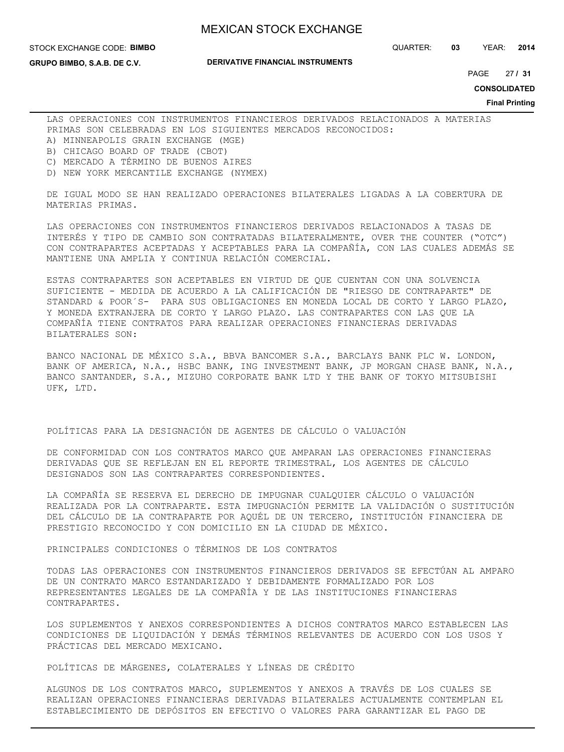STOCK EXCHANGE CODE: **BIMBO**

**GRUPO BIMBO, S.A.B. DE C.V.**

### **DERIVATIVE FINANCIAL INSTRUMENTS**

QUARTER: **03** YEAR: **2014**

27 PAGE **/ 31**

**CONSOLIDATED**

**Final Printing**

LAS OPERACIONES CON INSTRUMENTOS FINANCIEROS DERIVADOS RELACIONADOS A MATERIAS PRIMAS SON CELEBRADAS EN LOS SIGUIENTES MERCADOS RECONOCIDOS: A) MINNEAPOLIS GRAIN EXCHANGE (MGE)

- 
- B) CHICAGO BOARD OF TRADE (CBOT)
- C) MERCADO A TÉRMINO DE BUENOS AIRES
- D) NEW YORK MERCANTILE EXCHANGE (NYMEX)

DE IGUAL MODO SE HAN REALIZADO OPERACIONES BILATERALES LIGADAS A LA COBERTURA DE MATERIAS PRIMAS.

LAS OPERACIONES CON INSTRUMENTOS FINANCIEROS DERIVADOS RELACIONADOS A TASAS DE INTERÉS Y TIPO DE CAMBIO SON CONTRATADAS BILATERALMENTE, OVER THE COUNTER ("OTC") CON CONTRAPARTES ACEPTADAS Y ACEPTABLES PARA LA COMPAÑÍA, CON LAS CUALES ADEMÁS SE MANTIENE UNA AMPLIA Y CONTINUA RELACIÓN COMERCIAL.

ESTAS CONTRAPARTES SON ACEPTABLES EN VIRTUD DE QUE CUENTAN CON UNA SOLVENCIA SUFICIENTE - MEDIDA DE ACUERDO A LA CALIFICACIÓN DE "RIESGO DE CONTRAPARTE" DE STANDARD & POOR´S- PARA SUS OBLIGACIONES EN MONEDA LOCAL DE CORTO Y LARGO PLAZO, Y MONEDA EXTRANJERA DE CORTO Y LARGO PLAZO. LAS CONTRAPARTES CON LAS QUE LA COMPAÑÍA TIENE CONTRATOS PARA REALIZAR OPERACIONES FINANCIERAS DERIVADAS BILATERALES SON:

BANCO NACIONAL DE MÉXICO S.A., BBVA BANCOMER S.A., BARCLAYS BANK PLC W. LONDON, BANK OF AMERICA, N.A., HSBC BANK, ING INVESTMENT BANK, JP MORGAN CHASE BANK, N.A., BANCO SANTANDER, S.A., MIZUHO CORPORATE BANK LTD Y THE BANK OF TOKYO MITSUBISHI UFK, LTD.

### POLÍTICAS PARA LA DESIGNACIÓN DE AGENTES DE CÁLCULO O VALUACIÓN

DE CONFORMIDAD CON LOS CONTRATOS MARCO QUE AMPARAN LAS OPERACIONES FINANCIERAS DERIVADAS QUE SE REFLEJAN EN EL REPORTE TRIMESTRAL, LOS AGENTES DE CÁLCULO DESIGNADOS SON LAS CONTRAPARTES CORRESPONDIENTES.

LA COMPAÑÍA SE RESERVA EL DERECHO DE IMPUGNAR CUALQUIER CÁLCULO O VALUACIÓN REALIZADA POR LA CONTRAPARTE. ESTA IMPUGNACIÓN PERMITE LA VALIDACIÓN O SUSTITUCIÓN DEL CÁLCULO DE LA CONTRAPARTE POR AQUÉL DE UN TERCERO, INSTITUCIÓN FINANCIERA DE PRESTIGIO RECONOCIDO Y CON DOMICILIO EN LA CIUDAD DE MÉXICO.

### PRINCIPALES CONDICIONES O TÉRMINOS DE LOS CONTRATOS

TODAS LAS OPERACIONES CON INSTRUMENTOS FINANCIEROS DERIVADOS SE EFECTÚAN AL AMPARO DE UN CONTRATO MARCO ESTANDARIZADO Y DEBIDAMENTE FORMALIZADO POR LOS REPRESENTANTES LEGALES DE LA COMPAÑÍA Y DE LAS INSTITUCIONES FINANCIERAS CONTRAPARTES.

LOS SUPLEMENTOS Y ANEXOS CORRESPONDIENTES A DICHOS CONTRATOS MARCO ESTABLECEN LAS CONDICIONES DE LIQUIDACIÓN Y DEMÁS TÉRMINOS RELEVANTES DE ACUERDO CON LOS USOS Y PRÁCTICAS DEL MERCADO MEXICANO.

POLÍTICAS DE MÁRGENES, COLATERALES Y LÍNEAS DE CRÉDITO

ALGUNOS DE LOS CONTRATOS MARCO, SUPLEMENTOS Y ANEXOS A TRAVÉS DE LOS CUALES SE REALIZAN OPERACIONES FINANCIERAS DERIVADAS BILATERALES ACTUALMENTE CONTEMPLAN EL ESTABLECIMIENTO DE DEPÓSITOS EN EFECTIVO O VALORES PARA GARANTIZAR EL PAGO DE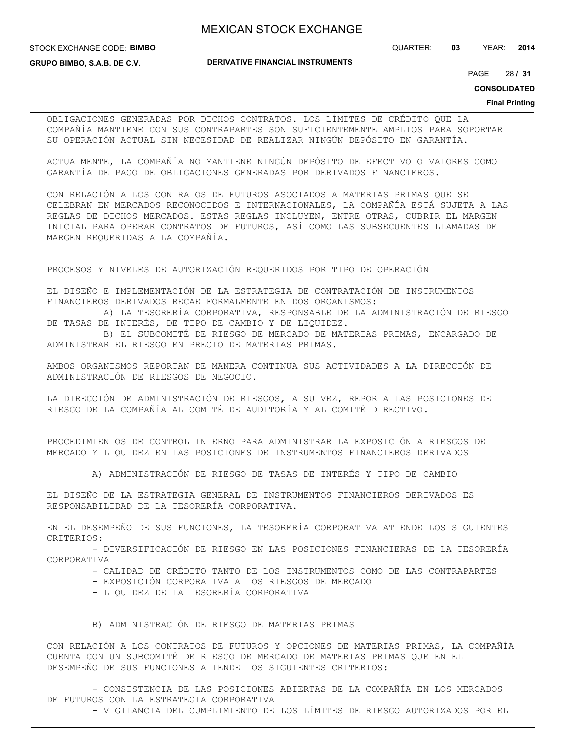STOCK EXCHANGE CODE: **BIMBO**

**GRUPO BIMBO, S.A.B. DE C.V.**

**DERIVATIVE FINANCIAL INSTRUMENTS**

QUARTER: **03** YEAR: **2014**

28 PAGE **/ 31**

**CONSOLIDATED**

### **Final Printing**

OBLIGACIONES GENERADAS POR DICHOS CONTRATOS. LOS LÍMITES DE CRÉDITO QUE LA COMPAÑÍA MANTIENE CON SUS CONTRAPARTES SON SUFICIENTEMENTE AMPLIOS PARA SOPORTAR SU OPERACIÓN ACTUAL SIN NECESIDAD DE REALIZAR NINGÚN DEPÓSITO EN GARANTÍA.

ACTUALMENTE, LA COMPAÑÍA NO MANTIENE NINGÚN DEPÓSITO DE EFECTIVO O VALORES COMO GARANTÍA DE PAGO DE OBLIGACIONES GENERADAS POR DERIVADOS FINANCIEROS.

CON RELACIÓN A LOS CONTRATOS DE FUTUROS ASOCIADOS A MATERIAS PRIMAS QUE SE CELEBRAN EN MERCADOS RECONOCIDOS E INTERNACIONALES, LA COMPAÑÍA ESTÁ SUJETA A LAS REGLAS DE DICHOS MERCADOS. ESTAS REGLAS INCLUYEN, ENTRE OTRAS, CUBRIR EL MARGEN INICIAL PARA OPERAR CONTRATOS DE FUTUROS, ASÍ COMO LAS SUBSECUENTES LLAMADAS DE MARGEN REQUERIDAS A LA COMPAÑÍA.

PROCESOS Y NIVELES DE AUTORIZACIÓN REQUERIDOS POR TIPO DE OPERACIÓN

EL DISEÑO E IMPLEMENTACIÓN DE LA ESTRATEGIA DE CONTRATACIÓN DE INSTRUMENTOS FINANCIEROS DERIVADOS RECAE FORMALMENTE EN DOS ORGANISMOS:

 A) LA TESORERÍA CORPORATIVA, RESPONSABLE DE LA ADMINISTRACIÓN DE RIESGO DE TASAS DE INTERÉS, DE TIPO DE CAMBIO Y DE LIQUIDEZ.

 B) EL SUBCOMITÉ DE RIESGO DE MERCADO DE MATERIAS PRIMAS, ENCARGADO DE ADMINISTRAR EL RIESGO EN PRECIO DE MATERIAS PRIMAS.

AMBOS ORGANISMOS REPORTAN DE MANERA CONTINUA SUS ACTIVIDADES A LA DIRECCIÓN DE ADMINISTRACIÓN DE RIESGOS DE NEGOCIO.

LA DIRECCIÓN DE ADMINISTRACIÓN DE RIESGOS, A SU VEZ, REPORTA LAS POSICIONES DE RIESGO DE LA COMPAÑÍA AL COMITÉ DE AUDITORÍA Y AL COMITÉ DIRECTIVO.

PROCEDIMIENTOS DE CONTROL INTERNO PARA ADMINISTRAR LA EXPOSICIÓN A RIESGOS DE MERCADO Y LIQUIDEZ EN LAS POSICIONES DE INSTRUMENTOS FINANCIEROS DERIVADOS

A) ADMINISTRACIÓN DE RIESGO DE TASAS DE INTERÉS Y TIPO DE CAMBIO

EL DISEÑO DE LA ESTRATEGIA GENERAL DE INSTRUMENTOS FINANCIEROS DERIVADOS ES RESPONSABILIDAD DE LA TESORERÍA CORPORATIVA.

EN EL DESEMPEÑO DE SUS FUNCIONES, LA TESORERÍA CORPORATIVA ATIENDE LOS SIGUIENTES CRITERIOS:

 - DIVERSIFICACIÓN DE RIESGO EN LAS POSICIONES FINANCIERAS DE LA TESORERÍA CORPORATIVA

- CALIDAD DE CRÉDITO TANTO DE LOS INSTRUMENTOS COMO DE LAS CONTRAPARTES

- EXPOSICIÓN CORPORATIVA A LOS RIESGOS DE MERCADO
- LIQUIDEZ DE LA TESORERÍA CORPORATIVA
- B) ADMINISTRACIÓN DE RIESGO DE MATERIAS PRIMAS

CON RELACIÓN A LOS CONTRATOS DE FUTUROS Y OPCIONES DE MATERIAS PRIMAS, LA COMPAÑÍA CUENTA CON UN SUBCOMITÉ DE RIESGO DE MERCADO DE MATERIAS PRIMAS QUE EN EL DESEMPEÑO DE SUS FUNCIONES ATIENDE LOS SIGUIENTES CRITERIOS:

 - CONSISTENCIA DE LAS POSICIONES ABIERTAS DE LA COMPAÑÍA EN LOS MERCADOS DE FUTUROS CON LA ESTRATEGIA CORPORATIVA - VIGILANCIA DEL CUMPLIMIENTO DE LOS LÍMITES DE RIESGO AUTORIZADOS POR EL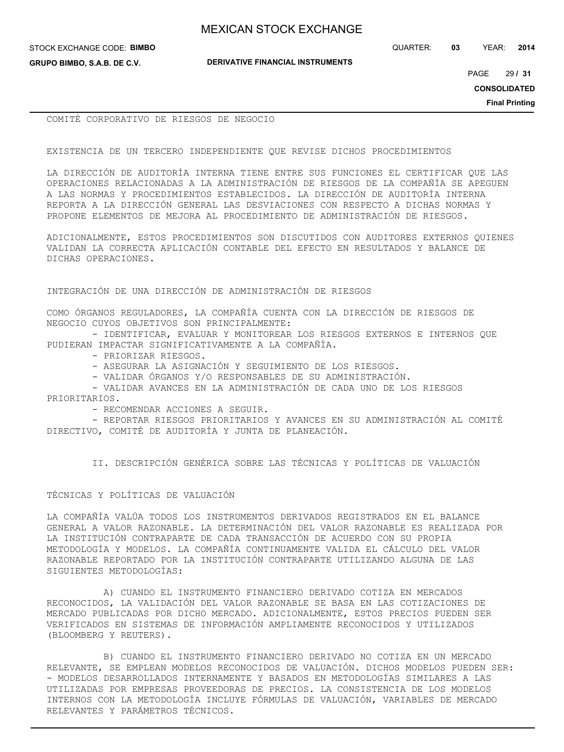STOCK EXCHANGE CODE: **BIMBO**

**GRUPO BIMBO, S.A.B. DE C.V.**

**DERIVATIVE FINANCIAL INSTRUMENTS**

QUARTER: **03** YEAR: **2014**

29 PAGE **/ 31**

**CONSOLIDATED**

**Final Printing**

COMITÉ CORPORATIVO DE RIESGOS DE NEGOCIO

EXISTENCIA DE UN TERCERO INDEPENDIENTE QUE REVISE DICHOS PROCEDIMIENTOS

LA DIRECCIÓN DE AUDITORÍA INTERNA TIENE ENTRE SUS FUNCIONES EL CERTIFICAR QUE LAS OPERACIONES RELACIONADAS A LA ADMINISTRACIÓN DE RIESGOS DE LA COMPAÑÍA SE APEGUEN A LAS NORMAS Y PROCEDIMIENTOS ESTABLECIDOS. LA DIRECCIÓN DE AUDITORÍA INTERNA REPORTA A LA DIRECCIÓN GENERAL LAS DESVIACIONES CON RESPECTO A DICHAS NORMAS Y PROPONE ELEMENTOS DE MEJORA AL PROCEDIMIENTO DE ADMINISTRACIÓN DE RIESGOS.

ADICIONALMENTE, ESTOS PROCEDIMIENTOS SON DISCUTIDOS CON AUDITORES EXTERNOS QUIENES VALIDAN LA CORRECTA APLICACIÓN CONTABLE DEL EFECTO EN RESULTADOS Y BALANCE DE DICHAS OPERACIONES.

INTEGRACIÓN DE UNA DIRECCIÓN DE ADMINISTRACIÓN DE RIESGOS

COMO ÓRGANOS REGULADORES, LA COMPAÑÍA CUENTA CON LA DIRECCIÓN DE RIESGOS DE NEGOCIO CUYOS OBJETIVOS SON PRINCIPALMENTE:

 - IDENTIFICAR, EVALUAR Y MONITOREAR LOS RIESGOS EXTERNOS E INTERNOS QUE PUDIERAN IMPACTAR SIGNIFICATIVAMENTE A LA COMPAÑÍA.

- PRIORIZAR RIESGOS.

- ASEGURAR LA ASIGNACIÓN Y SEGUIMIENTO DE LOS RIESGOS.

- VALIDAR ÓRGANOS Y/O RESPONSABLES DE SU ADMINISTRACIÓN.

 - VALIDAR AVANCES EN LA ADMINISTRACIÓN DE CADA UNO DE LOS RIESGOS PRIORITARIOS.

- RECOMENDAR ACCIONES A SEGUIR.

 - REPORTAR RIESGOS PRIORITARIOS Y AVANCES EN SU ADMINISTRACIÓN AL COMITÉ DIRECTIVO, COMITÉ DE AUDITORÍA Y JUNTA DE PLANEACIÓN.

II. DESCRIPCIÓN GENÉRICA SOBRE LAS TÉCNICAS Y POLÍTICAS DE VALUACIÓN

## TÉCNICAS Y POLÍTICAS DE VALUACIÓN

LA COMPAÑÍA VALÚA TODOS LOS INSTRUMENTOS DERIVADOS REGISTRADOS EN EL BALANCE GENERAL A VALOR RAZONABLE. LA DETERMINACIÓN DEL VALOR RAZONABLE ES REALIZADA POR LA INSTITUCIÓN CONTRAPARTE DE CADA TRANSACCIÓN DE ACUERDO CON SU PROPIA METODOLOGÍA Y MODELOS. LA COMPAÑÍA CONTINUAMENTE VALIDA EL CÁLCULO DEL VALOR RAZONABLE REPORTADO POR LA INSTITUCIÓN CONTRAPARTE UTILIZANDO ALGUNA DE LAS SIGUIENTES METODOLOGÍAS:

 A) CUANDO EL INSTRUMENTO FINANCIERO DERIVADO COTIZA EN MERCADOS RECONOCIDOS, LA VALIDACIÓN DEL VALOR RAZONABLE SE BASA EN LAS COTIZACIONES DE MERCADO PUBLICADAS POR DICHO MERCADO. ADICIONALMENTE, ESTOS PRECIOS PUEDEN SER VERIFICADOS EN SISTEMAS DE INFORMACIÓN AMPLIAMENTE RECONOCIDOS Y UTILIZADOS (BLOOMBERG Y REUTERS).

 B) CUANDO EL INSTRUMENTO FINANCIERO DERIVADO NO COTIZA EN UN MERCADO RELEVANTE, SE EMPLEAN MODELOS RECONOCIDOS DE VALUACIÓN. DICHOS MODELOS PUEDEN SER: - MODELOS DESARROLLADOS INTERNAMENTE Y BASADOS EN METODOLOGÍAS SIMILARES A LAS UTILIZADAS POR EMPRESAS PROVEEDORAS DE PRECIOS. LA CONSISTENCIA DE LOS MODELOS INTERNOS CON LA METODOLOGÍA INCLUYE FÓRMULAS DE VALUACIÓN, VARIABLES DE MERCADO RELEVANTES Y PARÁMETROS TÉCNICOS.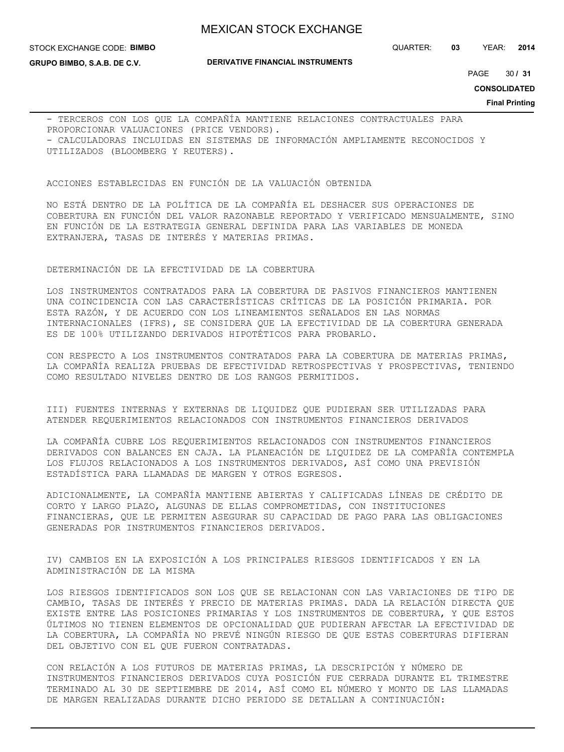STOCK EXCHANGE CODE: **BIMBO**

**GRUPO BIMBO, S.A.B. DE C.V.**

**DERIVATIVE FINANCIAL INSTRUMENTS**

QUARTER: **03** YEAR: **2014**

30 PAGE **/ 31**

**CONSOLIDATED**

**Final Printing**

- TERCEROS CON LOS QUE LA COMPAÑÍA MANTIENE RELACIONES CONTRACTUALES PARA PROPORCIONAR VALUACIONES (PRICE VENDORS). - CALCULADORAS INCLUIDAS EN SISTEMAS DE INFORMACIÓN AMPLIAMENTE RECONOCIDOS Y UTILIZADOS (BLOOMBERG Y REUTERS).

ACCIONES ESTABLECIDAS EN FUNCIÓN DE LA VALUACIÓN OBTENIDA

NO ESTÁ DENTRO DE LA POLÍTICA DE LA COMPAÑÍA EL DESHACER SUS OPERACIONES DE COBERTURA EN FUNCIÓN DEL VALOR RAZONABLE REPORTADO Y VERIFICADO MENSUALMENTE, SINO EN FUNCIÓN DE LA ESTRATEGIA GENERAL DEFINIDA PARA LAS VARIABLES DE MONEDA EXTRANJERA, TASAS DE INTERÉS Y MATERIAS PRIMAS.

### DETERMINACIÓN DE LA EFECTIVIDAD DE LA COBERTURA

LOS INSTRUMENTOS CONTRATADOS PARA LA COBERTURA DE PASIVOS FINANCIEROS MANTIENEN UNA COINCIDENCIA CON LAS CARACTERÍSTICAS CRÍTICAS DE LA POSICIÓN PRIMARIA. POR ESTA RAZÓN, Y DE ACUERDO CON LOS LINEAMIENTOS SEÑALADOS EN LAS NORMAS INTERNACIONALES (IFRS), SE CONSIDERA QUE LA EFECTIVIDAD DE LA COBERTURA GENERADA ES DE 100% UTILIZANDO DERIVADOS HIPOTÉTICOS PARA PROBARLO.

CON RESPECTO A LOS INSTRUMENTOS CONTRATADOS PARA LA COBERTURA DE MATERIAS PRIMAS, LA COMPAÑÍA REALIZA PRUEBAS DE EFECTIVIDAD RETROSPECTIVAS Y PROSPECTIVAS, TENIENDO COMO RESULTADO NIVELES DENTRO DE LOS RANGOS PERMITIDOS.

III) FUENTES INTERNAS Y EXTERNAS DE LIQUIDEZ QUE PUDIERAN SER UTILIZADAS PARA ATENDER REQUERIMIENTOS RELACIONADOS CON INSTRUMENTOS FINANCIEROS DERIVADOS

LA COMPAÑÍA CUBRE LOS REQUERIMIENTOS RELACIONADOS CON INSTRUMENTOS FINANCIEROS DERIVADOS CON BALANCES EN CAJA. LA PLANEACIÓN DE LIQUIDEZ DE LA COMPAÑÍA CONTEMPLA LOS FLUJOS RELACIONADOS A LOS INSTRUMENTOS DERIVADOS, ASÍ COMO UNA PREVISIÓN ESTADÍSTICA PARA LLAMADAS DE MARGEN Y OTROS EGRESOS.

ADICIONALMENTE, LA COMPAÑÍA MANTIENE ABIERTAS Y CALIFICADAS LÍNEAS DE CRÉDITO DE CORTO Y LARGO PLAZO, ALGUNAS DE ELLAS COMPROMETIDAS, CON INSTITUCIONES FINANCIERAS, QUE LE PERMITEN ASEGURAR SU CAPACIDAD DE PAGO PARA LAS OBLIGACIONES GENERADAS POR INSTRUMENTOS FINANCIEROS DERIVADOS.

IV) CAMBIOS EN LA EXPOSICIÓN A LOS PRINCIPALES RIESGOS IDENTIFICADOS Y EN LA ADMINISTRACIÓN DE LA MISMA

LOS RIESGOS IDENTIFICADOS SON LOS QUE SE RELACIONAN CON LAS VARIACIONES DE TIPO DE CAMBIO, TASAS DE INTERÉS Y PRECIO DE MATERIAS PRIMAS. DADA LA RELACIÓN DIRECTA QUE EXISTE ENTRE LAS POSICIONES PRIMARIAS Y LOS INSTRUMENTOS DE COBERTURA, Y QUE ESTOS ÚLTIMOS NO TIENEN ELEMENTOS DE OPCIONALIDAD QUE PUDIERAN AFECTAR LA EFECTIVIDAD DE LA COBERTURA, LA COMPAÑÍA NO PREVÉ NINGÚN RIESGO DE QUE ESTAS COBERTURAS DIFIERAN DEL OBJETIVO CON EL QUE FUERON CONTRATADAS.

CON RELACIÓN A LOS FUTUROS DE MATERIAS PRIMAS, LA DESCRIPCIÓN Y NÚMERO DE INSTRUMENTOS FINANCIEROS DERIVADOS CUYA POSICIÓN FUE CERRADA DURANTE EL TRIMESTRE TERMINADO AL 30 DE SEPTIEMBRE DE 2014, ASÍ COMO EL NÚMERO Y MONTO DE LAS LLAMADAS DE MARGEN REALIZADAS DURANTE DICHO PERIODO SE DETALLAN A CONTINUACIÓN: